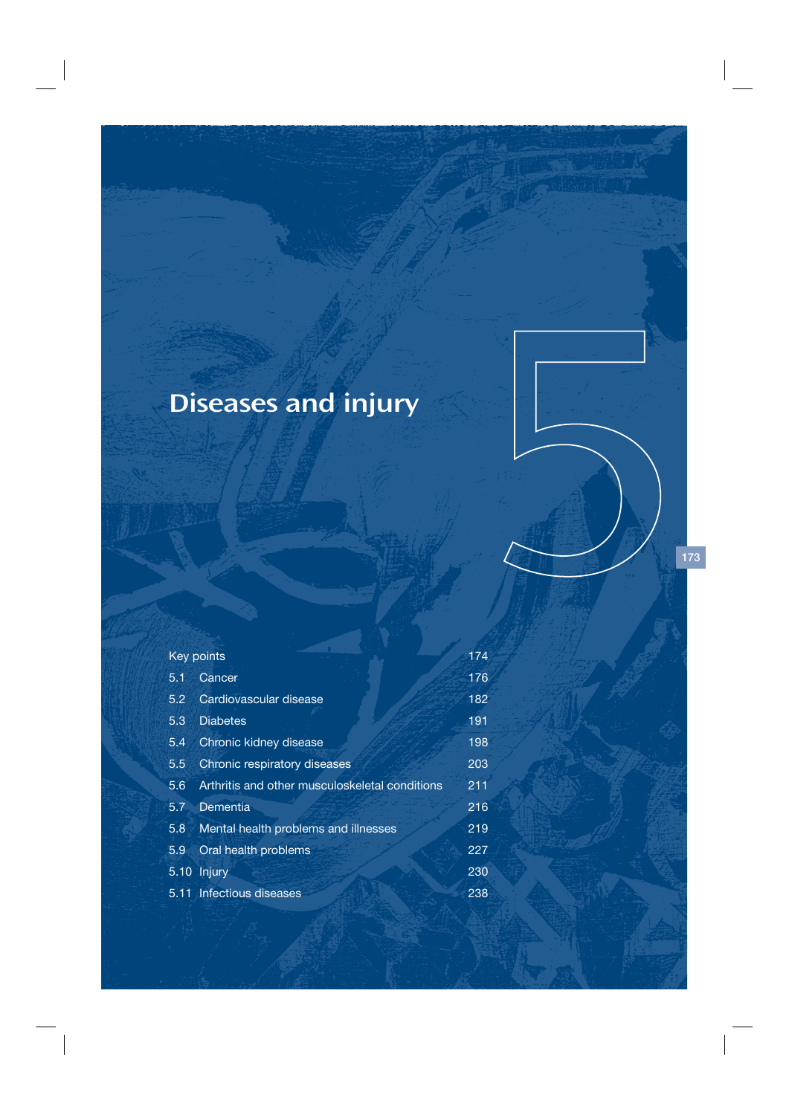# Diseases and injury

# **Key points** 174

| 5.1 | Cancer                                         | 176 |
|-----|------------------------------------------------|-----|
| 5.2 | Cardiovascular disease                         | 182 |
| 5.3 | <b>Diabetes</b>                                | 191 |
| 5.4 | Chronic kidney disease                         | 198 |
| 5.5 | Chronic respiratory diseases                   | 203 |
| 5.6 | Arthritis and other musculoskeletal conditions | 211 |
| 5.7 | Dementia                                       | 216 |
| 5.8 | Mental health problems and illnesses           | 219 |
| 5.9 | Oral health problems                           | 227 |
|     | 5.10 Injury                                    | 230 |
|     | 5.11 Infectious diseases                       | 238 |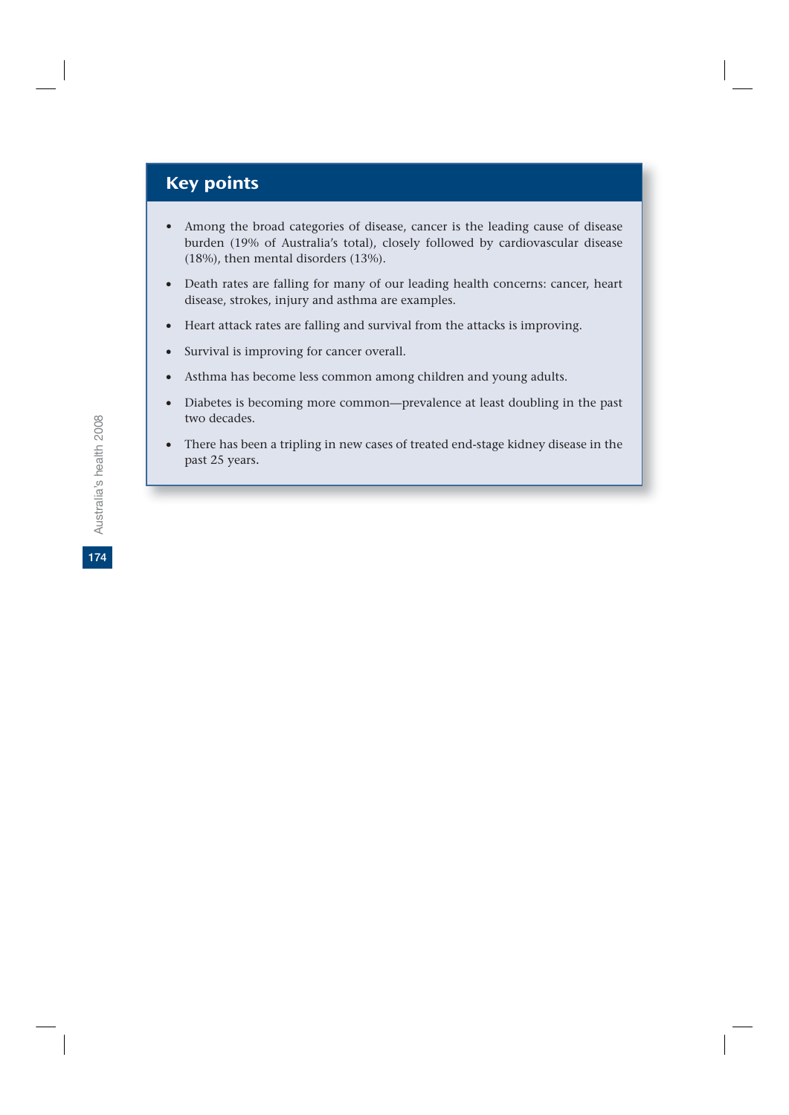# Key points

- Among the broad categories of disease, cancer is the leading cause of disease burden (19% of Australia's total), closely followed by cardiovascular disease (18%), then mental disorders (13%).
- Death rates are falling for many of our leading health concerns: cancer, heart disease, strokes, injury and asthma are examples.
- v Heart attack rates are falling and survival from the attacks is improving.
- Survival is improving for cancer overall.
- Asthma has become less common among children and young adults.
- Diabetes is becoming more common—prevalence at least doubling in the past two decades.
- There has been a tripling in new cases of treated end-stage kidney disease in the past 25 years.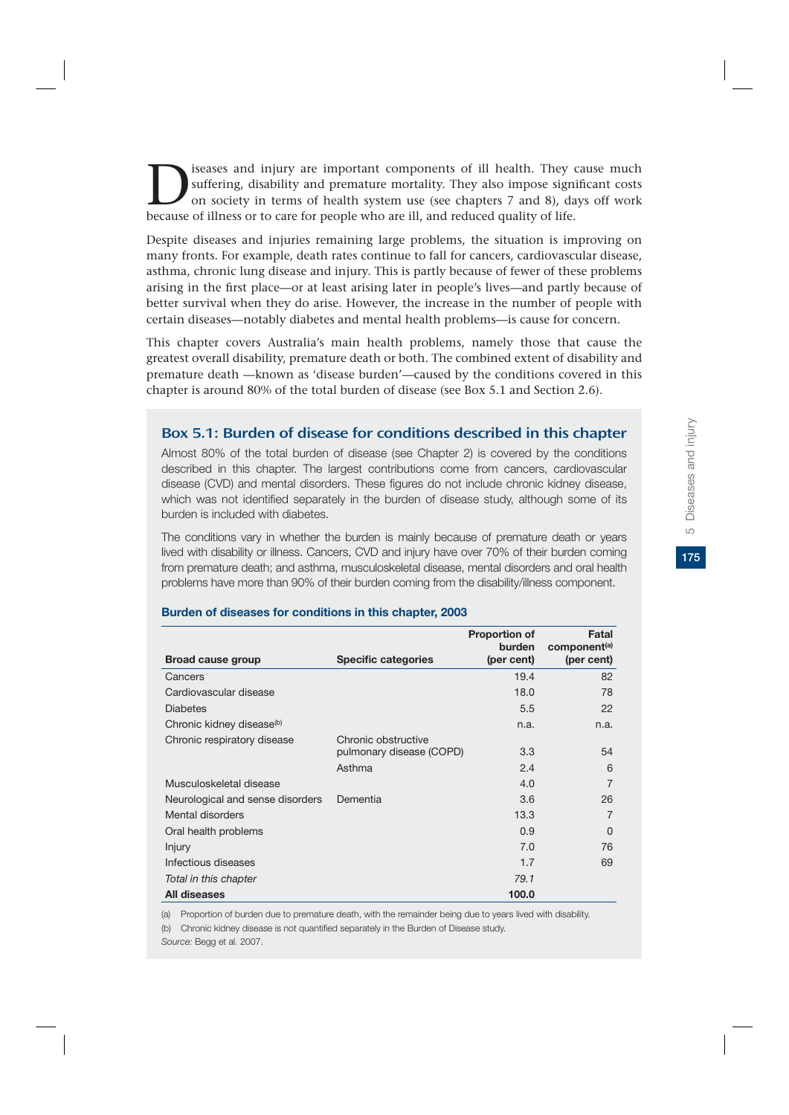175

suffering, disability and premature mortality. They also impose significant costs<br>on society in terms of health system use (see chapters 7 and 8), days off work<br>because of illness or to care for people who are ill and redu suffering, disability and premature mortality. They also impose significant costs on society in terms of health system use (see chapters 7 and 8), days off work because of illness or to care for people who are ill, and reduced quality of life.

Despite diseases and injuries remaining large problems, the situation is improving on many fronts. For example, death rates continue to fall for cancers, cardiovascular disease, asthma, chronic lung disease and injury. This is partly because of fewer of these problems arising in the first place—or at least arising later in people's lives—and partly because of better survival when they do arise. However, the increase in the number of people with certain diseases—notably diabetes and mental health problems—is cause for concern.

This chapter covers Australia's main health problems, namely those that cause the greatest overall disability, premature death or both. The combined extent of disability and premature death —known as 'disease burden'—caused by the conditions covered in this chapter is around 80% of the total burden of disease (see Box 5.1 and Section 2.6).

# Box 5.1: Burden of disease for conditions described in this chapter

Almost 80% of the total burden of disease (see Chapter 2) is covered by the conditions described in this chapter. The largest contributions come from cancers, cardiovascular disease (CVD) and mental disorders. These figures do not include chronic kidney disease, which was not identified separately in the burden of disease study, although some of its burden is included with diabetes.

The conditions vary in whether the burden is mainly because of premature death or years lived with disability or illness. Cancers, CVD and injury have over 70% of their burden coming from premature death; and asthma, musculoskeletal disease, mental disorders and oral health problems have more than 90% of their burden coming from the disability/illness component.

| Broad cause group                     | <b>Specific categories</b>                                | <b>Proportion of</b><br>burden<br>(per cent) | Fatal<br>component <sup>(a)</sup><br>(per cent) |
|---------------------------------------|-----------------------------------------------------------|----------------------------------------------|-------------------------------------------------|
| Cancers                               |                                                           | 19.4                                         | 82                                              |
| Cardiovascular disease                |                                                           | 18.0                                         | 78                                              |
| <b>Diabetes</b>                       |                                                           | 5.5                                          | 22                                              |
| Chronic kidney disease <sup>(b)</sup> |                                                           | n.a.                                         | n.a.                                            |
| Chronic respiratory disease           | Chronic obstructive<br>pulmonary disease (COPD)<br>Asthma | 3.3<br>2.4                                   | 54<br>6                                         |
| Musculoskeletal disease               |                                                           | 4.0                                          | 7                                               |
| Neurological and sense disorders      | Dementia                                                  | 3.6                                          | 26                                              |
| Mental disorders                      |                                                           | 13.3                                         | 7                                               |
| Oral health problems                  |                                                           | 0.9                                          | O                                               |
| <b>Injury</b>                         |                                                           | 7.0                                          | 76                                              |
| Infectious diseases                   |                                                           | 1.7                                          | 69                                              |
| Total in this chapter                 |                                                           | 79.1                                         |                                                 |
| All diseases                          |                                                           | 100.0                                        |                                                 |

#### **Burden of diseases for conditions in this chapter, 2003**

(a) Proportion of burden due to premature death, with the remainder being due to years lived with disability.

(b) Chronic kidney disease is not quantified separately in the Burden of Disease study.

*Source:* Begg et al. 2007.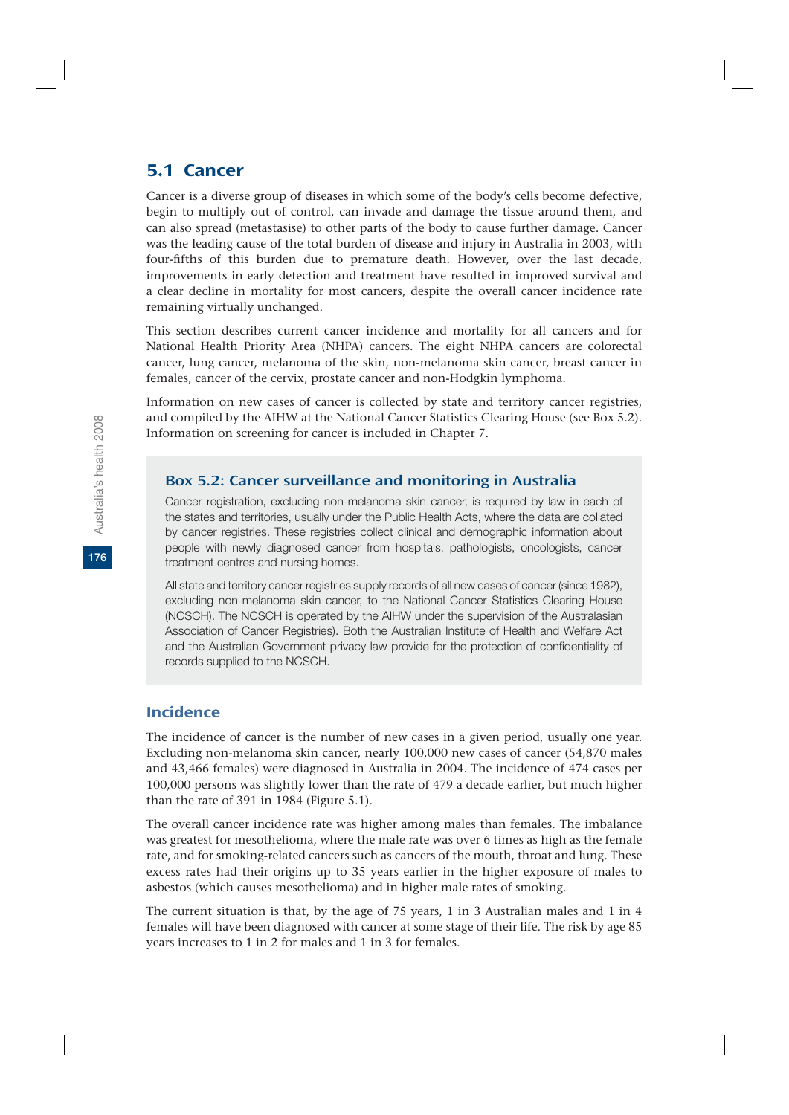# 5.1 Cancer

Cancer is a diverse group of diseases in which some of the body's cells become defective, begin to multiply out of control, can invade and damage the tissue around them, and can also spread (metastasise) to other parts of the body to cause further damage. Cancer was the leading cause of the total burden of disease and injury in Australia in 2003, with four-fifths of this burden due to premature death. However, over the last decade, improvements in early detection and treatment have resulted in improved survival and a clear decline in mortality for most cancers, despite the overall cancer incidence rate remaining virtually unchanged.

This section describes current cancer incidence and mortality for all cancers and for National Health Priority Area (NHPA) cancers. The eight NHPA cancers are colorectal cancer, lung cancer, melanoma of the skin, non-melanoma skin cancer, breast cancer in females, cancer of the cervix, prostate cancer and non-Hodgkin lymphoma.

Information on new cases of cancer is collected by state and territory cancer registries, and compiled by the AIHW at the National Cancer Statistics Clearing House (see Box 5.2). Information on screening for cancer is included in Chapter 7.

### Box 5.2: Cancer surveillance and monitoring in Australia

Cancer registration, excluding non-melanoma skin cancer, is required by law in each of the states and territories, usually under the Public Health Acts, where the data are collated by cancer registries. These registries collect clinical and demographic information about people with newly diagnosed cancer from hospitals, pathologists, oncologists, cancer treatment centres and nursing homes.

All state and territory cancer registries supply records of all new cases of cancer (since 1982), excluding non-melanoma skin cancer, to the National Cancer Statistics Clearing House (NCSCH). The NCSCH is operated by the AIHW under the supervision of the Australasian Association of Cancer Registries). Both the Australian Institute of Health and Welfare Act and the Australian Government privacy law provide for the protection of confidentiality of records supplied to the NCSCH.

# Incidence

The incidence of cancer is the number of new cases in a given period, usually one year. Excluding non-melanoma skin cancer, nearly 100,000 new cases of cancer (54,870 males and 43,466 females) were diagnosed in Australia in 2004. The incidence of 474 cases per 100,000 persons was slightly lower than the rate of 479 a decade earlier, but much higher than the rate of 391 in 1984 (Figure 5.1).

The overall cancer incidence rate was higher among males than females. The imbalance was greatest for mesothelioma, where the male rate was over 6 times as high as the female rate, and for smoking-related cancers such as cancers of the mouth, throat and lung. These excess rates had their origins up to 35 years earlier in the higher exposure of males to asbestos (which causes mesothelioma) and in higher male rates of smoking.

The current situation is that, by the age of 75 years, 1 in 3 Australian males and 1 in 4 females will have been diagnosed with cancer at some stage of their life. The risk by age 85 years increases to 1 in 2 for males and 1 in 3 for females.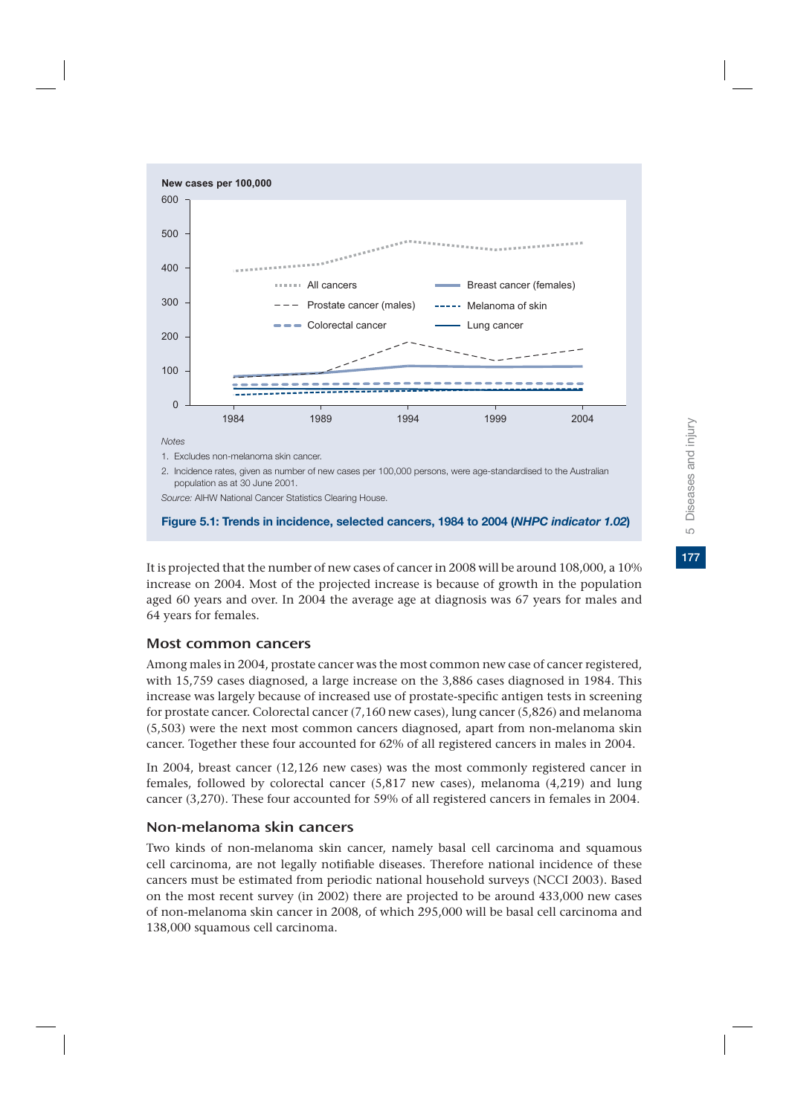

#### **Figure 5.1: Trends in incidence, selected cancers, 1984 to 2004 (***NHPC indicator 1.02***)**

It is projected that the number of new cases of cancer in 2008 will be around 108,000, a 10% increase on 2004. Most of the projected increase is because of growth in the population aged 60 years and over. In 2004 the average age at diagnosis was 67 years for males and 64 years for females.

### Most common cancers

Among males in 2004, prostate cancer was the most common new case of cancer registered, with 15,759 cases diagnosed, a large increase on the 3,886 cases diagnosed in 1984. This increase was largely because of increased use of prostate-specific antigen tests in screening for prostate cancer. Colorectal cancer (7,160 new cases), lung cancer (5,826) and melanoma (5,503) were the next most common cancers diagnosed, apart from non-melanoma skin cancer. Together these four accounted for 62% of all registered cancers in males in 2004.

In 2004, breast cancer (12,126 new cases) was the most commonly registered cancer in females, followed by colorectal cancer (5,817 new cases), melanoma (4,219) and lung cancer (3,270). These four accounted for 59% of all registered cancers in females in 2004.

### Non-melanoma skin cancers

Two kinds of non-melanoma skin cancer, namely basal cell carcinoma and squamous cell carcinoma, are not legally notifiable diseases. Therefore national incidence of these cancers must be estimated from periodic national household surveys (NCCI 2003). Based on the most recent survey (in 2002) there are projected to be around 433,000 new cases of non-melanoma skin cancer in 2008, of which 295,000 will be basal cell carcinoma and 138,000 squamous cell carcinoma.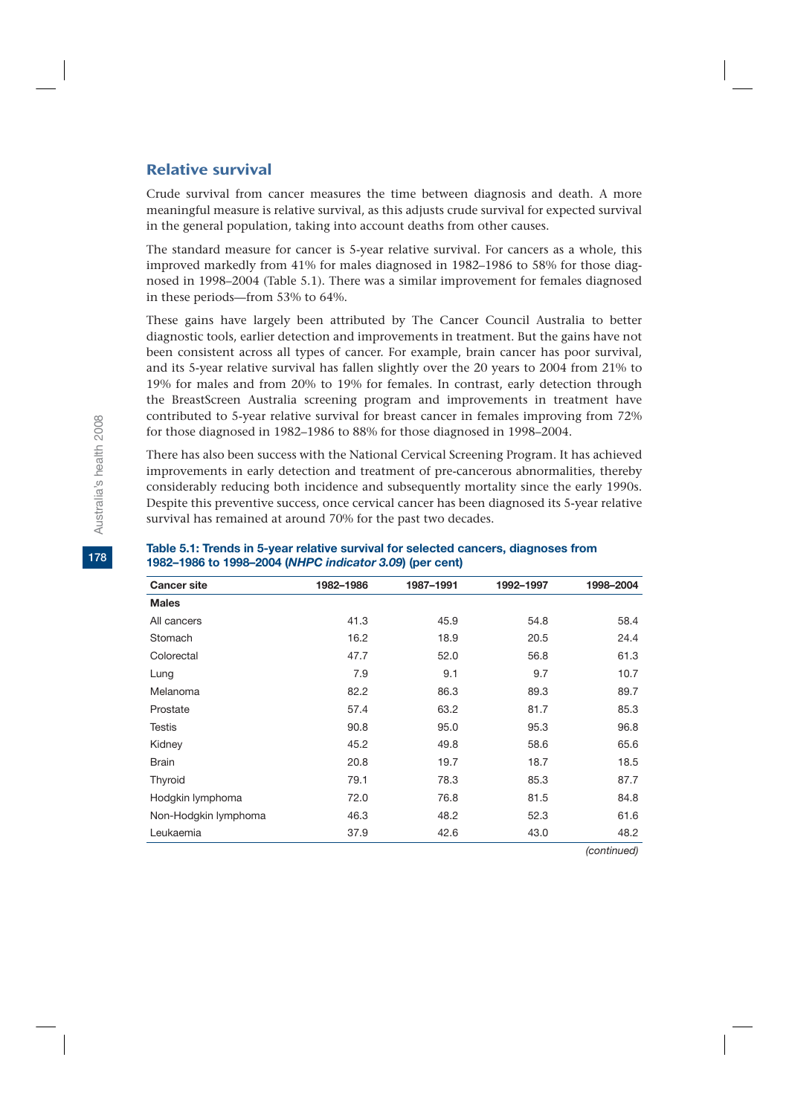# Relative survival

Crude survival from cancer measures the time between diagnosis and death. A more meaningful measure is relative survival, as this adjusts crude survival for expected survival in the general population, taking into account deaths from other causes.

The standard measure for cancer is 5-year relative survival. For cancers as a whole, this improved markedly from 41% for males diagnosed in 1982–1986 to 58% for those diagnosed in 1998–2004 (Table 5.1). There was a similar improvement for females diagnosed in these periods—from 53% to 64%.

These gains have largely been attributed by The Cancer Council Australia to better diagnostic tools, earlier detection and improvements in treatment. But the gains have not been consistent across all types of cancer. For example, brain cancer has poor survival, and its 5-year relative survival has fallen slightly over the 20 years to 2004 from 21% to 19% for males and from 20% to 19% for females. In contrast, early detection through the BreastScreen Australia screening program and improvements in treatment have contributed to 5-year relative survival for breast cancer in females improving from 72% for those diagnosed in 1982–1986 to 88% for those diagnosed in 1998–2004.

There has also been success with the National Cervical Screening Program. It has achieved improvements in early detection and treatment of pre-cancerous abnormalities, thereby considerably reducing both incidence and subsequently mortality since the early 1990s. Despite this preventive success, once cervical cancer has been diagnosed its 5-year relative survival has remained at around 70% for the past two decades.

| <b>Cancer site</b>   | 1982-1986 | 1987-1991 | 1992-1997 | 1998-2004 |
|----------------------|-----------|-----------|-----------|-----------|
| <b>Males</b>         |           |           |           |           |
| All cancers          | 41.3      | 45.9      | 54.8      | 58.4      |
| Stomach              | 16.2      | 18.9      | 20.5      | 24.4      |
| Colorectal           | 47.7      | 52.0      | 56.8      | 61.3      |
| Lung                 | 7.9       | 9.1       | 9.7       | 10.7      |
| Melanoma             | 82.2      | 86.3      | 89.3      | 89.7      |
| Prostate             | 57.4      | 63.2      | 81.7      | 85.3      |
| <b>Testis</b>        | 90.8      | 95.0      | 95.3      | 96.8      |
| Kidney               | 45.2      | 49.8      | 58.6      | 65.6      |
| <b>Brain</b>         | 20.8      | 19.7      | 18.7      | 18.5      |
| Thyroid              | 79.1      | 78.3      | 85.3      | 87.7      |
| Hodgkin lymphoma     | 72.0      | 76.8      | 81.5      | 84.8      |
| Non-Hodgkin lymphoma | 46.3      | 48.2      | 52.3      | 61.6      |
| Leukaemia            | 37.9      | 42.6      | 43.0      | 48.2      |

#### **Table 5.1: Trends in 5-year relative survival for selected cancers, diagnoses from 1982–1986 to 1998–2004 (***NHPC indicator 3.09***) (per cent)**

**178**

*(continued)*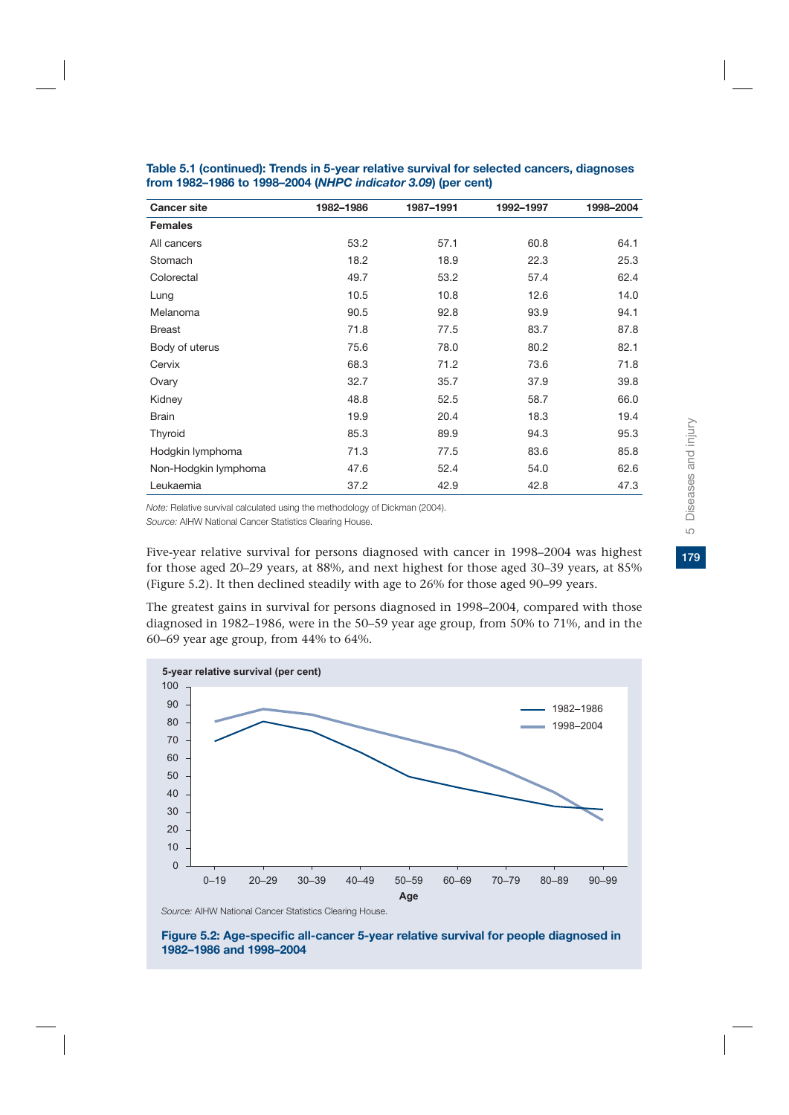| <b>Cancer site</b>   | 1982-1986 | 1987-1991 | 1992-1997 | 1998-2004 |
|----------------------|-----------|-----------|-----------|-----------|
| <b>Females</b>       |           |           |           |           |
| All cancers          | 53.2      | 57.1      | 60.8      | 64.1      |
| Stomach              | 18.2      | 18.9      | 22.3      | 25.3      |
| Colorectal           | 49.7      | 53.2      | 57.4      | 62.4      |
| Lung                 | 10.5      | 10.8      | 12.6      | 14.0      |
| Melanoma             | 90.5      | 92.8      | 93.9      | 94.1      |
| <b>Breast</b>        | 71.8      | 77.5      | 83.7      | 87.8      |
| Body of uterus       | 75.6      | 78.0      | 80.2      | 82.1      |
| Cervix               | 68.3      | 71.2      | 73.6      | 71.8      |
| Ovary                | 32.7      | 35.7      | 37.9      | 39.8      |
| Kidney               | 48.8      | 52.5      | 58.7      | 66.0      |
| <b>Brain</b>         | 19.9      | 20.4      | 18.3      | 19.4      |
| Thyroid              | 85.3      | 89.9      | 94.3      | 95.3      |
| Hodgkin lymphoma     | 71.3      | 77.5      | 83.6      | 85.8      |
| Non-Hodgkin lymphoma | 47.6      | 52.4      | 54.0      | 62.6      |
| Leukaemia            | 37.2      | 42.9      | 42.8      | 47.3      |

**Table 5.1 (continued): Trends in 5-year relative survival for selected cancers, diagnoses from 1982–1986 to 1998–2004 (***NHPC indicator 3.09***) (per cent)**

*Note:* Relative survival calculated using the methodology of Dickman (2004).

*Source:* AIHW National Cancer Statistics Clearing House.

Five-year relative survival for persons diagnosed with cancer in 1998–2004 was highest for those aged 20–29 years, at 88%, and next highest for those aged 30–39 years, at 85% (Figure 5.2). It then declined steadily with age to 26% for those aged 90–99 years.

The greatest gains in survival for persons diagnosed in 1998–2004, compared with those diagnosed in 1982–1986, were in the 50–59 year age group, from 50% to 71%, and in the 60–69 year age group, from 44% to 64%.



*Source:* AIHW National Cancer Statistics Clearing House.

**Figure 5.2: Age-specific all-cancer 5-year relative survival for people diagnosed in 1982–1986 and 1998–2004**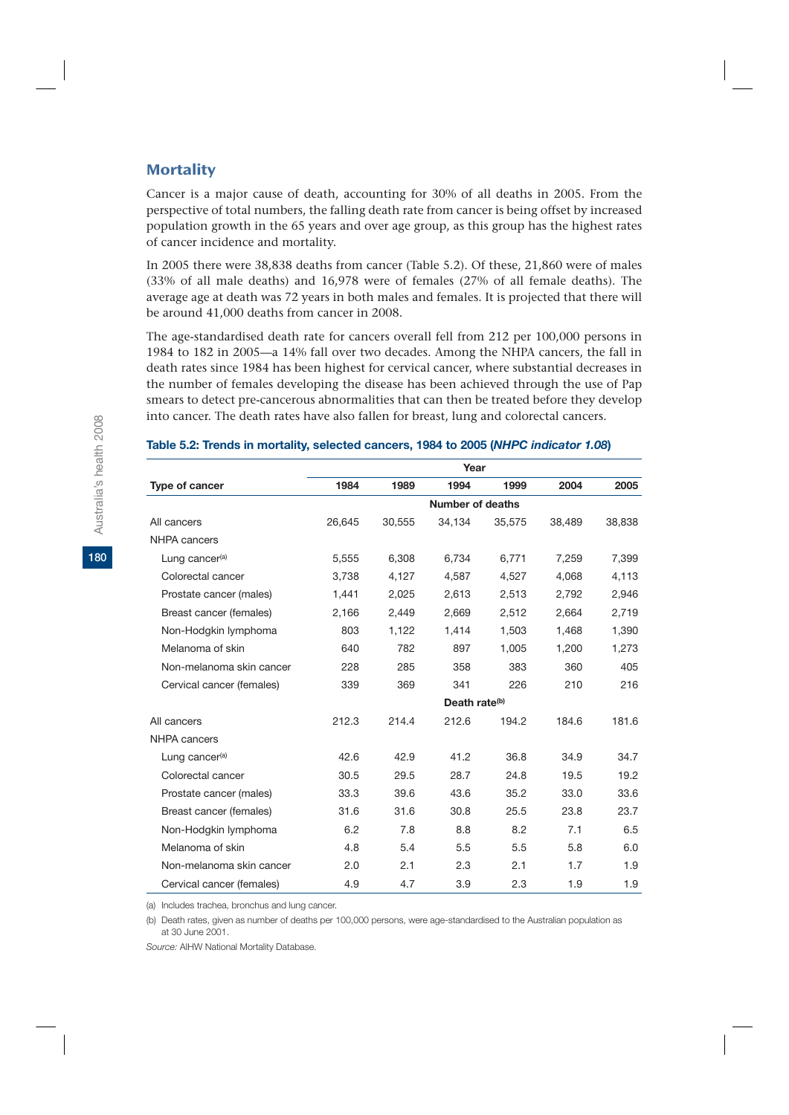### **Mortality**

Cancer is a major cause of death, accounting for 30% of all deaths in 2005. From the perspective of total numbers, the falling death rate from cancer is being offset by increased population growth in the 65 years and over age group, as this group has the highest rates of cancer incidence and mortality.

In 2005 there were 38,838 deaths from cancer (Table 5.2). Of these, 21,860 were of males (33% of all male deaths) and 16,978 were of females (27% of all female deaths). The average age at death was 72 years in both males and females. It is projected that there will be around 41,000 deaths from cancer in 2008.

The age-standardised death rate for cancers overall fell from 212 per 100,000 persons in 1984 to 182 in 2005—a 14% fall over two decades. Among the NHPA cancers, the fall in death rates since 1984 has been highest for cervical cancer, where substantial decreases in the number of females developing the disease has been achieved through the use of Pap smears to detect pre-cancerous abnormalities that can then be treated before they develop into cancer. The death rates have also fallen for breast, lung and colorectal cancers.

|                            |        |        | Year                      |        |        |        |
|----------------------------|--------|--------|---------------------------|--------|--------|--------|
| Type of cancer             | 1984   | 1989   | 1994                      | 1999   | 2004   | 2005   |
|                            |        |        | Number of deaths          |        |        |        |
| All cancers                | 26,645 | 30,555 | 34,134                    | 35,575 | 38,489 | 38,838 |
| <b>NHPA</b> cancers        |        |        |                           |        |        |        |
| Lung cancer <sup>(a)</sup> | 5,555  | 6,308  | 6,734                     | 6,771  | 7,259  | 7,399  |
| Colorectal cancer          | 3,738  | 4,127  | 4,587                     | 4,527  | 4,068  | 4,113  |
| Prostate cancer (males)    | 1,441  | 2.025  | 2.613                     | 2,513  | 2,792  | 2,946  |
| Breast cancer (females)    | 2,166  | 2,449  | 2,669                     | 2,512  | 2,664  | 2,719  |
| Non-Hodgkin lymphoma       | 803    | 1,122  | 1,414                     | 1,503  | 1,468  | 1,390  |
| Melanoma of skin           | 640    | 782    | 897                       | 1,005  | 1,200  | 1,273  |
| Non-melanoma skin cancer   | 228    | 285    | 358                       | 383    | 360    | 405    |
| Cervical cancer (females)  | 339    | 369    | 341                       | 226    | 210    | 216    |
|                            |        |        | Death rate <sup>(b)</sup> |        |        |        |
| All cancers                | 212.3  | 214.4  | 212.6                     | 194.2  | 184.6  | 181.6  |
| NHPA cancers               |        |        |                           |        |        |        |
| Lung cancer <sup>(a)</sup> | 42.6   | 42.9   | 41.2                      | 36.8   | 34.9   | 34.7   |
| Colorectal cancer          | 30.5   | 29.5   | 28.7                      | 24.8   | 19.5   | 19.2   |
| Prostate cancer (males)    | 33.3   | 39.6   | 43.6                      | 35.2   | 33.0   | 33.6   |
| Breast cancer (females)    | 31.6   | 31.6   | 30.8                      | 25.5   | 23.8   | 23.7   |
| Non-Hodgkin lymphoma       | 6.2    | 7.8    | 8.8                       | 8.2    | 7.1    | 6.5    |
| Melanoma of skin           | 4.8    | 5.4    | 5.5                       | 5.5    | 5.8    | 6.0    |
| Non-melanoma skin cancer   | 2.0    | 2.1    | 2.3                       | 2.1    | 1.7    | 1.9    |
| Cervical cancer (females)  | 4.9    | 4.7    | 3.9                       | 2.3    | 1.9    | 1.9    |

#### **Table 5.2: Trends in mortality, selected cancers, 1984 to 2005 (***NHPC indicator 1.08***)**

(a) Includes trachea, bronchus and lung cancer.

(b) Death rates, given as number of deaths per 100,000 persons, were age-standardised to the Australian population as at 30 June 2001.

*Source:* AIHW National Mortality Database.

**180**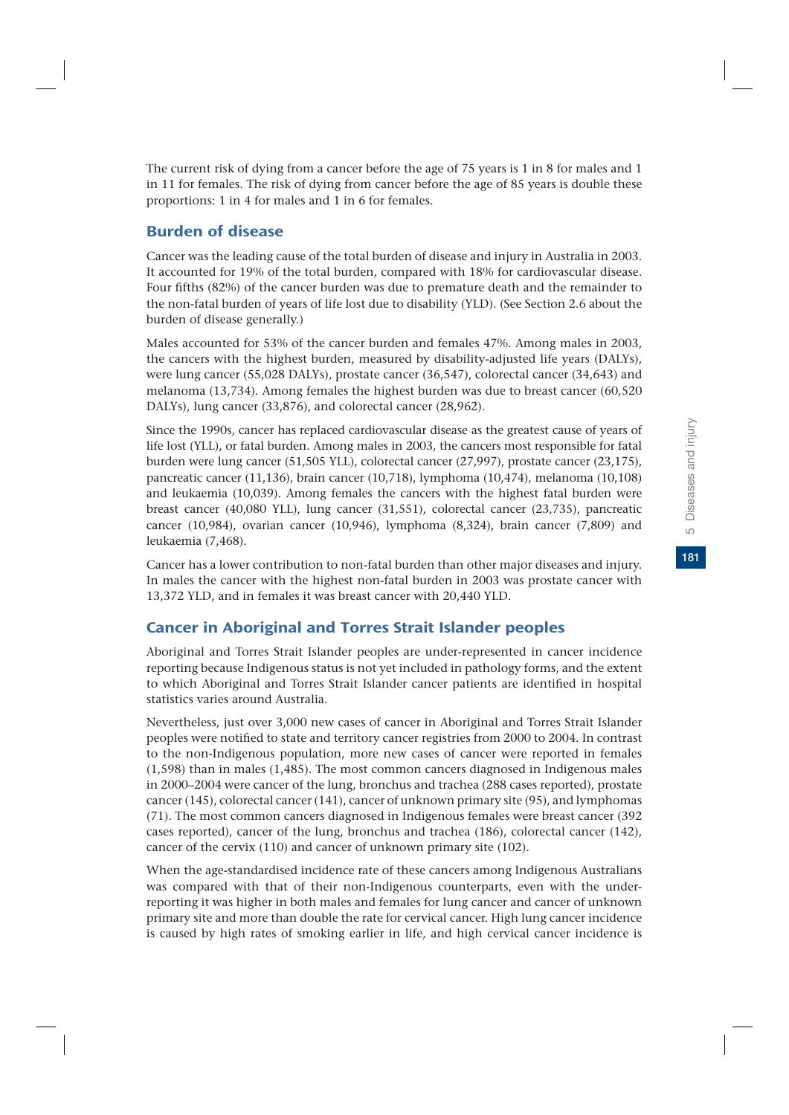The current risk of dying from a cancer before the age of 75 years is 1 in 8 for males and 1 in 11 for females. The risk of dying from cancer before the age of 85 years is double these proportions: 1 in 4 for males and 1 in 6 for females.

# Burden of disease

Cancer was the leading cause of the total burden of disease and injury in Australia in 2003. It accounted for 19% of the total burden, compared with 18% for cardiovascular disease. Four fifths (82%) of the cancer burden was due to premature death and the remainder to the non-fatal burden of years of life lost due to disability (YLD). (See Section 2.6 about the burden of disease generally.)

Males accounted for 53% of the cancer burden and females 47%. Among males in 2003, the cancers with the highest burden, measured by disability-adjusted life years (DALYs), were lung cancer (55,028 DALYs), prostate cancer (36,547), colorectal cancer (34,643) and melanoma (13,734). Among females the highest burden was due to breast cancer (60,520 DALYs), lung cancer (33,876), and colorectal cancer (28,962).

Since the 1990s, cancer has replaced cardiovascular disease as the greatest cause of years of life lost (YLL), or fatal burden. Among males in 2003, the cancers most responsible for fatal burden were lung cancer (51,505 YLL), colorectal cancer (27,997), prostate cancer (23,175), pancreatic cancer (11,136), brain cancer (10,718), lymphoma (10,474), melanoma (10,108) and leukaemia (10,039). Among females the cancers with the highest fatal burden were breast cancer (40,080 YLL), lung cancer (31,551), colorectal cancer (23,735), pancreatic cancer (10,984), ovarian cancer (10,946), lymphoma (8,324), brain cancer (7,809) and leukaemia (7,468).

Cancer has a lower contribution to non-fatal burden than other major diseases and injury. In males the cancer with the highest non-fatal burden in 2003 was prostate cancer with 13,372 YLD, and in females it was breast cancer with 20,440 YLD.

# Cancer in Aboriginal and Torres Strait Islander peoples

Aboriginal and Torres Strait Islander peoples are under-represented in cancer incidence reporting because Indigenous status is not yet included in pathology forms, and the extent to which Aboriginal and Torres Strait Islander cancer patients are identified in hospital statistics varies around Australia.

Nevertheless, just over 3,000 new cases of cancer in Aboriginal and Torres Strait Islander peoples were notified to state and territory cancer registries from 2000 to 2004. In contrast to the non-Indigenous population, more new cases of cancer were reported in females (1,598) than in males (1,485). The most common cancers diagnosed in Indigenous males in 2000–2004 were cancer of the lung, bronchus and trachea (288 cases reported), prostate cancer (145), colorectal cancer (141), cancer of unknown primary site (95), and lymphomas (71). The most common cancers diagnosed in Indigenous females were breast cancer (392 cases reported), cancer of the lung, bronchus and trachea (186), colorectal cancer (142), cancer of the cervix (110) and cancer of unknown primary site (102).

When the age-standardised incidence rate of these cancers among Indigenous Australians was compared with that of their non-Indigenous counterparts, even with the underreporting it was higher in both males and females for lung cancer and cancer of unknown primary site and more than double the rate for cervical cancer. High lung cancer incidence is caused by high rates of smoking earlier in life, and high cervical cancer incidence is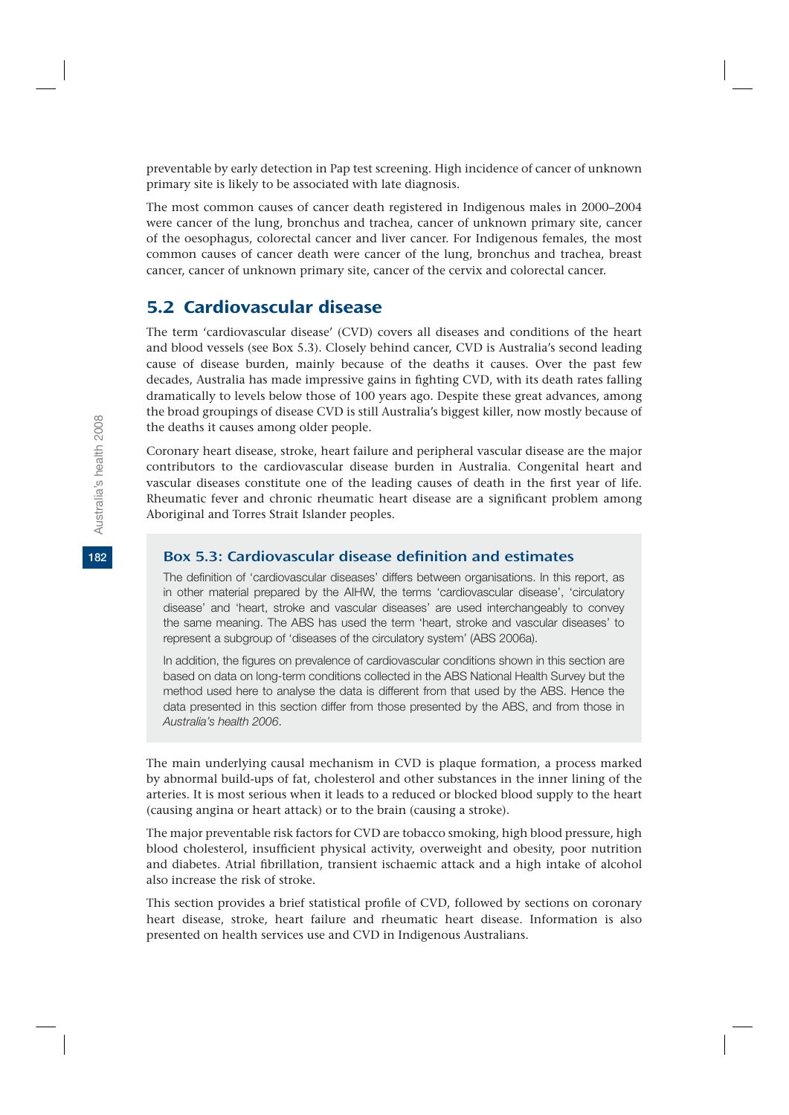preventable by early detection in Pap test screening. High incidence of cancer of unknown primary site is likely to be associated with late diagnosis.

The most common causes of cancer death registered in Indigenous males in 2000–2004 were cancer of the lung, bronchus and trachea, cancer of unknown primary site, cancer of the oesophagus, colorectal cancer and liver cancer. For Indigenous females, the most common causes of cancer death were cancer of the lung, bronchus and trachea, breast cancer, cancer of unknown primary site, cancer of the cervix and colorectal cancer.

# 5.2 Cardiovascular disease

The term 'cardiovascular disease' (CVD) covers all diseases and conditions of the heart and blood vessels (see Box 5.3). Closely behind cancer, CVD is Australia's second leading cause of disease burden, mainly because of the deaths it causes. Over the past few decades, Australia has made impressive gains in fighting CVD, with its death rates falling dramatically to levels below those of 100 years ago. Despite these great advances, among the broad groupings of disease CVD is still Australia's biggest killer, now mostly because of the deaths it causes among older people.

Coronary heart disease, stroke, heart failure and peripheral vascular disease are the major contributors to the cardiovascular disease burden in Australia. Congenital heart and vascular diseases constitute one of the leading causes of death in the first year of life. Rheumatic fever and chronic rheumatic heart disease are a significant problem among Aboriginal and Torres Strait Islander peoples.

# Box 5.3: Cardiovascular disease definition and estimates

The definition of 'cardiovascular diseases' differs between organisations. In this report, as in other material prepared by the AIHW, the terms 'cardiovascular disease', 'circulatory disease' and 'heart, stroke and vascular diseases' are used interchangeably to convey the same meaning. The ABS has used the term 'heart, stroke and vascular diseases' to represent a subgroup of 'diseases of the circulatory system' (ABS 2006a).

In addition, the figures on prevalence of cardiovascular conditions shown in this section are based on data on long-term conditions collected in the ABS National Health Survey but the method used here to analyse the data is different from that used by the ABS. Hence the data presented in this section differ from those presented by the ABS, and from those in *Australia's health 2006*.

The main underlying causal mechanism in CVD is plaque formation, a process marked by abnormal build-ups of fat, cholesterol and other substances in the inner lining of the arteries. It is most serious when it leads to a reduced or blocked blood supply to the heart (causing angina or heart attack) or to the brain (causing a stroke).

The major preventable risk factors for CVD are tobacco smoking, high blood pressure, high blood cholesterol, insufficient physical activity, overweight and obesity, poor nutrition and diabetes. Atrial fibrillation, transient ischaemic attack and a high intake of alcohol also increase the risk of stroke.

This section provides a brief statistical profile of CVD, followed by sections on coronary heart disease, stroke, heart failure and rheumatic heart disease. Information is also presented on health services use and CVD in Indigenous Australians.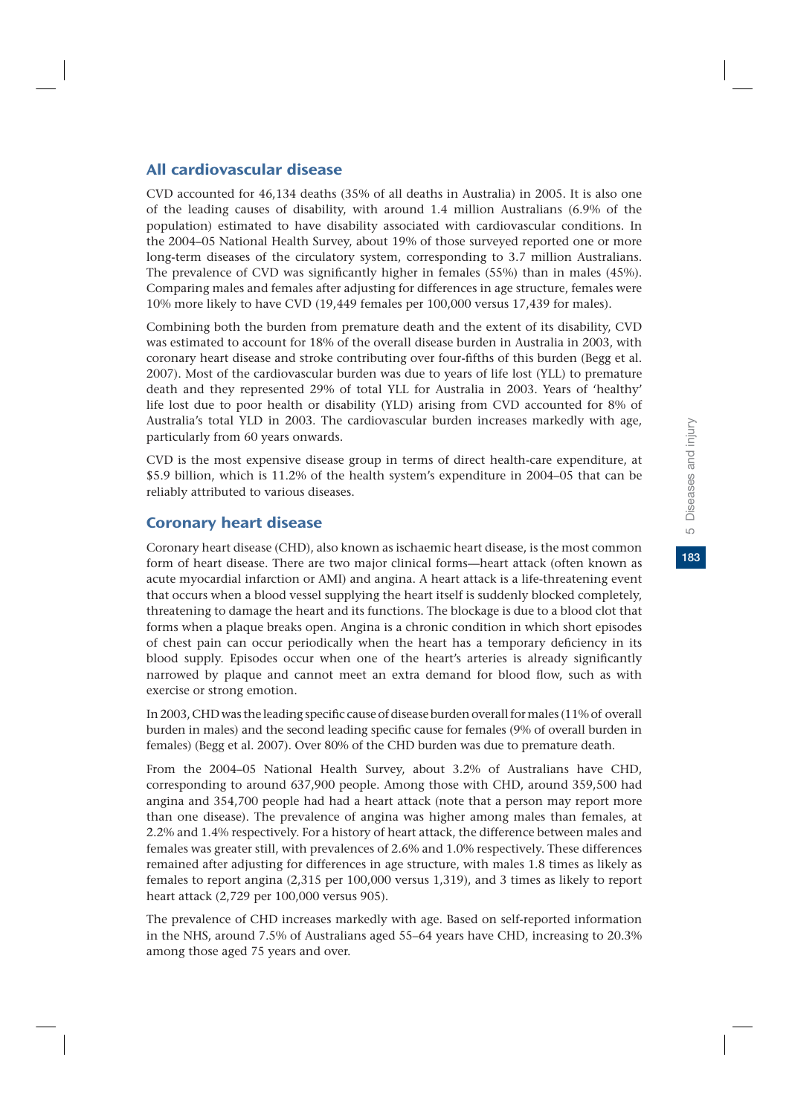183

# All cardiovascular disease

CVD accounted for 46,134 deaths (35% of all deaths in Australia) in 2005. It is also one of the leading causes of disability, with around 1.4 million Australians (6.9% of the population) estimated to have disability associated with cardiovascular conditions. In the 2004–05 National Health Survey, about 19% of those surveyed reported one or more long-term diseases of the circulatory system, corresponding to 3.7 million Australians. The prevalence of CVD was significantly higher in females (55%) than in males (45%). Comparing males and females after adjusting for differences in age structure, females were 10% more likely to have CVD (19,449 females per 100,000 versus 17,439 for males).

Combining both the burden from premature death and the extent of its disability, CVD was estimated to account for 18% of the overall disease burden in Australia in 2003, with coronary heart disease and stroke contributing over four-fifths of this burden (Begg et al. 2007). Most of the cardiovascular burden was due to years of life lost (YLL) to premature death and they represented 29% of total YLL for Australia in 2003. Years of 'healthy' life lost due to poor health or disability (YLD) arising from CVD accounted for 8% of Australia's total YLD in 2003. The cardiovascular burden increases markedly with age, particularly from 60 years onwards.

CVD is the most expensive disease group in terms of direct health-care expenditure, at \$5.9 billion, which is 11.2% of the health system's expenditure in 2004–05 that can be reliably attributed to various diseases.

# Coronary heart disease

Coronary heart disease (CHD), also known as ischaemic heart disease, is the most common form of heart disease. There are two major clinical forms—heart attack (often known as acute myocardial infarction or AMI) and angina. A heart attack is a life-threatening event that occurs when a blood vessel supplying the heart itself is suddenly blocked completely, threatening to damage the heart and its functions. The blockage is due to a blood clot that forms when a plaque breaks open. Angina is a chronic condition in which short episodes of chest pain can occur periodically when the heart has a temporary deficiency in its blood supply. Episodes occur when one of the heart's arteries is already significantly narrowed by plaque and cannot meet an extra demand for blood flow, such as with exercise or strong emotion.

In 2003, CHD was the leading specific cause of disease burden overall for males (11% of overall burden in males) and the second leading specific cause for females (9% of overall burden in females) (Begg et al. 2007). Over 80% of the CHD burden was due to premature death.

From the 2004–05 National Health Survey, about 3.2% of Australians have CHD, corresponding to around 637,900 people. Among those with CHD, around 359,500 had angina and 354,700 people had had a heart attack (note that a person may report more than one disease). The prevalence of angina was higher among males than females, at 2.2% and 1.4% respectively. For a history of heart attack, the difference between males and females was greater still, with prevalences of 2.6% and 1.0% respectively. These differences remained after adjusting for differences in age structure, with males 1.8 times as likely as females to report angina (2,315 per 100,000 versus 1,319), and 3 times as likely to report heart attack (2,729 per 100,000 versus 905).

The prevalence of CHD increases markedly with age. Based on self-reported information in the NHS, around 7.5% of Australians aged 55–64 years have CHD, increasing to 20.3% among those aged 75 years and over.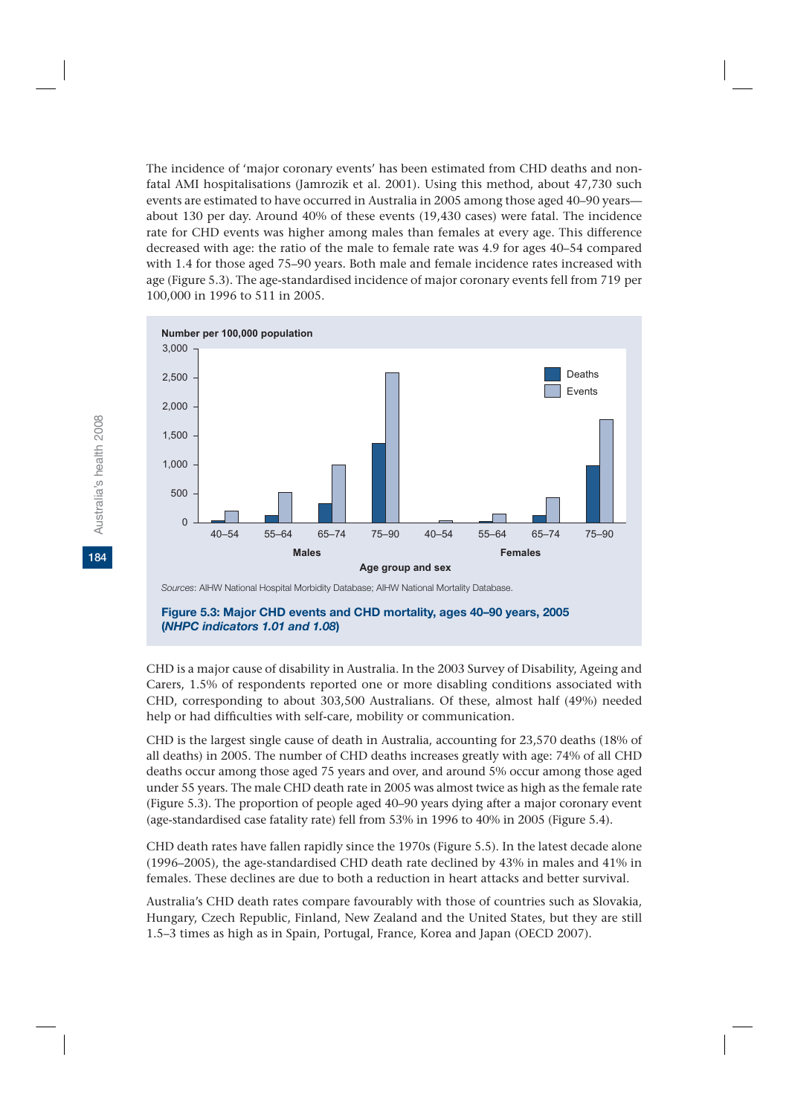The incidence of 'major coronary events' has been estimated from CHD deaths and nonfatal AMI hospitalisations (Jamrozik et al. 2001). Using this method, about 47.730 such events are estimated to have occurred in Australia in 2005 among those aged 40–90 years about 130 per day. Around 40% of these events (19,430 cases) were fatal. The incidence rate for CHD events was higher among males than females at every age. This difference decreased with age: the ratio of the male to female rate was 4.9 for ages 40–54 compared with 1.4 for those aged 75–90 years. Both male and female incidence rates increased with age (Figure 5.3). The age-standardised incidence of major coronary events fell from 719 per 100,000 in 1996 to 511 in 2005.



### **Figure 5.3: Major CHD events and CHD mortality, ages 40–90 years, 2005 (***NHPC indicators 1.01 and 1.08***)**

CHD is a major cause of disability in Australia. In the 2003 Survey of Disability, Ageing and Carers, 1.5% of respondents reported one or more disabling conditions associated with CHD, corresponding to about 303,500 Australians. Of these, almost half (49%) needed help or had difficulties with self-care, mobility or communication.

CHD is the largest single cause of death in Australia, accounting for 23,570 deaths (18% of all deaths) in 2005. The number of CHD deaths increases greatly with age: 74% of all CHD deaths occur among those aged 75 years and over, and around 5% occur among those aged under 55 years. The male CHD death rate in 2005 was almost twice as high as the female rate (Figure 5.3). The proportion of people aged 40–90 years dying after a major coronary event (age-standardised case fatality rate) fell from 53% in 1996 to 40% in 2005 (Figure 5.4).

CHD death rates have fallen rapidly since the 1970s (Figure 5.5). In the latest decade alone (1996–2005), the age-standardised CHD death rate declined by 43% in males and 41% in females. These declines are due to both a reduction in heart attacks and better survival.

Australia's CHD death rates compare favourably with those of countries such as Slovakia, Hungary, Czech Republic, Finland, New Zealand and the United States, but they are still 1.5–3 times as high as in Spain, Portugal, France, Korea and Japan (OECD 2007).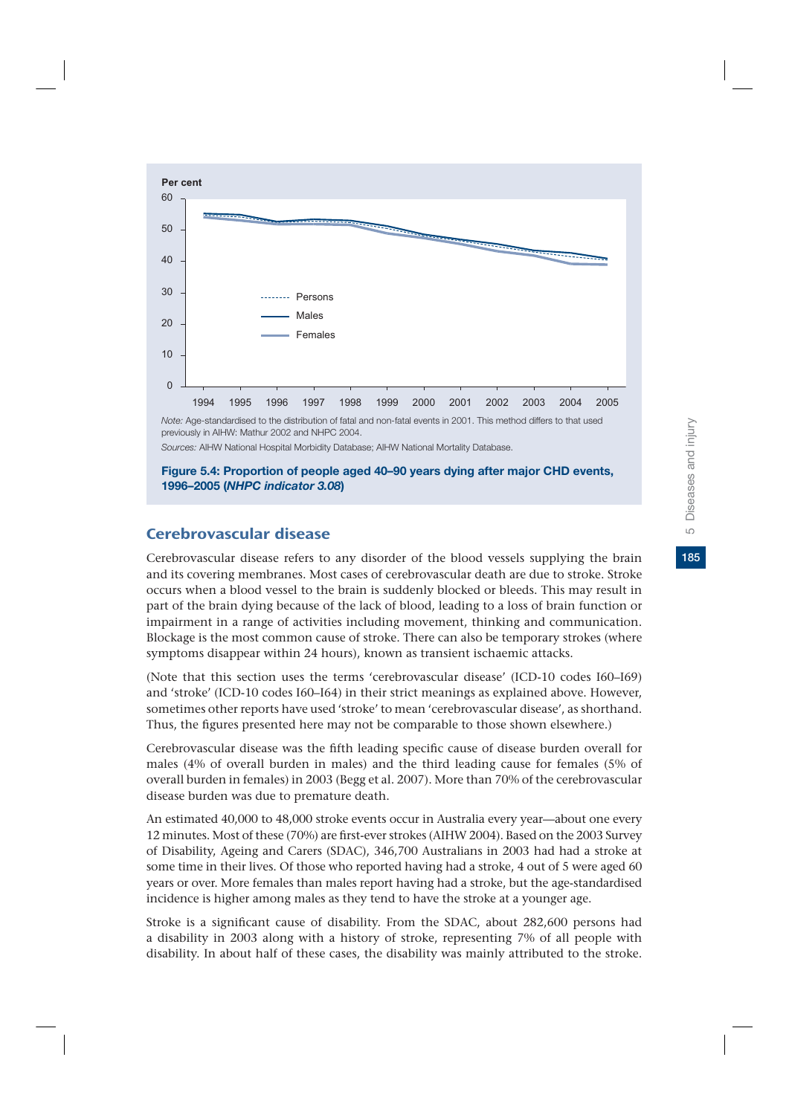

*Sources:* AIHW National Hospital Morbidity Database; AIHW National Mortality Database.

**Figure 5.4: Proportion of people aged 40–90 years dying after major CHD events, 1996–2005 (***NHPC indicator 3.08***)**

# Cerebrovascular disease

Cerebrovascular disease refers to any disorder of the blood vessels supplying the brain and its covering membranes. Most cases of cerebrovascular death are due to stroke. Stroke occurs when a blood vessel to the brain is suddenly blocked or bleeds. This may result in part of the brain dying because of the lack of blood, leading to a loss of brain function or impairment in a range of activities including movement, thinking and communication. Blockage is the most common cause of stroke. There can also be temporary strokes (where symptoms disappear within 24 hours), known as transient ischaemic attacks.

(Note that this section uses the terms 'cerebrovascular disease' (ICD-10 codes I60–I69) and 'stroke' (ICD-10 codes I60–I64) in their strict meanings as explained above. However, sometimes other reports have used 'stroke' to mean 'cerebrovascular disease', as shorthand. Thus, the figures presented here may not be comparable to those shown elsewhere.)

Cerebrovascular disease was the fifth leading specific cause of disease burden overall for males (4% of overall burden in males) and the third leading cause for females (5% of overall burden in females) in 2003 (Begg et al. 2007). More than 70% of the cerebrovascular disease burden was due to premature death.

An estimated 40,000 to 48,000 stroke events occur in Australia every year—about one every 12 minutes. Most of these (70%) are first-ever strokes (AIHW 2004). Based on the 2003 Survey of Disability, Ageing and Carers (SDAC), 346,700 Australians in 2003 had had a stroke at some time in their lives. Of those who reported having had a stroke, 4 out of 5 were aged 60 years or over. More females than males report having had a stroke, but the age-standardised incidence is higher among males as they tend to have the stroke at a younger age.

Stroke is a significant cause of disability. From the SDAC, about 282,600 persons had a disability in 2003 along with a history of stroke, representing 7% of all people with disability. In about half of these cases, the disability was mainly attributed to the stroke.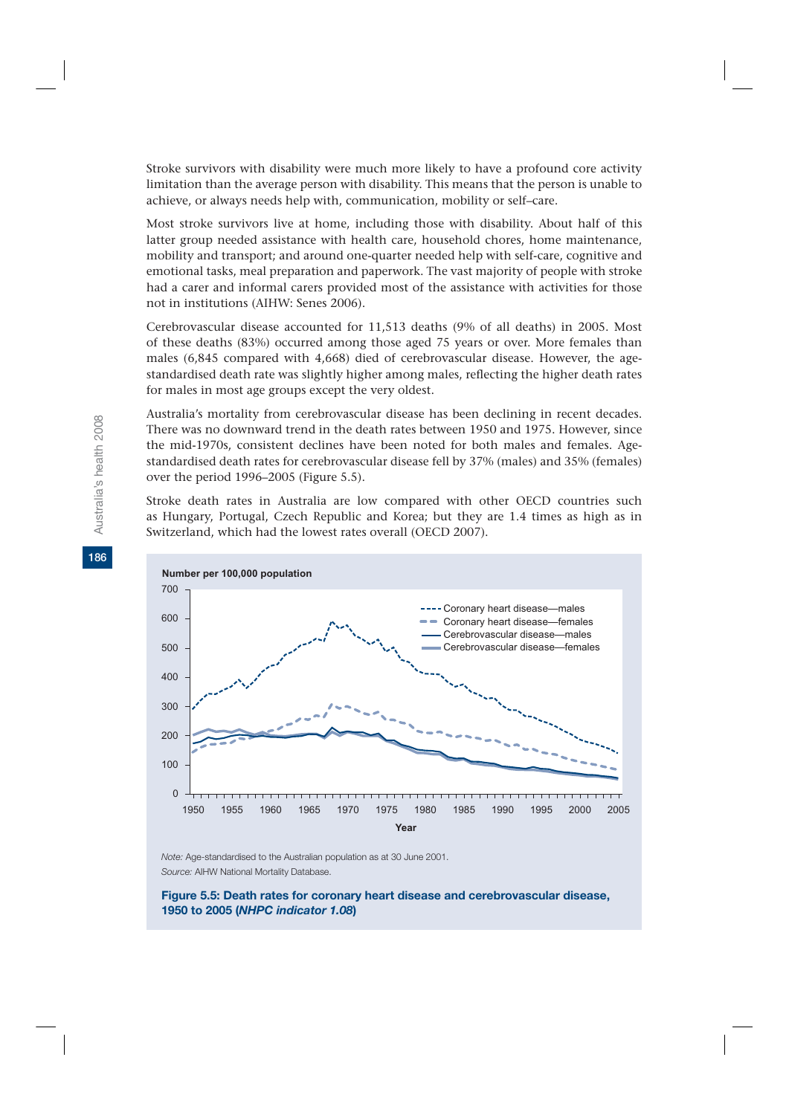Stroke survivors with disability were much more likely to have a profound core activity limitation than the average person with disability. This means that the person is unable to achieve, or always needs help with, communication, mobility or self–care.

Most stroke survivors live at home, including those with disability. About half of this latter group needed assistance with health care, household chores, home maintenance, mobility and transport; and around one-quarter needed help with self-care, cognitive and emotional tasks, meal preparation and paperwork. The vast majority of people with stroke had a carer and informal carers provided most of the assistance with activities for those not in institutions (AIHW: Senes 2006).

Cerebrovascular disease accounted for 11,513 deaths (9% of all deaths) in 2005. Most of these deaths (83%) occurred among those aged 75 years or over. More females than males (6,845 compared with 4,668) died of cerebrovascular disease. However, the agestandardised death rate was slightly higher among males, reflecting the higher death rates for males in most age groups except the very oldest.

Australia's mortality from cerebrovascular disease has been declining in recent decades. There was no downward trend in the death rates between 1950 and 1975. However, since the mid-1970s, consistent declines have been noted for both males and females. Agestandardised death rates for cerebrovascular disease fell by 37% (males) and 35% (females) over the period 1996–2005 (Figure 5.5).

Stroke death rates in Australia are low compared with other OECD countries such as Hungary, Portugal, Czech Republic and Korea; but they are 1.4 times as high as in Switzerland, which had the lowest rates overall (OECD 2007).



*Note:* Age-standardised to the Australian population as at 30 June 2001. *Source:* AIHW National Mortality Database.

#### **Figure 5.5: Death rates for coronary heart disease and cerebrovascular disease, 1950 to 2005 (***NHPC indicator 1.08***)**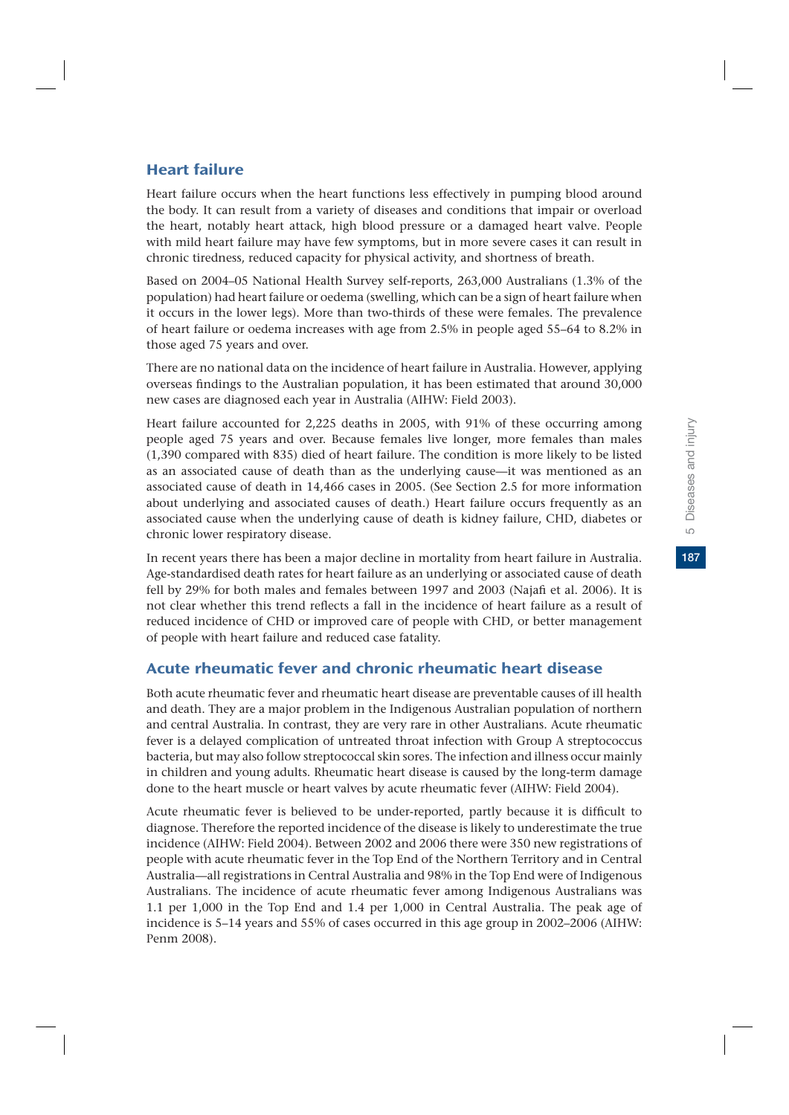# Heart failure

Heart failure occurs when the heart functions less effectively in pumping blood around the body. It can result from a variety of diseases and conditions that impair or overload the heart, notably heart attack, high blood pressure or a damaged heart valve. People with mild heart failure may have few symptoms, but in more severe cases it can result in chronic tiredness, reduced capacity for physical activity, and shortness of breath.

Based on 2004–05 National Health Survey self-reports, 263,000 Australians (1.3% of the population) had heart failure or oedema (swelling, which can be a sign of heart failure when it occurs in the lower legs). More than two-thirds of these were females. The prevalence of heart failure or oedema increases with age from 2.5% in people aged 55–64 to 8.2% in those aged 75 years and over.

There are no national data on the incidence of heart failure in Australia. However, applying overseas findings to the Australian population, it has been estimated that around 30,000 new cases are diagnosed each year in Australia (AIHW: Field 2003).

Heart failure accounted for 2,225 deaths in 2005, with 91% of these occurring among people aged 75 years and over. Because females live longer, more females than males (1,390 compared with 835) died of heart failure. The condition is more likely to be listed as an associated cause of death than as the underlying cause—it was mentioned as an associated cause of death in 14,466 cases in 2005. (See Section 2.5 for more information about underlying and associated causes of death.) Heart failure occurs frequently as an associated cause when the underlying cause of death is kidney failure, CHD, diabetes or chronic lower respiratory disease.

In recent years there has been a major decline in mortality from heart failure in Australia. Age-standardised death rates for heart failure as an underlying or associated cause of death fell by 29% for both males and females between 1997 and 2003 (Najafi et al. 2006). It is not clear whether this trend reflects a fall in the incidence of heart failure as a result of reduced incidence of CHD or improved care of people with CHD, or better management of people with heart failure and reduced case fatality.

# Acute rheumatic fever and chronic rheumatic heart disease

Both acute rheumatic fever and rheumatic heart disease are preventable causes of ill health and death. They are a major problem in the Indigenous Australian population of northern and central Australia. In contrast, they are very rare in other Australians. Acute rheumatic fever is a delayed complication of untreated throat infection with Group A streptococcus bacteria, but may also follow streptococcal skin sores. The infection and illness occur mainly in children and young adults. Rheumatic heart disease is caused by the long-term damage done to the heart muscle or heart valves by acute rheumatic fever (AIHW: Field 2004).

Acute rheumatic fever is believed to be under-reported, partly because it is difficult to diagnose. Therefore the reported incidence of the disease is likely to underestimate the true incidence (AIHW: Field 2004). Between 2002 and 2006 there were 350 new registrations of people with acute rheumatic fever in the Top End of the Northern Territory and in Central Australia—all registrations in Central Australia and 98% in the Top End were of Indigenous Australians. The incidence of acute rheumatic fever among Indigenous Australians was 1.1 per 1,000 in the Top End and 1.4 per 1,000 in Central Australia. The peak age of incidence is 5–14 years and 55% of cases occurred in this age group in 2002–2006 (AIHW: Penm 2008).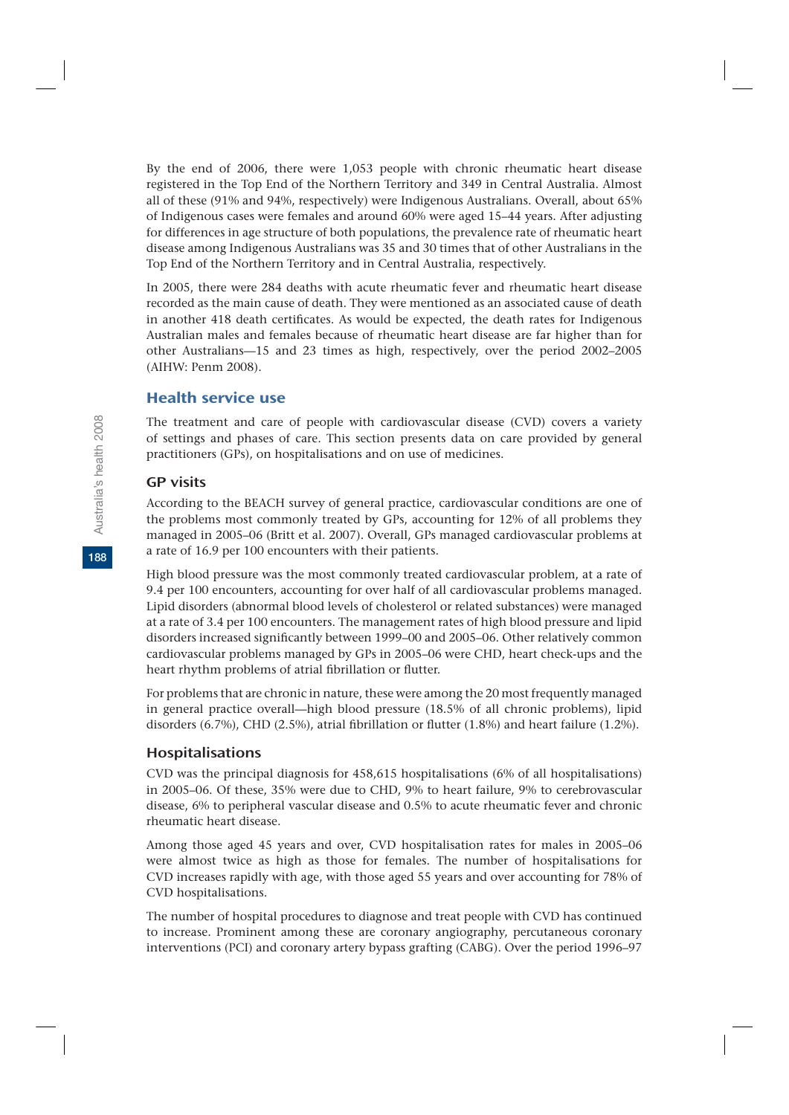By the end of 2006, there were 1,053 people with chronic rheumatic heart disease registered in the Top End of the Northern Territory and 349 in Central Australia. Almost all of these (91% and 94%, respectively) were Indigenous Australians. Overall, about 65% of Indigenous cases were females and around 60% were aged 15–44 years. After adjusting for differences in age structure of both populations, the prevalence rate of rheumatic heart disease among Indigenous Australians was 35 and 30 times that of other Australians in the Top End of the Northern Territory and in Central Australia, respectively.

In 2005, there were 284 deaths with acute rheumatic fever and rheumatic heart disease recorded as the main cause of death. They were mentioned as an associated cause of death in another 418 death certificates. As would be expected, the death rates for Indigenous Australian males and females because of rheumatic heart disease are far higher than for other Australians—15 and 23 times as high, respectively, over the period 2002–2005 (AIHW: Penm 2008).

# Health service use

The treatment and care of people with cardiovascular disease (CVD) covers a variety of settings and phases of care. This section presents data on care provided by general practitioners (GPs), on hospitalisations and on use of medicines.

### GP visits

According to the BEACH survey of general practice, cardiovascular conditions are one of the problems most commonly treated by GPs, accounting for 12% of all problems they managed in 2005–06 (Britt et al. 2007). Overall, GPs managed cardiovascular problems at a rate of 16.9 per 100 encounters with their patients.

High blood pressure was the most commonly treated cardiovascular problem, at a rate of 9.4 per 100 encounters, accounting for over half of all cardiovascular problems managed. Lipid disorders (abnormal blood levels of cholesterol or related substances) were managed at a rate of 3.4 per 100 encounters. The management rates of high blood pressure and lipid disorders increased significantly between 1999–00 and 2005–06. Other relatively common cardiovascular problems managed by GPs in 2005–06 were CHD, heart check-ups and the heart rhythm problems of atrial fibrillation or flutter.

For problems that are chronic in nature, these were among the 20 most frequently managed in general practice overall—high blood pressure (18.5% of all chronic problems), lipid disorders (6.7%), CHD (2.5%), atrial fibrillation or flutter (1.8%) and heart failure (1.2%).

# Hospitalisations

CVD was the principal diagnosis for 458,615 hospitalisations (6% of all hospitalisations) in 2005–06. Of these, 35% were due to CHD, 9% to heart failure, 9% to cerebrovascular disease, 6% to peripheral vascular disease and 0.5% to acute rheumatic fever and chronic rheumatic heart disease.

Among those aged 45 years and over, CVD hospitalisation rates for males in 2005–06 were almost twice as high as those for females. The number of hospitalisations for CVD increases rapidly with age, with those aged 55 years and over accounting for 78% of CVD hospitalisations.

The number of hospital procedures to diagnose and treat people with CVD has continued to increase. Prominent among these are coronary angiography, percutaneous coronary interventions (PCI) and coronary artery bypass grafting (CABG). Over the period 1996–97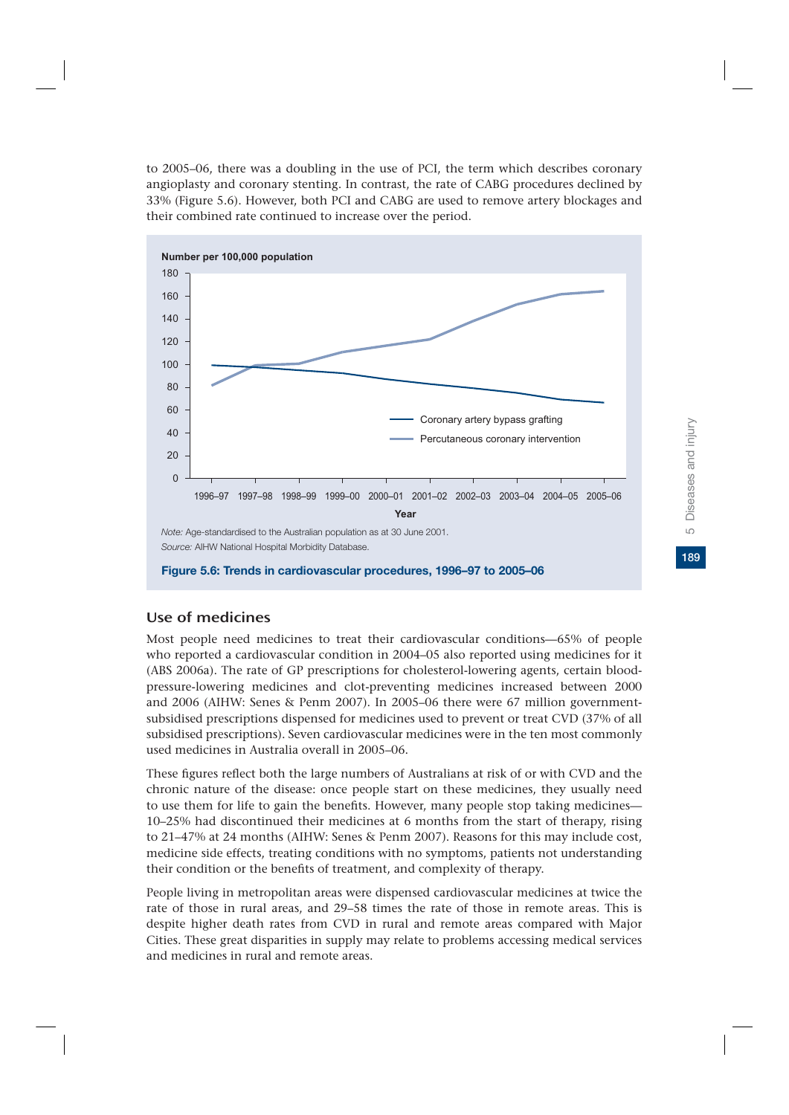**189**5 Diseases and injury Diseases and injury  $\overline{10}$ 

189

to 2005–06, there was a doubling in the use of PCI, the term which describes coronary angioplasty and coronary stenting. In contrast, the rate of CABG procedures declined by 33% (Figure 5.6). However, both PCI and CABG are used to remove artery blockages and their combined rate continued to increase over the period.



# Use of medicines

Most people need medicines to treat their cardiovascular conditions—65% of people who reported a cardiovascular condition in 2004–05 also reported using medicines for it (ABS 2006a). The rate of GP prescriptions for cholesterol-lowering agents, certain bloodpressure-lowering medicines and clot-preventing medicines increased between 2000 and 2006 (AIHW: Senes & Penm 2007). In 2005–06 there were 67 million governmentsubsidised prescriptions dispensed for medicines used to prevent or treat CVD (37% of all subsidised prescriptions). Seven cardiovascular medicines were in the ten most commonly used medicines in Australia overall in 2005–06.

These figures reflect both the large numbers of Australians at risk of or with CVD and the chronic nature of the disease: once people start on these medicines, they usually need to use them for life to gain the benefits. However, many people stop taking medicines— 10–25% had discontinued their medicines at 6 months from the start of therapy, rising to 21–47% at 24 months (AIHW: Senes & Penm 2007). Reasons for this may include cost, medicine side effects, treating conditions with no symptoms, patients not understanding their condition or the benefits of treatment, and complexity of therapy.

People living in metropolitan areas were dispensed cardiovascular medicines at twice the rate of those in rural areas, and 29–58 times the rate of those in remote areas. This is despite higher death rates from CVD in rural and remote areas compared with Major Cities. These great disparities in supply may relate to problems accessing medical services and medicines in rural and remote areas.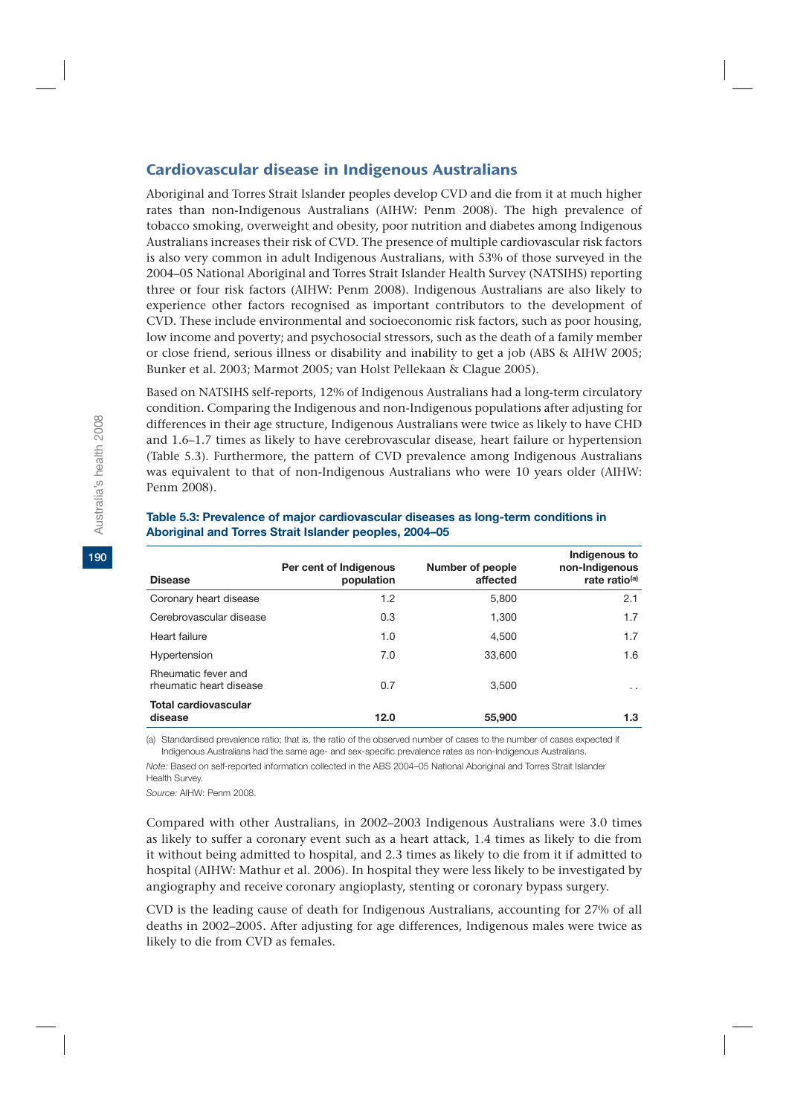## Cardiovascular disease in Indigenous Australians

Aboriginal and Torres Strait Islander peoples develop CVD and die from it at much higher rates than non-Indigenous Australians (AIHW: Penm 2008). The high prevalence of tobacco smoking, overweight and obesity, poor nutrition and diabetes among Indigenous Australians increases their risk of CVD. The presence of multiple cardiovascular risk factors is also very common in adult Indigenous Australians, with 53% of those surveyed in the 2004–05 National Aboriginal and Torres Strait Islander Health Survey (NATSIHS) reporting three or four risk factors (AIHW: Penm 2008). Indigenous Australians are also likely to experience other factors recognised as important contributors to the development of CVD. These include environmental and socioeconomic risk factors, such as poor housing, low income and poverty; and psychosocial stressors, such as the death of a family member or close friend, serious illness or disability and inability to get a job (ABS & AIHW 2005; Bunker et al. 2003; Marmot 2005; van Holst Pellekaan & Clague 2005).

Based on NATSIHS self-reports, 12% of Indigenous Australians had a long-term circulatory condition. Comparing the Indigenous and non-Indigenous populations after adjusting for differences in their age structure, Indigenous Australians were twice as likely to have CHD and 1.6–1.7 times as likely to have cerebrovascular disease, heart failure or hypertension (Table 5.3). Furthermore, the pattern of CVD prevalence among Indigenous Australians was equivalent to that of non-Indigenous Australians who were 10 years older (AIHW: Penm 2008).

| <b>Disease</b>                                 | Per cent of Indigenous<br>population | Number of people<br>affected | Indigenous to<br>non-Indigenous<br>rate ratio <sup>(a)</sup> |
|------------------------------------------------|--------------------------------------|------------------------------|--------------------------------------------------------------|
| Coronary heart disease                         | 1.2                                  | 5.800                        | 2.1                                                          |
| Cerebrovascular disease                        | 0.3                                  | 1.300                        | 1.7                                                          |
| Heart failure                                  | 1.0                                  | 4,500                        | 1.7                                                          |
| Hypertension                                   | 7.0                                  | 33,600                       | 1.6                                                          |
| Rheumatic fever and<br>rheumatic heart disease | 0.7                                  | 3.500                        | $\cdot$ $\cdot$                                              |
| <b>Total cardiovascular</b><br>disease         | 12.0                                 | 55,900                       | 1.3                                                          |

### **Table 5.3: Prevalence of major cardiovascular diseases as long-term conditions in Aboriginal and Torres Strait Islander peoples, 2004–05**

(a) Standardised prevalence ratio; that is, the ratio of the observed number of cases to the number of cases expected if Indigenous Australians had the same age- and sex-specific prevalence rates as non-Indigenous Australians.

*Note:* Based on self-reported information collected in the ABS 2004–05 National Aboriginal and Torres Strait Islander Health Survey.

*Source:* AIHW: Penm 2008.

Compared with other Australians, in 2002–2003 Indigenous Australians were 3.0 times as likely to suffer a coronary event such as a heart attack, 1.4 times as likely to die from it without being admitted to hospital, and 2.3 times as likely to die from it if admitted to hospital (AIHW: Mathur et al. 2006). In hospital they were less likely to be investigated by angiography and receive coronary angioplasty, stenting or coronary bypass surgery.

CVD is the leading cause of death for Indigenous Australians, accounting for 27% of all deaths in 2002–2005. After adjusting for age differences, Indigenous males were twice as likely to die from CVD as females.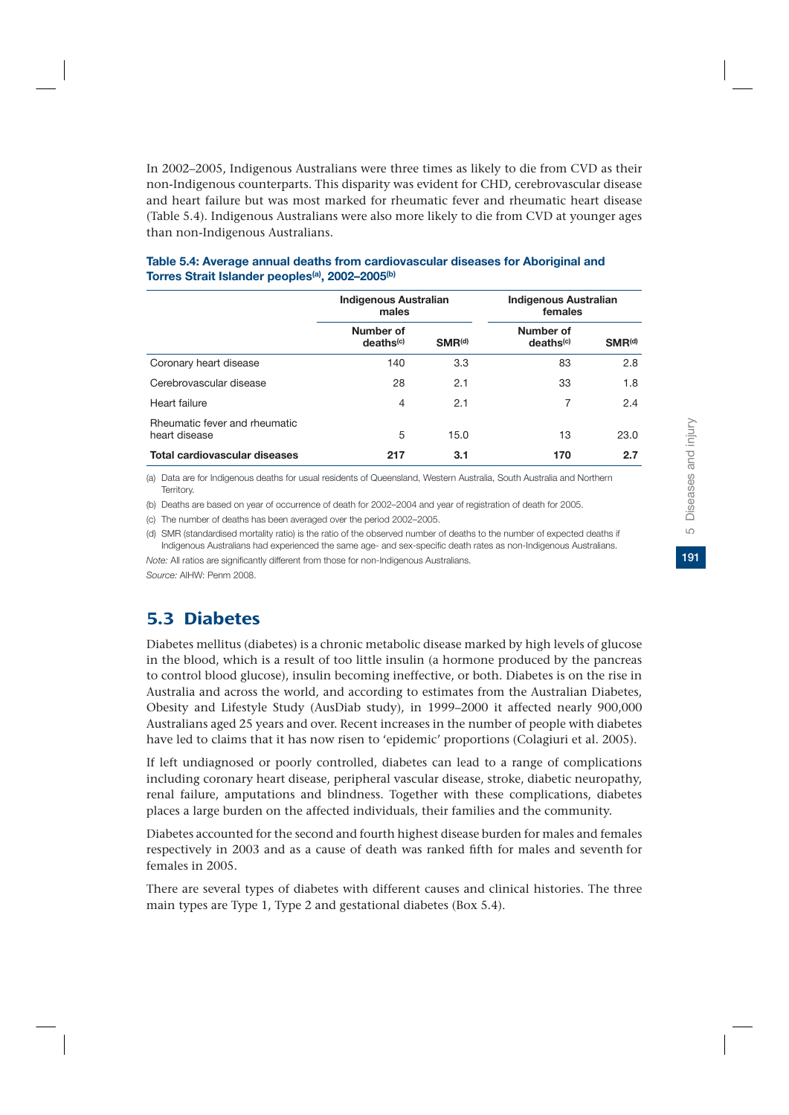**191**5 Diseases and injury Diseases and injury  $\overline{10}$ 

191

In 2002–2005, Indigenous Australians were three times as likely to die from CVD as their non-Indigenous counterparts. This disparity was evident for CHD, cerebrovascular disease and heart failure but was most marked for rheumatic fever and rheumatic heart disease (Table 5.4). Indigenous Australians were also more likely to die from CVD at younger ages than non-Indigenous Australians.

|                                                | Indigenous Australian<br>males     |             | Indigenous Australian<br>females   |             |
|------------------------------------------------|------------------------------------|-------------|------------------------------------|-------------|
|                                                | Number of<br>deaths <sup>(c)</sup> | $SMR^{(d)}$ | Number of<br>deaths <sup>(c)</sup> | $SMR^{(d)}$ |
| Coronary heart disease                         | 140                                | 3.3         | 83                                 | 2.8         |
| Cerebrovascular disease                        | 28                                 | 2.1         | 33                                 | 1.8         |
| Heart failure                                  | 4                                  | 2.1         | 7                                  | 2.4         |
| Rheumatic fever and rheumatic<br>heart disease | 5                                  | 15.0        | 13                                 | 23.0        |
| <b>Total cardiovascular diseases</b>           | 217                                | 3.1         | 170                                | 2.7         |

### **Table 5.4: Average annual deaths from cardiovascular diseases for Aboriginal and Torres Strait Islander peoples(a), 2002–2005(b)**

(a) Data are for Indigenous deaths for usual residents of Queensland, Western Australia, South Australia and Northern Territory.

(b) Deaths are based on year of occurrence of death for 2002–2004 and year of registration of death for 2005.

(c) The number of deaths has been averaged over the period 2002–2005.

(d) SMR (standardised mortality ratio) is the ratio of the observed number of deaths to the number of expected deaths if Indigenous Australians had experienced the same age- and sex-specific death rates as non-Indigenous Australians.

*Note:* All ratios are significantly different from those for non-Indigenous Australians. *Source:* AIHW: Penm 2008.

# 5.3 Diabetes

Diabetes mellitus (diabetes) is a chronic metabolic disease marked by high levels of glucose in the blood, which is a result of too little insulin (a hormone produced by the pancreas to control blood glucose), insulin becoming ineffective, or both. Diabetes is on the rise in Australia and across the world, and according to estimates from the Australian Diabetes, Obesity and Lifestyle Study (AusDiab study), in 1999–2000 it affected nearly 900,000 Australians aged 25 years and over. Recent increases in the number of people with diabetes have led to claims that it has now risen to 'epidemic' proportions (Colagiuri et al. 2005).

If left undiagnosed or poorly controlled, diabetes can lead to a range of complications including coronary heart disease, peripheral vascular disease, stroke, diabetic neuropathy, renal failure, amputations and blindness. Together with these complications, diabetes places a large burden on the affected individuals, their families and the community.

Diabetes accounted for the second and fourth highest disease burden for males and females respectively in 2003 and as a cause of death was ranked fifth for males and seventh for females in 2005.

There are several types of diabetes with different causes and clinical histories. The three main types are Type 1, Type 2 and gestational diabetes (Box 5.4).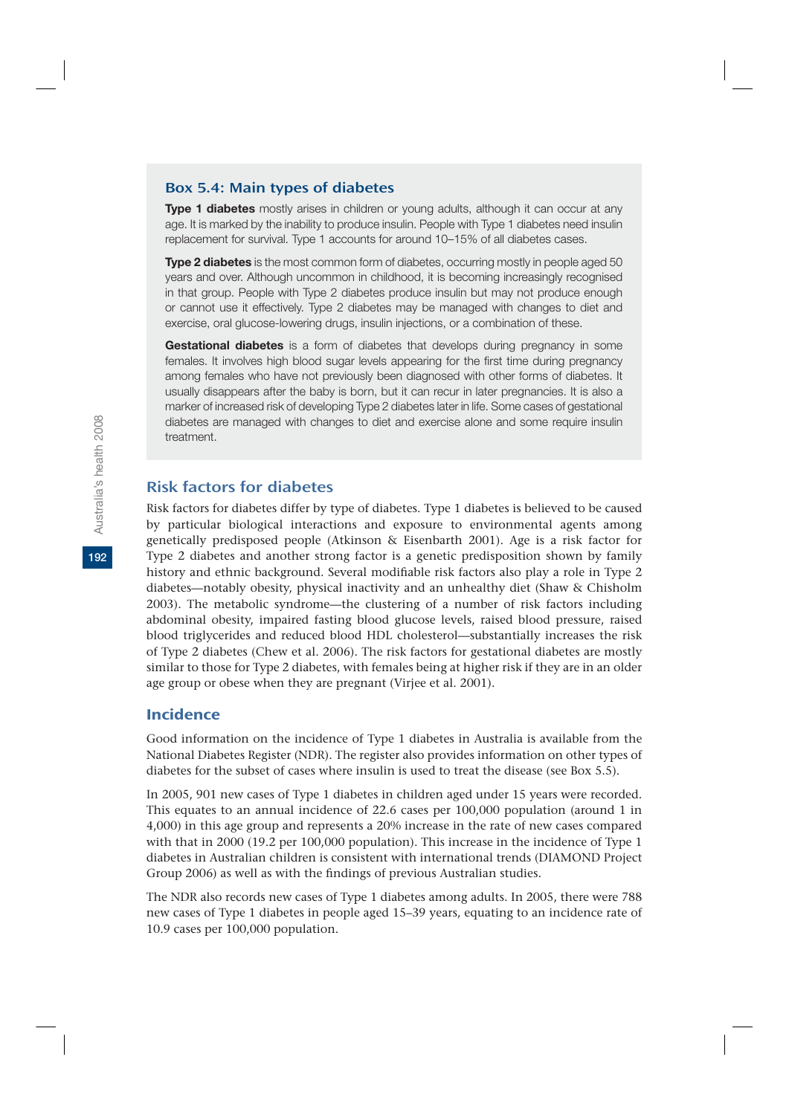### Box 5.4: Main types of diabetes

**Type 1 diabetes** mostly arises in children or young adults, although it can occur at any age. It is marked by the inability to produce insulin. People with Type 1 diabetes need insulin replacement for survival. Type 1 accounts for around 10–15% of all diabetes cases.

**Type 2 diabetes** is the most common form of diabetes, occurring mostly in people aged 50 years and over. Although uncommon in childhood, it is becoming increasingly recognised in that group. People with Type 2 diabetes produce insulin but may not produce enough or cannot use it effectively. Type 2 diabetes may be managed with changes to diet and exercise, oral glucose-lowering drugs, insulin injections, or a combination of these.

**Gestational diabetes** is a form of diabetes that develops during pregnancy in some females. It involves high blood sugar levels appearing for the first time during pregnancy among females who have not previously been diagnosed with other forms of diabetes. It usually disappears after the baby is born, but it can recur in later pregnancies. It is also a marker of increased risk of developing Type 2 diabetes later in life. Some cases of gestational diabetes are managed with changes to diet and exercise alone and some require insulin treatment.

# Risk factors for diabetes

Risk factors for diabetes differ by type of diabetes. Type 1 diabetes is believed to be caused by particular biological interactions and exposure to environmental agents among genetically predisposed people (Atkinson & Eisenbarth 2001). Age is a risk factor for Type 2 diabetes and another strong factor is a genetic predisposition shown by family history and ethnic background. Several modifiable risk factors also play a role in Type 2 diabetes—notably obesity, physical inactivity and an unhealthy diet (Shaw & Chisholm 2003). The metabolic syndrome—the clustering of a number of risk factors including abdominal obesity, impaired fasting blood glucose levels, raised blood pressure, raised blood triglycerides and reduced blood HDL cholesterol—substantially increases the risk of Type 2 diabetes (Chew et al. 2006). The risk factors for gestational diabetes are mostly similar to those for Type 2 diabetes, with females being at higher risk if they are in an older age group or obese when they are pregnant (Virjee et al. 2001).

# Incidence

Good information on the incidence of Type 1 diabetes in Australia is available from the National Diabetes Register (NDR). The register also provides information on other types of diabetes for the subset of cases where insulin is used to treat the disease (see Box 5.5).

In 2005, 901 new cases of Type 1 diabetes in children aged under 15 years were recorded. This equates to an annual incidence of 22.6 cases per 100,000 population (around 1 in 4,000) in this age group and represents a 20% increase in the rate of new cases compared with that in 2000 (19.2 per 100,000 population). This increase in the incidence of Type 1 diabetes in Australian children is consistent with international trends (DIAMOND Project Group 2006) as well as with the findings of previous Australian studies.

The NDR also records new cases of Type 1 diabetes among adults. In 2005, there were 788 new cases of Type 1 diabetes in people aged 15–39 years, equating to an incidence rate of 10.9 cases per 100,000 population.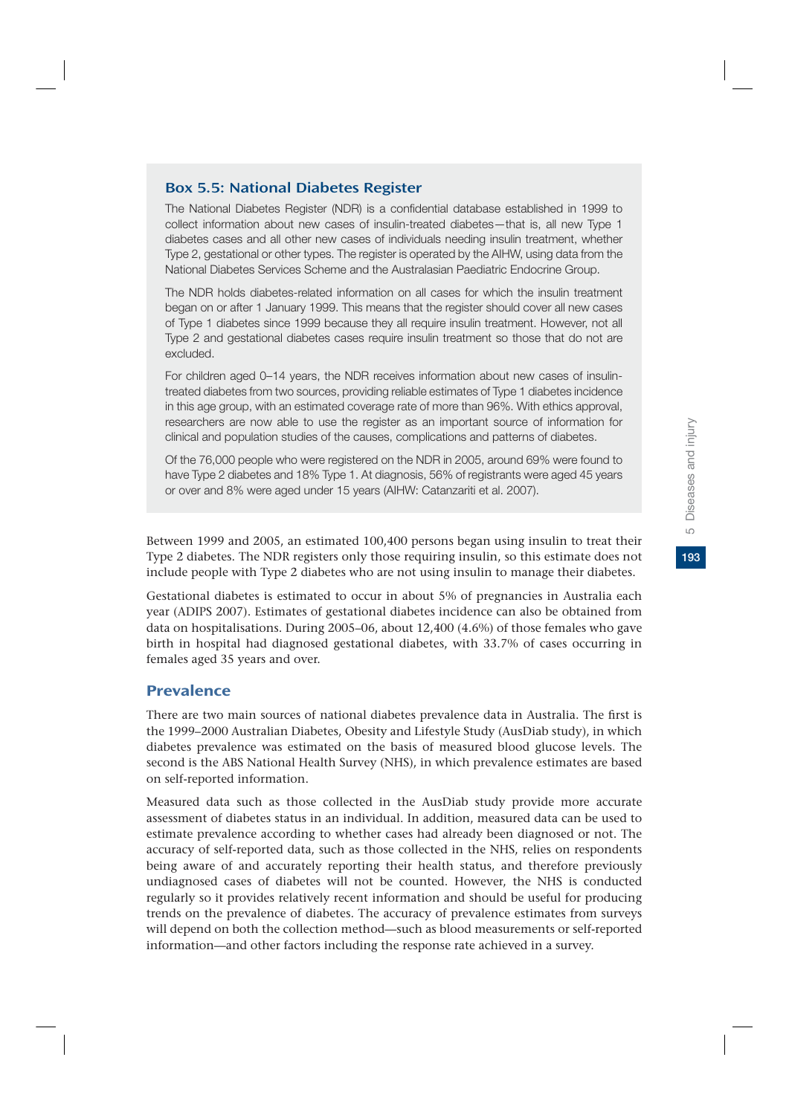# Box 5.5: National Diabetes Register

The National Diabetes Register (NDR) is a confidential database established in 1999 to collect information about new cases of insulin-treated diabetes—that is, all new Type 1 diabetes cases and all other new cases of individuals needing insulin treatment, whether Type 2, gestational or other types. The register is operated by the AIHW, using data from the National Diabetes Services Scheme and the Australasian Paediatric Endocrine Group.

The NDR holds diabetes-related information on all cases for which the insulin treatment began on or after 1 January 1999. This means that the register should cover all new cases of Type 1 diabetes since 1999 because they all require insulin treatment. However, not all Type 2 and gestational diabetes cases require insulin treatment so those that do not are excluded.

For children aged 0–14 years, the NDR receives information about new cases of insulintreated diabetes from two sources, providing reliable estimates of Type 1 diabetes incidence in this age group, with an estimated coverage rate of more than 96%. With ethics approval, researchers are now able to use the register as an important source of information for clinical and population studies of the causes, complications and patterns of diabetes.

Of the 76,000 people who were registered on the NDR in 2005, around 69% were found to have Type 2 diabetes and 18% Type 1. At diagnosis, 56% of registrants were aged 45 years or over and 8% were aged under 15 years (AIHW: Catanzariti et al. 2007).

Between 1999 and 2005, an estimated 100,400 persons began using insulin to treat their Type 2 diabetes. The NDR registers only those requiring insulin, so this estimate does not include people with Type 2 diabetes who are not using insulin to manage their diabetes.

Gestational diabetes is estimated to occur in about 5% of pregnancies in Australia each year (ADIPS 2007). Estimates of gestational diabetes incidence can also be obtained from data on hospitalisations. During 2005–06, about 12,400 (4.6%) of those females who gave birth in hospital had diagnosed gestational diabetes, with 33.7% of cases occurring in females aged 35 years and over.

### Prevalence

There are two main sources of national diabetes prevalence data in Australia. The first is the 1999–2000 Australian Diabetes, Obesity and Lifestyle Study (AusDiab study), in which diabetes prevalence was estimated on the basis of measured blood glucose levels. The second is the ABS National Health Survey (NHS), in which prevalence estimates are based on self-reported information.

Measured data such as those collected in the AusDiab study provide more accurate assessment of diabetes status in an individual. In addition, measured data can be used to estimate prevalence according to whether cases had already been diagnosed or not. The accuracy of self-reported data, such as those collected in the NHS, relies on respondents being aware of and accurately reporting their health status, and therefore previously undiagnosed cases of diabetes will not be counted. However, the NHS is conducted regularly so it provides relatively recent information and should be useful for producing trends on the prevalence of diabetes. The accuracy of prevalence estimates from surveys will depend on both the collection method—such as blood measurements or self-reported information—and other factors including the response rate achieved in a survey.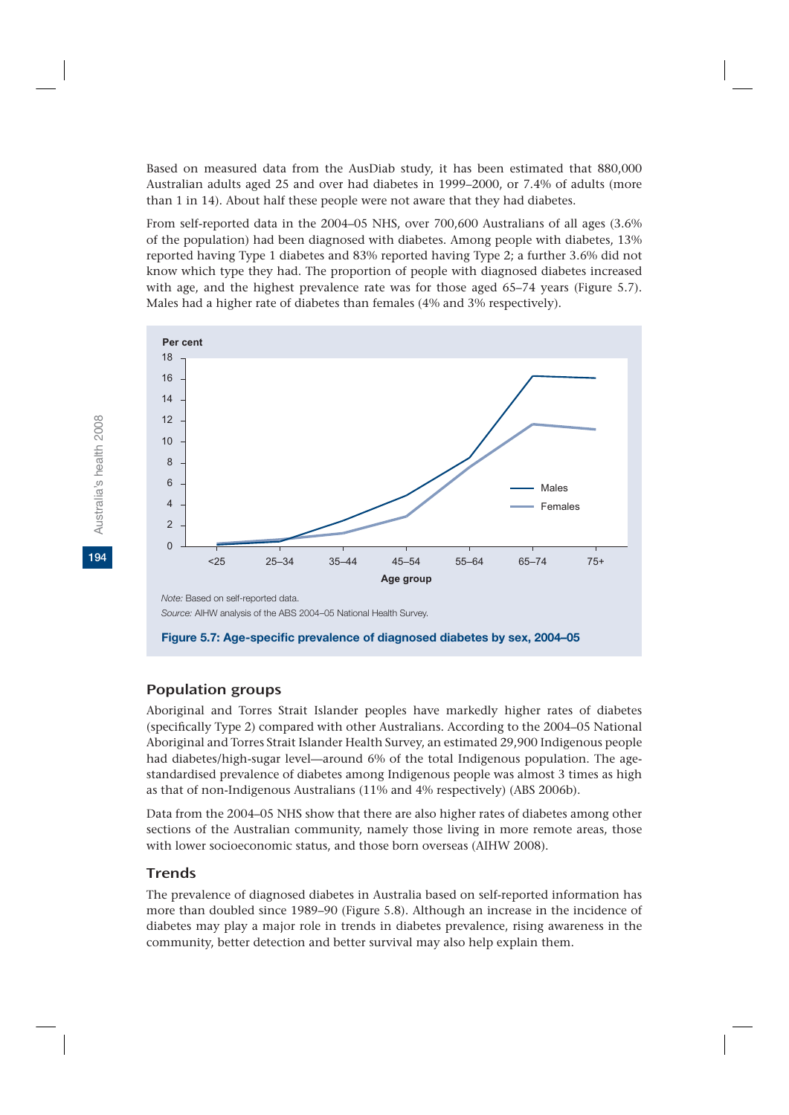Based on measured data from the AusDiab study, it has been estimated that 880,000 Australian adults aged 25 and over had diabetes in 1999–2000, or 7.4% of adults (more than 1 in 14). About half these people were not aware that they had diabetes.

From self-reported data in the 2004–05 NHS, over 700,600 Australians of all ages (3.6% of the population) had been diagnosed with diabetes. Among people with diabetes, 13% reported having Type 1 diabetes and 83% reported having Type 2; a further 3.6% did not know which type they had. The proportion of people with diagnosed diabetes increased with age, and the highest prevalence rate was for those aged 65–74 years (Figure 5.7). Males had a higher rate of diabetes than females (4% and 3% respectively).



**Figure 5.7: Age-specific prevalence of diagnosed diabetes by sex, 2004–05**

# Population groups

Aboriginal and Torres Strait Islander peoples have markedly higher rates of diabetes (specifically Type 2) compared with other Australians. According to the 2004–05 National Aboriginal and Torres Strait Islander Health Survey, an estimated 29,900 Indigenous people had diabetes/high-sugar level—around 6% of the total Indigenous population. The agestandardised prevalence of diabetes among Indigenous people was almost 3 times as high as that of non-Indigenous Australians (11% and 4% respectively) (ABS 2006b).

Data from the 2004–05 NHS show that there are also higher rates of diabetes among other sections of the Australian community, namely those living in more remote areas, those with lower socioeconomic status, and those born overseas (AIHW 2008).

# **Trends**

The prevalence of diagnosed diabetes in Australia based on self-reported information has more than doubled since 1989–90 (Figure 5.8). Although an increase in the incidence of diabetes may play a major role in trends in diabetes prevalence, rising awareness in the community, better detection and better survival may also help explain them.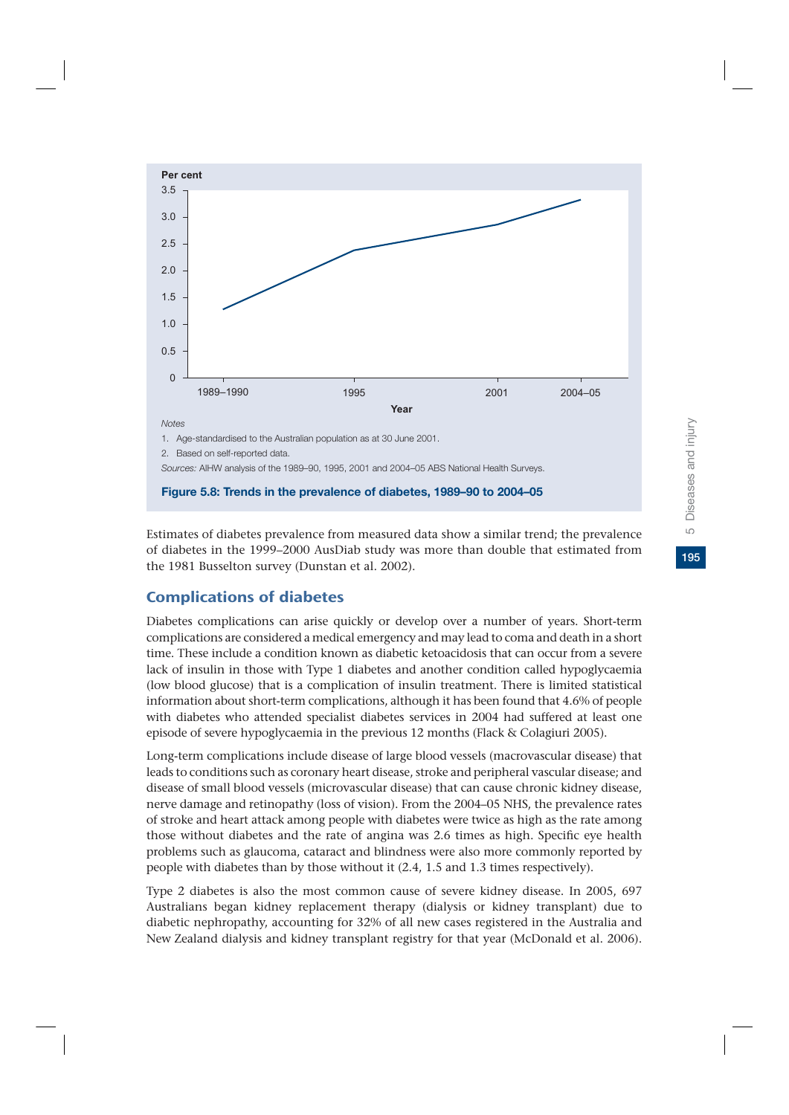

Estimates of diabetes prevalence from measured data show a similar trend; the prevalence of diabetes in the 1999–2000 AusDiab study was more than double that estimated from the 1981 Busselton survey (Dunstan et al. 2002).

# Complications of diabetes

Diabetes complications can arise quickly or develop over a number of years. Short-term complications are considered a medical emergency and may lead to coma and death in a short time. These include a condition known as diabetic ketoacidosis that can occur from a severe lack of insulin in those with Type 1 diabetes and another condition called hypoglycaemia (low blood glucose) that is a complication of insulin treatment. There is limited statistical information about short-term complications, although it has been found that 4.6% of people with diabetes who attended specialist diabetes services in 2004 had suffered at least one episode of severe hypoglycaemia in the previous 12 months (Flack & Colagiuri 2005).

Long-term complications include disease of large blood vessels (macrovascular disease) that leads to conditions such as coronary heart disease, stroke and peripheral vascular disease; and disease of small blood vessels (microvascular disease) that can cause chronic kidney disease, nerve damage and retinopathy (loss of vision). From the 2004–05 NHS, the prevalence rates of stroke and heart attack among people with diabetes were twice as high as the rate among those without diabetes and the rate of angina was 2.6 times as high. Specific eye health problems such as glaucoma, cataract and blindness were also more commonly reported by people with diabetes than by those without it (2.4, 1.5 and 1.3 times respectively).

Type 2 diabetes is also the most common cause of severe kidney disease. In 2005, 697 Australians began kidney replacement therapy (dialysis or kidney transplant) due to diabetic nephropathy, accounting for 32% of all new cases registered in the Australia and New Zealand dialysis and kidney transplant registry for that year (McDonald et al. 2006).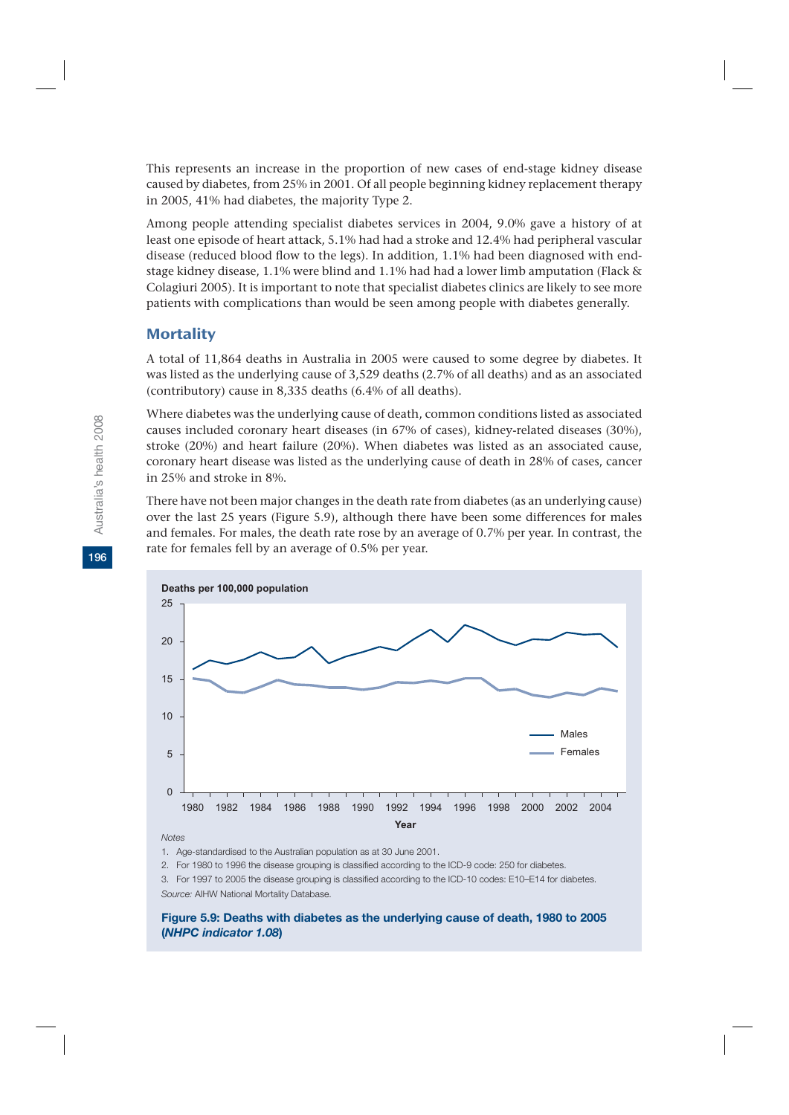This represents an increase in the proportion of new cases of end-stage kidney disease caused by diabetes, from 25% in 2001. Of all people beginning kidney replacement therapy in 2005, 41% had diabetes, the majority Type 2.

Among people attending specialist diabetes services in 2004, 9.0% gave a history of at least one episode of heart attack, 5.1% had had a stroke and 12.4% had peripheral vascular disease (reduced blood flow to the legs). In addition, 1.1% had been diagnosed with endstage kidney disease, 1.1% were blind and 1.1% had had a lower limb amputation (Flack & Colagiuri 2005). It is important to note that specialist diabetes clinics are likely to see more patients with complications than would be seen among people with diabetes generally.

# **Mortality**

A total of 11,864 deaths in Australia in 2005 were caused to some degree by diabetes. It was listed as the underlying cause of 3,529 deaths (2.7% of all deaths) and as an associated (contributory) cause in 8,335 deaths (6.4% of all deaths).

Where diabetes was the underlying cause of death, common conditions listed as associated causes included coronary heart diseases (in 67% of cases), kidney-related diseases (30%), stroke (20%) and heart failure (20%). When diabetes was listed as an associated cause, coronary heart disease was listed as the underlying cause of death in 28% of cases, cancer in 25% and stroke in 8%.

There have not been major changes in the death rate from diabetes (as an underlying cause) over the last 25 years (Figure 5.9), although there have been some differences for males and females. For males, the death rate rose by an average of 0.7% per year. In contrast, the rate for females fell by an average of 0.5% per year.



*Notes*

1. Age-standardised to the Australian population as at 30 June 2001.

2. For 1980 to 1996 the disease grouping is classified according to the ICD-9 code: 250 for diabetes.

3. For 1997 to 2005 the disease grouping is classified according to the ICD-10 codes: E10–E14 for diabetes. *Source:* AIHW National Mortality Database.

#### **Figure 5.9: Deaths with diabetes as the underlying cause of death, 1980 to 2005 (***NHPC indicator 1.08***)**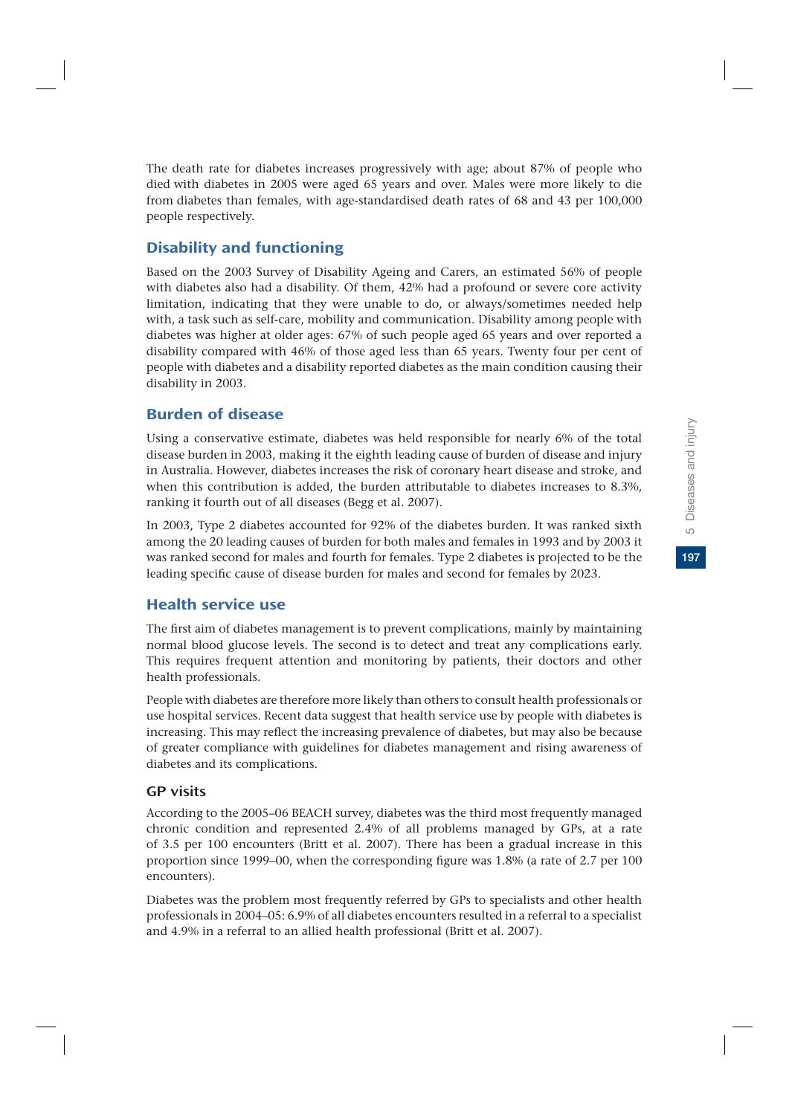The death rate for diabetes increases progressively with age; about 87% of people who died with diabetes in 2005 were aged 65 years and over. Males were more likely to die from diabetes than females, with age-standardised death rates of 68 and 43 per 100,000 people respectively.

# Disability and functioning

Based on the 2003 Survey of Disability Ageing and Carers, an estimated 56% of people with diabetes also had a disability. Of them, 42% had a profound or severe core activity limitation, indicating that they were unable to do, or always/sometimes needed help with, a task such as self-care, mobility and communication. Disability among people with diabetes was higher at older ages: 67% of such people aged 65 years and over reported a disability compared with 46% of those aged less than 65 years. Twenty four per cent of people with diabetes and a disability reported diabetes as the main condition causing their disability in 2003.

# Burden of disease

Using a conservative estimate, diabetes was held responsible for nearly 6% of the total disease burden in 2003, making it the eighth leading cause of burden of disease and injury in Australia. However, diabetes increases the risk of coronary heart disease and stroke, and when this contribution is added, the burden attributable to diabetes increases to 8.3%, ranking it fourth out of all diseases (Begg et al. 2007).

In 2003, Type 2 diabetes accounted for 92% of the diabetes burden. It was ranked sixth among the 20 leading causes of burden for both males and females in 1993 and by 2003 it was ranked second for males and fourth for females. Type 2 diabetes is projected to be the leading specific cause of disease burden for males and second for females by 2023.

# Health service use

The first aim of diabetes management is to prevent complications, mainly by maintaining normal blood glucose levels. The second is to detect and treat any complications early. This requires frequent attention and monitoring by patients, their doctors and other health professionals.

People with diabetes are therefore more likely than others to consult health professionals or use hospital services. Recent data suggest that health service use by people with diabetes is increasing. This may reflect the increasing prevalence of diabetes, but may also be because of greater compliance with guidelines for diabetes management and rising awareness of diabetes and its complications.

# GP visits

According to the 2005–06 BEACH survey, diabetes was the third most frequently managed chronic condition and represented 2.4% of all problems managed by GPs, at a rate of 3.5 per 100 encounters (Britt et al. 2007). There has been a gradual increase in this proportion since 1999–00, when the corresponding figure was 1.8% (a rate of 2.7 per 100 encounters).

Diabetes was the problem most frequently referred by GPs to specialists and other health professionals in 2004–05: 6.9% of all diabetes encounters resulted in a referral to a specialist and 4.9% in a referral to an allied health professional (Britt et al. 2007).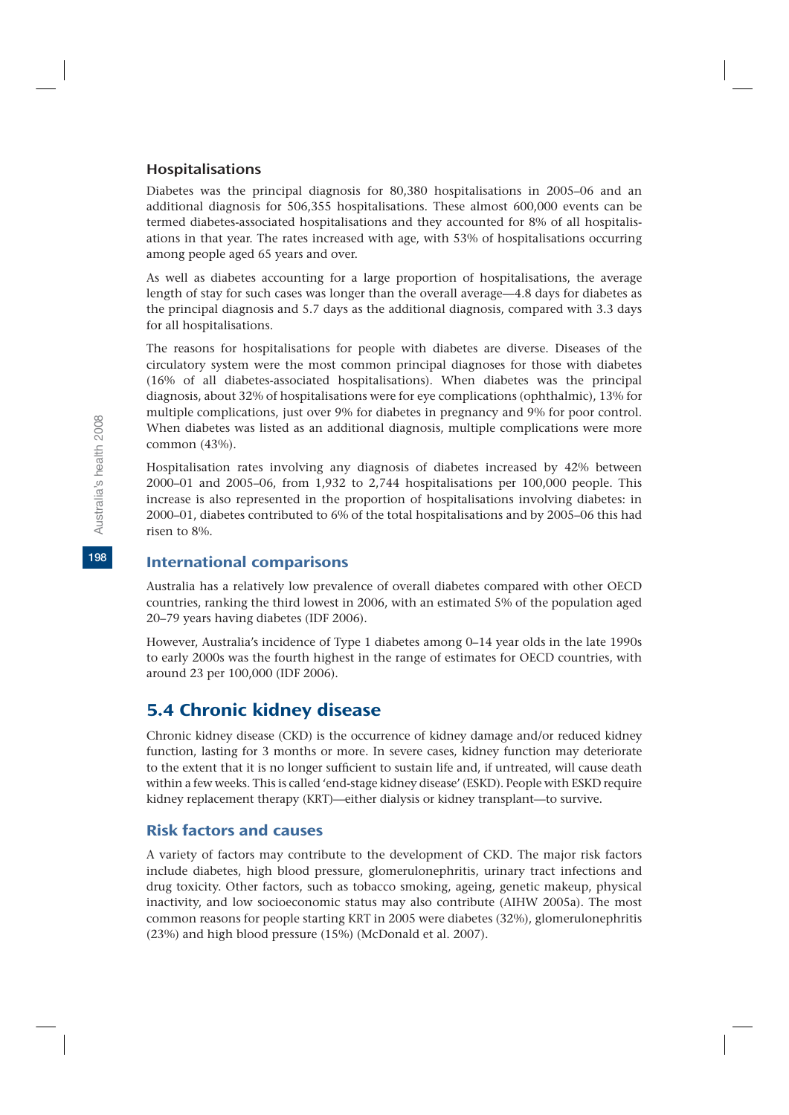## Hospitalisations

Diabetes was the principal diagnosis for 80,380 hospitalisations in 2005–06 and an additional diagnosis for 506,355 hospitalisations. These almost 600,000 events can be termed diabetes-associated hospitalisations and they accounted for 8% of all hospitalisations in that year. The rates increased with age, with 53% of hospitalisations occurring among people aged 65 years and over.

As well as diabetes accounting for a large proportion of hospitalisations, the average length of stay for such cases was longer than the overall average—4.8 days for diabetes as the principal diagnosis and 5.7 days as the additional diagnosis, compared with 3.3 days for all hospitalisations.

The reasons for hospitalisations for people with diabetes are diverse. Diseases of the circulatory system were the most common principal diagnoses for those with diabetes (16% of all diabetes-associated hospitalisations). When diabetes was the principal diagnosis, about 32% of hospitalisations were for eye complications (ophthalmic), 13% for multiple complications, just over 9% for diabetes in pregnancy and 9% for poor control. When diabetes was listed as an additional diagnosis, multiple complications were more common (43%).

Hospitalisation rates involving any diagnosis of diabetes increased by 42% between 2000–01 and 2005–06, from 1,932 to 2,744 hospitalisations per 100,000 people. This increase is also represented in the proportion of hospitalisations involving diabetes: in 2000–01, diabetes contributed to 6% of the total hospitalisations and by 2005–06 this had risen to 8%.

# International comparisons

Australia has a relatively low prevalence of overall diabetes compared with other OECD countries, ranking the third lowest in 2006, with an estimated 5% of the population aged 20–79 years having diabetes (IDF 2006).

However, Australia's incidence of Type 1 diabetes among 0–14 year olds in the late 1990s to early 2000s was the fourth highest in the range of estimates for OECD countries, with around 23 per 100,000 (IDF 2006).

# 5.4 Chronic kidney disease

Chronic kidney disease (CKD) is the occurrence of kidney damage and/or reduced kidney function, lasting for 3 months or more. In severe cases, kidney function may deteriorate to the extent that it is no longer sufficient to sustain life and, if untreated, will cause death within a few weeks. This is called 'end-stage kidney disease' (ESKD). People with ESKD require kidney replacement therapy (KRT)—either dialysis or kidney transplant—to survive.

# Risk factors and causes

A variety of factors may contribute to the development of CKD. The major risk factors include diabetes, high blood pressure, glomerulonephritis, urinary tract infections and drug toxicity. Other factors, such as tobacco smoking, ageing, genetic makeup, physical inactivity, and low socioeconomic status may also contribute (AIHW 2005a). The most common reasons for people starting KRT in 2005 were diabetes (32%), glomerulonephritis (23%) and high blood pressure (15%) (McDonald et al. 2007).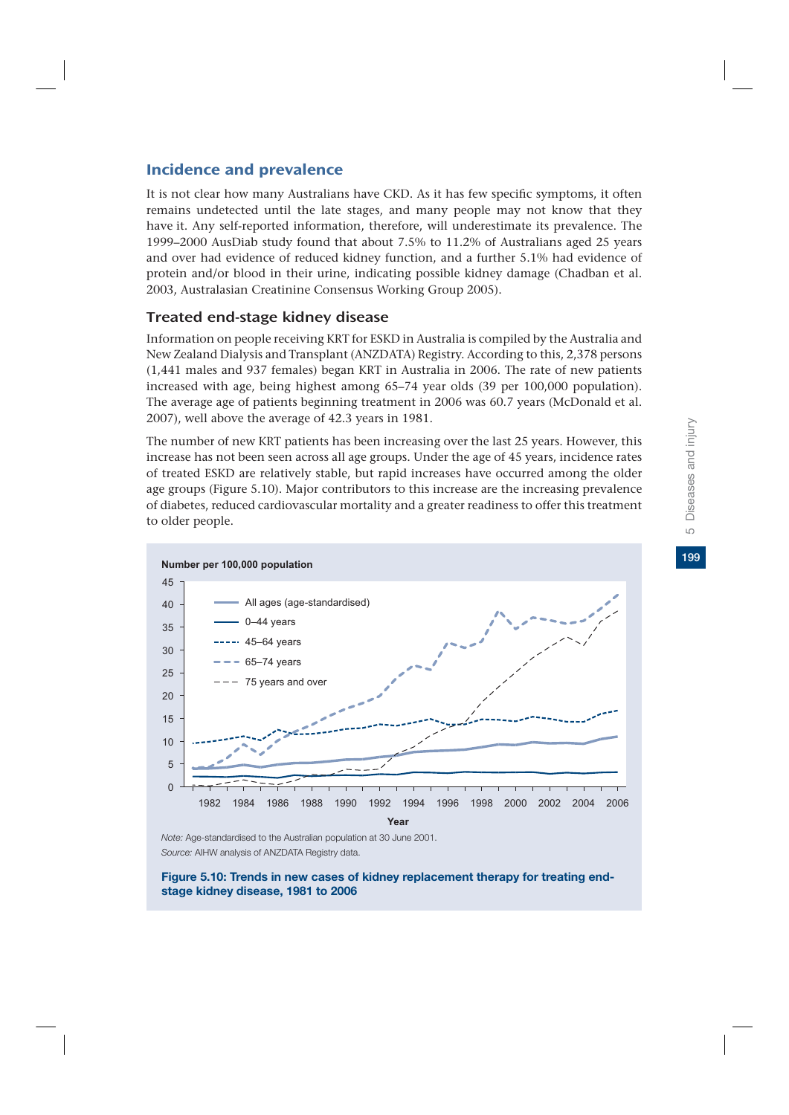# Incidence and prevalence

It is not clear how many Australians have CKD. As it has few specific symptoms, it often remains undetected until the late stages, and many people may not know that they have it. Any self-reported information, therefore, will underestimate its prevalence. The 1999–2000 AusDiab study found that about 7.5% to 11.2% of Australians aged 25 years and over had evidence of reduced kidney function, and a further 5.1% had evidence of protein and/or blood in their urine, indicating possible kidney damage (Chadban et al. 2003, Australasian Creatinine Consensus Working Group 2005).

# Treated end-stage kidney disease

Information on people receiving KRT for ESKD in Australia is compiled by the Australia and New Zealand Dialysis and Transplant (ANZDATA) Registry. According to this, 2,378 persons (1,441 males and 937 females) began KRT in Australia in 2006. The rate of new patients increased with age, being highest among 65–74 year olds (39 per 100,000 population). The average age of patients beginning treatment in 2006 was 60.7 years (McDonald et al. 2007), well above the average of 42.3 years in 1981.

The number of new KRT patients has been increasing over the last 25 years. However, this increase has not been seen across all age groups. Under the age of 45 years, incidence rates of treated ESKD are relatively stable, but rapid increases have occurred among the older age groups (Figure 5.10). Major contributors to this increase are the increasing prevalence of diabetes, reduced cardiovascular mortality and a greater readiness to offer this treatment to older people.



*Note:* Age-standardised to the Australian population at 30 June 2001. *Source:* AIHW analysis of ANZDATA Registry data.

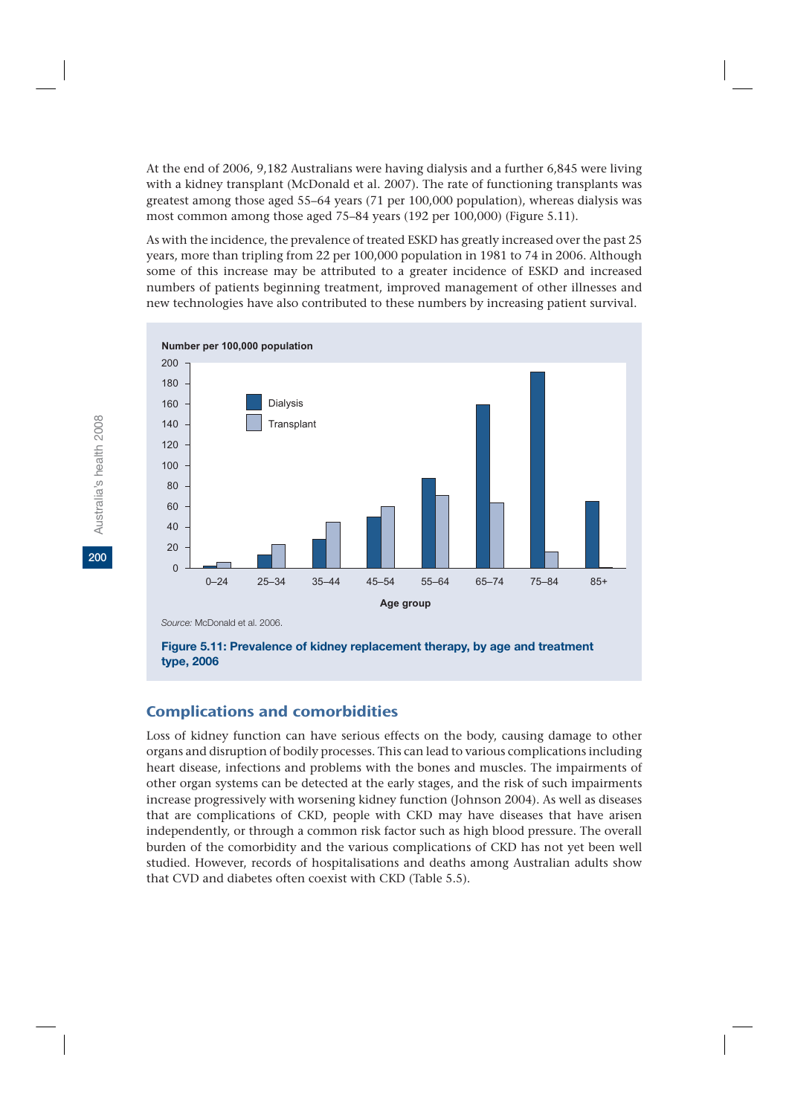At the end of 2006, 9,182 Australians were having dialysis and a further 6,845 were living with a kidney transplant (McDonald et al. 2007). The rate of functioning transplants was greatest among those aged 55–64 years (71 per 100,000 population), whereas dialysis was most common among those aged 75–84 years (192 per 100,000) (Figure 5.11).

As with the incidence, the prevalence of treated ESKD has greatly increased over the past 25 years, more than tripling from 22 per 100,000 population in 1981 to 74 in 2006. Although some of this increase may be attributed to a greater incidence of ESKD and increased numbers of patients beginning treatment, improved management of other illnesses and new technologies have also contributed to these numbers by increasing patient survival.



**Figure 5.11: Prevalence of kidney replacement therapy, by age and treatment type, 2006**

# Complications and comorbidities

Loss of kidney function can have serious effects on the body, causing damage to other organs and disruption of bodily processes. This can lead to various complications including heart disease, infections and problems with the bones and muscles. The impairments of other organ systems can be detected at the early stages, and the risk of such impairments increase progressively with worsening kidney function (Johnson 2004). As well as diseases that are complications of CKD, people with CKD may have diseases that have arisen independently, or through a common risk factor such as high blood pressure. The overall burden of the comorbidity and the various complications of CKD has not yet been well studied. However, records of hospitalisations and deaths among Australian adults show that CVD and diabetes often coexist with CKD (Table 5.5).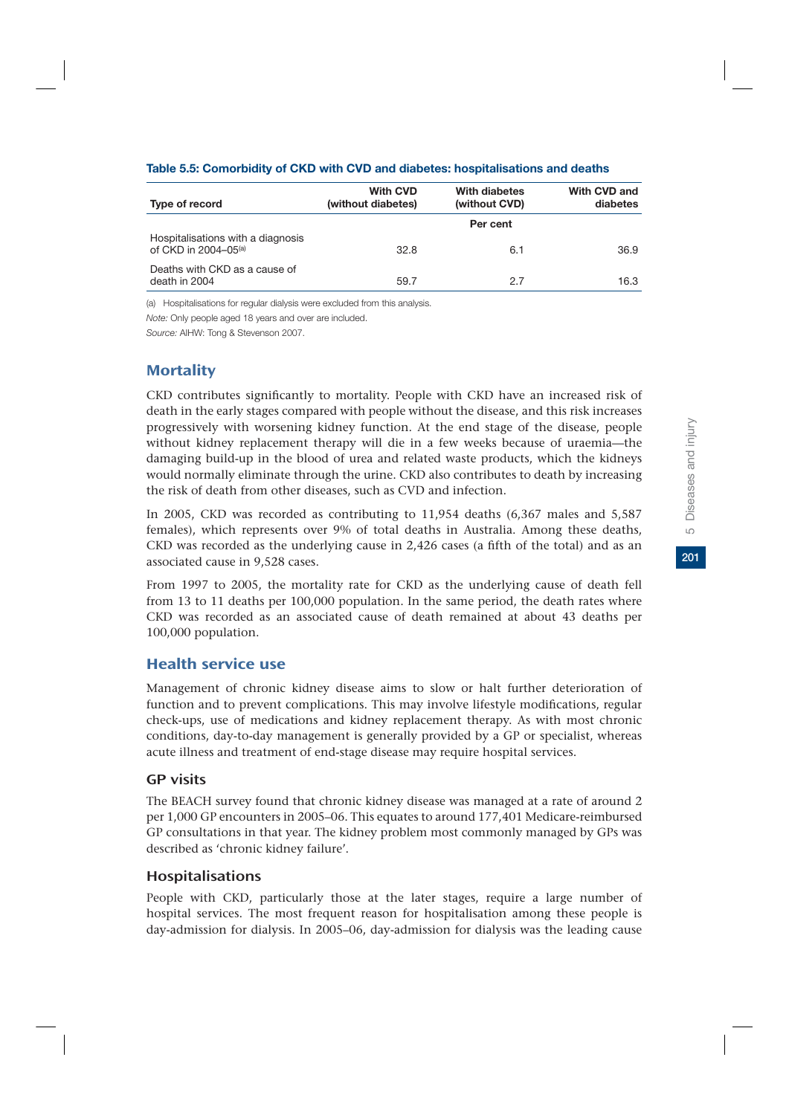| Type of record                                                        | <b>With CVD</b><br>(without diabetes) | With diabetes<br>(without CVD) | With CVD and<br>diabetes |
|-----------------------------------------------------------------------|---------------------------------------|--------------------------------|--------------------------|
|                                                                       |                                       | Per cent                       |                          |
| Hospitalisations with a diagnosis<br>of CKD in 2004-05 <sup>(a)</sup> | 32.8                                  | 6.1                            | 36.9                     |
| Deaths with CKD as a cause of<br>death in 2004                        | 59.7                                  | 27                             | 16.3                     |

### **Table 5.5: Comorbidity of CKD with CVD and diabetes: hospitalisations and deaths**

(a) Hospitalisations for regular dialysis were excluded from this analysis.

*Note:* Only people aged 18 years and over are included.

*Source:* AIHW: Tong & Stevenson 2007.

# **Mortality**

CKD contributes significantly to mortality. People with CKD have an increased risk of death in the early stages compared with people without the disease, and this risk increases progressively with worsening kidney function. At the end stage of the disease, people without kidney replacement therapy will die in a few weeks because of uraemia—the damaging build-up in the blood of urea and related waste products, which the kidneys would normally eliminate through the urine. CKD also contributes to death by increasing the risk of death from other diseases, such as CVD and infection.

In 2005, CKD was recorded as contributing to 11,954 deaths (6,367 males and 5,587 females), which represents over 9% of total deaths in Australia. Among these deaths, CKD was recorded as the underlying cause in 2,426 cases (a fifth of the total) and as an associated cause in 9,528 cases.

From 1997 to 2005, the mortality rate for CKD as the underlying cause of death fell from 13 to 11 deaths per 100,000 population. In the same period, the death rates where CKD was recorded as an associated cause of death remained at about 43 deaths per 100,000 population.

# Health service use

Management of chronic kidney disease aims to slow or halt further deterioration of function and to prevent complications. This may involve lifestyle modifications, regular check-ups, use of medications and kidney replacement therapy. As with most chronic conditions, day-to-day management is generally provided by a GP or specialist, whereas acute illness and treatment of end-stage disease may require hospital services.

# GP visits

The BEACH survey found that chronic kidney disease was managed at a rate of around 2 per 1,000 GP encounters in 2005–06. This equates to around 177,401 Medicare-reimbursed GP consultations in that year. The kidney problem most commonly managed by GPs was described as 'chronic kidney failure'.

# Hospitalisations

People with CKD, particularly those at the later stages, require a large number of hospital services. The most frequent reason for hospitalisation among these people is day-admission for dialysis. In 2005–06, day-admission for dialysis was the leading cause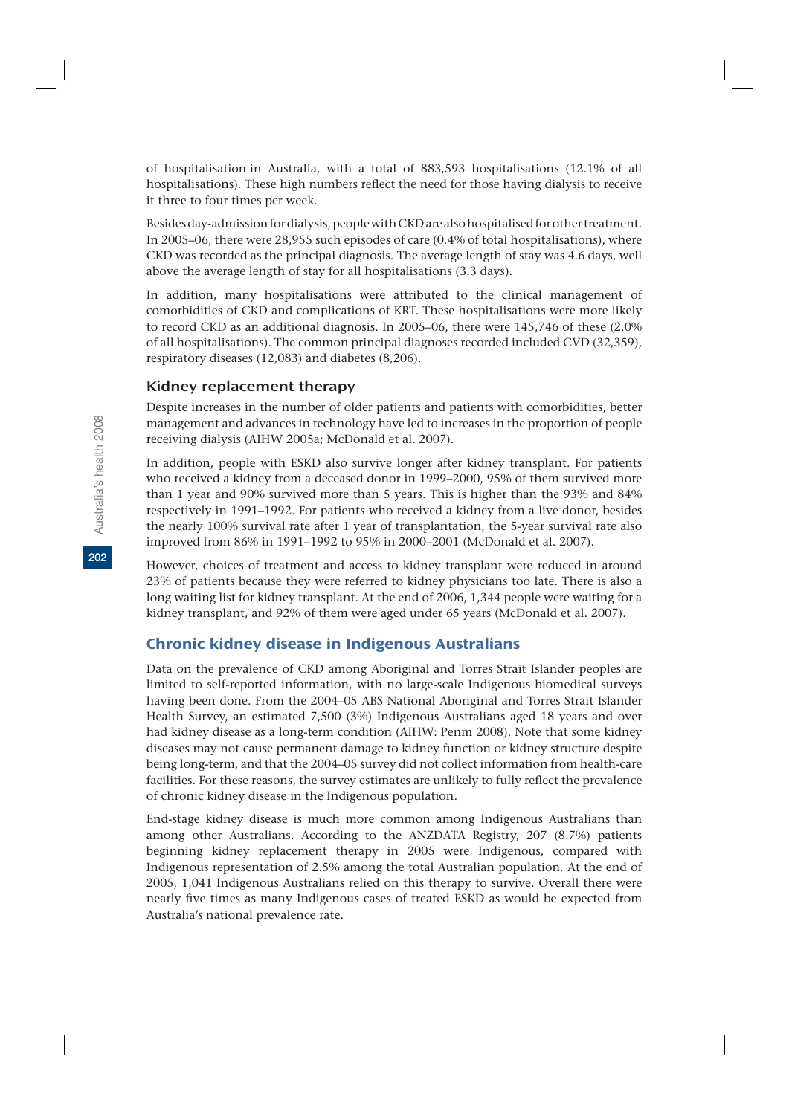of hospitalisation in Australia, with a total of 883,593 hospitalisations (12.1% of all hospitalisations). These high numbers reflect the need for those having dialysis to receive it three to four times per week.

Besides day-admission for dialysis, people with CKD are also hospitalised for other treatment. In 2005–06, there were 28,955 such episodes of care (0.4% of total hospitalisations), where CKD was recorded as the principal diagnosis. The average length of stay was 4.6 days, well above the average length of stay for all hospitalisations (3.3 days).

In addition, many hospitalisations were attributed to the clinical management of comorbidities of CKD and complications of KRT. These hospitalisations were more likely to record CKD as an additional diagnosis. In 2005–06, there were 145,746 of these (2.0% of all hospitalisations). The common principal diagnoses recorded included CVD (32,359), respiratory diseases (12,083) and diabetes (8,206).

# Kidney replacement therapy

Despite increases in the number of older patients and patients with comorbidities, better management and advances in technology have led to increases in the proportion of people receiving dialysis (AIHW 2005a; McDonald et al. 2007).

In addition, people with ESKD also survive longer after kidney transplant. For patients who received a kidney from a deceased donor in 1999–2000, 95% of them survived more than 1 year and 90% survived more than 5 years. This is higher than the 93% and 84% respectively in 1991–1992. For patients who received a kidney from a live donor, besides the nearly 100% survival rate after 1 year of transplantation, the 5-year survival rate also improved from 86% in 1991–1992 to 95% in 2000–2001 (McDonald et al. 2007).

However, choices of treatment and access to kidney transplant were reduced in around 23% of patients because they were referred to kidney physicians too late. There is also a long waiting list for kidney transplant. At the end of 2006, 1,344 people were waiting for a kidney transplant, and 92% of them were aged under 65 years (McDonald et al. 2007).

# Chronic kidney disease in Indigenous Australians

Data on the prevalence of CKD among Aboriginal and Torres Strait Islander peoples are limited to self-reported information, with no large-scale Indigenous biomedical surveys having been done. From the 2004–05 ABS National Aboriginal and Torres Strait Islander Health Survey, an estimated 7,500 (3%) Indigenous Australians aged 18 years and over had kidney disease as a long-term condition (AIHW: Penm 2008). Note that some kidney diseases may not cause permanent damage to kidney function or kidney structure despite being long-term, and that the 2004–05 survey did not collect information from health-care facilities. For these reasons, the survey estimates are unlikely to fully reflect the prevalence of chronic kidney disease in the Indigenous population.

End-stage kidney disease is much more common among Indigenous Australians than among other Australians. According to the ANZDATA Registry, 207 (8.7%) patients beginning kidney replacement therapy in 2005 were Indigenous, compared with Indigenous representation of 2.5% among the total Australian population. At the end of 2005, 1,041 Indigenous Australians relied on this therapy to survive. Overall there were nearly five times as many Indigenous cases of treated ESKD as would be expected from Australia's national prevalence rate.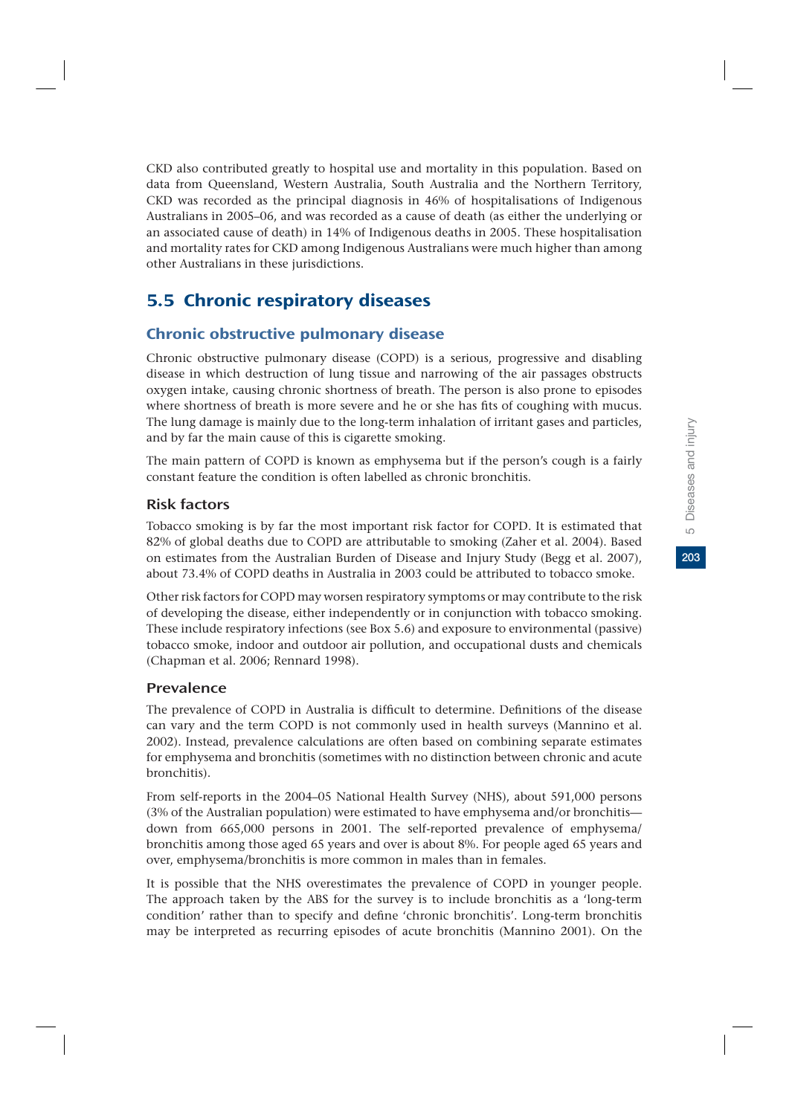CKD also contributed greatly to hospital use and mortality in this population. Based on data from Queensland, Western Australia, South Australia and the Northern Territory, CKD was recorded as the principal diagnosis in 46% of hospitalisations of Indigenous Australians in 2005–06, and was recorded as a cause of death (as either the underlying or an associated cause of death) in 14% of Indigenous deaths in 2005. These hospitalisation and mortality rates for CKD among Indigenous Australians were much higher than among other Australians in these jurisdictions.

# 5.5 Chronic respiratory diseases

# Chronic obstructive pulmonary disease

Chronic obstructive pulmonary disease (COPD) is a serious, progressive and disabling disease in which destruction of lung tissue and narrowing of the air passages obstructs oxygen intake, causing chronic shortness of breath. The person is also prone to episodes where shortness of breath is more severe and he or she has fits of coughing with mucus. The lung damage is mainly due to the long-term inhalation of irritant gases and particles, and by far the main cause of this is cigarette smoking.

The main pattern of COPD is known as emphysema but if the person's cough is a fairly constant feature the condition is often labelled as chronic bronchitis.

# Risk factors

Tobacco smoking is by far the most important risk factor for COPD. It is estimated that 82% of global deaths due to COPD are attributable to smoking (Zaher et al. 2004). Based on estimates from the Australian Burden of Disease and Injury Study (Begg et al. 2007), about 73.4% of COPD deaths in Australia in 2003 could be attributed to tobacco smoke.

Other risk factors for COPD may worsen respiratory symptoms or may contribute to the risk of developing the disease, either independently or in conjunction with tobacco smoking. These include respiratory infections (see Box 5.6) and exposure to environmental (passive) tobacco smoke, indoor and outdoor air pollution, and occupational dusts and chemicals (Chapman et al. 2006; Rennard 1998).

# Prevalence

The prevalence of COPD in Australia is difficult to determine. Definitions of the disease can vary and the term COPD is not commonly used in health surveys (Mannino et al. 2002). Instead, prevalence calculations are often based on combining separate estimates for emphysema and bronchitis (sometimes with no distinction between chronic and acute bronchitis).

From self-reports in the 2004–05 National Health Survey (NHS), about 591,000 persons (3% of the Australian population) were estimated to have emphysema and/or bronchitis down from 665,000 persons in 2001. The self-reported prevalence of emphysema/ bronchitis among those aged 65 years and over is about 8%. For people aged 65 years and over, emphysema/bronchitis is more common in males than in females.

It is possible that the NHS overestimates the prevalence of COPD in younger people. The approach taken by the ABS for the survey is to include bronchitis as a 'long-term condition' rather than to specify and define 'chronic bronchitis'. Long-term bronchitis may be interpreted as recurring episodes of acute bronchitis (Mannino 2001). On the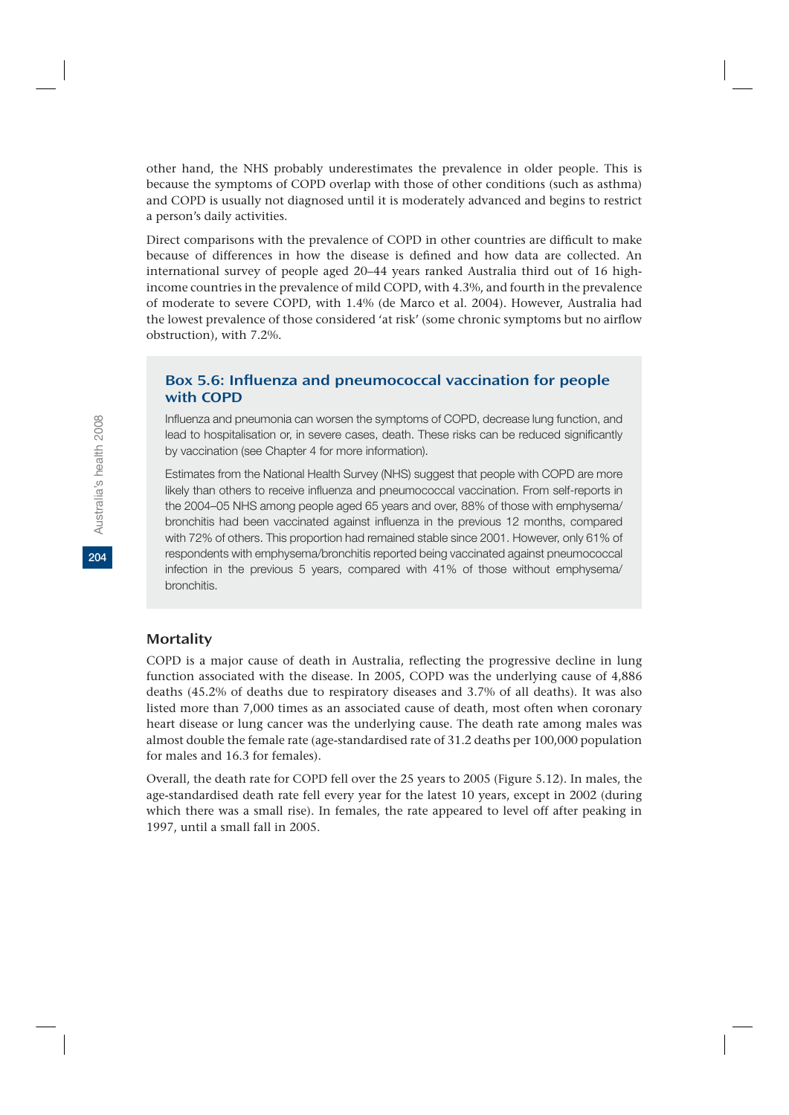other hand, the NHS probably underestimates the prevalence in older people. This is because the symptoms of COPD overlap with those of other conditions (such as asthma) and COPD is usually not diagnosed until it is moderately advanced and begins to restrict a person's daily activities.

Direct comparisons with the prevalence of COPD in other countries are difficult to make because of differences in how the disease is defined and how data are collected. An international survey of people aged 20–44 years ranked Australia third out of 16 highincome countries in the prevalence of mild COPD, with 4.3%, and fourth in the prevalence of moderate to severe COPD, with 1.4% (de Marco et al. 2004). However, Australia had the lowest prevalence of those considered 'at risk' (some chronic symptoms but no airflow obstruction), with 7.2%.

# Box 5.6: Influenza and pneumococcal vaccination for people with COPD

Influenza and pneumonia can worsen the symptoms of COPD, decrease lung function, and lead to hospitalisation or, in severe cases, death. These risks can be reduced significantly by vaccination (see Chapter 4 for more information).

Estimates from the National Health Survey (NHS) suggest that people with COPD are more likely than others to receive influenza and pneumococcal vaccination. From self-reports in the 2004–05 NHS among people aged 65 years and over, 88% of those with emphysema/ bronchitis had been vaccinated against influenza in the previous 12 months, compared with 72% of others. This proportion had remained stable since 2001. However, only 61% of respondents with emphysema/bronchitis reported being vaccinated against pneumococcal infection in the previous 5 years, compared with 41% of those without emphysema/ bronchitis.

### **Mortality**

COPD is a major cause of death in Australia, reflecting the progressive decline in lung function associated with the disease. In 2005, COPD was the underlying cause of 4,886 deaths (45.2% of deaths due to respiratory diseases and 3.7% of all deaths). It was also listed more than 7,000 times as an associated cause of death, most often when coronary heart disease or lung cancer was the underlying cause. The death rate among males was almost double the female rate (age-standardised rate of 31.2 deaths per 100,000 population for males and 16.3 for females).

Overall, the death rate for COPD fell over the 25 years to 2005 (Figure 5.12). In males, the age-standardised death rate fell every year for the latest 10 years, except in 2002 (during which there was a small rise). In females, the rate appeared to level off after peaking in 1997, until a small fall in 2005.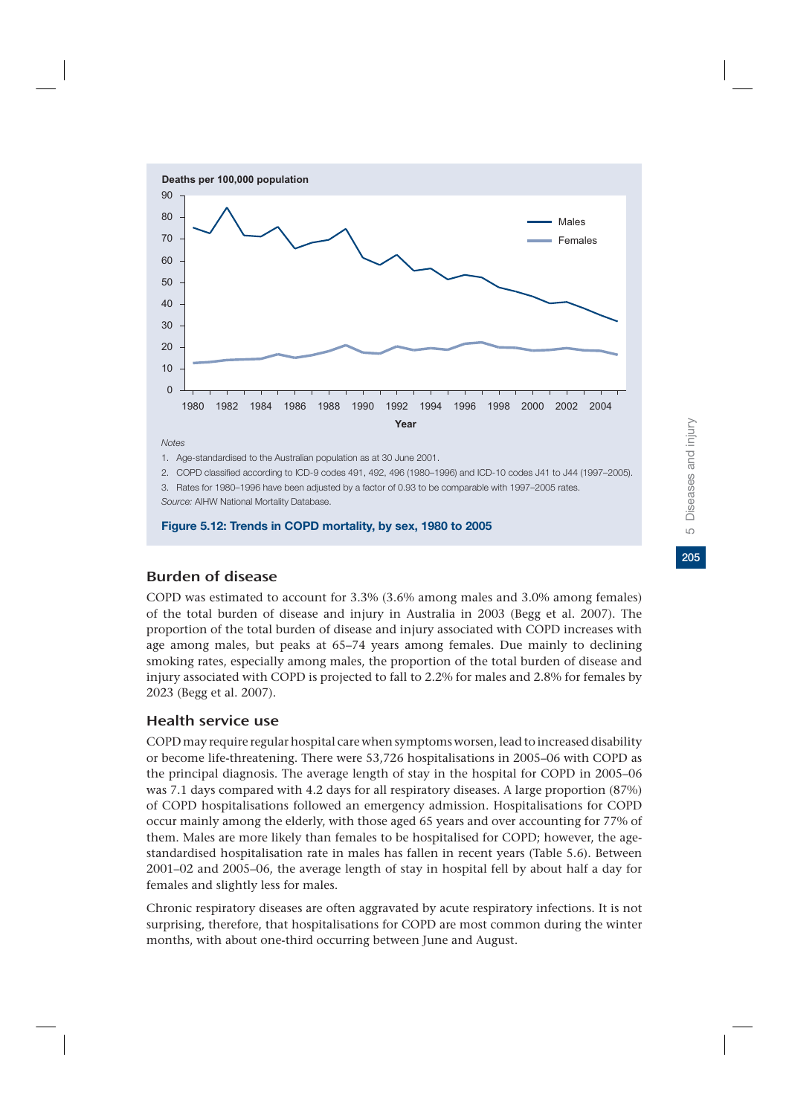

*Notes*

1. Age-standardised to the Australian population as at 30 June 2001.

2. COPD classified according to ICD-9 codes 491, 492, 496 (1980–1996) and ICD-10 codes J41 to J44 (1997–2005).

3. Rates for 1980–1996 have been adjusted by a factor of 0.93 to be comparable with 1997–2005 rates.

*Source:* AIHW National Mortality Database.

**Figure 5.12: Trends in COPD mortality, by sex, 1980 to 2005**

# Burden of disease

COPD was estimated to account for 3.3% (3.6% among males and 3.0% among females) of the total burden of disease and injury in Australia in 2003 (Begg et al. 2007). The proportion of the total burden of disease and injury associated with COPD increases with age among males, but peaks at 65–74 years among females. Due mainly to declining smoking rates, especially among males, the proportion of the total burden of disease and injury associated with COPD is projected to fall to 2.2% for males and 2.8% for females by 2023 (Begg et al. 2007).

# Health service use

COPD may require regular hospital care when symptoms worsen, lead to increased disability or become life-threatening. There were 53,726 hospitalisations in 2005–06 with COPD as the principal diagnosis. The average length of stay in the hospital for COPD in 2005–06 was 7.1 days compared with 4.2 days for all respiratory diseases. A large proportion (87%) of COPD hospitalisations followed an emergency admission. Hospitalisations for COPD occur mainly among the elderly, with those aged 65 years and over accounting for 77% of them. Males are more likely than females to be hospitalised for COPD; however, the agestandardised hospitalisation rate in males has fallen in recent years (Table 5.6). Between 2001–02 and 2005–06, the average length of stay in hospital fell by about half a day for females and slightly less for males.

Chronic respiratory diseases are often aggravated by acute respiratory infections. It is not surprising, therefore, that hospitalisations for COPD are most common during the winter months, with about one-third occurring between June and August.

205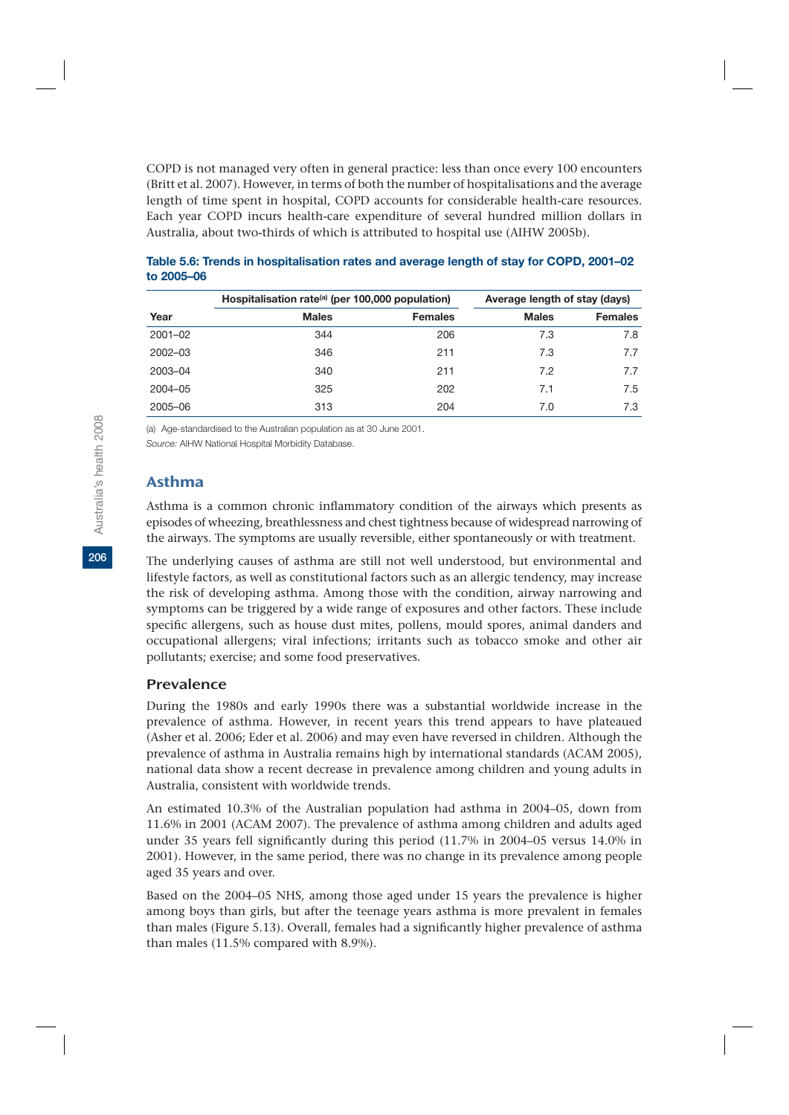COPD is not managed very often in general practice: less than once every 100 encounters (Britt et al. 2007). However, in terms of both the number of hospitalisations and the average length of time spent in hospital, COPD accounts for considerable health-care resources. Each year COPD incurs health-care expenditure of several hundred million dollars in Australia, about two-thirds of which is attributed to hospital use (AIHW 2005b).

|             | Hospitalisation rate <sup>(a)</sup> (per 100,000 population) | Average length of stay (days) |              |                |
|-------------|--------------------------------------------------------------|-------------------------------|--------------|----------------|
| Year        | <b>Males</b>                                                 | <b>Females</b>                | <b>Males</b> | <b>Females</b> |
| $2001 - 02$ | 344                                                          | 206                           | 7.3          | 7.8            |
| $2002 - 03$ | 346                                                          | 211                           | 7.3          | 7.7            |
| 2003-04     | 340                                                          | 211                           | 7.2          | 7.7            |
| 2004-05     | 325                                                          | 202                           | 7.1          | 7.5            |
| 2005-06     | 313                                                          | 204                           | 7.0          | 7.3            |

| Table 5.6: Trends in hospitalisation rates and average length of stay for COPD, 2001–02 |  |
|-----------------------------------------------------------------------------------------|--|
| to 2005-06                                                                              |  |

(a) Age-standardised to the Australian population as at 30 June 2001.

*Source:* AIHW National Hospital Morbidity Database.

# Asthma

Asthma is a common chronic inflammatory condition of the airways which presents as episodes of wheezing, breathlessness and chest tightness because of widespread narrowing of the airways. The symptoms are usually reversible, either spontaneously or with treatment.

The underlying causes of asthma are still not well understood, but environmental and lifestyle factors, as well as constitutional factors such as an allergic tendency, may increase the risk of developing asthma. Among those with the condition, airway narrowing and symptoms can be triggered by a wide range of exposures and other factors. These include specific allergens, such as house dust mites, pollens, mould spores, animal danders and occupational allergens; viral infections; irritants such as tobacco smoke and other air pollutants; exercise; and some food preservatives.

### Prevalence

During the 1980s and early 1990s there was a substantial worldwide increase in the prevalence of asthma. However, in recent years this trend appears to have plateaued (Asher et al. 2006; Eder et al. 2006) and may even have reversed in children. Although the prevalence of asthma in Australia remains high by international standards (ACAM 2005), national data show a recent decrease in prevalence among children and young adults in Australia, consistent with worldwide trends.

An estimated 10.3% of the Australian population had asthma in 2004–05, down from 11.6% in 2001 (ACAM 2007). The prevalence of asthma among children and adults aged under 35 years fell significantly during this period (11.7% in 2004–05 versus 14.0% in 2001). However, in the same period, there was no change in its prevalence among people aged 35 years and over.

Based on the 2004–05 NHS, among those aged under 15 years the prevalence is higher among boys than girls, but after the teenage years asthma is more prevalent in females than males (Figure 5.13). Overall, females had a significantly higher prevalence of asthma than males (11.5% compared with 8.9%).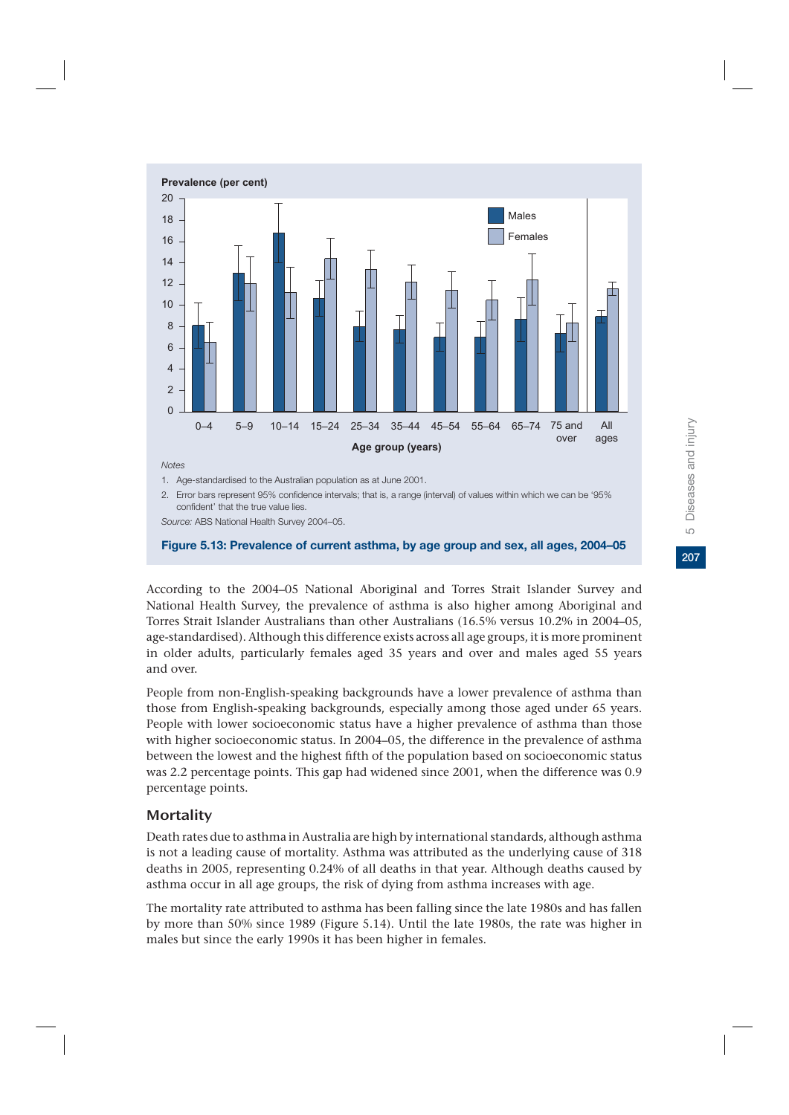

2. Error bars represent 95% confidence intervals; that is, a range (interval) of values within which we can be '95% confident' that the true value lies.

*Source:* ABS National Health Survey 2004–05.

#### **Figure 5.13: Prevalence of current asthma, by age group and sex, all ages, 2004–05**

According to the 2004–05 National Aboriginal and Torres Strait Islander Survey and National Health Survey, the prevalence of asthma is also higher among Aboriginal and Torres Strait Islander Australians than other Australians (16.5% versus 10.2% in 2004–05, age-standardised). Although this difference exists across all age groups, it is more prominent in older adults, particularly females aged 35 years and over and males aged 55 years and over.

People from non-English-speaking backgrounds have a lower prevalence of asthma than those from English-speaking backgrounds, especially among those aged under 65 years. People with lower socioeconomic status have a higher prevalence of asthma than those with higher socioeconomic status. In 2004–05, the difference in the prevalence of asthma between the lowest and the highest fifth of the population based on socioeconomic status was 2.2 percentage points. This gap had widened since 2001, when the difference was 0.9 percentage points.

# **Mortality**

Death rates due to asthma in Australia are high by international standards, although asthma is not a leading cause of mortality. Asthma was attributed as the underlying cause of 318 deaths in 2005, representing 0.24% of all deaths in that year. Although deaths caused by asthma occur in all age groups, the risk of dying from asthma increases with age.

The mortality rate attributed to asthma has been falling since the late 1980s and has fallen by more than 50% since 1989 (Figure 5.14). Until the late 1980s, the rate was higher in males but since the early 1990s it has been higher in females.

207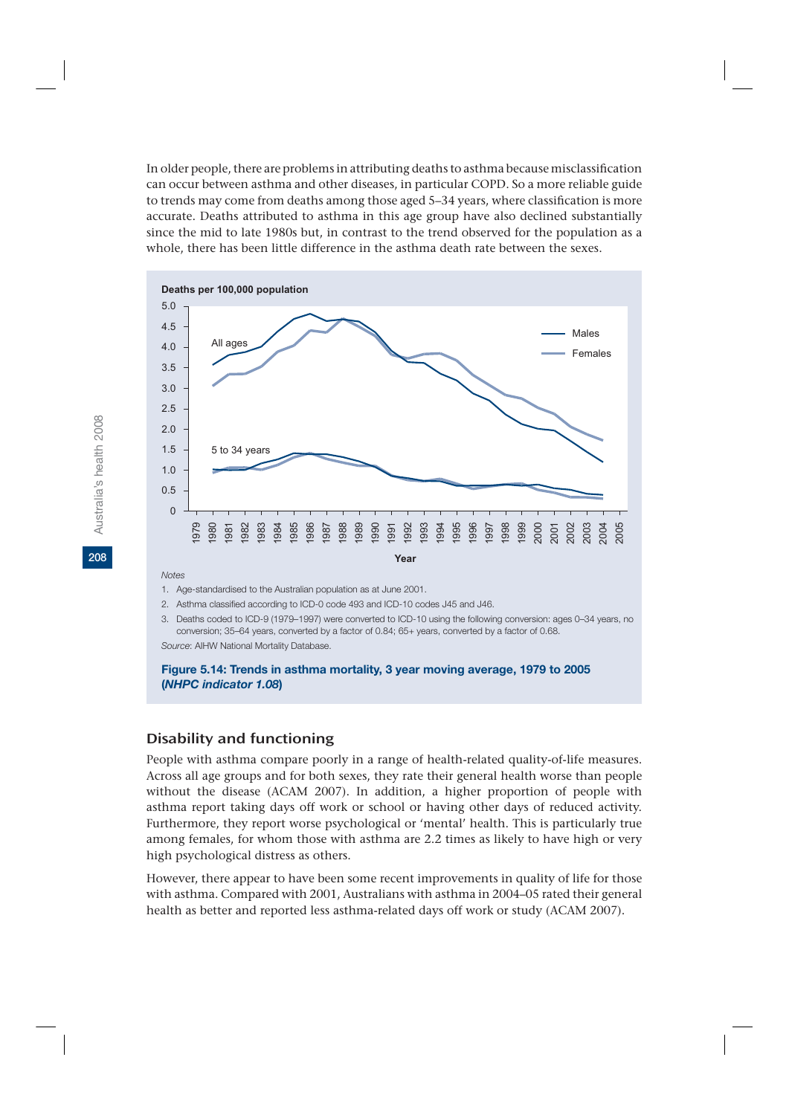In older people, there are problems in attributing deaths to asthma because misclassification can occur between asthma and other diseases, in particular COPD. So a more reliable guide to trends may come from deaths among those aged 5–34 years, where classification is more accurate. Deaths attributed to asthma in this age group have also declined substantially since the mid to late 1980s but, in contrast to the trend observed for the population as a whole, there has been little difference in the asthma death rate between the sexes.



#### *Notes*

1. Age-standardised to the Australian population as at June 2001.

2. Asthma classified according to ICD-0 code 493 and ICD-10 codes J45 and J46.

3. Deaths coded to ICD-9 (1979–1997) were converted to ICD-10 using the following conversion: ages 0–34 years, no conversion; 35–64 years, converted by a factor of 0.84; 65+ years, converted by a factor of 0.68. *Source*: AIHW National Mortality Database.

#### **Figure 5.14: Trends in asthma mortality, 3 year moving average, 1979 to 2005 (***NHPC indicator 1.08***)**

### Disability and functioning

People with asthma compare poorly in a range of health-related quality-of-life measures. Across all age groups and for both sexes, they rate their general health worse than people without the disease (ACAM 2007). In addition, a higher proportion of people with asthma report taking days off work or school or having other days of reduced activity. Furthermore, they report worse psychological or 'mental' health. This is particularly true among females, for whom those with asthma are 2.2 times as likely to have high or very high psychological distress as others.

However, there appear to have been some recent improvements in quality of life for those with asthma. Compared with 2001, Australians with asthma in 2004–05 rated their general health as better and reported less asthma-related days off work or study (ACAM 2007).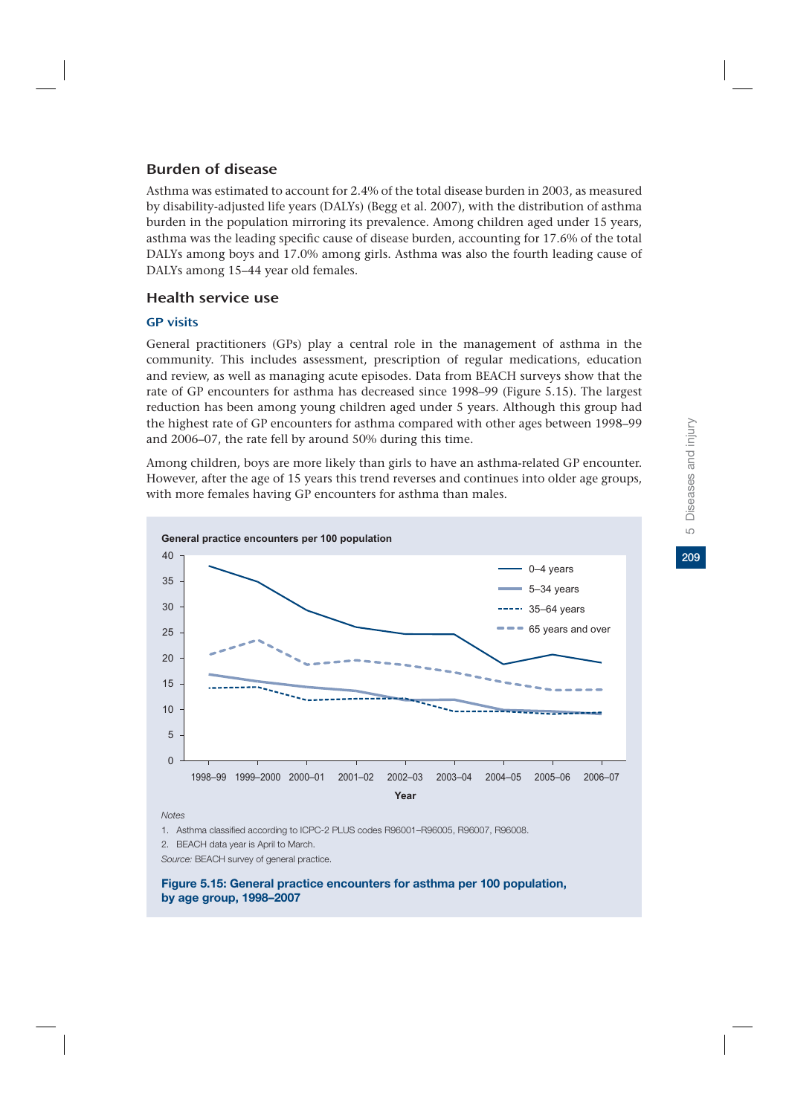## Burden of disease

Asthma was estimated to account for 2.4% of the total disease burden in 2003, as measured by disability-adjusted life years (DALYs) (Begg et al. 2007), with the distribution of asthma burden in the population mirroring its prevalence. Among children aged under 15 years, asthma was the leading specific cause of disease burden, accounting for 17.6% of the total DALYs among boys and 17.0% among girls. Asthma was also the fourth leading cause of DALYs among 15–44 year old females.

### Health service use

### GP visits

General practitioners (GPs) play a central role in the management of asthma in the community. This includes assessment, prescription of regular medications, education and review, as well as managing acute episodes. Data from BEACH surveys show that the rate of GP encounters for asthma has decreased since 1998–99 (Figure 5.15). The largest reduction has been among young children aged under 5 years. Although this group had the highest rate of GP encounters for asthma compared with other ages between 1998–99 and 2006–07, the rate fell by around 50% during this time.

Among children, boys are more likely than girls to have an asthma-related GP encounter. However, after the age of 15 years this trend reverses and continues into older age groups, with more females having GP encounters for asthma than males.



*Notes*

1. Asthma classified according to ICPC-2 PLUS codes R96001–R96005, R96007, R96008.

2. BEACH data year is April to March.

*Source:* BEACH survey of general practice.

**Figure 5.15: General practice encounters for asthma per 100 population, by age group, 1998–2007**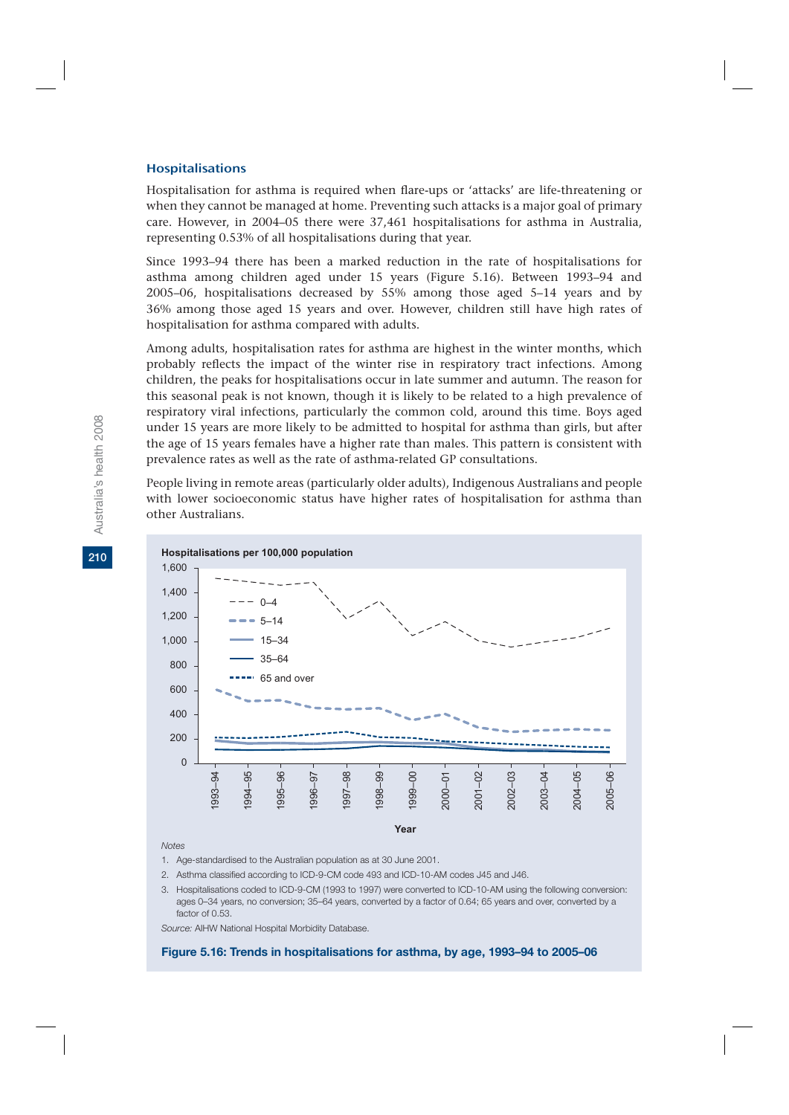#### Hospitalisations

Hospitalisation for asthma is required when flare-ups or 'attacks' are life-threatening or when they cannot be managed at home. Preventing such attacks is a major goal of primary care. However, in 2004–05 there were 37,461 hospitalisations for asthma in Australia, representing 0.53% of all hospitalisations during that year.

Since 1993–94 there has been a marked reduction in the rate of hospitalisations for asthma among children aged under 15 years (Figure 5.16). Between 1993–94 and 2005–06, hospitalisations decreased by 55% among those aged 5–14 years and by 36% among those aged 15 years and over. However, children still have high rates of hospitalisation for asthma compared with adults.

Among adults, hospitalisation rates for asthma are highest in the winter months, which probably reflects the impact of the winter rise in respiratory tract infections. Among children, the peaks for hospitalisations occur in late summer and autumn. The reason for this seasonal peak is not known, though it is likely to be related to a high prevalence of respiratory viral infections, particularly the common cold, around this time. Boys aged under 15 years are more likely to be admitted to hospital for asthma than girls, but after the age of 15 years females have a higher rate than males. This pattern is consistent with prevalence rates as well as the rate of asthma-related GP consultations.

People living in remote areas (particularly older adults), Indigenous Australians and people with lower socioeconomic status have higher rates of hospitalisation for asthma than other Australians.



*Notes* 

- 1. Age-standardised to the Australian population as at 30 June 2001.
- 2. Asthma classified according to ICD-9-CM code 493 and ICD-10-AM codes J45 and J46.
- 3. Hospitalisations coded to ICD-9-CM (1993 to 1997) were converted to ICD-10-AM using the following conversion: ages 0–34 years, no conversion; 35–64 years, converted by a factor of 0.64; 65 years and over, converted by a factor of 0.53.

*Source:* AIHW National Hospital Morbidity Database.

**Figure 5.16: Trends in hospitalisations for asthma, by age, 1993–94 to 2005–06**

**210**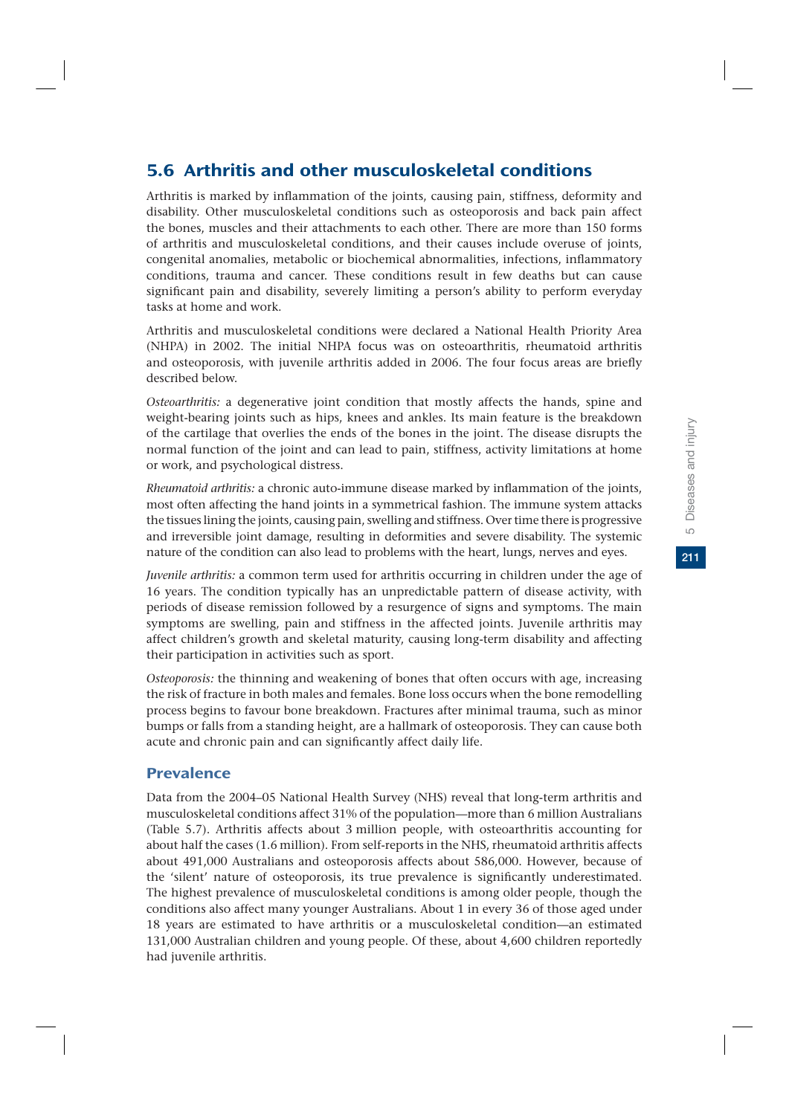# 5.6 Arthritis and other musculoskeletal conditions

Arthritis is marked by inflammation of the joints, causing pain, stiffness, deformity and disability. Other musculoskeletal conditions such as osteoporosis and back pain affect the bones, muscles and their attachments to each other. There are more than 150 forms of arthritis and musculoskeletal conditions, and their causes include overuse of joints, congenital anomalies, metabolic or biochemical abnormalities, infections, inflammatory conditions, trauma and cancer. These conditions result in few deaths but can cause significant pain and disability, severely limiting a person's ability to perform everyday tasks at home and work.

Arthritis and musculoskeletal conditions were declared a National Health Priority Area (NHPA) in 2002. The initial NHPA focus was on osteoarthritis, rheumatoid arthritis and osteoporosis, with juvenile arthritis added in 2006. The four focus areas are briefly described below.

*Osteoarthritis:* a degenerative joint condition that mostly affects the hands, spine and weight-bearing joints such as hips, knees and ankles. Its main feature is the breakdown of the cartilage that overlies the ends of the bones in the joint. The disease disrupts the normal function of the joint and can lead to pain, stiffness, activity limitations at home or work, and psychological distress.

*Rheumatoid arthritis:* a chronic auto-immune disease marked by inflammation of the joints, most often affecting the hand joints in a symmetrical fashion. The immune system attacks the tissues lining the joints, causing pain, swelling and stiffness. Over time there is progressive and irreversible joint damage, resulting in deformities and severe disability. The systemic nature of the condition can also lead to problems with the heart, lungs, nerves and eyes.

*Juvenile arthritis:* a common term used for arthritis occurring in children under the age of 16 years. The condition typically has an unpredictable pattern of disease activity, with periods of disease remission followed by a resurgence of signs and symptoms. The main symptoms are swelling, pain and stiffness in the affected joints. Juvenile arthritis may affect children's growth and skeletal maturity, causing long-term disability and affecting their participation in activities such as sport.

*Osteoporosis:* the thinning and weakening of bones that often occurs with age, increasing the risk of fracture in both males and females. Bone loss occurs when the bone remodelling process begins to favour bone breakdown. Fractures after minimal trauma, such as minor bumps or falls from a standing height, are a hallmark of osteoporosis. They can cause both acute and chronic pain and can significantly affect daily life.

## Prevalence

Data from the 2004–05 National Health Survey (NHS) reveal that long-term arthritis and musculoskeletal conditions affect 31% of the population—more than 6 million Australians (Table 5.7). Arthritis affects about 3 million people, with osteoarthritis accounting for about half the cases (1.6 million). From self-reports in the NHS, rheumatoid arthritis affects about 491,000 Australians and osteoporosis affects about 586,000. However, because of the 'silent' nature of osteoporosis, its true prevalence is significantly underestimated. The highest prevalence of musculoskeletal conditions is among older people, though the conditions also affect many younger Australians. About 1 in every 36 of those aged under 18 years are estimated to have arthritis or a musculoskeletal condition—an estimated 131,000 Australian children and young people. Of these, about 4,600 children reportedly had juvenile arthritis.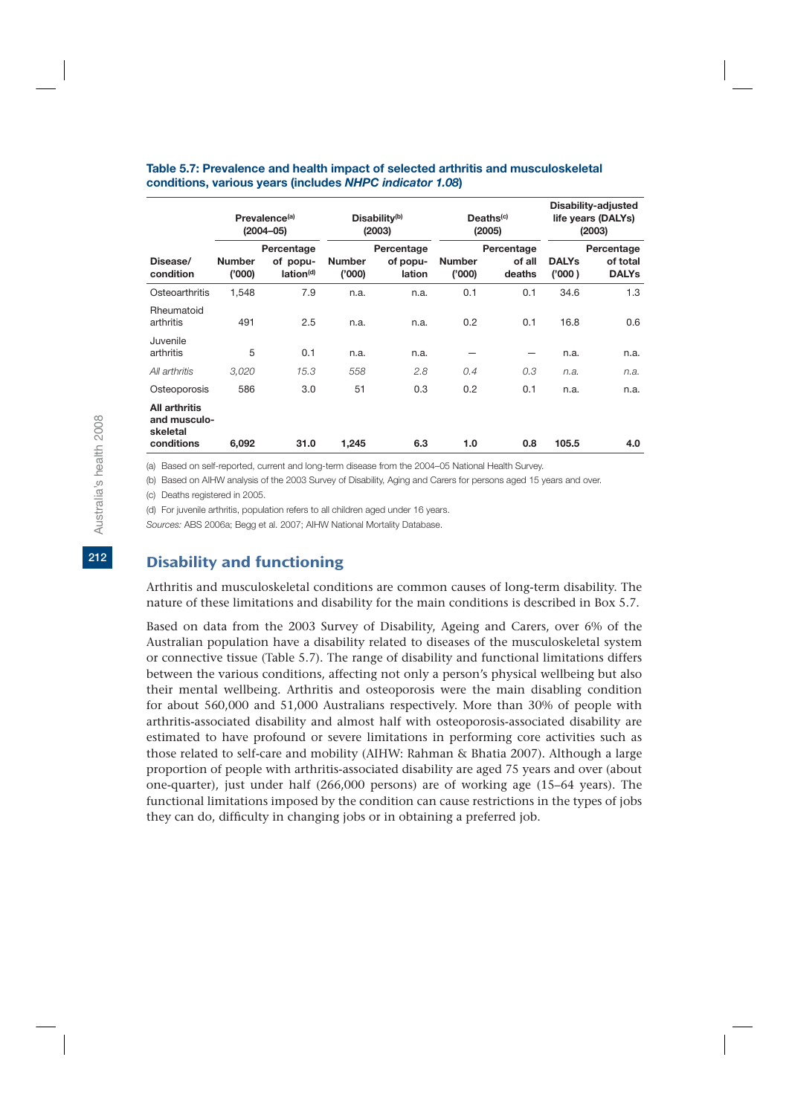|                                                         |                         | Prevalence <sup>(a)</sup><br>$(2004 - 05)$      |                         | Disability-adjusted<br>Disability <sup>(b)</sup><br>Deaths <sup>(c)</sup><br>life years (DALYs)<br>(2003)<br>(2005)<br>(2003) |                        |                                |                        |                                        |
|---------------------------------------------------------|-------------------------|-------------------------------------------------|-------------------------|-------------------------------------------------------------------------------------------------------------------------------|------------------------|--------------------------------|------------------------|----------------------------------------|
| Disease/<br>condition                                   | <b>Number</b><br>('000) | Percentage<br>of popu-<br>lation <sup>(d)</sup> | <b>Number</b><br>(000)' | Percentage<br>of popu-<br>lation                                                                                              | <b>Number</b><br>(000) | Percentage<br>of all<br>deaths | <b>DALYs</b><br>('000) | Percentage<br>of total<br><b>DALYs</b> |
| Osteoarthritis                                          | 1,548                   | 7.9                                             | n.a.                    | n.a.                                                                                                                          | 0.1                    | 0.1                            | 34.6                   | 1.3                                    |
| Rheumatoid<br>arthritis                                 | 491                     | 2.5                                             | n.a.                    | n.a.                                                                                                                          | 0.2                    | 0.1                            | 16.8                   | 0.6                                    |
| Juvenile<br>arthritis                                   | 5                       | 0.1                                             | n.a.                    | n.a.                                                                                                                          |                        |                                | n.a.                   | n.a.                                   |
| All arthritis                                           | 3,020                   | 15.3                                            | 558                     | 2.8                                                                                                                           | 0.4                    | 0.3                            | n.a.                   | n.a.                                   |
| Osteoporosis                                            | 586                     | 3.0                                             | 51                      | 0.3                                                                                                                           | 0.2                    | 0.1                            | n.a.                   | n.a.                                   |
| All arthritis<br>and musculo-<br>skeletal<br>conditions | 6,092                   | 31.0                                            | 1,245                   | 6.3                                                                                                                           | 1.0                    | 0.8                            | 105.5                  | 4.0                                    |

#### **Table 5.7: Prevalence and health impact of selected arthritis and musculoskeletal conditions, various years (includes** *NHPC indicator 1.08***)**

(a) Based on self-reported, current and long-term disease from the 2004–05 National Health Survey.

(b) Based on AIHW analysis of the 2003 Survey of Disability, Aging and Carers for persons aged 15 years and over.

(c) Deaths registered in 2005.

(d) For juvenile arthritis, population refers to all children aged under 16 years.

*Sources:* ABS 2006a; Begg et al. 2007; AIHW National Mortality Database.

### Disability and functioning

Arthritis and musculoskeletal conditions are common causes of long-term disability. The nature of these limitations and disability for the main conditions is described in Box 5.7.

Based on data from the 2003 Survey of Disability, Ageing and Carers, over 6% of the Australian population have a disability related to diseases of the musculoskeletal system or connective tissue (Table 5.7). The range of disability and functional limitations differs between the various conditions, affecting not only a person's physical wellbeing but also their mental wellbeing. Arthritis and osteoporosis were the main disabling condition for about 560,000 and 51,000 Australians respectively. More than 30% of people with arthritis-associated disability and almost half with osteoporosis-associated disability are estimated to have profound or severe limitations in performing core activities such as those related to self-care and mobility (AIHW: Rahman & Bhatia 2007). Although a large proportion of people with arthritis-associated disability are aged 75 years and over (about one-quarter), just under half (266,000 persons) are of working age (15–64 years). The functional limitations imposed by the condition can cause restrictions in the types of jobs they can do, difficulty in changing jobs or in obtaining a preferred job.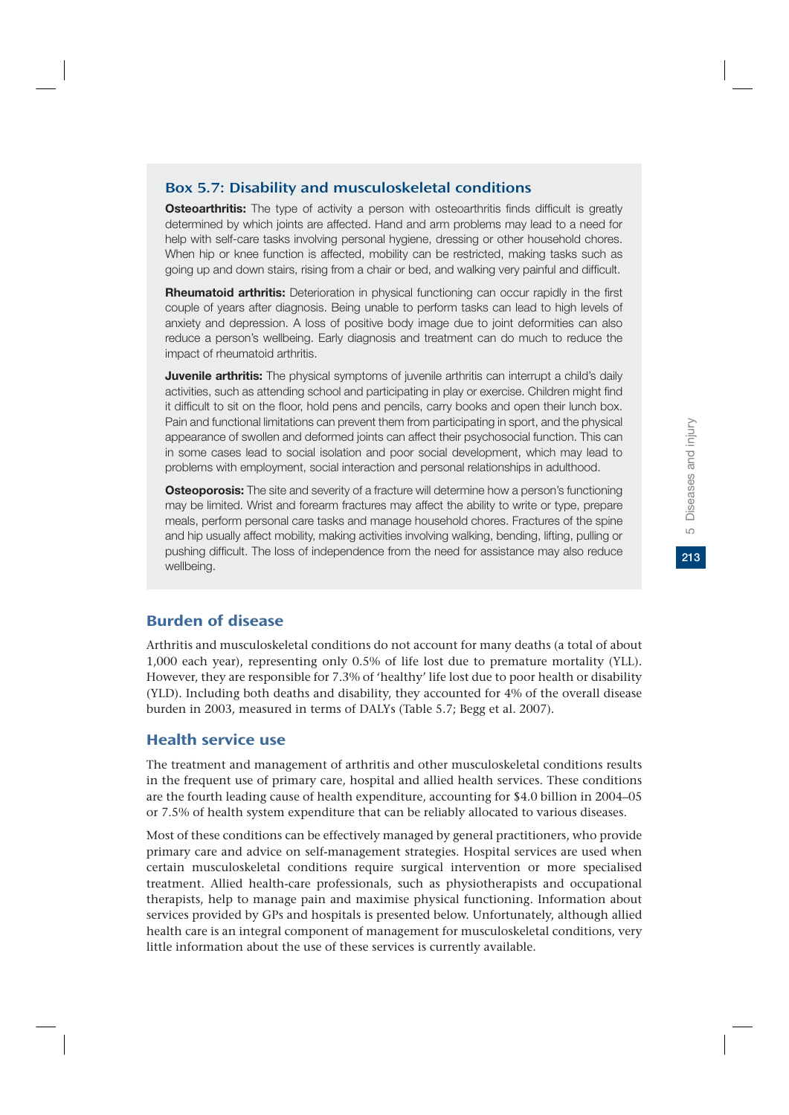### Box 5.7: Disability and musculoskeletal conditions

**Osteoarthritis:** The type of activity a person with osteoarthritis finds difficult is greatly determined by which joints are affected. Hand and arm problems may lead to a need for help with self-care tasks involving personal hygiene, dressing or other household chores. When hip or knee function is affected, mobility can be restricted, making tasks such as going up and down stairs, rising from a chair or bed, and walking very painful and difficult.

**Rheumatoid arthritis:** Deterioration in physical functioning can occur rapidly in the first couple of years after diagnosis. Being unable to perform tasks can lead to high levels of anxiety and depression. A loss of positive body image due to joint deformities can also reduce a person's wellbeing. Early diagnosis and treatment can do much to reduce the impact of rheumatoid arthritis.

**Juvenile arthritis:** The physical symptoms of juvenile arthritis can interrupt a child's daily activities, such as attending school and participating in play or exercise. Children might find it difficult to sit on the floor, hold pens and pencils, carry books and open their lunch box. Pain and functional limitations can prevent them from participating in sport, and the physical appearance of swollen and deformed joints can affect their psychosocial function. This can in some cases lead to social isolation and poor social development, which may lead to problems with employment, social interaction and personal relationships in adulthood.

**Osteoporosis:** The site and severity of a fracture will determine how a person's functioning may be limited. Wrist and forearm fractures may affect the ability to write or type, prepare meals, perform personal care tasks and manage household chores. Fractures of the spine and hip usually affect mobility, making activities involving walking, bending, lifting, pulling or pushing difficult. The loss of independence from the need for assistance may also reduce wellbeing.

## Burden of disease

Arthritis and musculoskeletal conditions do not account for many deaths (a total of about 1,000 each year), representing only 0.5% of life lost due to premature mortality (YLL). However, they are responsible for 7.3% of 'healthy' life lost due to poor health or disability (YLD). Including both deaths and disability, they accounted for 4% of the overall disease burden in 2003, measured in terms of DALYs (Table 5.7; Begg et al. 2007).

## Health service use

The treatment and management of arthritis and other musculoskeletal conditions results in the frequent use of primary care, hospital and allied health services. These conditions are the fourth leading cause of health expenditure, accounting for \$4.0 billion in 2004–05 or 7.5% of health system expenditure that can be reliably allocated to various diseases.

Most of these conditions can be effectively managed by general practitioners, who provide primary care and advice on self-management strategies. Hospital services are used when certain musculoskeletal conditions require surgical intervention or more specialised treatment. Allied health-care professionals, such as physiotherapists and occupational therapists, help to manage pain and maximise physical functioning. Information about services provided by GPs and hospitals is presented below. Unfortunately, although allied health care is an integral component of management for musculoskeletal conditions, very little information about the use of these services is currently available.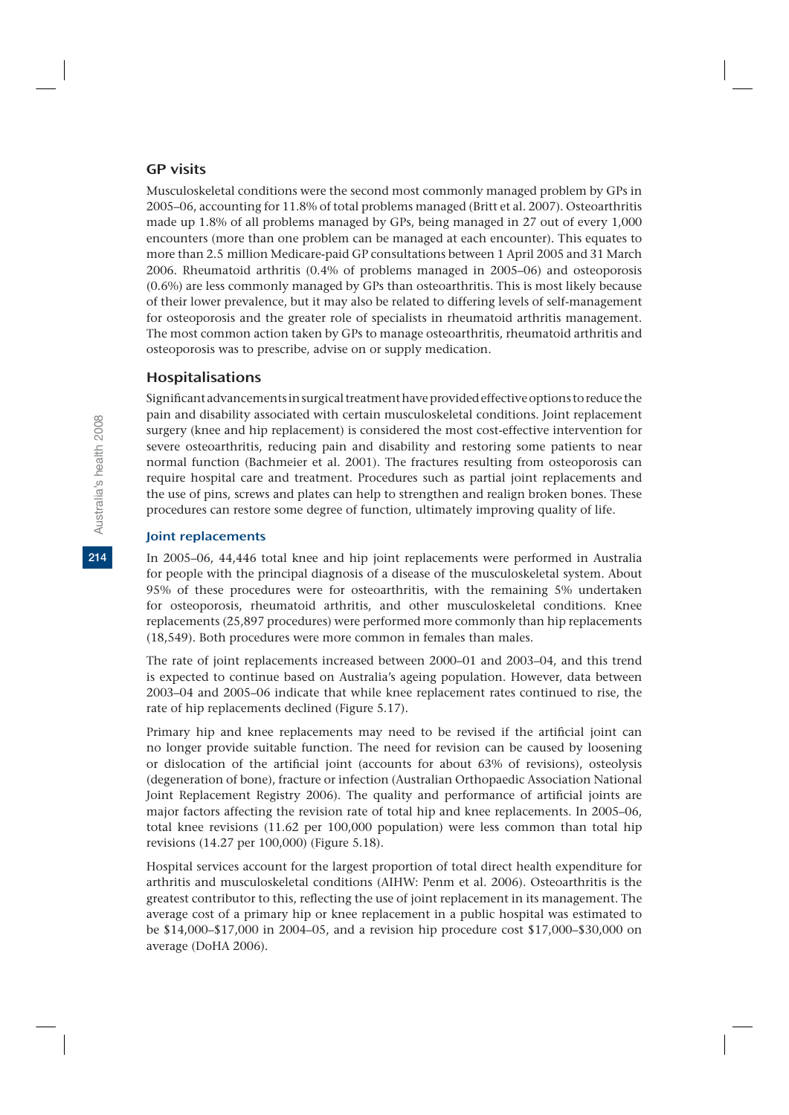## GP visits

Musculoskeletal conditions were the second most commonly managed problem by GPs in 2005–06, accounting for 11.8% of total problems managed (Britt et al. 2007). Osteoarthritis made up 1.8% of all problems managed by GPs, being managed in 27 out of every 1,000 encounters (more than one problem can be managed at each encounter). This equates to more than 2.5 million Medicare-paid GP consultations between 1 April 2005 and 31 March 2006. Rheumatoid arthritis (0.4% of problems managed in 2005–06) and osteoporosis (0.6%) are less commonly managed by GPs than osteoarthritis. This is most likely because of their lower prevalence, but it may also be related to differing levels of self-management for osteoporosis and the greater role of specialists in rheumatoid arthritis management. The most common action taken by GPs to manage osteoarthritis, rheumatoid arthritis and osteoporosis was to prescribe, advise on or supply medication.

## Hospitalisations

Significant advancements in surgical treatment have provided effective options to reduce the pain and disability associated with certain musculoskeletal conditions. Joint replacement surgery (knee and hip replacement) is considered the most cost-effective intervention for severe osteoarthritis, reducing pain and disability and restoring some patients to near normal function (Bachmeier et al. 2001). The fractures resulting from osteoporosis can require hospital care and treatment. Procedures such as partial joint replacements and the use of pins, screws and plates can help to strengthen and realign broken bones. These procedures can restore some degree of function, ultimately improving quality of life.

#### Joint replacements

In 2005–06, 44,446 total knee and hip joint replacements were performed in Australia for people with the principal diagnosis of a disease of the musculoskeletal system. About 95% of these procedures were for osteoarthritis, with the remaining 5% undertaken for osteoporosis, rheumatoid arthritis, and other musculoskeletal conditions. Knee replacements (25,897 procedures) were performed more commonly than hip replacements (18,549). Both procedures were more common in females than males.

The rate of joint replacements increased between 2000–01 and 2003–04, and this trend is expected to continue based on Australia's ageing population. However, data between 2003–04 and 2005–06 indicate that while knee replacement rates continued to rise, the rate of hip replacements declined (Figure 5.17).

Primary hip and knee replacements may need to be revised if the artificial joint can no longer provide suitable function. The need for revision can be caused by loosening or dislocation of the artificial joint (accounts for about 63% of revisions), osteolysis (degeneration of bone), fracture or infection (Australian Orthopaedic Association National Joint Replacement Registry 2006). The quality and performance of artificial joints are major factors affecting the revision rate of total hip and knee replacements. In 2005–06, total knee revisions (11.62 per 100,000 population) were less common than total hip revisions (14.27 per 100,000) (Figure 5.18).

Hospital services account for the largest proportion of total direct health expenditure for arthritis and musculoskeletal conditions (AIHW: Penm et al. 2006). Osteoarthritis is the greatest contributor to this, reflecting the use of joint replacement in its management. The average cost of a primary hip or knee replacement in a public hospital was estimated to be \$14,000–\$17,000 in 2004–05, and a revision hip procedure cost \$17,000–\$30,000 on average (DoHA 2006).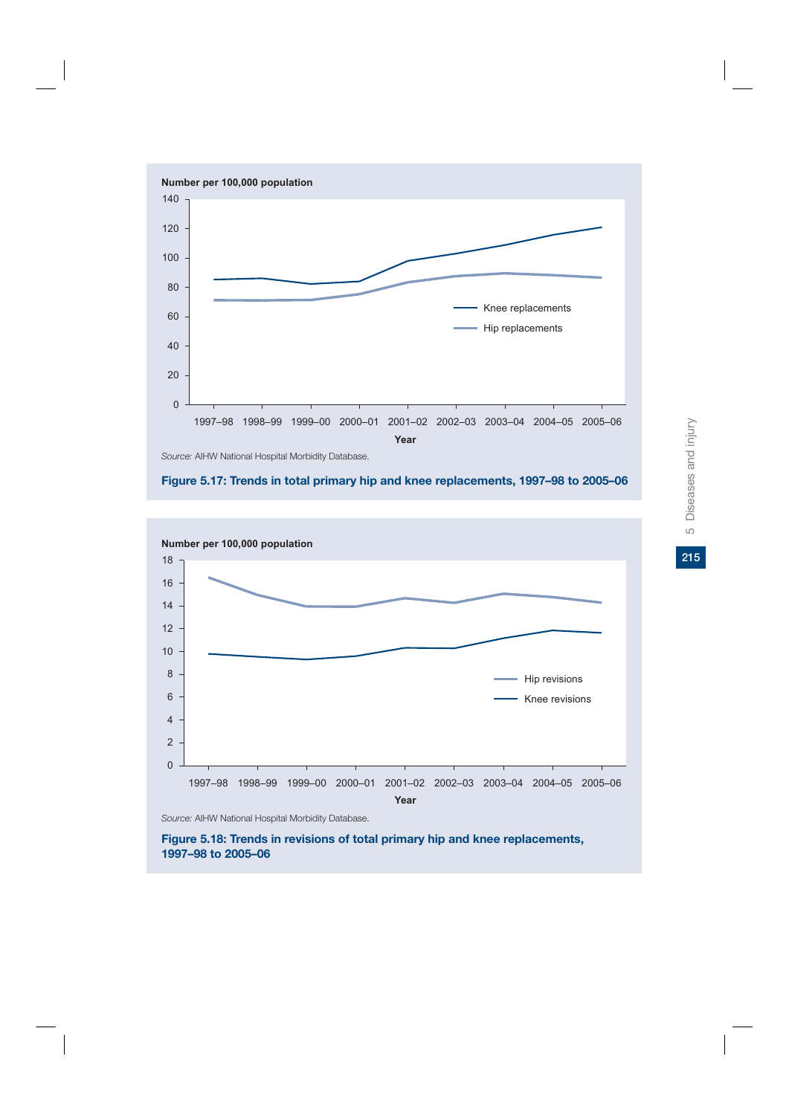





*Source:* AIHW National Hospital Morbidity Database.

**Figure 5.18: Trends in revisions of total primary hip and knee replacements, 1997–98 to 2005–06**

215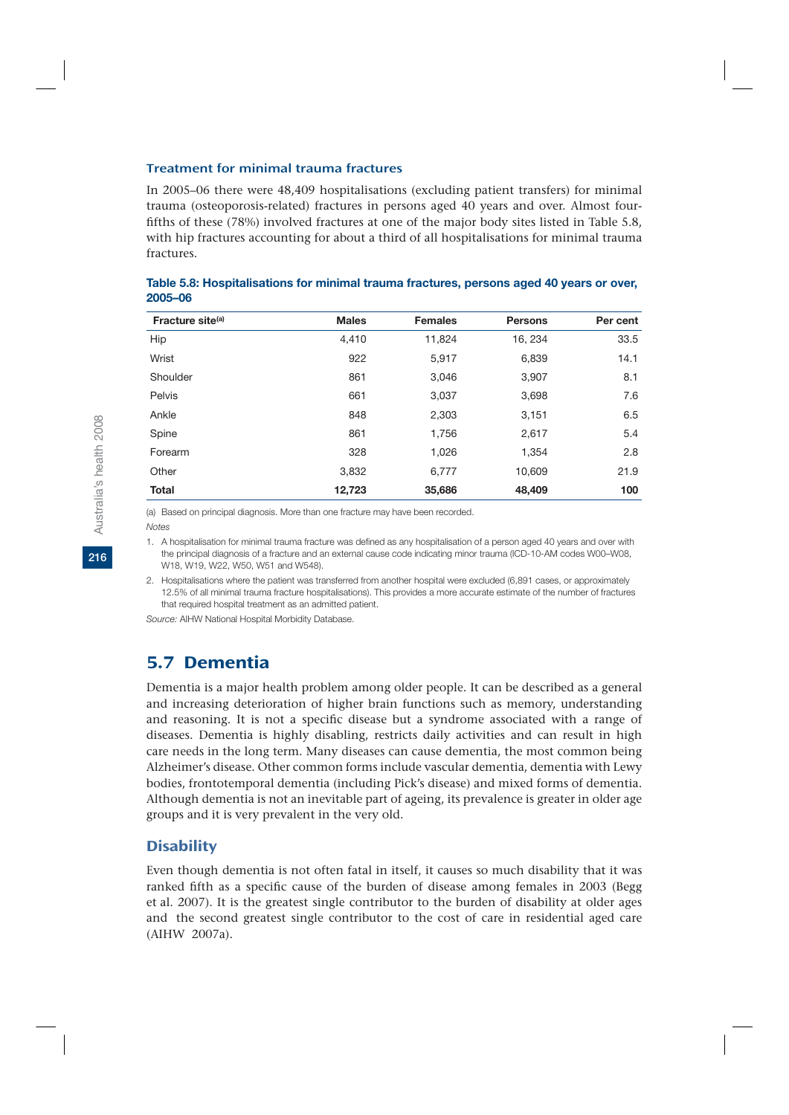#### Treatment for minimal trauma fractures

In 2005–06 there were 48,409 hospitalisations (excluding patient transfers) for minimal trauma (osteoporosis-related) fractures in persons aged 40 years and over. Almost fourfifths of these (78%) involved fractures at one of the major body sites listed in Table 5.8, with hip fractures accounting for about a third of all hospitalisations for minimal trauma fractures.

| Fracture site <sup>(a)</sup> | <b>Males</b> | <b>Females</b> | <b>Persons</b> | Per cent |
|------------------------------|--------------|----------------|----------------|----------|
| Hip                          | 4.410        | 11,824         | 16, 234        | 33.5     |
| Wrist                        | 922          | 5,917          | 6,839          | 14.1     |
| Shoulder                     | 861          | 3,046          | 3,907          | 8.1      |
| Pelvis                       | 661          | 3,037          | 3,698          | 7.6      |
| Ankle                        | 848          | 2,303          | 3,151          | 6.5      |
| Spine                        | 861          | 1,756          | 2,617          | 5.4      |
| Forearm                      | 328          | 1,026          | 1.354          | 2.8      |
| Other                        | 3,832        | 6,777          | 10,609         | 21.9     |
| <b>Total</b>                 | 12,723       | 35,686         | 48,409         | 100      |

**Table 5.8: Hospitalisations for minimal trauma fractures, persons aged 40 years or over, 2005–06**

(a) Based on principal diagnosis. More than one fracture may have been recorded. *Notes*

1. A hospitalisation for minimal trauma fracture was defined as any hospitalisation of a person aged 40 years and over with the principal diagnosis of a fracture and an external cause code indicating minor trauma (ICD-10-AM codes W00–W08, W18, W19, W22, W50, W51 and W548).

2. Hospitalisations where the patient was transferred from another hospital were excluded (6,891 cases, or approximately 12.5% of all minimal trauma fracture hospitalisations). This provides a more accurate estimate of the number of fractures that required hospital treatment as an admitted patient.

*Source:* AIHW National Hospital Morbidity Database.

## 5.7 Dementia

Dementia is a major health problem among older people. It can be described as a general and increasing deterioration of higher brain functions such as memory, understanding and reasoning. It is not a specific disease but a syndrome associated with a range of diseases. Dementia is highly disabling, restricts daily activities and can result in high care needs in the long term. Many diseases can cause dementia, the most common being Alzheimer's disease. Other common forms include vascular dementia, dementia with Lewy bodies, frontotemporal dementia (including Pick's disease) and mixed forms of dementia. Although dementia is not an inevitable part of ageing, its prevalence is greater in older age groups and it is very prevalent in the very old.

### **Disability**

Even though dementia is not often fatal in itself, it causes so much disability that it was ranked fifth as a specific cause of the burden of disease among females in 2003 (Begg et al. 2007). It is the greatest single contributor to the burden of disability at older ages and the second greatest single contributor to the cost of care in residential aged care (AIHW 2007a).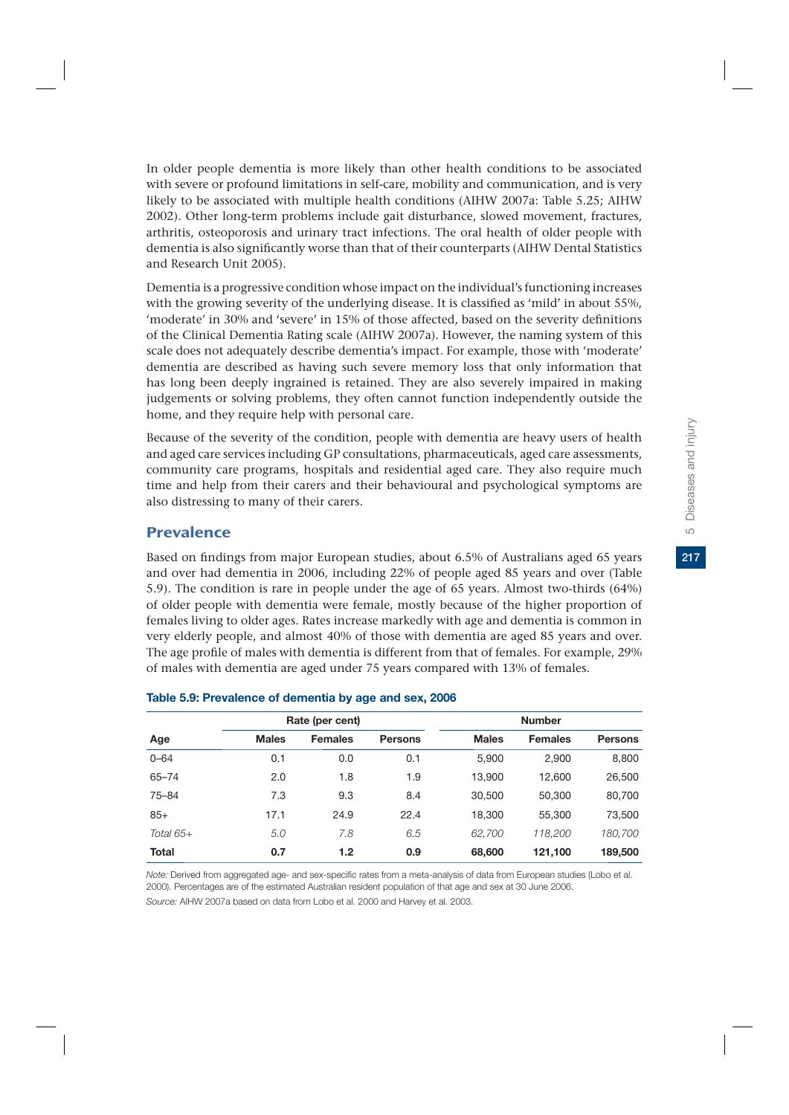In older people dementia is more likely than other health conditions to be associated with severe or profound limitations in self-care, mobility and communication, and is very likely to be associated with multiple health conditions (AIHW 2007a: Table 5.25; AIHW 2002). Other long-term problems include gait disturbance, slowed movement, fractures, arthritis, osteoporosis and urinary tract infections. The oral health of older people with dementia is also significantly worse than that of their counterparts (AIHW Dental Statistics and Research Unit 2005).

Dementia is a progressive condition whose impact on the individual's functioning increases with the growing severity of the underlying disease. It is classified as 'mild' in about 55%, 'moderate' in 30% and 'severe' in 15% of those affected, based on the severity definitions of the Clinical Dementia Rating scale (AIHW 2007a). However, the naming system of this scale does not adequately describe dementia's impact. For example, those with 'moderate' dementia are described as having such severe memory loss that only information that has long been deeply ingrained is retained. They are also severely impaired in making judgements or solving problems, they often cannot function independently outside the home, and they require help with personal care.

Because of the severity of the condition, people with dementia are heavy users of health and aged care services including GP consultations, pharmaceuticals, aged care assessments, community care programs, hospitals and residential aged care. They also require much time and help from their carers and their behavioural and psychological symptoms are also distressing to many of their carers.

## Prevalence

Based on findings from major European studies, about 6.5% of Australians aged 65 years and over had dementia in 2006, including 22% of people aged 85 years and over (Table 5.9). The condition is rare in people under the age of 65 years. Almost two-thirds (64%) of older people with dementia were female, mostly because of the higher proportion of females living to older ages. Rates increase markedly with age and dementia is common in very elderly people, and almost 40% of those with dementia are aged 85 years and over. The age profile of males with dementia is different from that of females. For example, 29% of males with dementia are aged under 75 years compared with 13% of females.

|              |              | Rate (per cent) |                |              | <b>Number</b>  |                |
|--------------|--------------|-----------------|----------------|--------------|----------------|----------------|
| Age          | <b>Males</b> | <b>Females</b>  | <b>Persons</b> | <b>Males</b> | <b>Females</b> | <b>Persons</b> |
| $0 - 64$     | 0.1          | 0.0             | 0.1            | 5,900        | 2,900          | 8,800          |
| $65 - 74$    | 2.0          | 1.8             | 1.9            | 13,900       | 12,600         | 26,500         |
| $75 - 84$    | 7.3          | 9.3             | 8.4            | 30,500       | 50,300         | 80,700         |
| $85+$        | 17.1         | 24.9            | 22.4           | 18,300       | 55,300         | 73,500         |
| Total $65+$  | 5.0          | 7.8             | 6.5            | 62,700       | 118,200        | 180,700        |
| <b>Total</b> | 0.7          | 1.2             | 0.9            | 68,600       | 121,100        | 189,500        |

#### **Table 5.9: Prevalence of dementia by age and sex, 2006**

*Note:* Derived from aggregated age- and sex-specific rates from a meta-analysis of data from European studies (Lobo et al. 2000). Percentages are of the estimated Australian resident population of that age and sex at 30 June 2006. *Source:* AIHW 2007a based on data from Lobo et al. 2000 and Harvey et al. 2003.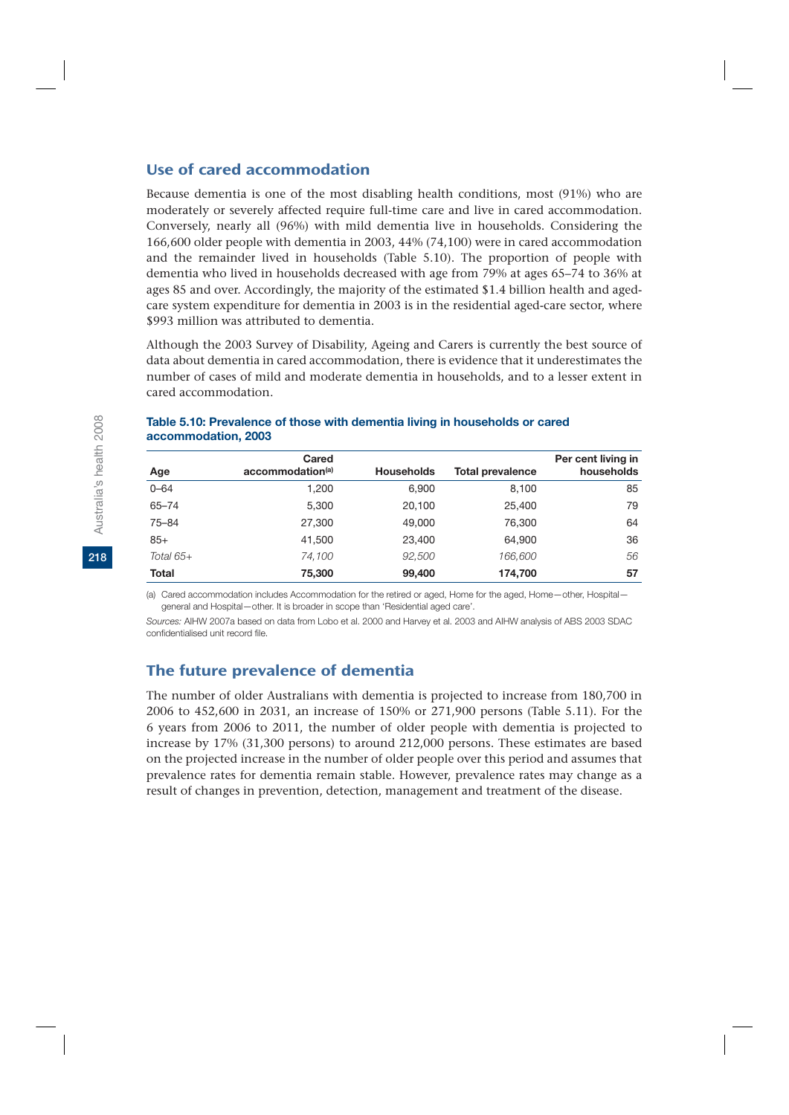### Use of cared accommodation

Because dementia is one of the most disabling health conditions, most (91%) who are moderately or severely affected require full-time care and live in cared accommodation. Conversely, nearly all (96%) with mild dementia live in households. Considering the 166,600 older people with dementia in 2003, 44% (74,100) were in cared accommodation and the remainder lived in households (Table 5.10). The proportion of people with dementia who lived in households decreased with age from 79% at ages 65–74 to 36% at ages 85 and over. Accordingly, the majority of the estimated \$1.4 billion health and agedcare system expenditure for dementia in 2003 is in the residential aged-care sector, where \$993 million was attributed to dementia.

Although the 2003 Survey of Disability, Ageing and Carers is currently the best source of data about dementia in cared accommodation, there is evidence that it underestimates the number of cases of mild and moderate dementia in households, and to a lesser extent in cared accommodation.

|              | Cared            |                   |                         | Per cent living in |
|--------------|------------------|-------------------|-------------------------|--------------------|
| Age          | accommodation(a) | <b>Households</b> | <b>Total prevalence</b> | households         |
| $0 - 64$     | 1.200            | 6.900             | 8.100                   | 85                 |
| $65 - 74$    | 5.300            | 20.100            | 25,400                  | 79                 |
| $75 - 84$    | 27,300           | 49,000            | 76.300                  | 64                 |
| $85+$        | 41,500           | 23,400            | 64.900                  | 36                 |
| Total $65+$  | 74,100           | 92,500            | 166,600                 | 56                 |
| <b>Total</b> | 75,300           | 99,400            | 174,700                 | 57                 |

#### **Table 5.10: Prevalence of those with dementia living in households or cared accommodation, 2003**

(a) Cared accommodation includes Accommodation for the retired or aged, Home for the aged, Home—other, Hospital general and Hospital—other. It is broader in scope than 'Residential aged care'.

*Sources:* AIHW 2007a based on data from Lobo et al. 2000 and Harvey et al. 2003 and AIHW analysis of ABS 2003 SDAC confidentialised unit record file.

### The future prevalence of dementia

The number of older Australians with dementia is projected to increase from 180,700 in 2006 to 452,600 in 2031, an increase of 150% or 271,900 persons (Table 5.11). For the 6 years from 2006 to 2011, the number of older people with dementia is projected to increase by 17% (31,300 persons) to around 212,000 persons. These estimates are based on the projected increase in the number of older people over this period and assumes that prevalence rates for dementia remain stable. However, prevalence rates may change as a result of changes in prevention, detection, management and treatment of the disease.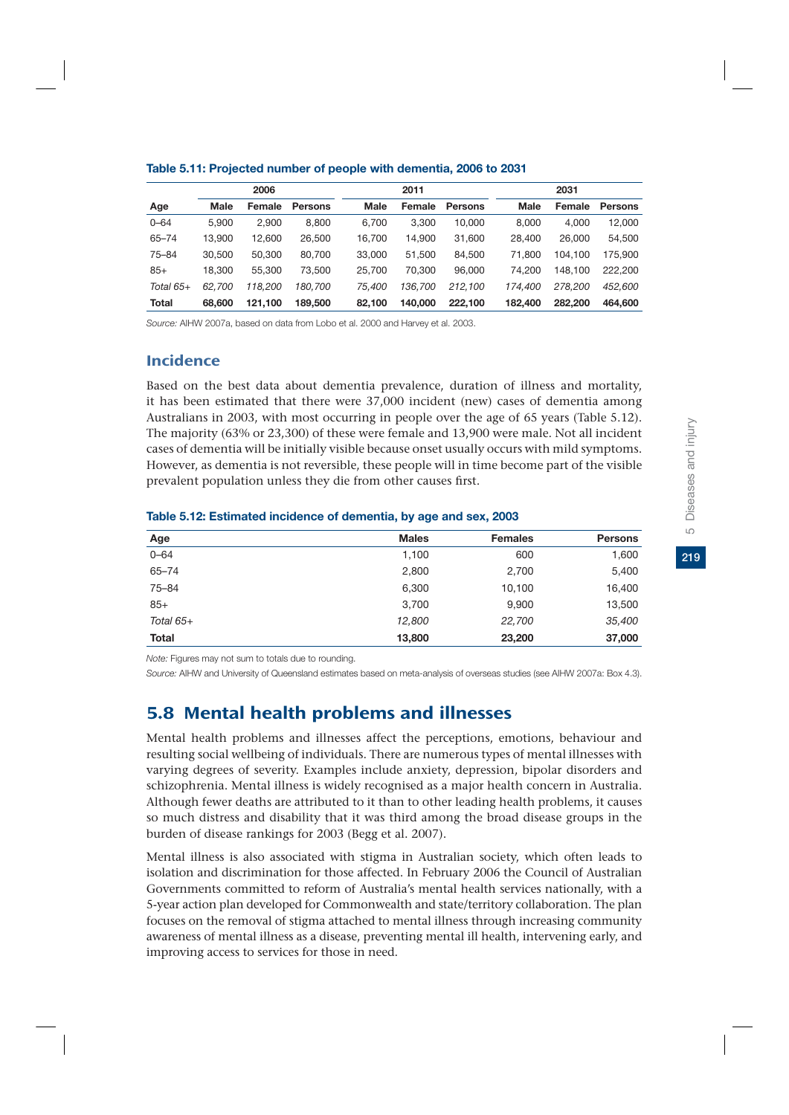|              |        | 2006    |                |             | 2011    |                |             | 2031    |                |
|--------------|--------|---------|----------------|-------------|---------|----------------|-------------|---------|----------------|
| Age          | Male   | Female  | <b>Persons</b> | <b>Male</b> | Female  | <b>Persons</b> | <b>Male</b> | Female  | <b>Persons</b> |
| $0 - 64$     | 5.900  | 2.900   | 8.800          | 6.700       | 3.300   | 10.000         | 8.000       | 4.000   | 12,000         |
| $65 - 74$    | 13.900 | 12.600  | 26,500         | 16.700      | 14.900  | 31,600         | 28,400      | 26,000  | 54,500         |
| $75 - 84$    | 30,500 | 50,300  | 80,700         | 33,000      | 51.500  | 84.500         | 71.800      | 104.100 | 175,900        |
| $85+$        | 18.300 | 55.300  | 73,500         | 25.700      | 70.300  | 96,000         | 74.200      | 148.100 | 222.200        |
| Total $65+$  | 62.700 | 118.200 | 180.700        | 75.400      | 136.700 | 212.100        | 174.400     | 278,200 | 452,600        |
| <b>Total</b> | 68,600 | 121.100 | 189,500        | 82.100      | 140,000 | 222.100        | 182,400     | 282,200 | 464,600        |

#### **Table 5.11: Projected number of people with dementia, 2006 to 2031**

*Source:* AIHW 2007a, based on data from Lobo et al. 2000 and Harvey et al. 2003.

## Incidence

Based on the best data about dementia prevalence, duration of illness and mortality, it has been estimated that there were 37,000 incident (new) cases of dementia among Australians in 2003, with most occurring in people over the age of 65 years (Table 5.12). The majority (63% or 23,300) of these were female and 13,900 were male. Not all incident cases of dementia will be initially visible because onset usually occurs with mild symptoms. However, as dementia is not reversible, these people will in time become part of the visible prevalent population unless they die from other causes first.

| Age          | <b>Males</b> | <b>Females</b> | <b>Persons</b> |
|--------------|--------------|----------------|----------------|
| $0 - 64$     | 1,100        | 600            | 1,600          |
| $65 - 74$    | 2,800        | 2,700          | 5,400          |
| $75 - 84$    | 6,300        | 10,100         | 16,400         |
| $85+$        | 3,700        | 9,900          | 13,500         |
| Total $65+$  | 12,800       | 22,700         | 35,400         |
| <b>Total</b> | 13,800       | 23,200         | 37,000         |

#### **Table 5.12: Estimated incidence of dementia, by age and sex, 2003**

*Note:* Figures may not sum to totals due to rounding.

*Source:* AIHW and University of Queensland estimates based on meta-analysis of overseas studies (see AIHW 2007a: Box 4.3).

# 5.8 Mental health problems and illnesses

Mental health problems and illnesses affect the perceptions, emotions, behaviour and resulting social wellbeing of individuals. There are numerous types of mental illnesses with varying degrees of severity. Examples include anxiety, depression, bipolar disorders and schizophrenia. Mental illness is widely recognised as a major health concern in Australia. Although fewer deaths are attributed to it than to other leading health problems, it causes so much distress and disability that it was third among the broad disease groups in the burden of disease rankings for 2003 (Begg et al. 2007).

Mental illness is also associated with stigma in Australian society, which often leads to isolation and discrimination for those affected. In February 2006 the Council of Australian Governments committed to reform of Australia's mental health services nationally, with a 5-year action plan developed for Commonwealth and state/territory collaboration. The plan focuses on the removal of stigma attached to mental illness through increasing community awareness of mental illness as a disease, preventing mental ill health, intervening early, and improving access to services for those in need.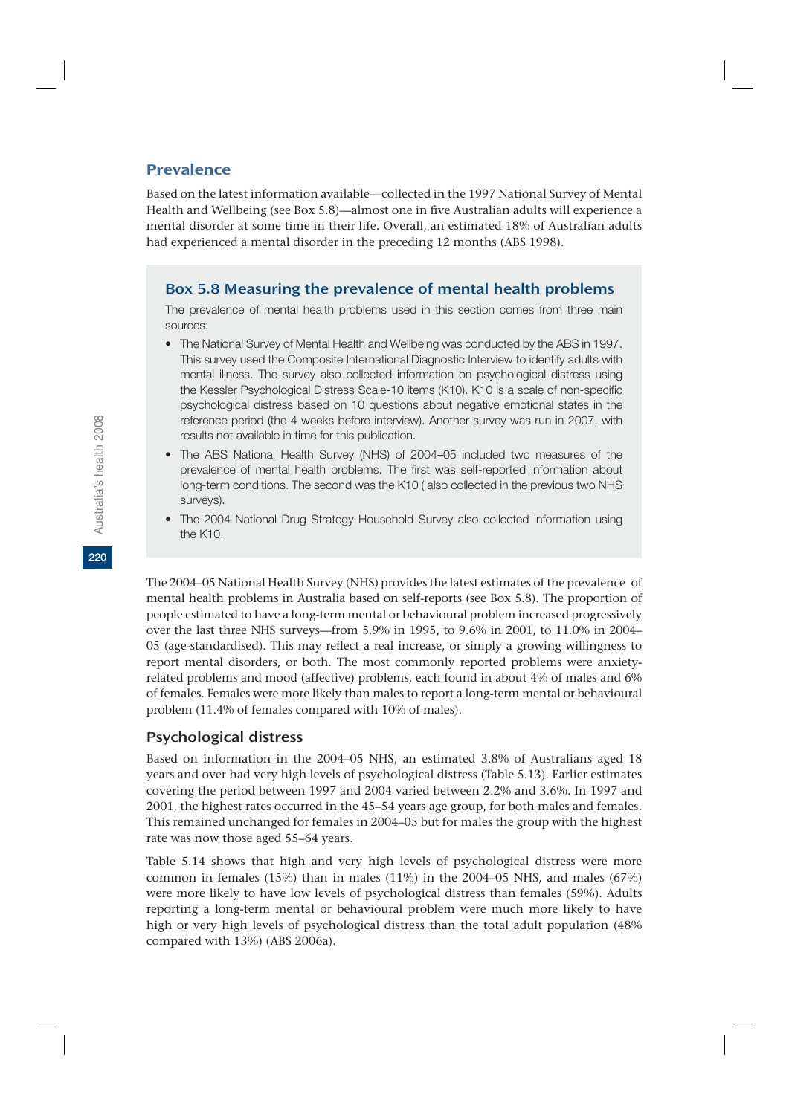## Prevalence

Based on the latest information available—collected in the 1997 National Survey of Mental Health and Wellbeing (see Box 5.8)—almost one in five Australian adults will experience a mental disorder at some time in their life. Overall, an estimated 18% of Australian adults had experienced a mental disorder in the preceding 12 months (ABS 1998).

## Box 5.8 Measuring the prevalence of mental health problems

The prevalence of mental health problems used in this section comes from three main sources:

- The National Survey of Mental Health and Wellbeing was conducted by the ABS in 1997. This survey used the Composite International Diagnostic Interview to identify adults with mental illness. The survey also collected information on psychological distress using the Kessler Psychological Distress Scale-10 items (K10). K10 is a scale of non-specific psychological distress based on 10 questions about negative emotional states in the reference period (the 4 weeks before interview). Another survey was run in 2007, with results not available in time for this publication.
- The ABS National Health Survey (NHS) of 2004–05 included two measures of the prevalence of mental health problems. The first was self-reported information about long-term conditions. The second was the K10 ( also collected in the previous two NHS surveys).
- The 2004 National Drug Strategy Household Survey also collected information using the K10.

The 2004–05 National Health Survey (NHS) provides the latest estimates of the prevalence of mental health problems in Australia based on self-reports (see Box 5.8). The proportion of people estimated to have a long-term mental or behavioural problem increased progressively over the last three NHS surveys—from 5.9% in 1995, to 9.6% in 2001, to 11.0% in 2004– 05 (age-standardised). This may reflect a real increase, or simply a growing willingness to report mental disorders, or both. The most commonly reported problems were anxietyrelated problems and mood (affective) problems, each found in about 4% of males and 6% of females. Females were more likely than males to report a long-term mental or behavioural problem (11.4% of females compared with 10% of males).

## Psychological distress

Based on information in the 2004–05 NHS, an estimated 3.8% of Australians aged 18 years and over had very high levels of psychological distress (Table 5.13). Earlier estimates covering the period between 1997 and 2004 varied between 2.2% and 3.6%. In 1997 and 2001, the highest rates occurred in the 45–54 years age group, for both males and females. This remained unchanged for females in 2004–05 but for males the group with the highest rate was now those aged 55–64 years.

Table 5.14 shows that high and very high levels of psychological distress were more common in females (15%) than in males (11%) in the 2004–05 NHS, and males (67%) were more likely to have low levels of psychological distress than females (59%). Adults reporting a long-term mental or behavioural problem were much more likely to have high or very high levels of psychological distress than the total adult population (48% compared with 13%) (ABS 2006a).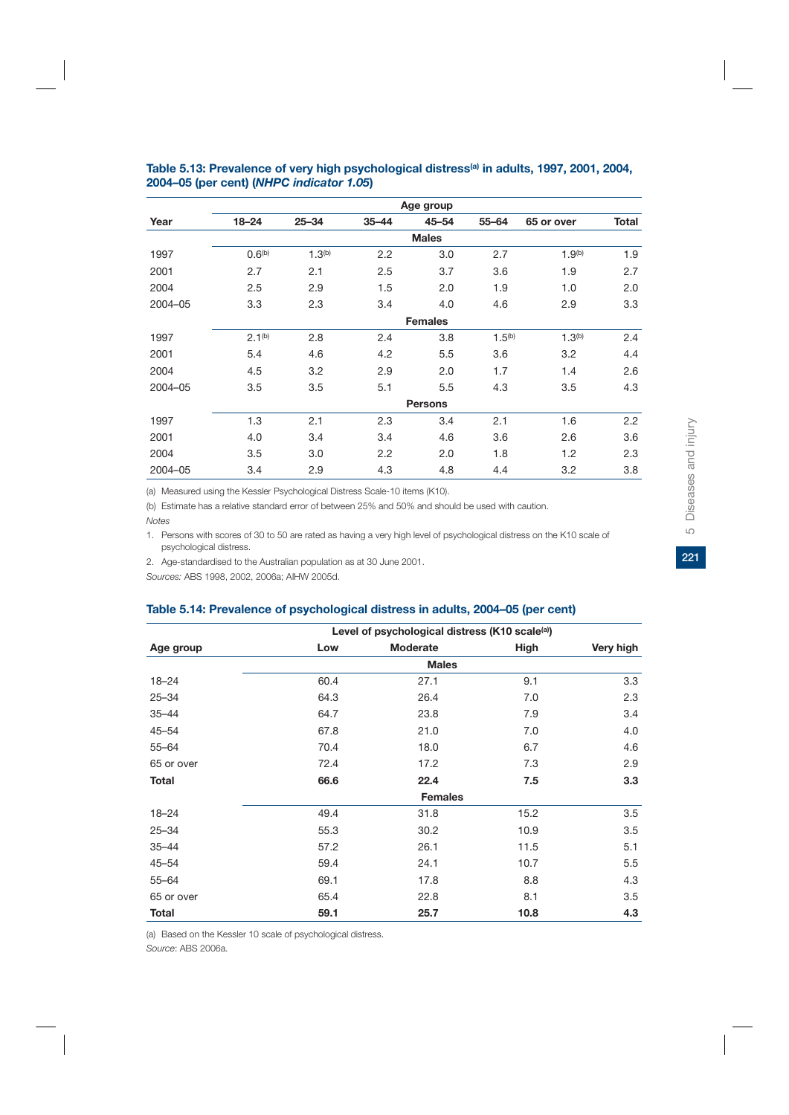|         |                    |                    |           | Age group      |             |                    |              |
|---------|--------------------|--------------------|-----------|----------------|-------------|--------------------|--------------|
| Year    | $18 - 24$          | $25 - 34$          | $35 - 44$ | $45 - 54$      | $55 - 64$   | 65 or over         | <b>Total</b> |
|         |                    |                    |           | <b>Males</b>   |             |                    |              |
| 1997    | 0.6 <sup>(b)</sup> | 1.3 <sup>(b)</sup> | 2.2       | 3.0            | 2.7         | 1.9 <sup>(b)</sup> | 1.9          |
| 2001    | 2.7                | 2.1                | 2.5       | 3.7            | 3.6         | 1.9                | 2.7          |
| 2004    | 2.5                | 2.9                | 1.5       | 2.0            | 1.9         | 1.0                | 2.0          |
| 2004-05 | 3.3                | 2.3                | 3.4       | 4.0            | 4.6         | 2.9                | 3.3          |
|         |                    |                    |           | <b>Females</b> |             |                    |              |
| 1997    | 2.1 <sup>(b)</sup> | 2.8                | 2.4       | 3.8            | $1.5^{(b)}$ | 1.3 <sup>(b)</sup> | 2.4          |
| 2001    | 5.4                | 4.6                | 4.2       | 5.5            | 3.6         | 3.2                | 4.4          |
| 2004    | 4.5                | 3.2                | 2.9       | 2.0            | 1.7         | 1.4                | 2.6          |
| 2004-05 | 3.5                | 3.5                | 5.1       | 5.5            | 4.3         | 3.5                | 4.3          |
|         |                    |                    |           | <b>Persons</b> |             |                    |              |
| 1997    | 1.3                | 2.1                | 2.3       | 3.4            | 2.1         | 1.6                | 2.2          |
| 2001    | 4.0                | 3.4                | 3.4       | 4.6            | 3.6         | 2.6                | 3.6          |
| 2004    | 3.5                | 3.0                | 2.2       | 2.0            | 1.8         | 1.2                | 2.3          |
| 2004-05 | 3.4                | 2.9                | 4.3       | 4.8            | 4.4         | 3.2                | 3.8          |
|         |                    |                    |           |                |             |                    |              |

#### Table 5.13: Prevalence of very high psychological distress<sup>(a)</sup> in adults, 1997, 2001, 2004, **2004–05 (per cent) (***NHPC indicator 1.05***)**

(a) Measured using the Kessler Psychological Distress Scale-10 items (K10).

(b) Estimate has a relative standard error of between 25% and 50% and should be used with caution. *Notes*

1. Persons with scores of 30 to 50 are rated as having a very high level of psychological distress on the K10 scale of psychological distress.

2. Age-standardised to the Australian population as at 30 June 2001.

*Sources:* ABS 1998, 2002, 2006a; AIHW 2005d.

#### **Table 5.14: Prevalence of psychological distress in adults, 2004–05 (per cent)**

|              | Level of psychological distress (K10 scale <sup>(a)</sup> ) |                |      |           |  |  |  |  |
|--------------|-------------------------------------------------------------|----------------|------|-----------|--|--|--|--|
| Age group    | Low                                                         | Moderate       | High | Very high |  |  |  |  |
|              | <b>Males</b>                                                |                |      |           |  |  |  |  |
| $18 - 24$    | 60.4                                                        | 27.1           | 9.1  | 3.3       |  |  |  |  |
| $25 - 34$    | 64.3                                                        | 26.4           | 7.0  | 2.3       |  |  |  |  |
| $35 - 44$    | 64.7                                                        | 23.8           | 7.9  | 3.4       |  |  |  |  |
| $45 - 54$    | 67.8                                                        | 21.0           | 7.0  | 4.0       |  |  |  |  |
| $55 - 64$    | 70.4                                                        | 18.0           | 6.7  | 4.6       |  |  |  |  |
| 65 or over   | 72.4                                                        | 17.2           | 7.3  | 2.9       |  |  |  |  |
| <b>Total</b> | 66.6                                                        | 22.4           | 7.5  | 3.3       |  |  |  |  |
|              |                                                             | <b>Females</b> |      |           |  |  |  |  |
| $18 - 24$    | 49.4                                                        | 31.8           | 15.2 | 3.5       |  |  |  |  |
| $25 - 34$    | 55.3                                                        | 30.2           | 10.9 | 3.5       |  |  |  |  |
| $35 - 44$    | 57.2                                                        | 26.1           | 11.5 | 5.1       |  |  |  |  |
| $45 - 54$    | 59.4                                                        | 24.1           | 10.7 | 5.5       |  |  |  |  |
| $55 - 64$    | 69.1                                                        | 17.8           | 8.8  | 4.3       |  |  |  |  |
| 65 or over   | 65.4                                                        | 22.8           | 8.1  | 3.5       |  |  |  |  |
| <b>Total</b> | 59.1                                                        | 25.7           | 10.8 | 4.3       |  |  |  |  |

(a) Based on the Kessler 10 scale of psychological distress.

*Source*: ABS 2006a.

 $\Box$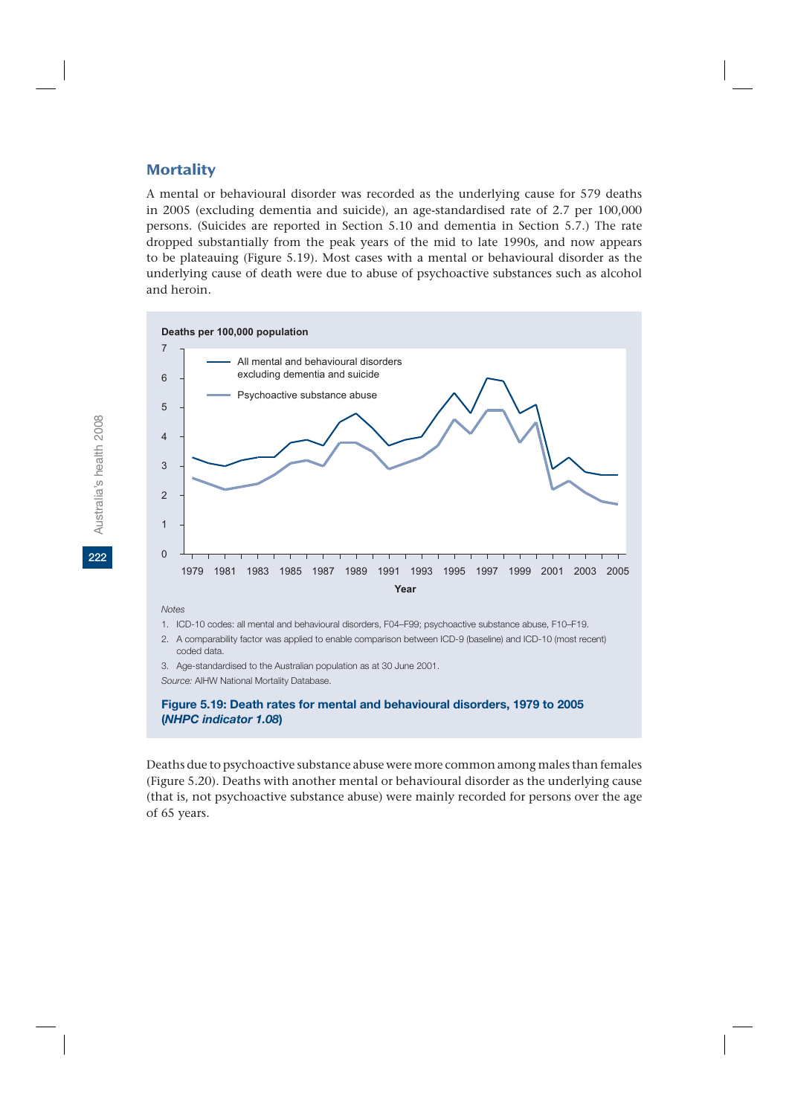### **Mortality**

A mental or behavioural disorder was recorded as the underlying cause for 579 deaths in 2005 (excluding dementia and suicide), an age-standardised rate of 2.7 per 100,000 persons. (Suicides are reported in Section 5.10 and dementia in Section 5.7.) The rate dropped substantially from the peak years of the mid to late 1990s, and now appears to be plateauing (Figure 5.19). Most cases with a mental or behavioural disorder as the underlying cause of death were due to abuse of psychoactive substances such as alcohol and heroin.



2. A comparability factor was applied to enable comparison between ICD-9 (baseline) and ICD-10 (most recent) coded data.

3. Age-standardised to the Australian population as at 30 June 2001.

*Source:* AIHW National Mortality Database.

#### **Figure 5.19: Death rates for mental and behavioural disorders, 1979 to 2005 (***NHPC indicator 1.08***)**

Deaths due to psychoactive substance abuse were more common among males than females (Figure 5.20). Deaths with another mental or behavioural disorder as the underlying cause (that is, not psychoactive substance abuse) were mainly recorded for persons over the age of 65 years.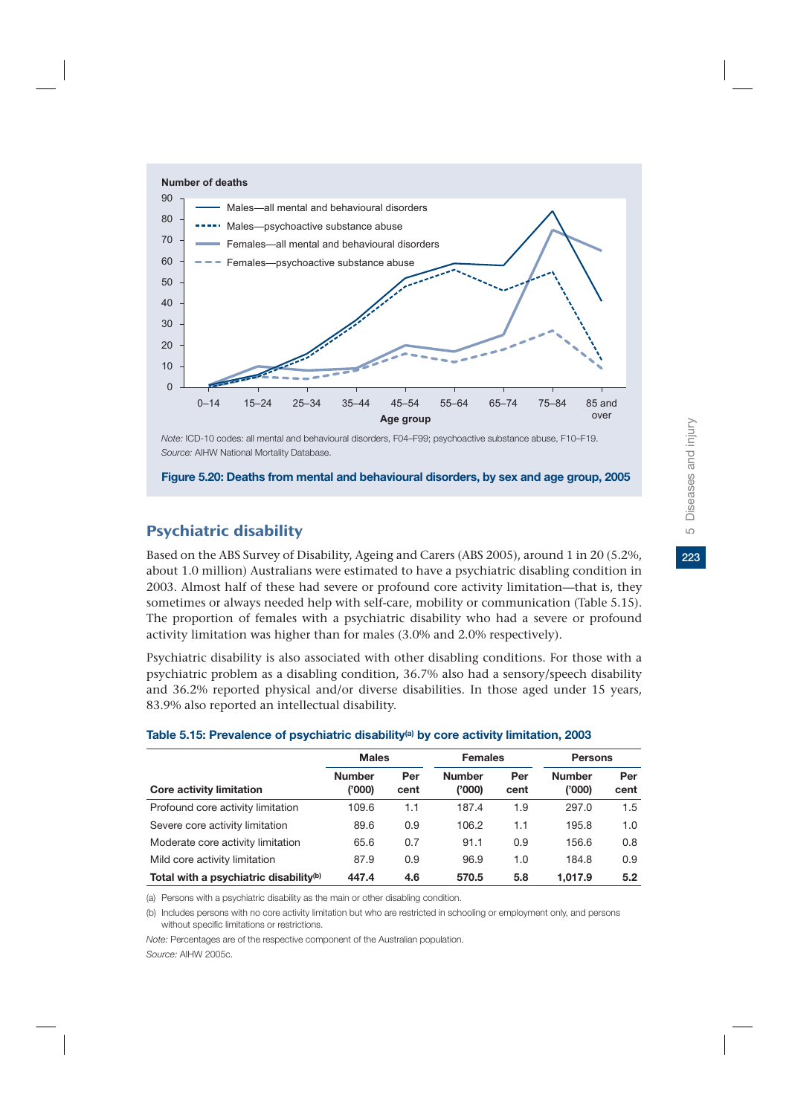

**Figure 5.20: Deaths from mental and behavioural disorders, by sex and age group, 2005**

# Psychiatric disability

Based on the ABS Survey of Disability, Ageing and Carers (ABS 2005), around 1 in 20 (5.2%, about 1.0 million) Australians were estimated to have a psychiatric disabling condition in 2003. Almost half of these had severe or profound core activity limitation—that is, they sometimes or always needed help with self-care, mobility or communication (Table 5.15). The proportion of females with a psychiatric disability who had a severe or profound activity limitation was higher than for males (3.0% and 2.0% respectively).

Psychiatric disability is also associated with other disabling conditions. For those with a psychiatric problem as a disabling condition, 36.7% also had a sensory/speech disability and 36.2% reported physical and/or diverse disabilities. In those aged under 15 years, 83.9% also reported an intellectual disability.

|                                                    | <b>Males</b>            |             | <b>Females</b>          |             | <b>Persons</b>          |             |
|----------------------------------------------------|-------------------------|-------------|-------------------------|-------------|-------------------------|-------------|
| <b>Core activity limitation</b>                    | <b>Number</b><br>('000) | Per<br>cent | <b>Number</b><br>('000) | Per<br>cent | <b>Number</b><br>('000) | Per<br>cent |
| Profound core activity limitation                  | 109.6                   | 1.1         | 187.4                   | 1.9         | 297.0                   | 1.5         |
| Severe core activity limitation                    | 89.6                    | 0.9         | 106.2                   | 1.1         | 195.8                   | 1.0         |
| Moderate core activity limitation                  | 65.6                    | 0.7         | 91.1                    | 0.9         | 156.6                   | 0.8         |
| Mild core activity limitation                      | 87.9                    | 0.9         | 96.9                    | 1.0         | 184.8                   | 0.9         |
| Total with a psychiatric disability <sup>(b)</sup> | 447.4                   | 4.6         | 570.5                   | 5.8         | 1.017.9                 | 5.2         |

#### **Table 5.15: Prevalence of psychiatric disability(a) by core activity limitation, 2003**

(a) Persons with a psychiatric disability as the main or other disabling condition.

(b) Includes persons with no core activity limitation but who are restricted in schooling or employment only, and persons without specific limitations or restrictions.

*Note:* Percentages are of the respective component of the Australian population. *Source:* AIHW 2005c.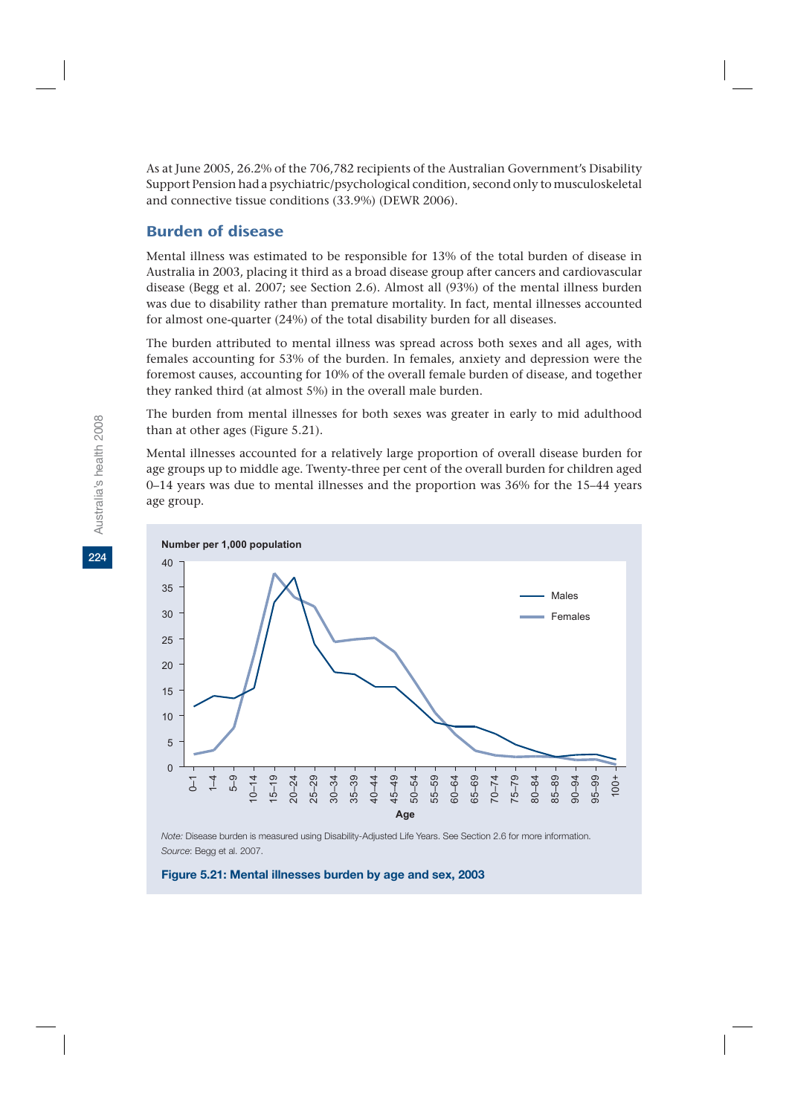As at June 2005, 26.2% of the 706,782 recipients of the Australian Government's Disability Support Pension had a psychiatric/psychological condition, second only to musculoskeletal and connective tissue conditions (33.9%) (DEWR 2006).

## Burden of disease

Mental illness was estimated to be responsible for 13% of the total burden of disease in Australia in 2003, placing it third as a broad disease group after cancers and cardiovascular disease (Begg et al. 2007; see Section 2.6). Almost all (93%) of the mental illness burden was due to disability rather than premature mortality. In fact, mental illnesses accounted for almost one-quarter (24%) of the total disability burden for all diseases.

The burden attributed to mental illness was spread across both sexes and all ages, with females accounting for 53% of the burden. In females, anxiety and depression were the foremost causes, accounting for 10% of the overall female burden of disease, and together they ranked third (at almost 5%) in the overall male burden.

The burden from mental illnesses for both sexes was greater in early to mid adulthood than at other ages (Figure 5.21).

Mental illnesses accounted for a relatively large proportion of overall disease burden for age groups up to middle age. Twenty-three per cent of the overall burden for children aged 0–14 years was due to mental illnesses and the proportion was 36% for the 15–44 years age group.



*Note:* Disease burden is measured using Disability-Adjusted Life Years. See Section 2.6 for more information. *Source*: Begg et al. 2007.

#### **Figure 5.21: Mental illnesses burden by age and sex, 2003**

**224**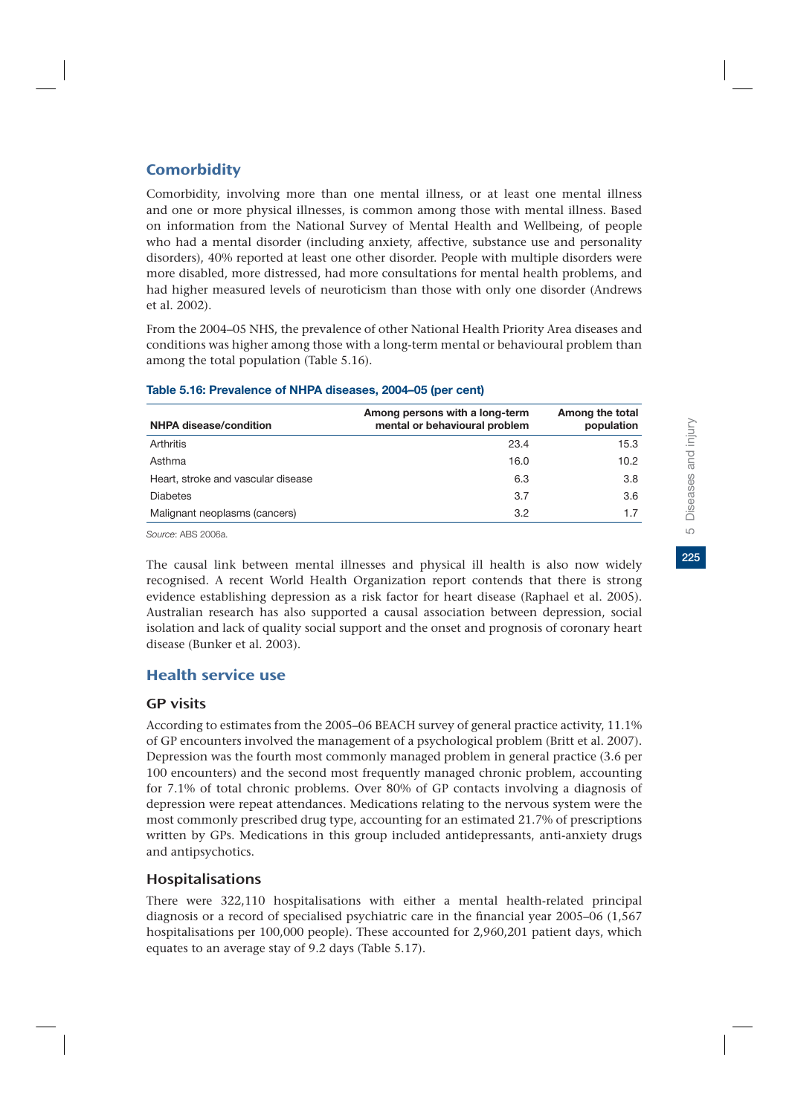## **Comorbidity**

Comorbidity, involving more than one mental illness, or at least one mental illness and one or more physical illnesses, is common among those with mental illness. Based on information from the National Survey of Mental Health and Wellbeing, of people who had a mental disorder (including anxiety, affective, substance use and personality disorders), 40% reported at least one other disorder. People with multiple disorders were more disabled, more distressed, had more consultations for mental health problems, and had higher measured levels of neuroticism than those with only one disorder (Andrews et al. 2002).

From the 2004–05 NHS, the prevalence of other National Health Priority Area diseases and conditions was higher among those with a long-term mental or behavioural problem than among the total population (Table 5.16).

| <b>NHPA disease/condition</b>      | Among persons with a long-term<br>mental or behavioural problem | Among the total<br>population |
|------------------------------------|-----------------------------------------------------------------|-------------------------------|
| Arthritis                          | 23.4                                                            | 15.3                          |
| Asthma                             | 16.0                                                            | 10.2                          |
| Heart, stroke and vascular disease | 6.3                                                             | 3.8                           |
| <b>Diabetes</b>                    | 3.7                                                             | 3.6                           |
| Malignant neoplasms (cancers)      | 3.2                                                             | 1.7                           |

#### **Table 5.16: Prevalence of NHPA diseases, 2004–05 (per cent)**

*Source*: ABS 2006a.

The causal link between mental illnesses and physical ill health is also now widely recognised. A recent World Health Organization report contends that there is strong evidence establishing depression as a risk factor for heart disease (Raphael et al. 2005). Australian research has also supported a causal association between depression, social isolation and lack of quality social support and the onset and prognosis of coronary heart disease (Bunker et al. 2003).

## Health service use

### GP visits

According to estimates from the 2005–06 BEACH survey of general practice activity, 11.1% of GP encounters involved the management of a psychological problem (Britt et al. 2007). Depression was the fourth most commonly managed problem in general practice (3.6 per 100 encounters) and the second most frequently managed chronic problem, accounting for 7.1% of total chronic problems. Over 80% of GP contacts involving a diagnosis of depression were repeat attendances. Medications relating to the nervous system were the most commonly prescribed drug type, accounting for an estimated 21.7% of prescriptions written by GPs. Medications in this group included antidepressants, anti-anxiety drugs and antipsychotics.

## Hospitalisations

There were 322,110 hospitalisations with either a mental health-related principal diagnosis or a record of specialised psychiatric care in the financial year 2005–06 (1,567 hospitalisations per 100,000 people). These accounted for 2,960,201 patient days, which equates to an average stay of 9.2 days (Table 5.17).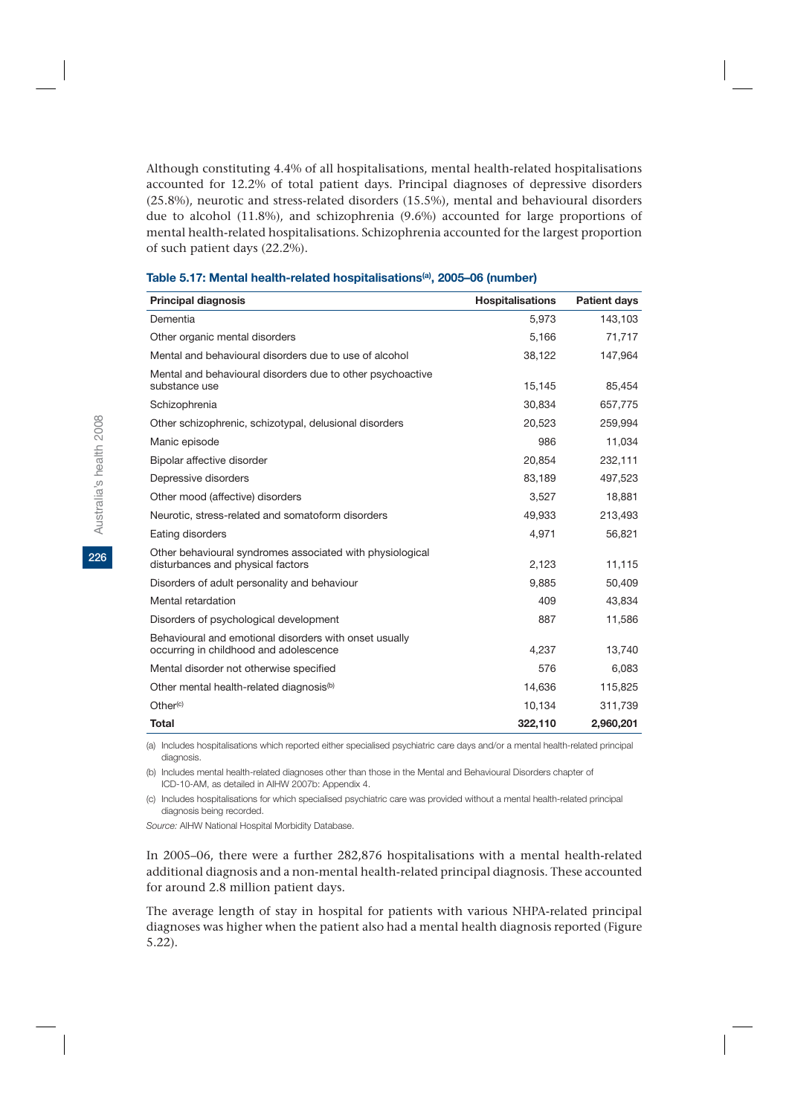Although constituting 4.4% of all hospitalisations, mental health-related hospitalisations accounted for 12.2% of total patient days. Principal diagnoses of depressive disorders (25.8%), neurotic and stress-related disorders (15.5%), mental and behavioural disorders due to alcohol (11.8%), and schizophrenia (9.6%) accounted for large proportions of mental health-related hospitalisations. Schizophrenia accounted for the largest proportion of such patient days (22.2%).

| <b>Principal diagnosis</b>                                                                       | <b>Hospitalisations</b> | <b>Patient days</b> |
|--------------------------------------------------------------------------------------------------|-------------------------|---------------------|
| Dementia                                                                                         | 5,973                   | 143,103             |
| Other organic mental disorders                                                                   | 5,166                   | 71,717              |
| Mental and behavioural disorders due to use of alcohol                                           | 38,122                  | 147,964             |
| Mental and behavioural disorders due to other psychoactive<br>substance use                      | 15,145                  | 85,454              |
| Schizophrenia                                                                                    | 30.834                  | 657,775             |
| Other schizophrenic, schizotypal, delusional disorders                                           | 20.523                  | 259,994             |
| Manic episode                                                                                    | 986                     | 11,034              |
| Bipolar affective disorder                                                                       | 20.854                  | 232,111             |
| Depressive disorders                                                                             | 83,189                  | 497,523             |
| Other mood (affective) disorders                                                                 | 3,527                   | 18,881              |
| Neurotic, stress-related and somatoform disorders                                                | 49.933                  | 213,493             |
| Eating disorders                                                                                 | 4,971                   | 56,821              |
| Other behavioural syndromes associated with physiological<br>disturbances and physical factors   | 2,123                   | 11,115              |
| Disorders of adult personality and behaviour                                                     | 9,885                   | 50,409              |
| Mental retardation                                                                               | 409                     | 43,834              |
| Disorders of psychological development                                                           | 887                     | 11,586              |
| Behavioural and emotional disorders with onset usually<br>occurring in childhood and adolescence | 4,237                   | 13,740              |
| Mental disorder not otherwise specified                                                          | 576                     | 6.083               |
| Other mental health-related diagnosis <sup>(b)</sup>                                             | 14,636                  | 115,825             |
| Other <sup>(c)</sup>                                                                             | 10,134                  | 311,739             |
| <b>Total</b>                                                                                     | 322,110                 | 2,960,201           |

#### **Table 5.17: Mental health-related hospitalisations(a), 2005–06 (number)**

(a) Includes hospitalisations which reported either specialised psychiatric care days and/or a mental health-related principal diagnosis.

(b) Includes mental health-related diagnoses other than those in the Mental and Behavioural Disorders chapter of ICD-10-AM, as detailed in AIHW 2007b: Appendix 4.

(c) Includes hospitalisations for which specialised psychiatric care was provided without a mental health-related principal diagnosis being recorded.

*Source:* AIHW National Hospital Morbidity Database.

In 2005–06, there were a further 282,876 hospitalisations with a mental health-related additional diagnosis and a non-mental health-related principal diagnosis. These accounted for around 2.8 million patient days.

The average length of stay in hospital for patients with various NHPA-related principal diagnoses was higher when the patient also had a mental health diagnosis reported (Figure 5.22).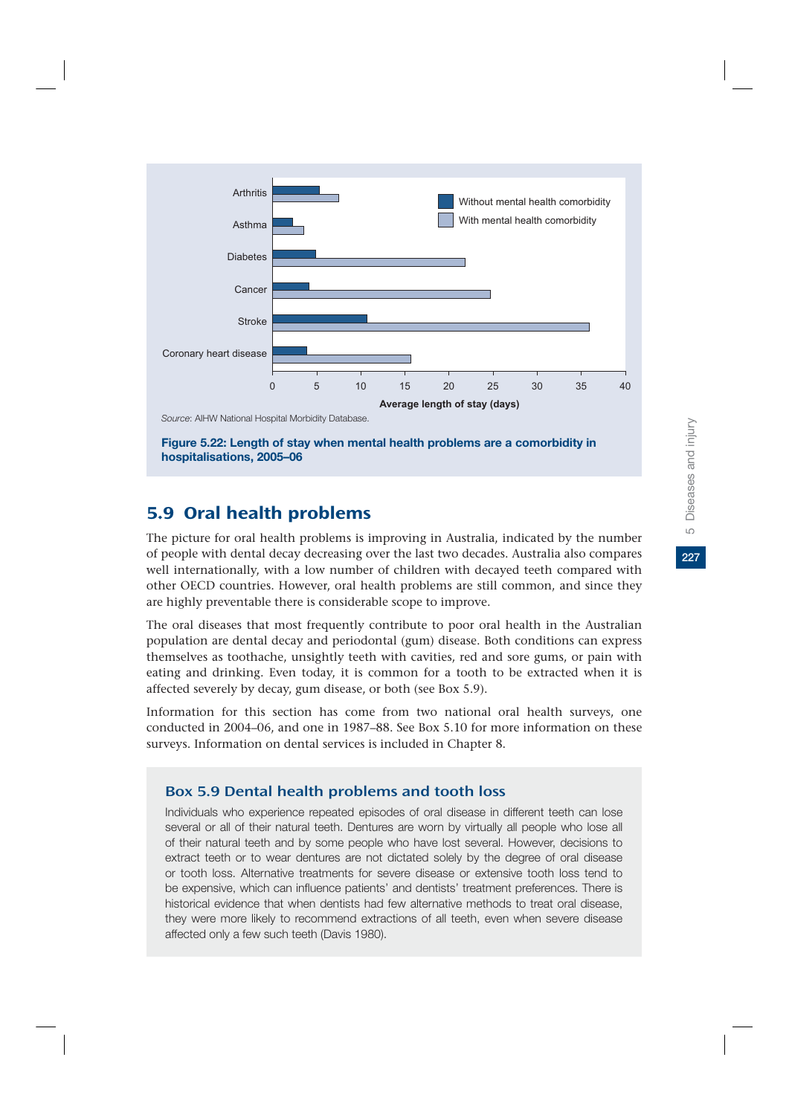

**Figure 5.22: Length of stay when mental health problems are a comorbidity in hospitalisations, 2005–06**

# 5.9 Oral health problems

The picture for oral health problems is improving in Australia, indicated by the number of people with dental decay decreasing over the last two decades. Australia also compares well internationally, with a low number of children with decayed teeth compared with other OECD countries. However, oral health problems are still common, and since they are highly preventable there is considerable scope to improve.

The oral diseases that most frequently contribute to poor oral health in the Australian population are dental decay and periodontal (gum) disease. Both conditions can express themselves as toothache, unsightly teeth with cavities, red and sore gums, or pain with eating and drinking. Even today, it is common for a tooth to be extracted when it is affected severely by decay, gum disease, or both (see Box 5.9).

Information for this section has come from two national oral health surveys, one conducted in 2004–06, and one in 1987–88. See Box 5.10 for more information on these surveys. Information on dental services is included in Chapter 8.

## Box 5.9 Dental health problems and tooth loss

Individuals who experience repeated episodes of oral disease in different teeth can lose several or all of their natural teeth. Dentures are worn by virtually all people who lose all of their natural teeth and by some people who have lost several. However, decisions to extract teeth or to wear dentures are not dictated solely by the degree of oral disease or tooth loss. Alternative treatments for severe disease or extensive tooth loss tend to be expensive, which can influence patients' and dentists' treatment preferences. There is historical evidence that when dentists had few alternative methods to treat oral disease, they were more likely to recommend extractions of all teeth, even when severe disease affected only a few such teeth (Davis 1980).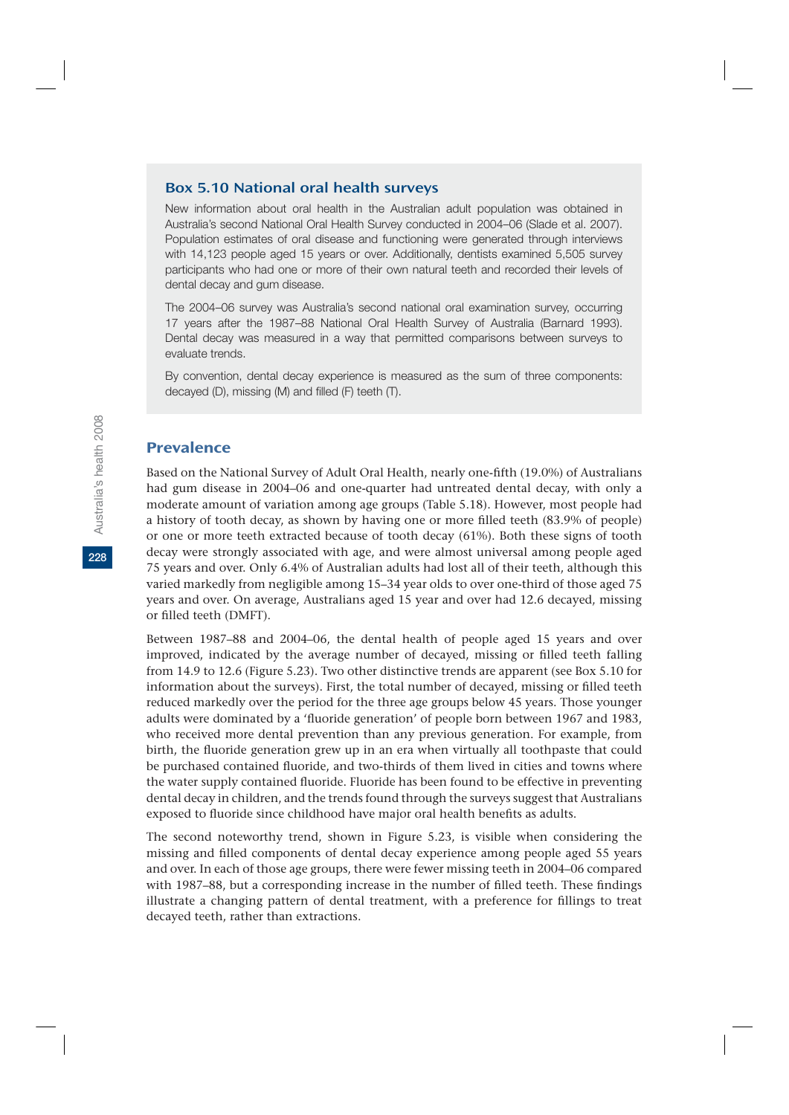### Box 5.10 National oral health surveys

New information about oral health in the Australian adult population was obtained in Australia's second National Oral Health Survey conducted in 2004–06 (Slade et al. 2007). Population estimates of oral disease and functioning were generated through interviews with 14,123 people aged 15 years or over. Additionally, dentists examined 5,505 survey participants who had one or more of their own natural teeth and recorded their levels of dental decay and gum disease.

The 2004–06 survey was Australia's second national oral examination survey, occurring 17 years after the 1987–88 National Oral Health Survey of Australia (Barnard 1993). Dental decay was measured in a way that permitted comparisons between surveys to evaluate trends.

By convention, dental decay experience is measured as the sum of three components: decayed (D), missing (M) and filled (F) teeth (T).

### Prevalence

Based on the National Survey of Adult Oral Health, nearly one-fifth (19.0%) of Australians had gum disease in 2004–06 and one-quarter had untreated dental decay, with only a moderate amount of variation among age groups (Table 5.18). However, most people had a history of tooth decay, as shown by having one or more filled teeth (83.9% of people) or one or more teeth extracted because of tooth decay (61%). Both these signs of tooth decay were strongly associated with age, and were almost universal among people aged 75 years and over. Only 6.4% of Australian adults had lost all of their teeth, although this varied markedly from negligible among 15–34 year olds to over one-third of those aged 75 years and over. On average, Australians aged 15 year and over had 12.6 decayed, missing or filled teeth (DMFT).

Between 1987–88 and 2004–06, the dental health of people aged 15 years and over improved, indicated by the average number of decayed, missing or filled teeth falling from 14.9 to 12.6 (Figure 5.23). Two other distinctive trends are apparent (see Box 5.10 for information about the surveys). First, the total number of decayed, missing or filled teeth reduced markedly over the period for the three age groups below 45 years. Those younger adults were dominated by a 'fluoride generation' of people born between 1967 and 1983, who received more dental prevention than any previous generation. For example, from birth, the fluoride generation grew up in an era when virtually all toothpaste that could be purchased contained fluoride, and two-thirds of them lived in cities and towns where the water supply contained fluoride. Fluoride has been found to be effective in preventing dental decay in children, and the trends found through the surveys suggest that Australians exposed to fluoride since childhood have major oral health benefits as adults.

The second noteworthy trend, shown in Figure 5.23, is visible when considering the missing and filled components of dental decay experience among people aged 55 years and over. In each of those age groups, there were fewer missing teeth in 2004–06 compared with 1987–88, but a corresponding increase in the number of filled teeth. These findings illustrate a changing pattern of dental treatment, with a preference for fillings to treat decayed teeth, rather than extractions.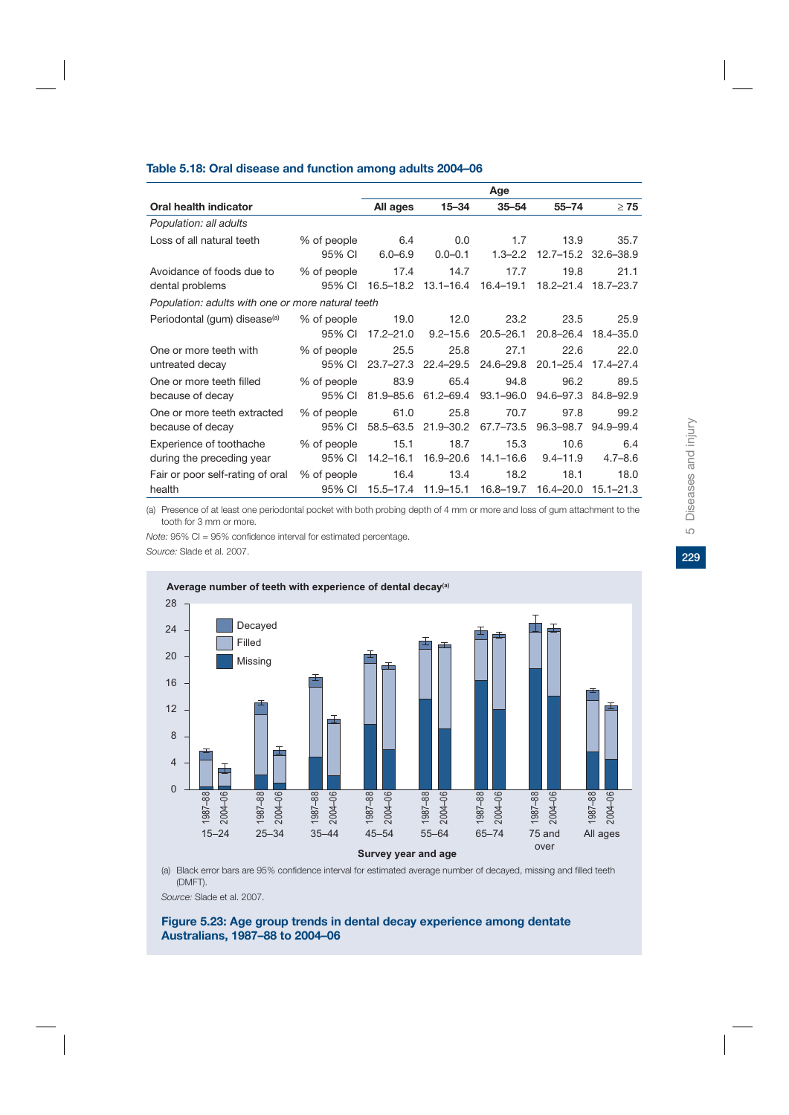#### **Table 5.18: Oral disease and function among adults 2004–06**

|                                                   |             |               |                     | Age           |               |               |
|---------------------------------------------------|-------------|---------------|---------------------|---------------|---------------|---------------|
| Oral health indicator                             |             | All ages      | $15 - 34$           | $35 - 54$     | $55 - 74$     | $\geq 75$     |
| Population: all adults                            |             |               |                     |               |               |               |
| Loss of all natural teeth                         | % of people | 6.4           | 0.0                 | 1.7           | 13.9          | 35.7          |
|                                                   | 95% CI      | $6.0 - 6.9$   | $0.0 - 0.1$         | $1.3 - 2.2$   | $12.7 - 15.2$ | 32.6-38.9     |
| Avoidance of foods due to                         | % of people | 17.4          | 14.7                | 17.7          | 19.8          | 21.1          |
| dental problems                                   | 95% CI      | $16.5 - 18.2$ | $13.1 - 16.4$       | $16.4 - 19.1$ | 18.2-21.4     | $18.7 - 23.7$ |
| Population: adults with one or more natural teeth |             |               |                     |               |               |               |
| Periodontal (gum) disease <sup>(a)</sup>          | % of people | 19.0          | 12.0                | 23.2          | 23.5          | 25.9          |
|                                                   | 95% CI      | $17.2 - 21.0$ | $9.2 - 15.6$        | $20.5 - 26.1$ | $20.8 - 26.4$ | 18.4-35.0     |
| One or more teeth with                            | % of people | 25.5          | 25.8                | 27.1          | 22.6          | 22.0          |
| untreated decay                                   | 95% CI      | $23.7 - 27.3$ | $22.4 - 29.5$       | 24.6-29.8     | $20.1 - 25.4$ | 17.4-27.4     |
| One or more teeth filled                          | % of people | 83.9          | 65.4                | 94.8          | 96.2          | 89.5          |
| because of decay                                  | 95% CI      | $81.9 - 85.6$ | 61.2-69.4           | $93.1 - 96.0$ | 94.6–97.3     | 84.8-92.9     |
| One or more teeth extracted                       | % of people | 61.0          | 25.8                | 70.7          | 97.8          | 99.2          |
| because of decay                                  | 95% CI      | 58.5-63.5     | $21.9 - 30.2$       | 67.7-73.5     | 96.3-98.7     | 94.9-99.4     |
| Experience of toothache                           | % of people | 15.1          | 18.7                | 15.3          | 10.6          | 6.4           |
| during the preceding year                         | 95% CI      | $14.2 - 16.1$ | 16.9-20.6           | 14.1–16.6     | $9.4 - 11.9$  | $4.7 - 8.6$   |
| Fair or poor self-rating of oral                  | % of people | 16.4          | 13.4                | 18.2          | 18.1          | 18.0          |
| health                                            | 95% CI      |               | 15.5-17.4 11.9-15.1 | 16.8–19.7     | 16.4–20.0     | $15.1 - 21.3$ |

(a) Presence of at least one periodontal pocket with both probing depth of 4 mm or more and loss of gum attachment to the tooth for 3 mm or more.

*Note:* 95% CI = 95% confidence interval for estimated percentage. *Source:* Slade et al. 2007.



(a) Black error bars are 95% confidence interval for estimated average number of decayed, missing and filled teeth (DMFT).

*Source:* Slade et al. 2007.

**Figure 5.23: Age group trends in dental decay experience among dentate Australians, 1987–88 to 2004–06**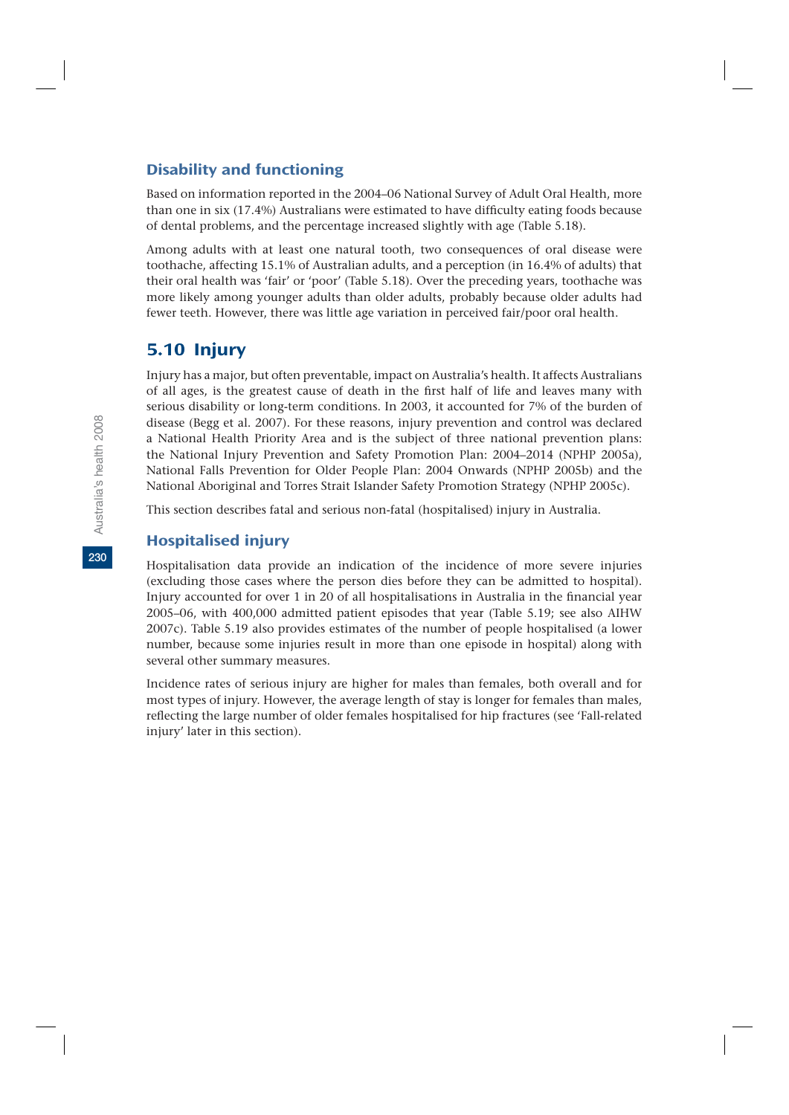### Disability and functioning

Based on information reported in the 2004–06 National Survey of Adult Oral Health, more than one in six (17.4%) Australians were estimated to have difficulty eating foods because of dental problems, and the percentage increased slightly with age (Table 5.18).

Among adults with at least one natural tooth, two consequences of oral disease were toothache, affecting 15.1% of Australian adults, and a perception (in 16.4% of adults) that their oral health was 'fair' or 'poor' (Table 5.18). Over the preceding years, toothache was more likely among younger adults than older adults, probably because older adults had fewer teeth. However, there was little age variation in perceived fair/poor oral health.

# 5.10 Injury

Injury has a major, but often preventable, impact on Australia's health. It affects Australians of all ages, is the greatest cause of death in the first half of life and leaves many with serious disability or long-term conditions. In 2003, it accounted for 7% of the burden of disease (Begg et al. 2007). For these reasons, injury prevention and control was declared a National Health Priority Area and is the subject of three national prevention plans: the National Injury Prevention and Safety Promotion Plan: 2004–2014 (NPHP 2005a), National Falls Prevention for Older People Plan: 2004 Onwards (NPHP 2005b) and the National Aboriginal and Torres Strait Islander Safety Promotion Strategy (NPHP 2005c).

This section describes fatal and serious non-fatal (hospitalised) injury in Australia.

## Hospitalised injury

Hospitalisation data provide an indication of the incidence of more severe injuries (excluding those cases where the person dies before they can be admitted to hospital). Injury accounted for over 1 in 20 of all hospitalisations in Australia in the financial year 2005–06, with 400,000 admitted patient episodes that year (Table 5.19; see also AIHW 2007c). Table 5.19 also provides estimates of the number of people hospitalised (a lower number, because some injuries result in more than one episode in hospital) along with several other summary measures.

Incidence rates of serious injury are higher for males than females, both overall and for most types of injury. However, the average length of stay is longer for females than males, reflecting the large number of older females hospitalised for hip fractures (see 'Fall-related injury' later in this section).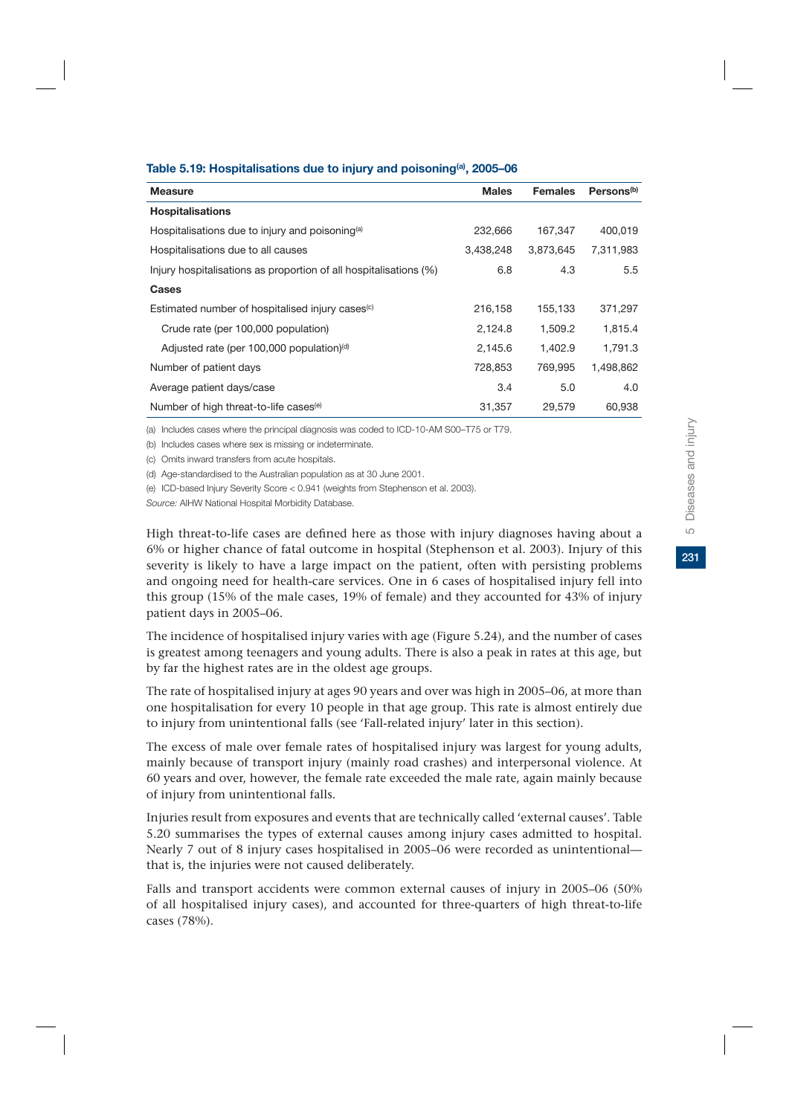| Table 5.19: Hospitalisations due to injury and poisoning <sup>(a)</sup> , 2005-06 |  |  |  |
|-----------------------------------------------------------------------------------|--|--|--|
|-----------------------------------------------------------------------------------|--|--|--|

| <b>Measure</b>                                                    | <b>Males</b> | <b>Females</b> | Persons <sup>(b)</sup> |
|-------------------------------------------------------------------|--------------|----------------|------------------------|
| <b>Hospitalisations</b>                                           |              |                |                        |
| Hospitalisations due to injury and poisoning <sup>(a)</sup>       | 232,666      | 167,347        | 400,019                |
| Hospitalisations due to all causes                                | 3,438,248    | 3,873,645      | 7,311,983              |
| Injury hospitalisations as proportion of all hospitalisations (%) | 6.8          | 4.3            | 5.5                    |
| <b>Cases</b>                                                      |              |                |                        |
| Estimated number of hospitalised injury cases <sup>(c)</sup>      | 216,158      | 155,133        | 371,297                |
| Crude rate (per 100,000 population)                               | 2,124.8      | 1,509.2        | 1,815.4                |
| Adjusted rate (per 100,000 population) <sup>(d)</sup>             | 2,145.6      | 1,402.9        | 1,791.3                |
| Number of patient days                                            | 728,853      | 769,995        | 1,498,862              |
| Average patient days/case                                         | 3.4          | 5.0            | 4.0                    |
| Number of high threat-to-life cases <sup>(e)</sup>                | 31,357       | 29.579         | 60.938                 |

(a) Includes cases where the principal diagnosis was coded to ICD-10-AM S00–T75 or T79.

(b) Includes cases where sex is missing or indeterminate.

(c) Omits inward transfers from acute hospitals.

(d) Age-standardised to the Australian population as at 30 June 2001.

(e) ICD-based Injury Severity Score < 0.941 (weights from Stephenson et al. 2003).

*Source:* AIHW National Hospital Morbidity Database.

High threat-to-life cases are defined here as those with injury diagnoses having about a 6% or higher chance of fatal outcome in hospital (Stephenson et al. 2003). Injury of this severity is likely to have a large impact on the patient, often with persisting problems and ongoing need for health-care services. One in 6 cases of hospitalised injury fell into this group (15% of the male cases, 19% of female) and they accounted for 43% of injury patient days in 2005–06.

The incidence of hospitalised injury varies with age (Figure 5.24), and the number of cases is greatest among teenagers and young adults. There is also a peak in rates at this age, but by far the highest rates are in the oldest age groups.

The rate of hospitalised injury at ages 90 years and over was high in 2005–06, at more than one hospitalisation for every 10 people in that age group. This rate is almost entirely due to injury from unintentional falls (see 'Fall-related injury' later in this section).

The excess of male over female rates of hospitalised injury was largest for young adults, mainly because of transport injury (mainly road crashes) and interpersonal violence. At 60 years and over, however, the female rate exceeded the male rate, again mainly because of injury from unintentional falls.

Injuries result from exposures and events that are technically called 'external causes'. Table 5.20 summarises the types of external causes among injury cases admitted to hospital. Nearly 7 out of 8 injury cases hospitalised in 2005–06 were recorded as unintentional that is, the injuries were not caused deliberately.

Falls and transport accidents were common external causes of injury in 2005–06 (50% of all hospitalised injury cases), and accounted for three-quarters of high threat-to-life cases (78%).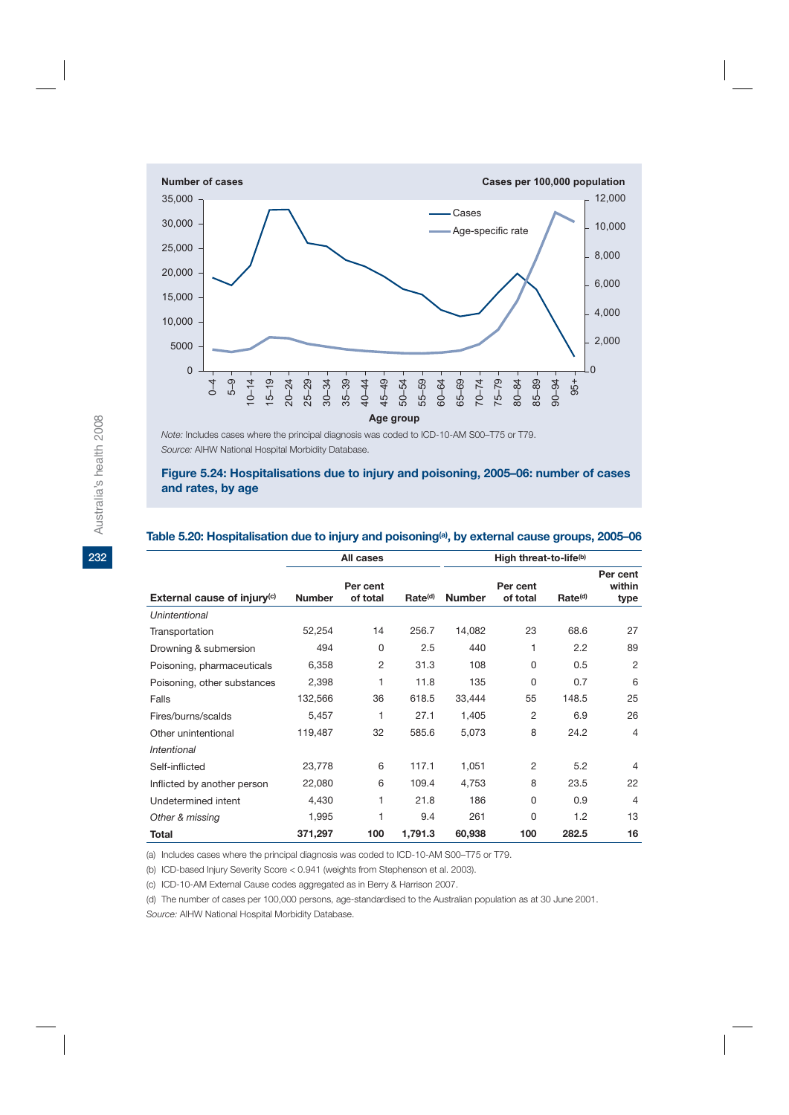

*Note:* Includes cases where the principal diagnosis was coded to ICD-10-AM S00–T75 or T79. *Source:* AIHW National Hospital Morbidity Database.

**Figure 5.24: Hospitalisations due to injury and poisoning, 2005–06: number of cases and rates, by age**

|                                | All cases     |                      |                     | High threat-to-life <sup>(b)</sup> |                      |                     |                            |  |
|--------------------------------|---------------|----------------------|---------------------|------------------------------------|----------------------|---------------------|----------------------------|--|
| External cause of injury $(c)$ | <b>Number</b> | Per cent<br>of total | Rate <sup>(d)</sup> | <b>Number</b>                      | Per cent<br>of total | Rate <sup>(d)</sup> | Per cent<br>within<br>type |  |
| Unintentional                  |               |                      |                     |                                    |                      |                     |                            |  |
| Transportation                 | 52,254        | 14                   | 256.7               | 14,082                             | 23                   | 68.6                | 27                         |  |
| Drowning & submersion          | 494           | 0                    | 2.5                 | 440                                | 1                    | 2.2                 | 89                         |  |
| Poisoning, pharmaceuticals     | 6,358         | $\overline{2}$       | 31.3                | 108                                | 0                    | 0.5                 | 2                          |  |
| Poisoning, other substances    | 2,398         | 1                    | 11.8                | 135                                | $\Omega$             | 0.7                 | 6                          |  |
| Falls                          | 132,566       | 36                   | 618.5               | 33,444                             | 55                   | 148.5               | 25                         |  |
| Fires/burns/scalds             | 5,457         | 1                    | 27.1                | 1,405                              | $\overline{2}$       | 6.9                 | 26                         |  |
| Other unintentional            | 119,487       | 32                   | 585.6               | 5,073                              | 8                    | 24.2                | $\overline{4}$             |  |
| Intentional                    |               |                      |                     |                                    |                      |                     |                            |  |
| Self-inflicted                 | 23,778        | 6                    | 117.1               | 1,051                              | $\overline{2}$       | 5.2                 | $\overline{4}$             |  |
| Inflicted by another person    | 22,080        | 6                    | 109.4               | 4,753                              | 8                    | 23.5                | 22                         |  |
| Undetermined intent            | 4,430         | 1                    | 21.8                | 186                                | $\Omega$             | 0.9                 | 4                          |  |
| Other & missing                | 1,995         | 1                    | 9.4                 | 261                                | $\Omega$             | 1.2                 | 13                         |  |
| <b>Total</b>                   | 371,297       | 100                  | 1,791.3             | 60,938                             | 100                  | 282.5               | 16                         |  |

#### Table 5.20: Hospitalisation due to injury and poisoning<sup>(a)</sup>, by external cause groups, 2005–06

(a) Includes cases where the principal diagnosis was coded to ICD-10-AM S00–T75 or T79.

(b) ICD-based Injury Severity Score < 0.941 (weights from Stephenson et al. 2003).

(c) ICD-10-AM External Cause codes aggregated as in Berry & Harrison 2007.

(d) The number of cases per 100,000 persons, age-standardised to the Australian population as at 30 June 2001.

*Source:* AIHW National Hospital Morbidity Database.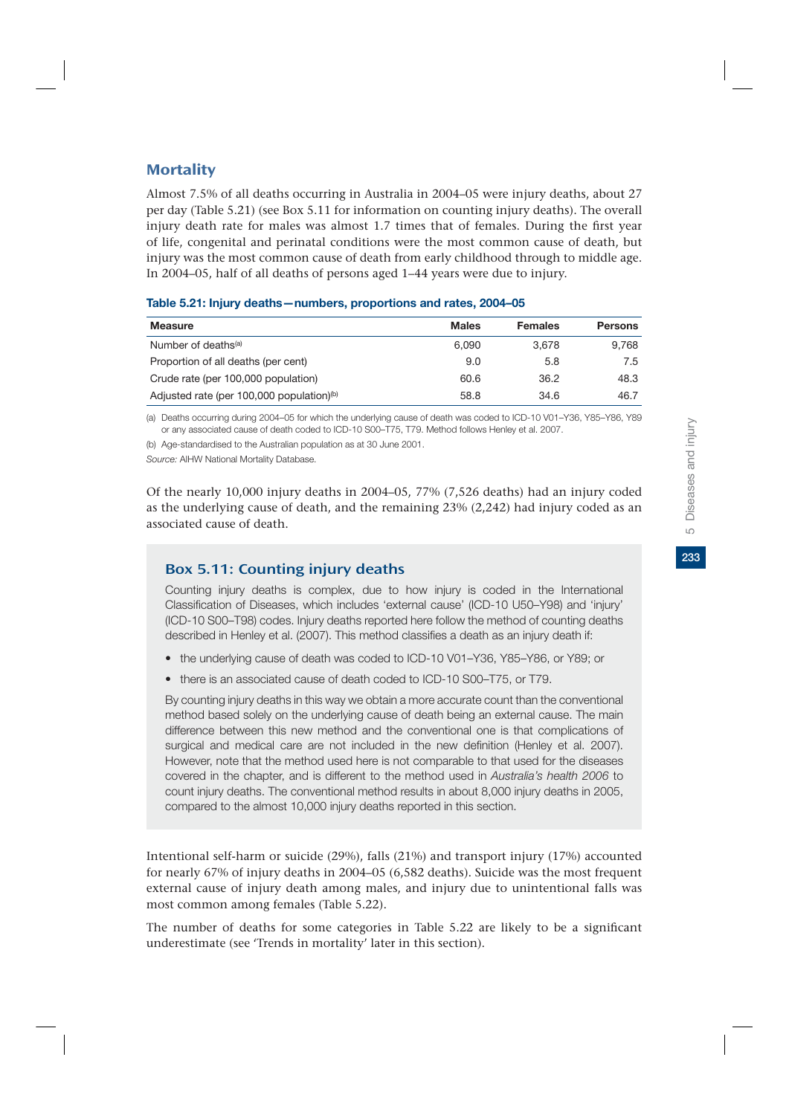Almost 7.5% of all deaths occurring in Australia in 2004–05 were injury deaths, about 27 per day (Table 5.21) (see Box 5.11 for information on counting injury deaths). The overall injury death rate for males was almost 1.7 times that of females. During the first year of life, congenital and perinatal conditions were the most common cause of death, but injury was the most common cause of death from early childhood through to middle age. In 2004–05, half of all deaths of persons aged 1–44 years were due to injury.

| <b>Measure</b>                                        | <b>Males</b> | <b>Females</b> | <b>Persons</b> |
|-------------------------------------------------------|--------------|----------------|----------------|
| Number of deaths <sup>(a)</sup>                       | 6.090        | 3.678          | 9.768          |
| Proportion of all deaths (per cent)                   | 9.0          | 5.8            | 7.5            |
| Crude rate (per 100,000 population)                   | 60.6         | 36.2           | 48.3           |
| Adjusted rate (per 100,000 population) <sup>(b)</sup> | 58.8         | 34.6           | 46.7           |

#### **Table 5.21: Injury deaths—numbers, proportions and rates, 2004–05**

(a) Deaths occurring during 2004–05 for which the underlying cause of death was coded to ICD-10 V01–Y36, Y85–Y86, Y89 or any associated cause of death coded to ICD-10 S00–T75, T79. Method follows Henley et al. 2007.

(b) Age-standardised to the Australian population as at 30 June 2001.

*Source:* AIHW National Mortality Database.

Of the nearly 10,000 injury deaths in 2004–05, 77% (7,526 deaths) had an injury coded as the underlying cause of death, and the remaining 23% (2,242) had injury coded as an associated cause of death.

## Box 5.11: Counting injury deaths

Counting injury deaths is complex, due to how injury is coded in the International Classification of Diseases, which includes 'external cause' (ICD-10 U50–Y98) and 'injury' (ICD-10 S00–T98) codes. Injury deaths reported here follow the method of counting deaths described in Henley et al. (2007). This method classifies a death as an injury death if:

- the underlying cause of death was coded to ICD-10 V01–Y36, Y85–Y86, or Y89; or
- there is an associated cause of death coded to ICD-10 S00–T75, or T79.

By counting injury deaths in this way we obtain a more accurate count than the conventional method based solely on the underlying cause of death being an external cause. The main difference between this new method and the conventional one is that complications of surgical and medical care are not included in the new definition (Henley et al. 2007). However, note that the method used here is not comparable to that used for the diseases covered in the chapter, and is different to the method used in *Australia's health 2006* to count injury deaths. The conventional method results in about 8,000 injury deaths in 2005, compared to the almost 10,000 injury deaths reported in this section.

Intentional self-harm or suicide (29%), falls (21%) and transport injury (17%) accounted for nearly 67% of injury deaths in 2004–05 (6,582 deaths). Suicide was the most frequent external cause of injury death among males, and injury due to unintentional falls was most common among females (Table 5.22).

The number of deaths for some categories in Table 5.22 are likely to be a significant underestimate (see 'Trends in mortality' later in this section).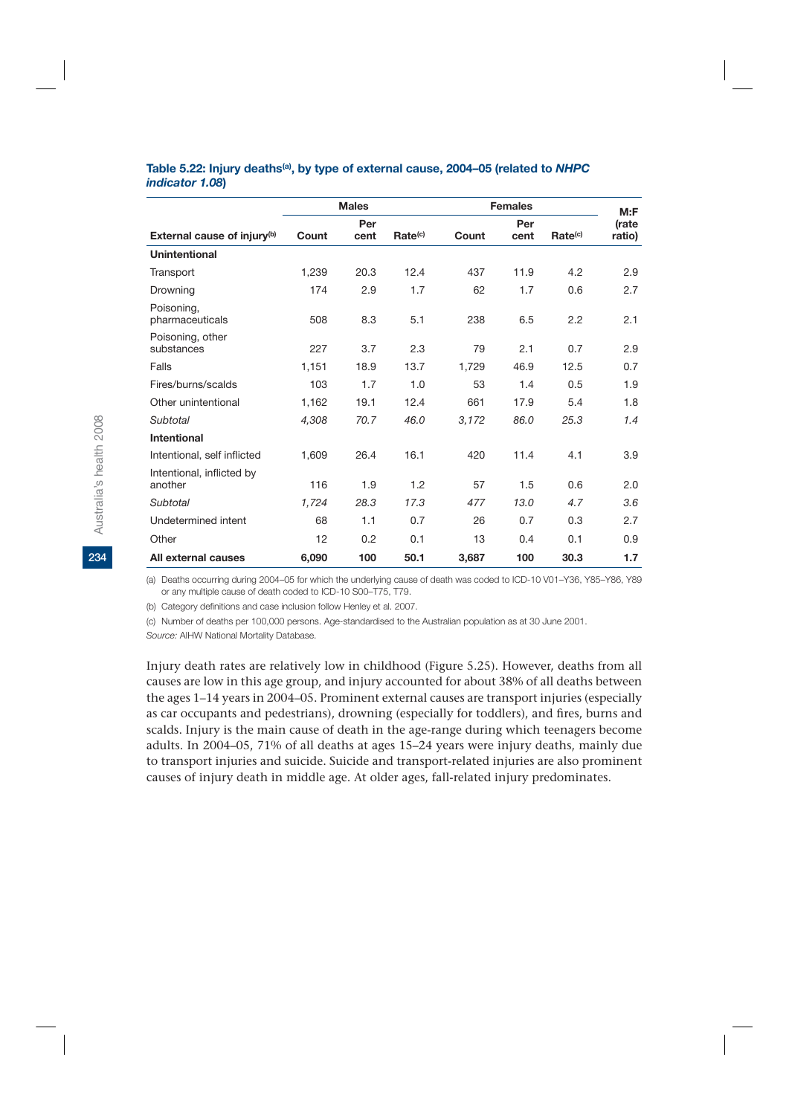#### **Table 5.22: Injury deaths(a), by type of external cause, 2004–05 (related to** *NHPC indicator 1.08***)**

|                                         | <b>Males</b> |      | <b>Females</b>      |       |      | M: F                |        |
|-----------------------------------------|--------------|------|---------------------|-------|------|---------------------|--------|
|                                         |              | Per  |                     |       | Per  |                     | (rate  |
| External cause of injury <sup>(b)</sup> | Count        | cent | Rate <sup>(c)</sup> | Count | cent | Rate <sup>(c)</sup> | ratio) |
| <b>Unintentional</b>                    |              |      |                     |       |      |                     |        |
| Transport                               | 1,239        | 20.3 | 12.4                | 437   | 11.9 | 4.2                 | 2.9    |
| Drowning                                | 174          | 2.9  | 1.7                 | 62    | 1.7  | 0.6                 | 2.7    |
| Poisoning,<br>pharmaceuticals           | 508          | 8.3  | 5.1                 | 238   | 6.5  | 2.2                 | 2.1    |
| Poisoning, other<br>substances          | 227          | 3.7  | 2.3                 | 79    | 2.1  | 0.7                 | 2.9    |
| Falls                                   | 1.151        | 18.9 | 13.7                | 1.729 | 46.9 | 12.5                | 0.7    |
| Fires/burns/scalds                      | 103          | 1.7  | 1.0                 | 53    | 1.4  | 0.5                 | 1.9    |
| Other unintentional                     | 1.162        | 19.1 | 12.4                | 661   | 17.9 | 5.4                 | 1.8    |
| Subtotal                                | 4,308        | 70.7 | 46.0                | 3,172 | 86.0 | 25.3                | 1.4    |
| <b>Intentional</b>                      |              |      |                     |       |      |                     |        |
| Intentional, self inflicted             | 1.609        | 26.4 | 16.1                | 420   | 11.4 | 4.1                 | 3.9    |
| Intentional, inflicted by<br>another    | 116          | 1.9  | 1.2                 | 57    | 1.5  | 0.6                 | 2.0    |
| Subtotal                                | 1,724        | 28.3 | 17.3                | 477   | 13.0 | 4.7                 | 3.6    |
| Undetermined intent                     | 68           | 1.1  | 0.7                 | 26    | 0.7  | 0.3                 | 2.7    |
| Other                                   | 12           | 0.2  | 0.1                 | 13    | 0.4  | 0.1                 | 0.9    |
| All external causes                     | 6,090        | 100  | 50.1                | 3,687 | 100  | 30.3                | 1.7    |

(a) Deaths occurring during 2004–05 for which the underlying cause of death was coded to ICD-10 V01–Y36, Y85–Y86, Y89 or any multiple cause of death coded to ICD-10 S00–T75, T79.

(b) Category definitions and case inclusion follow Henley et al. 2007.

(c) Number of deaths per 100,000 persons. Age-standardised to the Australian population as at 30 June 2001.

*Source:* AIHW National Mortality Database.

Injury death rates are relatively low in childhood (Figure 5.25). However, deaths from all causes are low in this age group, and injury accounted for about 38% of all deaths between the ages 1–14 years in 2004–05. Prominent external causes are transport injuries (especially as car occupants and pedestrians), drowning (especially for toddlers), and fires, burns and scalds. Injury is the main cause of death in the age-range during which teenagers become adults. In 2004–05, 71% of all deaths at ages 15–24 years were injury deaths, mainly due to transport injuries and suicide. Suicide and transport-related injuries are also prominent causes of injury death in middle age. At older ages, fall-related injury predominates.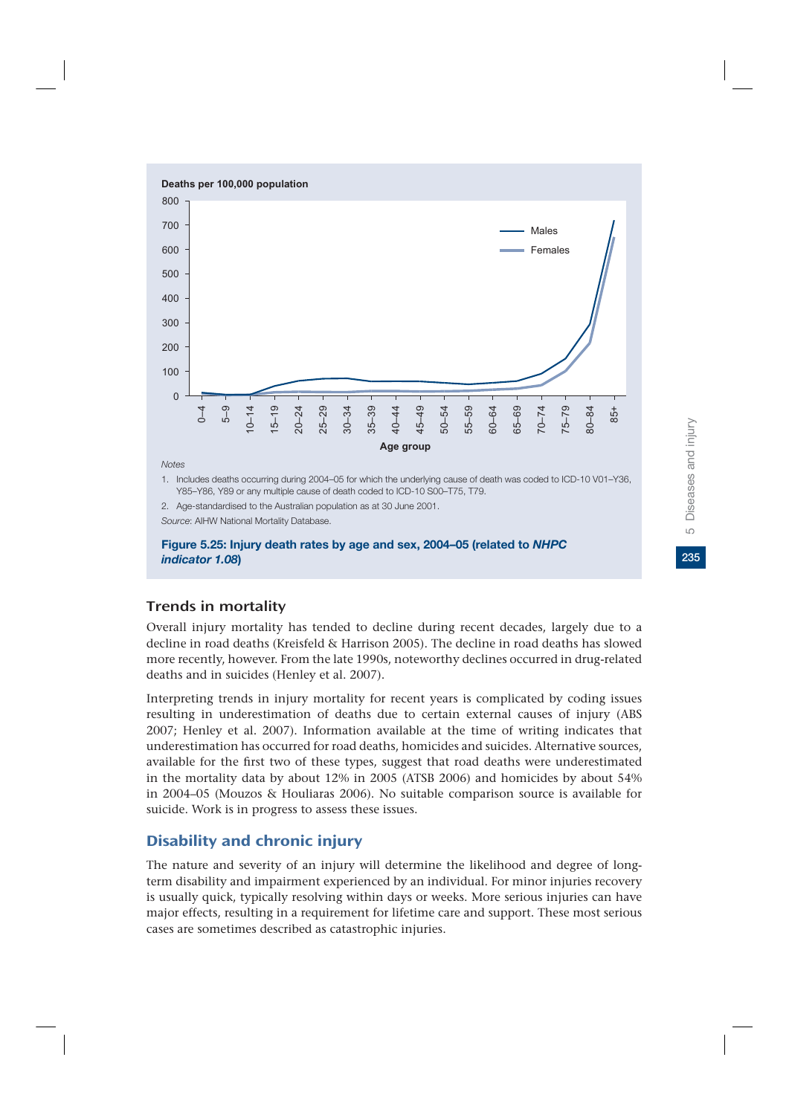

*indicator 1.08***)**

## Trends in mortality

Overall injury mortality has tended to decline during recent decades, largely due to a decline in road deaths (Kreisfeld & Harrison 2005). The decline in road deaths has slowed more recently, however. From the late 1990s, noteworthy declines occurred in drug-related deaths and in suicides (Henley et al. 2007).

Interpreting trends in injury mortality for recent years is complicated by coding issues resulting in underestimation of deaths due to certain external causes of injury (ABS 2007; Henley et al. 2007). Information available at the time of writing indicates that underestimation has occurred for road deaths, homicides and suicides. Alternative sources, available for the first two of these types, suggest that road deaths were underestimated in the mortality data by about 12% in 2005 (ATSB 2006) and homicides by about 54% in 2004–05 (Mouzos & Houliaras 2006). No suitable comparison source is available for suicide. Work is in progress to assess these issues.

## Disability and chronic injury

The nature and severity of an injury will determine the likelihood and degree of longterm disability and impairment experienced by an individual. For minor injuries recovery is usually quick, typically resolving within days or weeks. More serious injuries can have major effects, resulting in a requirement for lifetime care and support. These most serious cases are sometimes described as catastrophic injuries.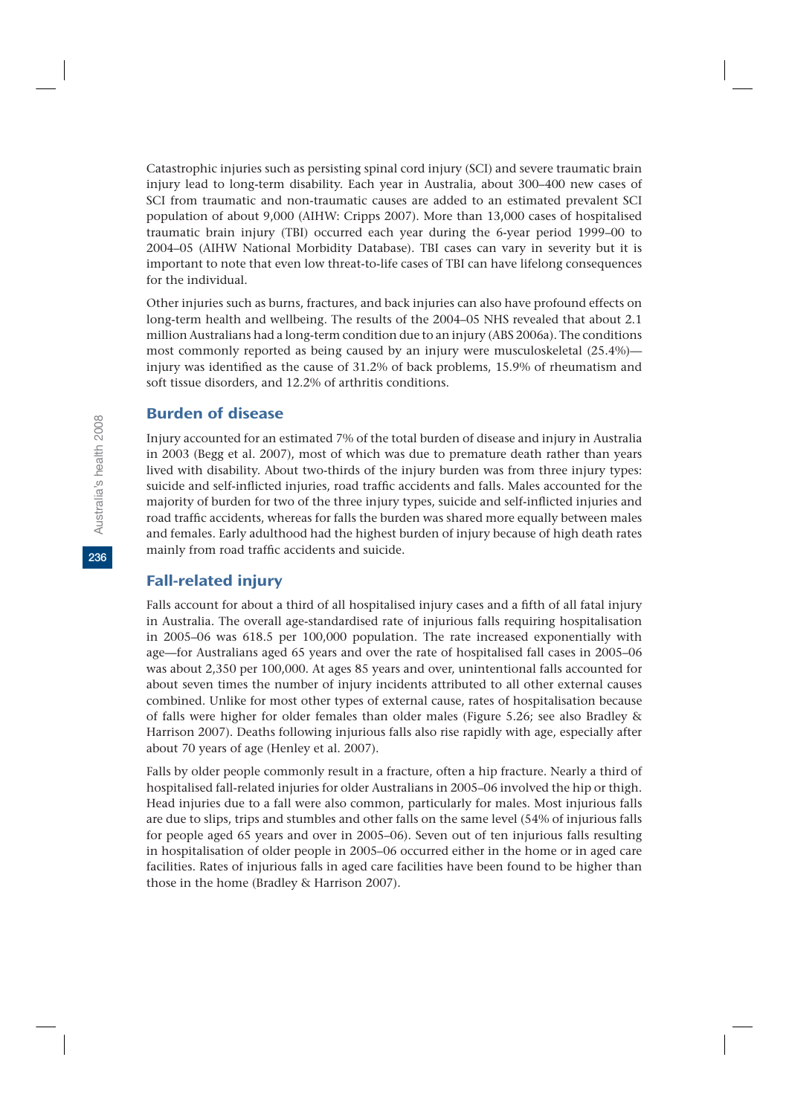Catastrophic injuries such as persisting spinal cord injury (SCI) and severe traumatic brain injury lead to long-term disability. Each year in Australia, about 300–400 new cases of SCI from traumatic and non-traumatic causes are added to an estimated prevalent SCI population of about 9,000 (AIHW: Cripps 2007). More than 13,000 cases of hospitalised traumatic brain injury (TBI) occurred each year during the 6-year period 1999–00 to 2004–05 (AIHW National Morbidity Database). TBI cases can vary in severity but it is important to note that even low threat-to-life cases of TBI can have lifelong consequences for the individual.

Other injuries such as burns, fractures, and back injuries can also have profound effects on long-term health and wellbeing. The results of the 2004–05 NHS revealed that about 2.1 million Australians had a long-term condition due to an injury (ABS 2006a). The conditions most commonly reported as being caused by an injury were musculoskeletal (25.4%) injury was identified as the cause of 31.2% of back problems, 15.9% of rheumatism and soft tissue disorders, and 12.2% of arthritis conditions.

### Burden of disease

Injury accounted for an estimated 7% of the total burden of disease and injury in Australia in 2003 (Begg et al. 2007), most of which was due to premature death rather than years lived with disability. About two-thirds of the injury burden was from three injury types: suicide and self-inflicted injuries, road traffic accidents and falls. Males accounted for the majority of burden for two of the three injury types, suicide and self-inflicted injuries and road traffic accidents, whereas for falls the burden was shared more equally between males and females. Early adulthood had the highest burden of injury because of high death rates mainly from road traffic accidents and suicide.

### Fall-related injury

Falls account for about a third of all hospitalised injury cases and a fifth of all fatal injury in Australia. The overall age-standardised rate of injurious falls requiring hospitalisation in 2005–06 was 618.5 per 100,000 population. The rate increased exponentially with age—for Australians aged 65 years and over the rate of hospitalised fall cases in 2005–06 was about 2,350 per 100,000. At ages 85 years and over, unintentional falls accounted for about seven times the number of injury incidents attributed to all other external causes combined. Unlike for most other types of external cause, rates of hospitalisation because of falls were higher for older females than older males (Figure 5.26; see also Bradley & Harrison 2007). Deaths following injurious falls also rise rapidly with age, especially after about 70 years of age (Henley et al. 2007).

Falls by older people commonly result in a fracture, often a hip fracture. Nearly a third of hospitalised fall-related injuries for older Australians in 2005–06 involved the hip or thigh. Head injuries due to a fall were also common, particularly for males. Most injurious falls are due to slips, trips and stumbles and other falls on the same level (54% of injurious falls for people aged 65 years and over in 2005–06). Seven out of ten injurious falls resulting in hospitalisation of older people in 2005–06 occurred either in the home or in aged care facilities. Rates of injurious falls in aged care facilities have been found to be higher than those in the home (Bradley & Harrison 2007).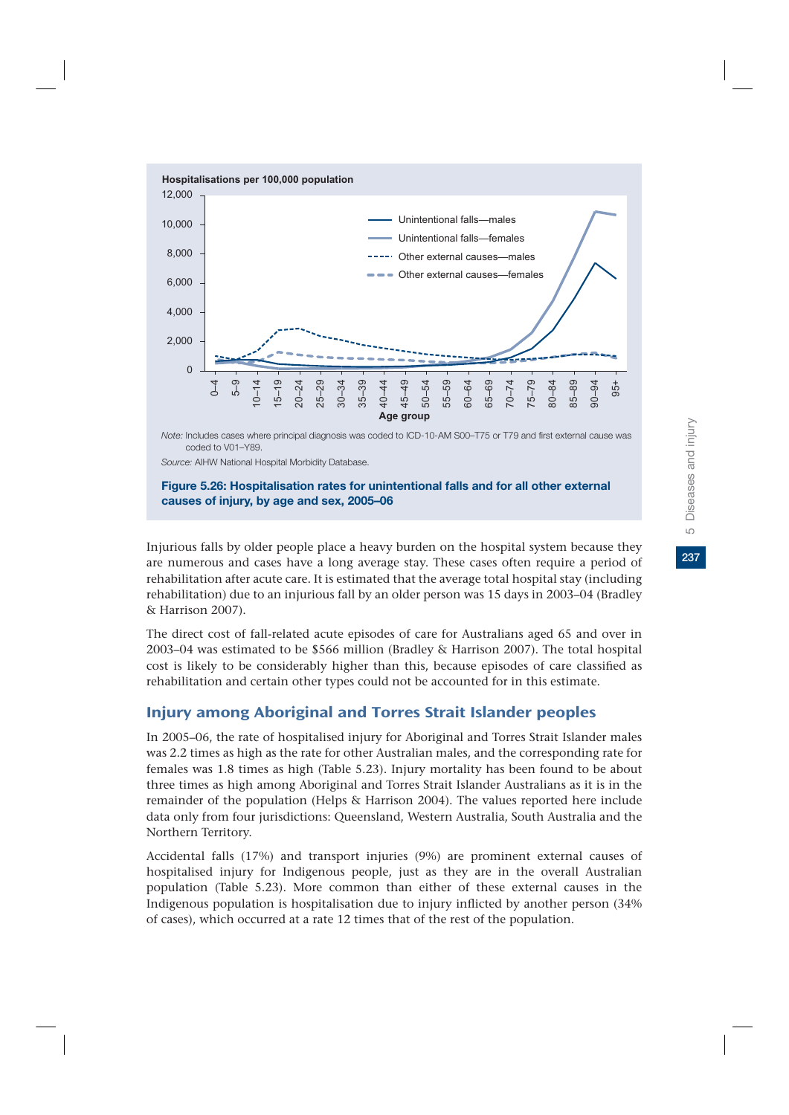

coded to V01–Y89.

*Source:* AIHW National Hospital Morbidity Database.

#### **Figure 5.26: Hospitalisation rates for unintentional falls and for all other external causes of injury, by age and sex, 2005–06**

Injurious falls by older people place a heavy burden on the hospital system because they are numerous and cases have a long average stay. These cases often require a period of rehabilitation after acute care. It is estimated that the average total hospital stay (including rehabilitation) due to an injurious fall by an older person was 15 days in 2003–04 (Bradley & Harrison 2007).

The direct cost of fall-related acute episodes of care for Australians aged 65 and over in 2003–04 was estimated to be \$566 million (Bradley & Harrison 2007). The total hospital cost is likely to be considerably higher than this, because episodes of care classified as rehabilitation and certain other types could not be accounted for in this estimate.

## Injury among Aboriginal and Torres Strait Islander peoples

In 2005–06, the rate of hospitalised injury for Aboriginal and Torres Strait Islander males was 2.2 times as high as the rate for other Australian males, and the corresponding rate for females was 1.8 times as high (Table 5.23). Injury mortality has been found to be about three times as high among Aboriginal and Torres Strait Islander Australians as it is in the remainder of the population (Helps & Harrison 2004). The values reported here include data only from four jurisdictions: Queensland, Western Australia, South Australia and the Northern Territory.

Accidental falls (17%) and transport injuries (9%) are prominent external causes of hospitalised injury for Indigenous people, just as they are in the overall Australian population (Table 5.23). More common than either of these external causes in the Indigenous population is hospitalisation due to injury inflicted by another person (34% of cases), which occurred at a rate 12 times that of the rest of the population.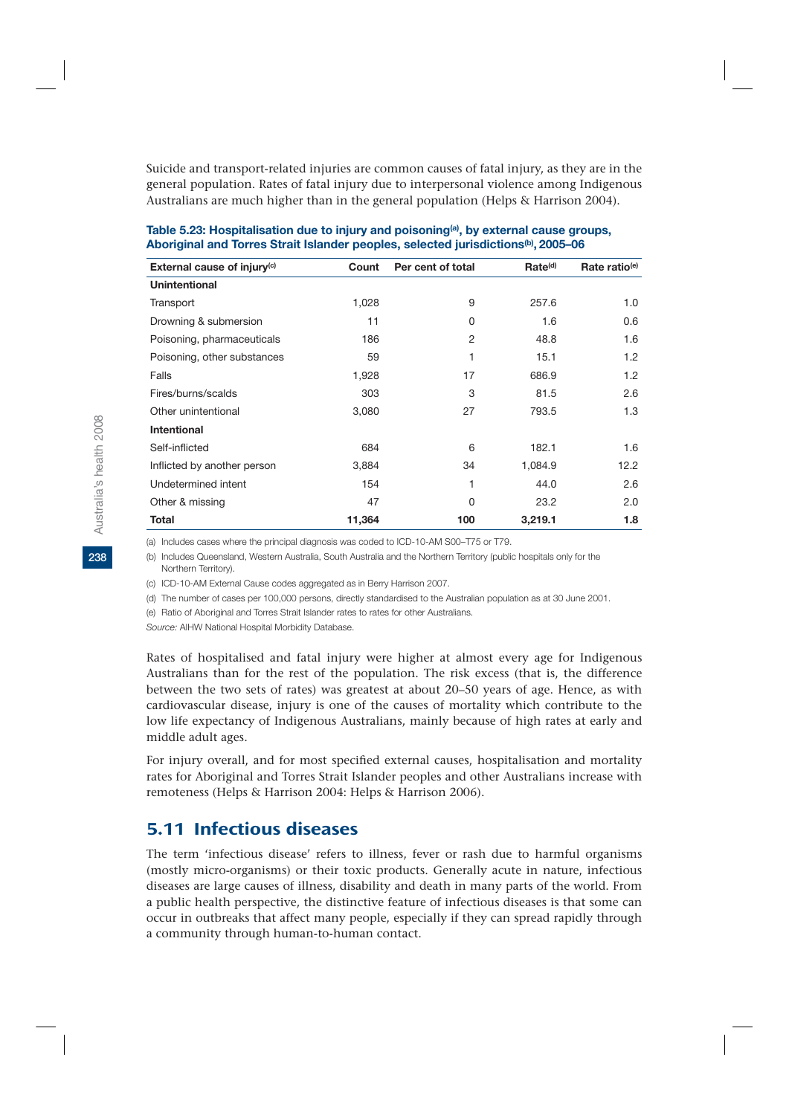Suicide and transport-related injuries are common causes of fatal injury, as they are in the general population. Rates of fatal injury due to interpersonal violence among Indigenous Australians are much higher than in the general population (Helps & Harrison 2004).

| External cause of injury <sup>(c)</sup> | Count  | Per cent of total | Rate <sup>(d)</sup> | Rate ratio <sup>(e)</sup> |
|-----------------------------------------|--------|-------------------|---------------------|---------------------------|
| Unintentional                           |        |                   |                     |                           |
| Transport                               | 1,028  | 9                 | 257.6               | 1.0                       |
| Drowning & submersion                   | 11     | 0                 | 1.6                 | 0.6                       |
| Poisoning, pharmaceuticals              | 186    | 2                 | 48.8                | 1.6                       |
| Poisoning, other substances             | 59     |                   | 15.1                | 1.2                       |
| Falls                                   | 1,928  | 17                | 686.9               | 1.2                       |
| Fires/burns/scalds                      | 303    | 3                 | 81.5                | 2.6                       |
| Other unintentional                     | 3,080  | 27                | 793.5               | 1.3                       |
| Intentional                             |        |                   |                     |                           |
| Self-inflicted                          | 684    | 6                 | 182.1               | 1.6                       |
| Inflicted by another person             | 3,884  | 34                | 1,084.9             | 12.2                      |
| Undetermined intent                     | 154    | 1                 | 44.0                | 2.6                       |
| Other & missing                         | 47     | 0                 | 23.2                | 2.0                       |
| <b>Total</b>                            | 11,364 | 100               | 3,219.1             | 1.8                       |

#### Table 5.23: Hospitalisation due to injury and poisoning<sup>(a)</sup>, by external cause groups, **Aboriginal and Torres Strait Islander peoples, selected jurisdictions(b), 2005–06**

(a) Includes cases where the principal diagnosis was coded to ICD-10-AM S00–T75 or T79.

(b) Includes Queensland, Western Australia, South Australia and the Northern Territory (public hospitals only for the Northern Territory).

(c) ICD-10-AM External Cause codes aggregated as in Berry Harrison 2007.

(d) The number of cases per 100,000 persons, directly standardised to the Australian population as at 30 June 2001.

(e) Ratio of Aboriginal and Torres Strait Islander rates to rates for other Australians.

*Source:* AIHW National Hospital Morbidity Database.

Rates of hospitalised and fatal injury were higher at almost every age for Indigenous Australians than for the rest of the population. The risk excess (that is, the difference between the two sets of rates) was greatest at about 20–50 years of age. Hence, as with cardiovascular disease, injury is one of the causes of mortality which contribute to the low life expectancy of Indigenous Australians, mainly because of high rates at early and middle adult ages.

For injury overall, and for most specified external causes, hospitalisation and mortality rates for Aboriginal and Torres Strait Islander peoples and other Australians increase with remoteness (Helps & Harrison 2004: Helps & Harrison 2006).

## 5.11 Infectious diseases

The term 'infectious disease' refers to illness, fever or rash due to harmful organisms (mostly micro-organisms) or their toxic products. Generally acute in nature, infectious diseases are large causes of illness, disability and death in many parts of the world. From a public health perspective, the distinctive feature of infectious diseases is that some can occur in outbreaks that affect many people, especially if they can spread rapidly through a community through human-to-human contact.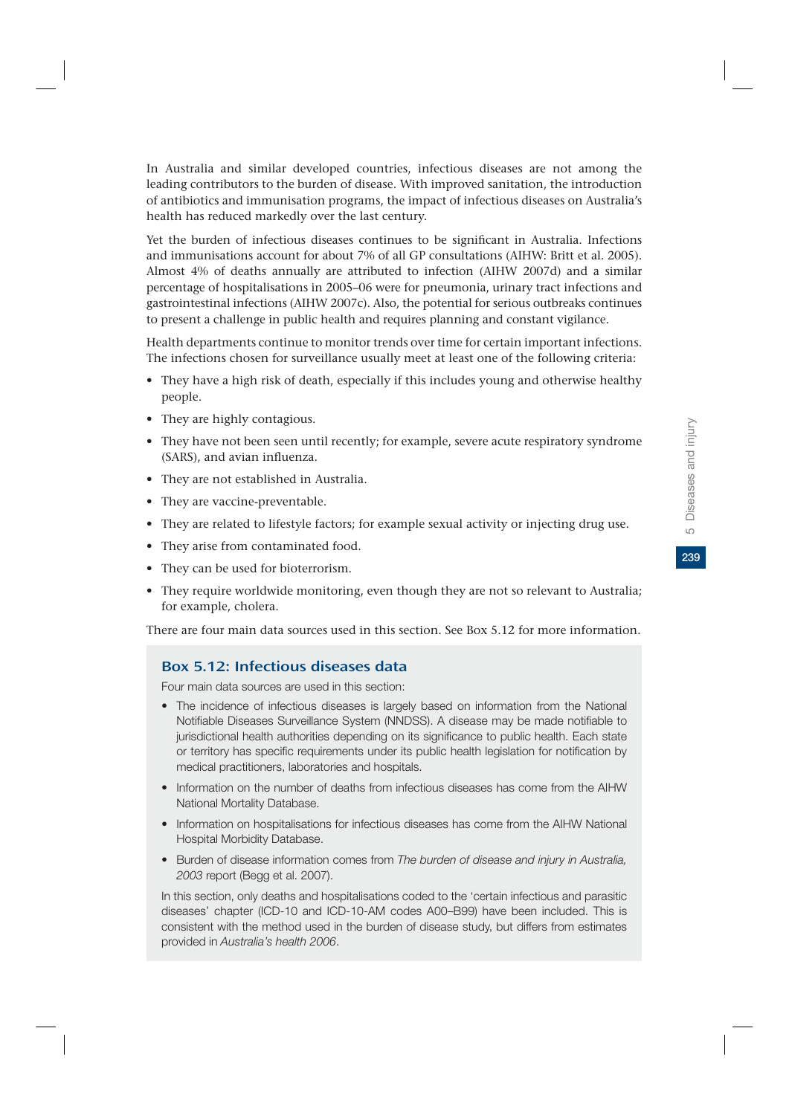239

In Australia and similar developed countries, infectious diseases are not among the leading contributors to the burden of disease. With improved sanitation, the introduction of antibiotics and immunisation programs, the impact of infectious diseases on Australia's health has reduced markedly over the last century.

Yet the burden of infectious diseases continues to be significant in Australia. Infections and immunisations account for about 7% of all GP consultations (AIHW: Britt et al. 2005). Almost 4% of deaths annually are attributed to infection (AIHW 2007d) and a similar percentage of hospitalisations in 2005–06 were for pneumonia, urinary tract infections and gastrointestinal infections (AIHW 2007c). Also, the potential for serious outbreaks continues to present a challenge in public health and requires planning and constant vigilance.

Health departments continue to monitor trends over time for certain important infections. The infections chosen for surveillance usually meet at least one of the following criteria:

- They have a high risk of death, especially if this includes young and otherwise healthy people.
- They are highly contagious.
- They have not been seen until recently; for example, severe acute respiratory syndrome (SARS), and avian influenza.
- They are not established in Australia.
- They are vaccine-preventable.
- They are related to lifestyle factors; for example sexual activity or injecting drug use.
- They arise from contaminated food.
- They can be used for bioterrorism.
- They require worldwide monitoring, even though they are not so relevant to Australia; for example, cholera.

There are four main data sources used in this section. See Box 5.12 for more information.

## Box 5.12: Infectious diseases data

Four main data sources are used in this section:

- The incidence of infectious diseases is largely based on information from the National Notifiable Diseases Surveillance System (NNDSS). A disease may be made notifiable to jurisdictional health authorities depending on its significance to public health. Each state or territory has specific requirements under its public health legislation for notification by medical practitioners, laboratories and hospitals.
- Information on the number of deaths from infectious diseases has come from the AIHW National Mortality Database.
- Information on hospitalisations for infectious diseases has come from the AIHW National Hospital Morbidity Database.
- Burden of disease information comes from *The burden of disease and injury in Australia, 2003* report (Begg et al. 2007).

In this section, only deaths and hospitalisations coded to the 'certain infectious and parasitic diseases' chapter (ICD-10 and ICD-10-AM codes A00–B99) have been included. This is consistent with the method used in the burden of disease study, but differs from estimates provided in *Australia's health 2006*.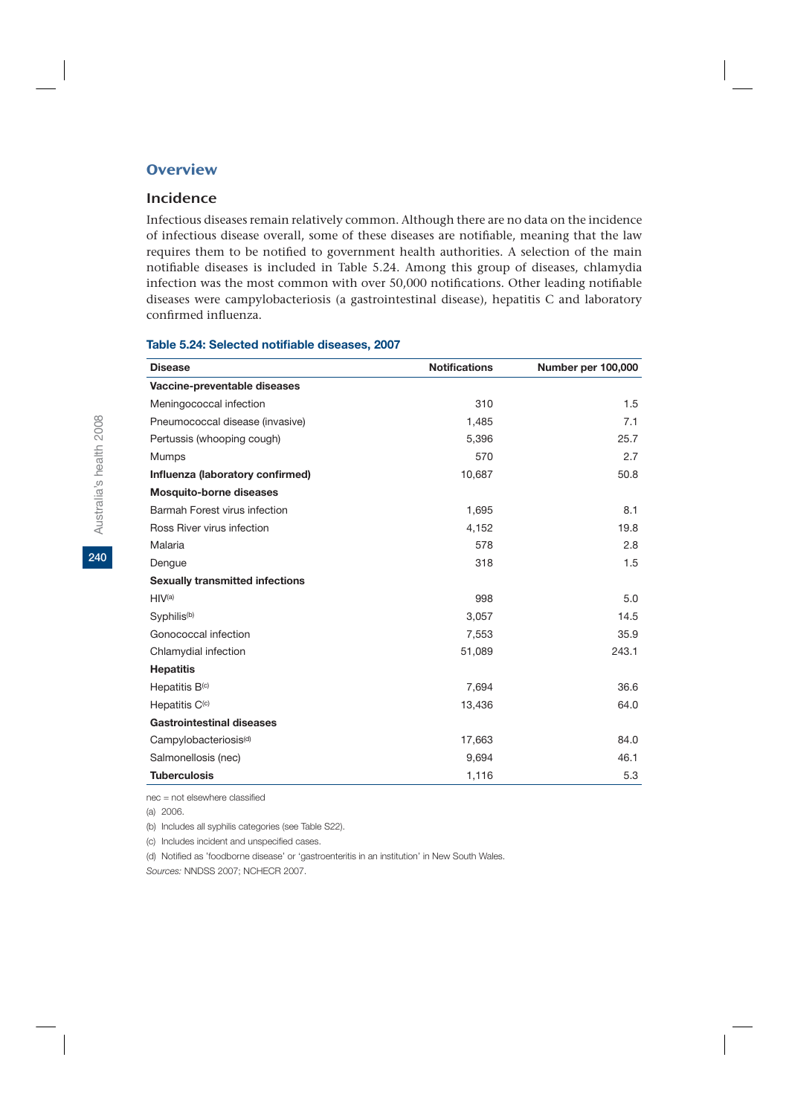## **Overview**

### Incidence

Infectious diseases remain relatively common. Although there are no data on the incidence of infectious disease overall, some of these diseases are notifiable, meaning that the law requires them to be notified to government health authorities. A selection of the main notifiable diseases is included in Table 5.24. Among this group of diseases, chlamydia infection was the most common with over 50,000 notifications. Other leading notifiable diseases were campylobacteriosis (a gastrointestinal disease), hepatitis C and laboratory confirmed influenza.

| <b>Disease</b>                         | <b>Notifications</b> | Number per 100,000 |
|----------------------------------------|----------------------|--------------------|
| Vaccine-preventable diseases           |                      |                    |
| Meningococcal infection                | 310                  | 1.5                |
| Pneumococcal disease (invasive)        | 1,485                | 7.1                |
| Pertussis (whooping cough)             | 5,396                | 25.7               |
| <b>Mumps</b>                           | 570                  | 2.7                |
| Influenza (laboratory confirmed)       | 10,687               | 50.8               |
| <b>Mosquito-borne diseases</b>         |                      |                    |
| Barmah Forest virus infection          | 1,695                | 8.1                |
| Ross River virus infection             | 4,152                | 19.8               |
| Malaria                                | 578                  | 2.8                |
| Dengue                                 | 318                  | 1.5                |
| <b>Sexually transmitted infections</b> |                      |                    |
| HIV <sup>(a)</sup>                     | 998                  | 5.0                |
| Syphilis <sup>(b)</sup>                | 3,057                | 14.5               |
| Gonococcal infection                   | 7,553                | 35.9               |
| Chlamydial infection                   | 51,089               | 243.1              |
| <b>Hepatitis</b>                       |                      |                    |
| Hepatitis $B(c)$                       | 7,694                | 36.6               |
| Hepatitis C <sup>(c)</sup>             | 13,436               | 64.0               |
| <b>Gastrointestinal diseases</b>       |                      |                    |
| Campylobacteriosis <sup>(d)</sup>      | 17,663               | 84.0               |
| Salmonellosis (nec)                    | 9,694                | 46.1               |
| <b>Tuberculosis</b>                    | 1,116                | 5.3                |

#### **Table 5.24: Selected notifiable diseases, 2007**

nec = not elsewhere classified

(a) 2006.

(b) Includes all syphilis categories (see Table S22).

(c) Includes incident and unspecified cases.

(d) Notified as 'foodborne disease' or 'gastroenteritis in an institution' in New South Wales.

*Sources:* NNDSS 2007; NCHECR 2007.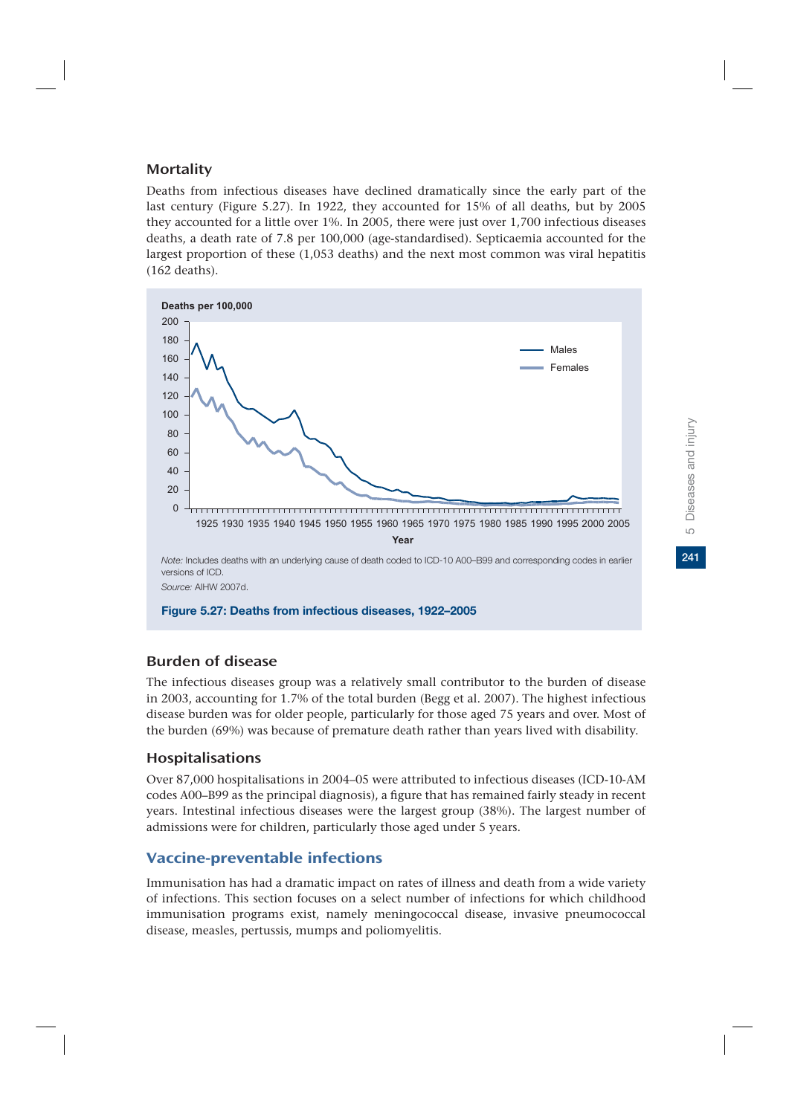## **Mortality**

Deaths from infectious diseases have declined dramatically since the early part of the last century (Figure 5.27). In 1922, they accounted for 15% of all deaths, but by 2005 they accounted for a little over 1%. In 2005, there were just over 1,700 infectious diseases deaths, a death rate of 7.8 per 100,000 (age-standardised). Septicaemia accounted for the largest proportion of these (1,053 deaths) and the next most common was viral hepatitis (162 deaths).



## Burden of disease

The infectious diseases group was a relatively small contributor to the burden of disease in 2003, accounting for 1.7% of the total burden (Begg et al. 2007). The highest infectious disease burden was for older people, particularly for those aged 75 years and over. Most of the burden (69%) was because of premature death rather than years lived with disability.

## Hospitalisations

Over 87,000 hospitalisations in 2004–05 were attributed to infectious diseases (ICD-10-AM codes A00–B99 as the principal diagnosis), a figure that has remained fairly steady in recent years. Intestinal infectious diseases were the largest group (38%). The largest number of admissions were for children, particularly those aged under 5 years.

## Vaccine-preventable infections

Immunisation has had a dramatic impact on rates of illness and death from a wide variety of infections. This section focuses on a select number of infections for which childhood immunisation programs exist, namely meningococcal disease, invasive pneumococcal disease, measles, pertussis, mumps and poliomyelitis.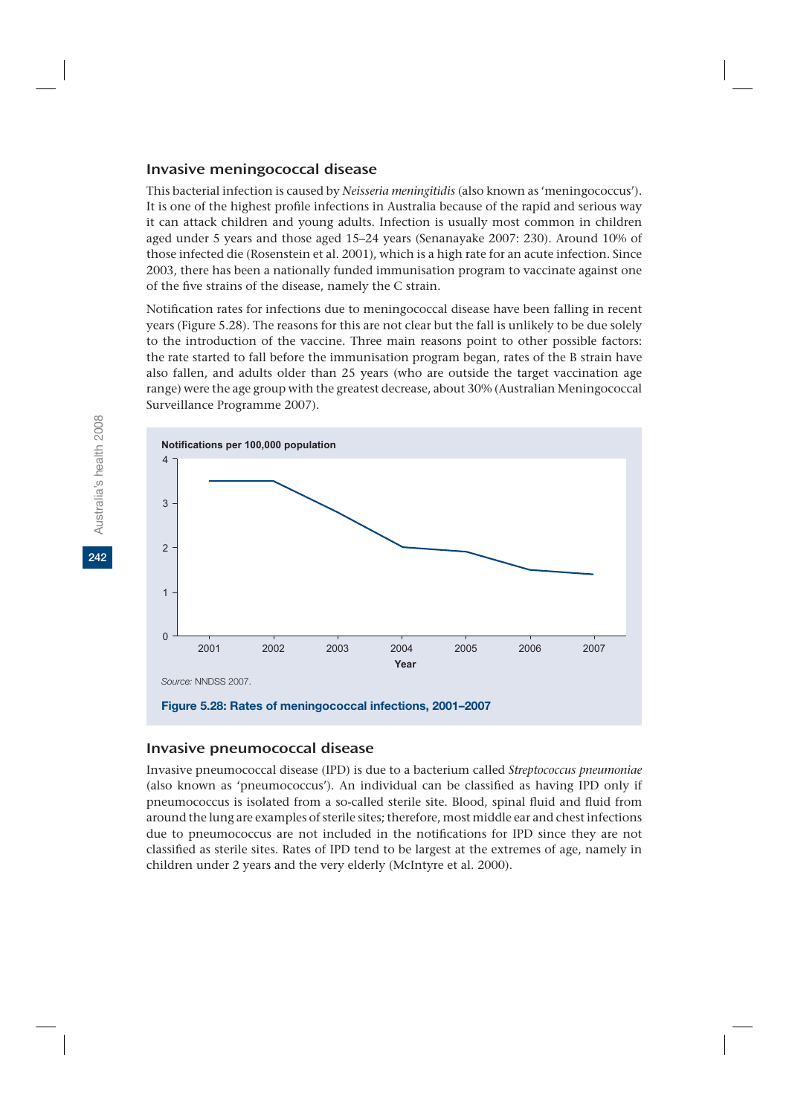### Invasive meningococcal disease

This bacterial infection is caused by *Neisseria meningitidis* (also known as 'meningococcus'). It is one of the highest profile infections in Australia because of the rapid and serious way it can attack children and young adults. Infection is usually most common in children aged under 5 years and those aged 15–24 years (Senanayake 2007: 230). Around 10% of those infected die (Rosenstein et al. 2001), which is a high rate for an acute infection. Since 2003, there has been a nationally funded immunisation program to vaccinate against one of the five strains of the disease, namely the C strain.

Notification rates for infections due to meningococcal disease have been falling in recent years (Figure 5.28). The reasons for this are not clear but the fall is unlikely to be due solely to the introduction of the vaccine. Three main reasons point to other possible factors: the rate started to fall before the immunisation program began, rates of the B strain have also fallen, and adults older than 25 years (who are outside the target vaccination age range) were the age group with the greatest decrease, about 30% (Australian Meningococcal Surveillance Programme 2007).



### Invasive pneumococcal disease

Invasive pneumococcal disease (IPD) is due to a bacterium called *Streptococcus pneumoniae* (also known as 'pneumococcus'). An individual can be classified as having IPD only if pneumococcus is isolated from a so-called sterile site. Blood, spinal fluid and fluid from around the lung are examples of sterile sites; therefore, most middle ear and chest infections due to pneumococcus are not included in the notifications for IPD since they are not classified as sterile sites. Rates of IPD tend to be largest at the extremes of age, namely in children under 2 years and the very elderly (McIntyre et al. 2000).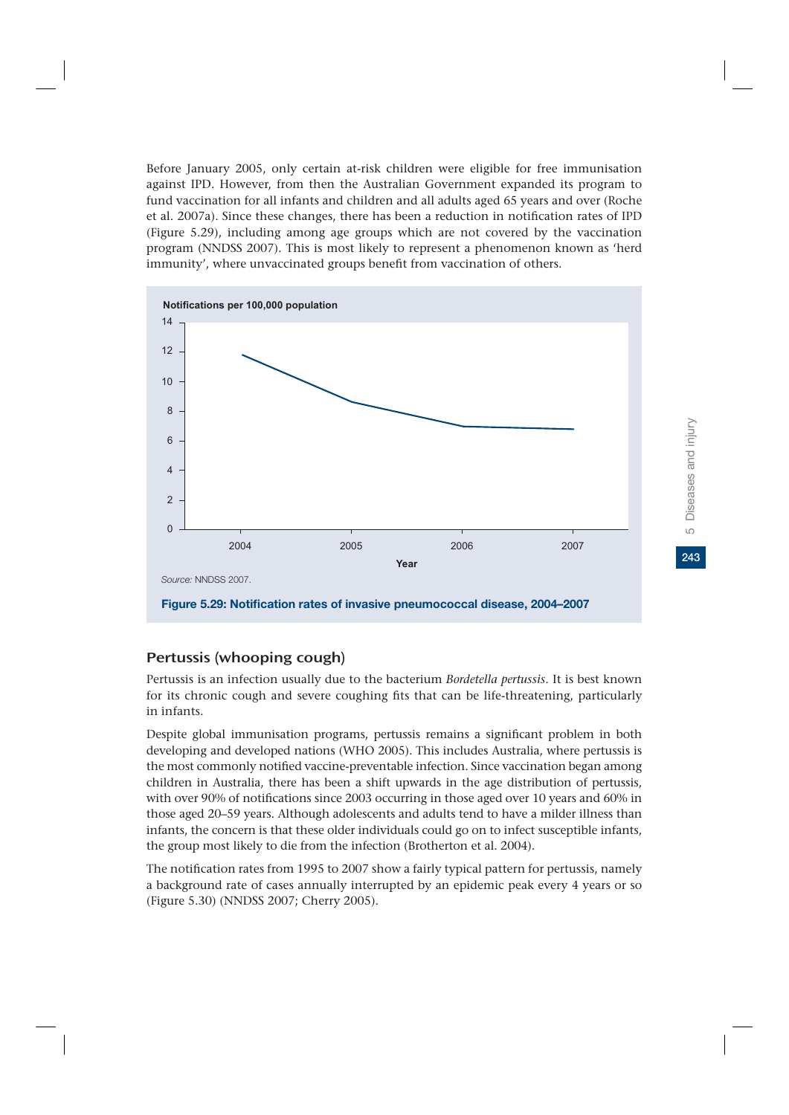Before January 2005, only certain at-risk children were eligible for free immunisation against IPD. However, from then the Australian Government expanded its program to fund vaccination for all infants and children and all adults aged 65 years and over (Roche et al. 2007a). Since these changes, there has been a reduction in notification rates of IPD (Figure 5.29), including among age groups which are not covered by the vaccination program (NNDSS 2007). This is most likely to represent a phenomenon known as 'herd immunity', where unvaccinated groups benefit from vaccination of others.



## Pertussis (whooping cough)

Pertussis is an infection usually due to the bacterium *Bordetella pertussis*. It is best known for its chronic cough and severe coughing fits that can be life-threatening, particularly in infants.

Despite global immunisation programs, pertussis remains a significant problem in both developing and developed nations (WHO 2005). This includes Australia, where pertussis is the most commonly notified vaccine-preventable infection. Since vaccination began among children in Australia, there has been a shift upwards in the age distribution of pertussis, with over 90% of notifications since 2003 occurring in those aged over 10 years and 60% in those aged 20–59 years. Although adolescents and adults tend to have a milder illness than infants, the concern is that these older individuals could go on to infect susceptible infants, the group most likely to die from the infection (Brotherton et al. 2004).

The notification rates from 1995 to 2007 show a fairly typical pattern for pertussis, namely a background rate of cases annually interrupted by an epidemic peak every 4 years or so (Figure 5.30) (NNDSS 2007; Cherry 2005).

243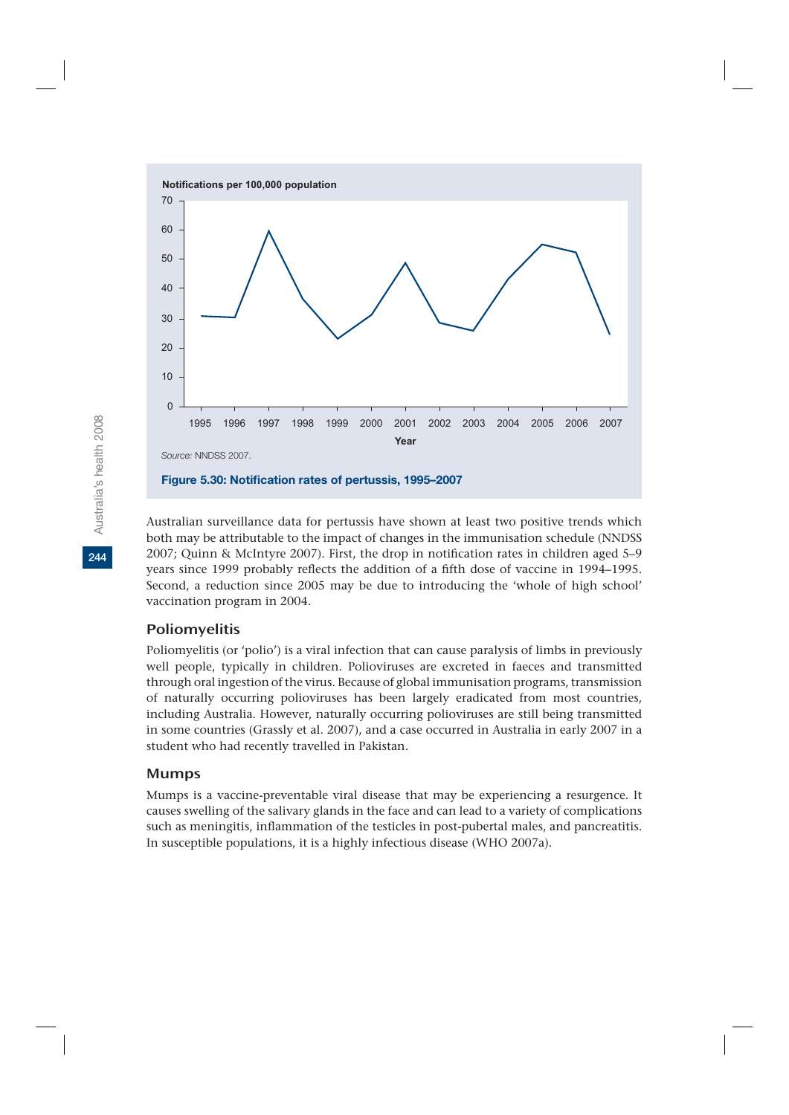

Australian surveillance data for pertussis have shown at least two positive trends which both may be attributable to the impact of changes in the immunisation schedule (NNDSS 2007; Quinn & McIntyre 2007). First, the drop in notification rates in children aged 5–9 years since 1999 probably reflects the addition of a fifth dose of vaccine in 1994–1995. Second, a reduction since 2005 may be due to introducing the 'whole of high school' vaccination program in 2004.

## Poliomyelitis

Poliomyelitis (or 'polio') is a viral infection that can cause paralysis of limbs in previously well people, typically in children. Polioviruses are excreted in faeces and transmitted through oral ingestion of the virus. Because of global immunisation programs, transmission of naturally occurring polioviruses has been largely eradicated from most countries, including Australia. However, naturally occurring polioviruses are still being transmitted in some countries (Grassly et al. 2007), and a case occurred in Australia in early 2007 in a student who had recently travelled in Pakistan.

### Mumps

Mumps is a vaccine-preventable viral disease that may be experiencing a resurgence. It causes swelling of the salivary glands in the face and can lead to a variety of complications such as meningitis, inflammation of the testicles in post-pubertal males, and pancreatitis. In susceptible populations, it is a highly infectious disease (WHO 2007a).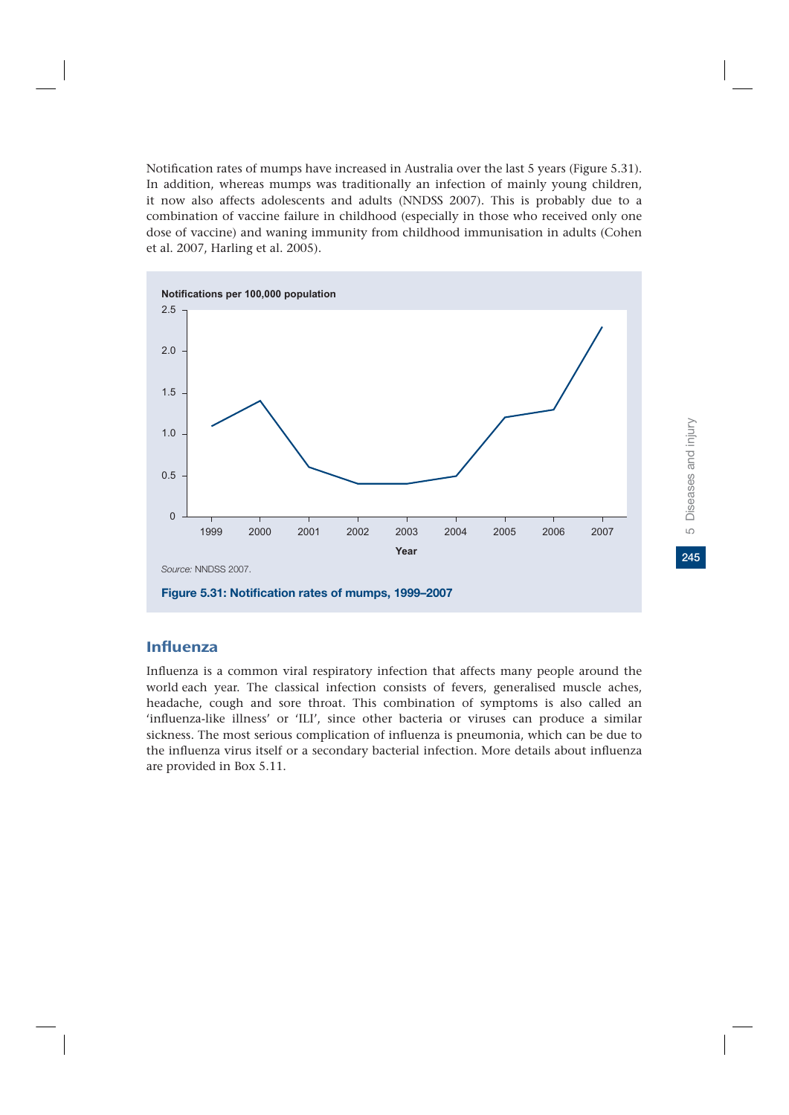Notification rates of mumps have increased in Australia over the last 5 years (Figure 5.31). In addition, whereas mumps was traditionally an infection of mainly young children, it now also affects adolescents and adults (NNDSS 2007). This is probably due to a combination of vaccine failure in childhood (especially in those who received only one dose of vaccine) and waning immunity from childhood immunisation in adults (Cohen et al. 2007, Harling et al. 2005).



#### Influenza

Influenza is a common viral respiratory infection that affects many people around the world each year. The classical infection consists of fevers, generalised muscle aches, headache, cough and sore throat. This combination of symptoms is also called an 'influenza-like illness' or 'ILI', since other bacteria or viruses can produce a similar sickness. The most serious complication of influenza is pneumonia, which can be due to the influenza virus itself or a secondary bacterial infection. More details about influenza are provided in Box 5.11.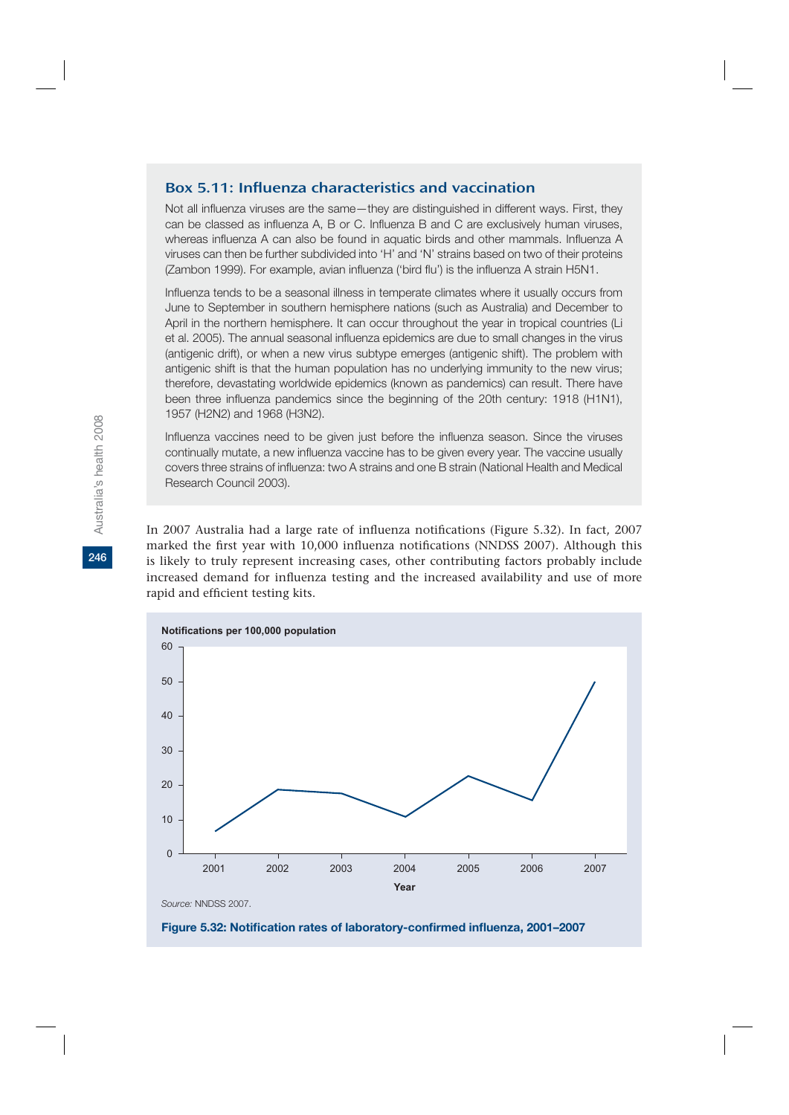#### Box 5.11: Influenza characteristics and vaccination

Not all influenza viruses are the same—they are distinguished in different ways. First, they can be classed as influenza A, B or C. Influenza B and C are exclusively human viruses, whereas influenza A can also be found in aquatic birds and other mammals. Influenza A viruses can then be further subdivided into 'H' and 'N' strains based on two of their proteins (Zambon 1999). For example, avian influenza ('bird flu') is the influenza A strain H5N1.

Influenza tends to be a seasonal illness in temperate climates where it usually occurs from June to September in southern hemisphere nations (such as Australia) and December to April in the northern hemisphere. It can occur throughout the year in tropical countries (Li et al. 2005). The annual seasonal influenza epidemics are due to small changes in the virus (antigenic drift), or when a new virus subtype emerges (antigenic shift). The problem with antigenic shift is that the human population has no underlying immunity to the new virus; therefore, devastating worldwide epidemics (known as pandemics) can result. There have been three influenza pandemics since the beginning of the 20th century: 1918 (H1N1), 1957 (H2N2) and 1968 (H3N2).

Influenza vaccines need to be given just before the influenza season. Since the viruses continually mutate, a new influenza vaccine has to be given every year. The vaccine usually covers three strains of influenza: two A strains and one B strain (National Health and Medical Research Council 2003).

In 2007 Australia had a large rate of influenza notifications (Figure 5.32). In fact, 2007 marked the first year with 10,000 influenza notifications (NNDSS 2007). Although this is likely to truly represent increasing cases, other contributing factors probably include increased demand for influenza testing and the increased availability and use of more rapid and efficient testing kits.

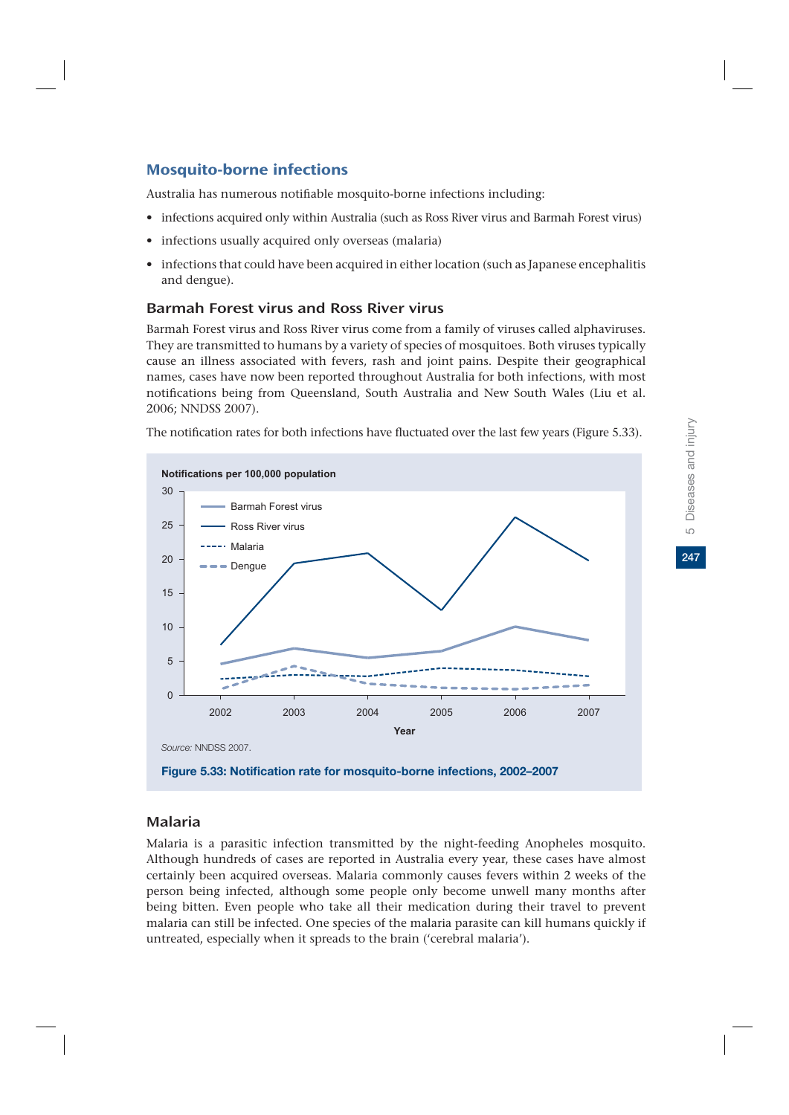# Mosquito-borne infections

Australia has numerous notifiable mosquito-borne infections including:

- infections acquired only within Australia (such as Ross River virus and Barmah Forest virus)
- infections usually acquired only overseas (malaria)
- infections that could have been acquired in either location (such as Japanese encephalitis and dengue).

### Barmah Forest virus and Ross River virus

Barmah Forest virus and Ross River virus come from a family of viruses called alphaviruses. They are transmitted to humans by a variety of species of mosquitoes. Both viruses typically cause an illness associated with fevers, rash and joint pains. Despite their geographical names, cases have now been reported throughout Australia for both infections, with most notifications being from Queensland, South Australia and New South Wales (Liu et al. 2006; NNDSS 2007).



The notification rates for both infections have fluctuated over the last few years (Figure 5.33).

Malaria

Malaria is a parasitic infection transmitted by the night-feeding Anopheles mosquito. Although hundreds of cases are reported in Australia every year, these cases have almost certainly been acquired overseas. Malaria commonly causes fevers within 2 weeks of the person being infected, although some people only become unwell many months after being bitten. Even people who take all their medication during their travel to prevent malaria can still be infected. One species of the malaria parasite can kill humans quickly if untreated, especially when it spreads to the brain ('cerebral malaria').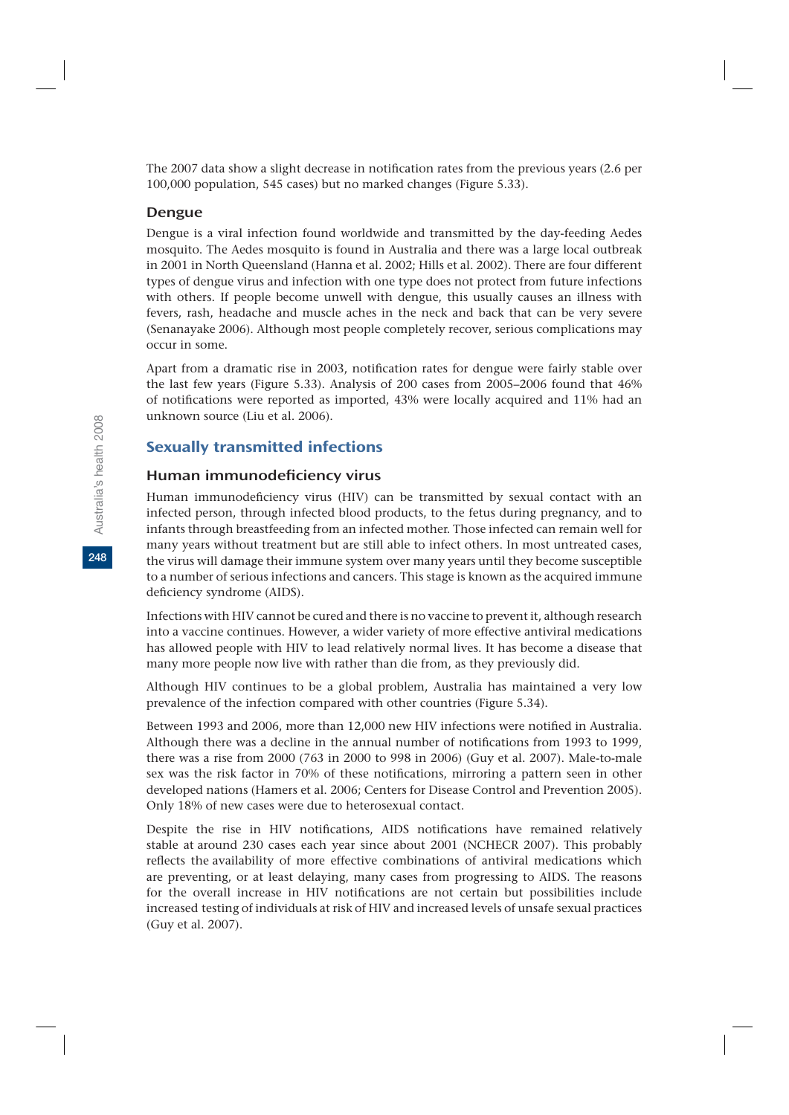The 2007 data show a slight decrease in notification rates from the previous years (2.6 per 100,000 population, 545 cases) but no marked changes (Figure 5.33).

#### Dengue

Dengue is a viral infection found worldwide and transmitted by the day-feeding Aedes mosquito. The Aedes mosquito is found in Australia and there was a large local outbreak in 2001 in North Queensland (Hanna et al. 2002; Hills et al. 2002). There are four different types of dengue virus and infection with one type does not protect from future infections with others. If people become unwell with dengue, this usually causes an illness with fevers, rash, headache and muscle aches in the neck and back that can be very severe (Senanayake 2006). Although most people completely recover, serious complications may occur in some.

Apart from a dramatic rise in 2003, notification rates for dengue were fairly stable over the last few years (Figure 5.33). Analysis of 200 cases from 2005–2006 found that 46% of notifications were reported as imported, 43% were locally acquired and 11% had an unknown source (Liu et al. 2006).

#### Sexually transmitted infections

#### Human immunodeficiency virus

Human immunodeficiency virus (HIV) can be transmitted by sexual contact with an infected person, through infected blood products, to the fetus during pregnancy, and to infants through breastfeeding from an infected mother. Those infected can remain well for many years without treatment but are still able to infect others. In most untreated cases, the virus will damage their immune system over many years until they become susceptible to a number of serious infections and cancers. This stage is known as the acquired immune deficiency syndrome (AIDS).

Infections with HIV cannot be cured and there is no vaccine to prevent it, although research into a vaccine continues. However, a wider variety of more effective antiviral medications has allowed people with HIV to lead relatively normal lives. It has become a disease that many more people now live with rather than die from, as they previously did.

Although HIV continues to be a global problem, Australia has maintained a very low prevalence of the infection compared with other countries (Figure 5.34).

Between 1993 and 2006, more than 12,000 new HIV infections were notified in Australia. Although there was a decline in the annual number of notifications from 1993 to 1999, there was a rise from 2000 (763 in 2000 to 998 in 2006) (Guy et al. 2007). Male-to-male sex was the risk factor in 70% of these notifications, mirroring a pattern seen in other developed nations (Hamers et al. 2006; Centers for Disease Control and Prevention 2005). Only 18% of new cases were due to heterosexual contact.

Despite the rise in HIV notifications, AIDS notifications have remained relatively stable at around 230 cases each year since about 2001 (NCHECR 2007). This probably reflects the availability of more effective combinations of antiviral medications which are preventing, or at least delaying, many cases from progressing to AIDS. The reasons for the overall increase in HIV notifications are not certain but possibilities include increased testing of individuals at risk of HIV and increased levels of unsafe sexual practices (Guy et al. 2007).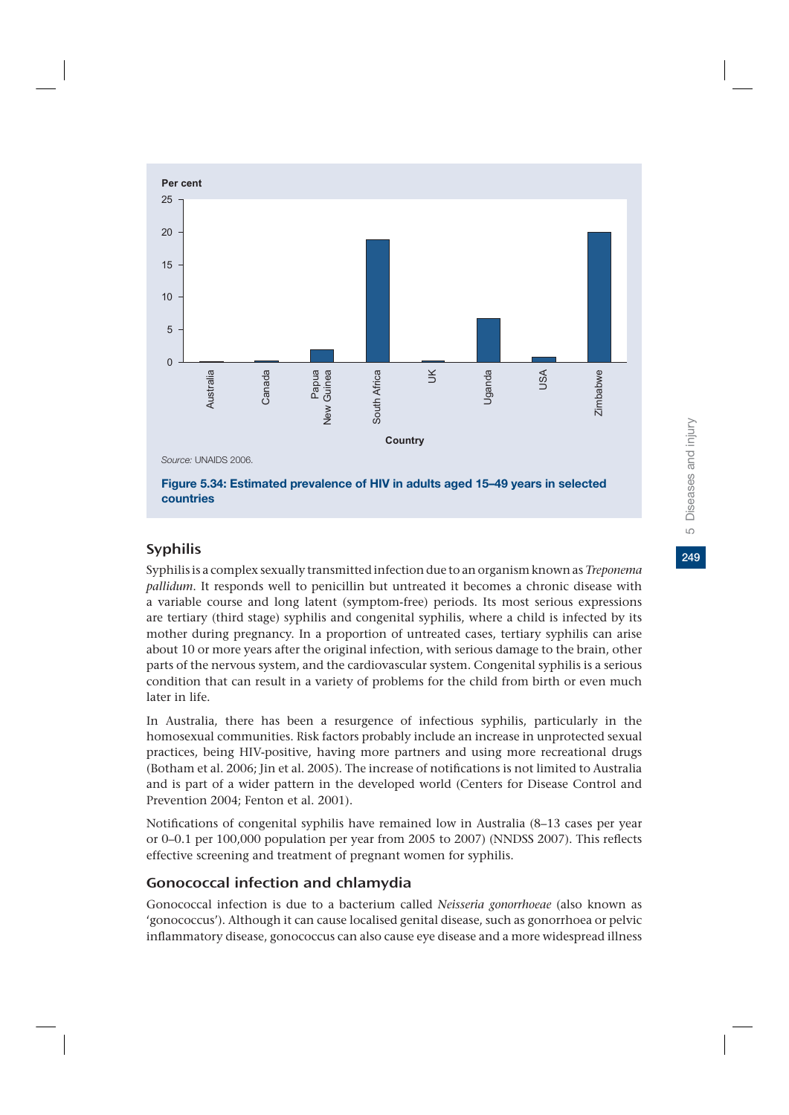

#### Syphilis

Syphilis is a complex sexually transmitted infection due to an organism known as *Treponema pallidum*. It responds well to penicillin but untreated it becomes a chronic disease with a variable course and long latent (symptom-free) periods. Its most serious expressions are tertiary (third stage) syphilis and congenital syphilis, where a child is infected by its mother during pregnancy. In a proportion of untreated cases, tertiary syphilis can arise about 10 or more years after the original infection, with serious damage to the brain, other parts of the nervous system, and the cardiovascular system. Congenital syphilis is a serious condition that can result in a variety of problems for the child from birth or even much later in life.

In Australia, there has been a resurgence of infectious syphilis, particularly in the homosexual communities. Risk factors probably include an increase in unprotected sexual practices, being HIV-positive, having more partners and using more recreational drugs (Botham et al. 2006; Jin et al. 2005). The increase of notifications is not limited to Australia and is part of a wider pattern in the developed world (Centers for Disease Control and Prevention 2004; Fenton et al. 2001).

Notifications of congenital syphilis have remained low in Australia (8–13 cases per year or 0–0.1 per 100,000 population per year from 2005 to 2007) (NNDSS 2007). This reflects effective screening and treatment of pregnant women for syphilis.

## Gonococcal infection and chlamydia

Gonococcal infection is due to a bacterium called *Neisseria gonorrhoeae* (also known as 'gonococcus'). Although it can cause localised genital disease, such as gonorrhoea or pelvic inflammatory disease, gonococcus can also cause eye disease and a more widespread illness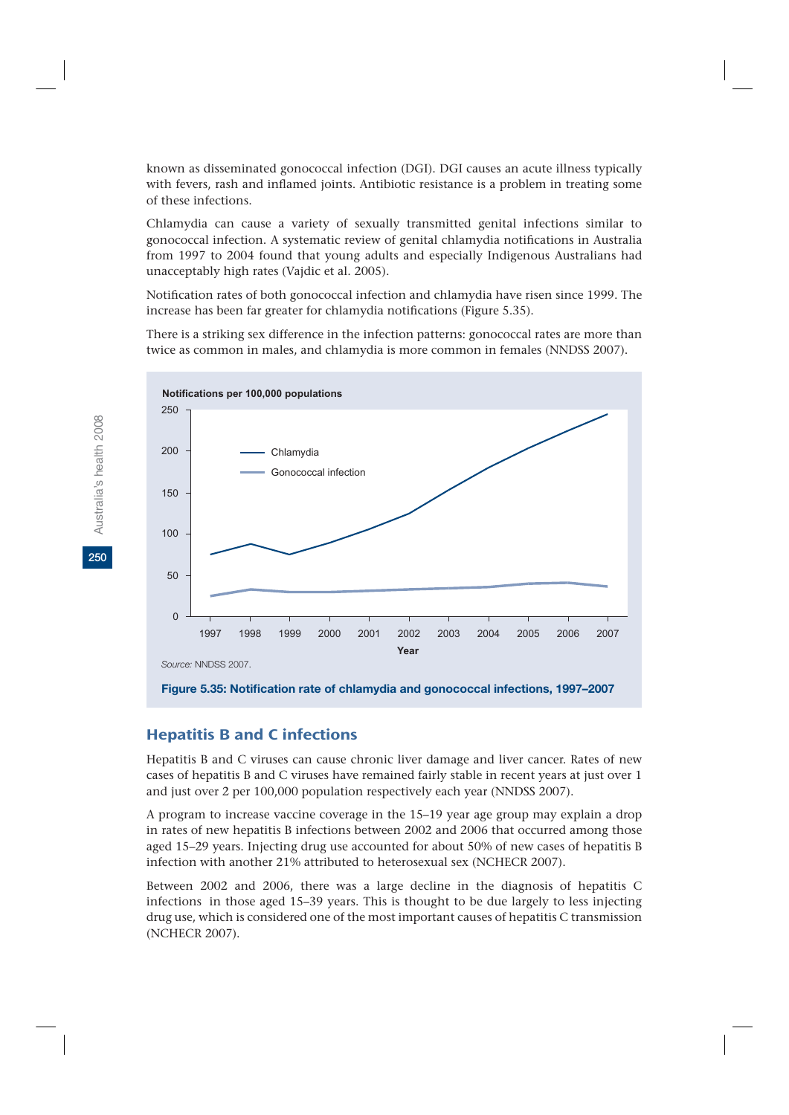known as disseminated gonococcal infection (DGI). DGI causes an acute illness typically with fevers, rash and inflamed joints. Antibiotic resistance is a problem in treating some of these infections.

Chlamydia can cause a variety of sexually transmitted genital infections similar to gonococcal infection. A systematic review of genital chlamydia notifications in Australia from 1997 to 2004 found that young adults and especially Indigenous Australians had unacceptably high rates (Vajdic et al. 2005).

Notification rates of both gonococcal infection and chlamydia have risen since 1999. The increase has been far greater for chlamydia notifications (Figure 5.35).

There is a striking sex difference in the infection patterns: gonococcal rates are more than twice as common in males, and chlamydia is more common in females (NNDSS 2007).



**Figure 5.35: Notification rate of chlamydia and gonococcal infections, 1997–2007**

## Hepatitis B and C infections

Hepatitis B and C viruses can cause chronic liver damage and liver cancer. Rates of new cases of hepatitis B and C viruses have remained fairly stable in recent years at just over 1 and just over 2 per 100,000 population respectively each year (NNDSS 2007).

A program to increase vaccine coverage in the 15–19 year age group may explain a drop in rates of new hepatitis B infections between 2002 and 2006 that occurred among those aged 15–29 years. Injecting drug use accounted for about 50% of new cases of hepatitis B infection with another 21% attributed to heterosexual sex (NCHECR 2007).

Between 2002 and 2006, there was a large decline in the diagnosis of hepatitis C infections in those aged 15–39 years. This is thought to be due largely to less injecting drug use, which is considered one of the most important causes of hepatitis C transmission (NCHECR 2007).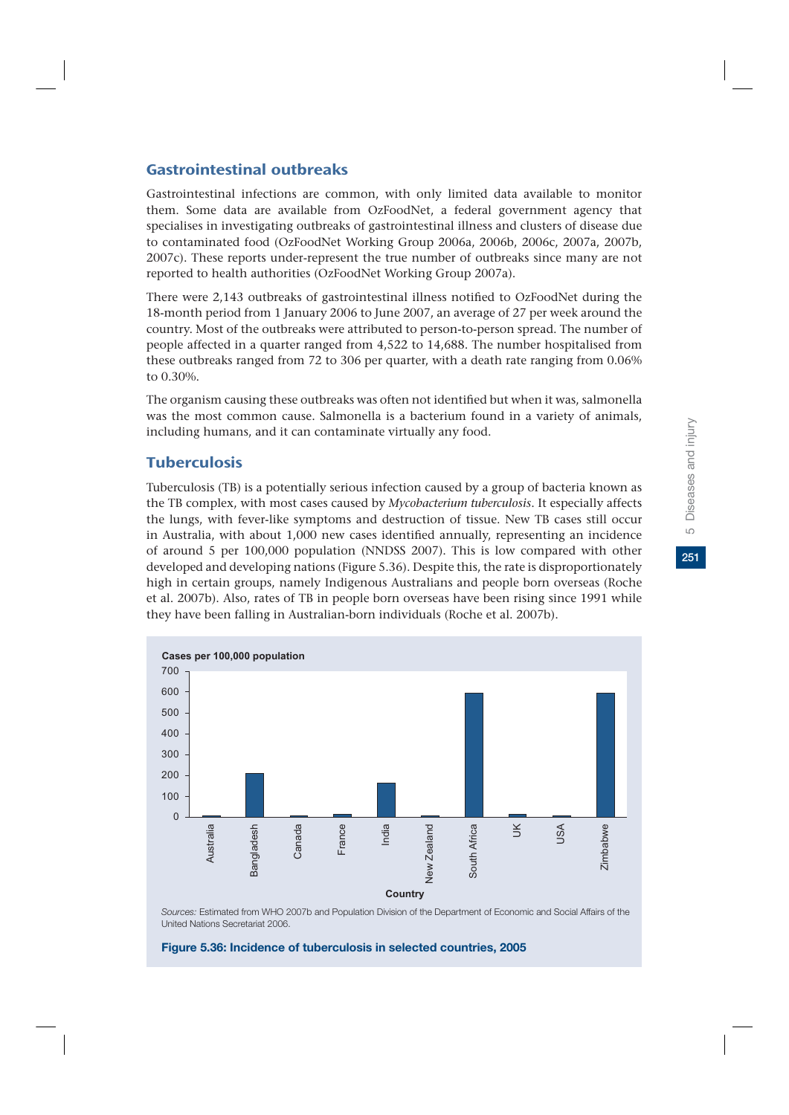### Gastrointestinal outbreaks

Gastrointestinal infections are common, with only limited data available to monitor them. Some data are available from OzFoodNet, a federal government agency that specialises in investigating outbreaks of gastrointestinal illness and clusters of disease due to contaminated food (OzFoodNet Working Group 2006a, 2006b, 2006c, 2007a, 2007b, 2007c). These reports under-represent the true number of outbreaks since many are not reported to health authorities (OzFoodNet Working Group 2007a).

There were 2,143 outbreaks of gastrointestinal illness notified to OzFoodNet during the 18-month period from 1 January 2006 to June 2007, an average of 27 per week around the country. Most of the outbreaks were attributed to person-to-person spread. The number of people affected in a quarter ranged from 4,522 to 14,688. The number hospitalised from these outbreaks ranged from 72 to 306 per quarter, with a death rate ranging from 0.06% to 0.30%.

The organism causing these outbreaks was often not identified but when it was, salmonella was the most common cause. Salmonella is a bacterium found in a variety of animals, including humans, and it can contaminate virtually any food.

## **Tuberculosis**

Tuberculosis (TB) is a potentially serious infection caused by a group of bacteria known as the TB complex, with most cases caused by *Mycobacterium tuberculosis*. It especially affects the lungs, with fever-like symptoms and destruction of tissue. New TB cases still occur in Australia, with about 1,000 new cases identified annually, representing an incidence of around 5 per 100,000 population (NNDSS 2007). This is low compared with other developed and developing nations (Figure 5.36). Despite this, the rate is disproportionately high in certain groups, namely Indigenous Australians and people born overseas (Roche et al. 2007b). Also, rates of TB in people born overseas have been rising since 1991 while they have been falling in Australian-born individuals (Roche et al. 2007b).



*Sources:* Estimated from WHO 2007b and Population Division of the Department of Economic and Social Affairs of the United Nations Secretariat 2006.

**Figure 5.36: Incidence of tuberculosis in selected countries, 2005**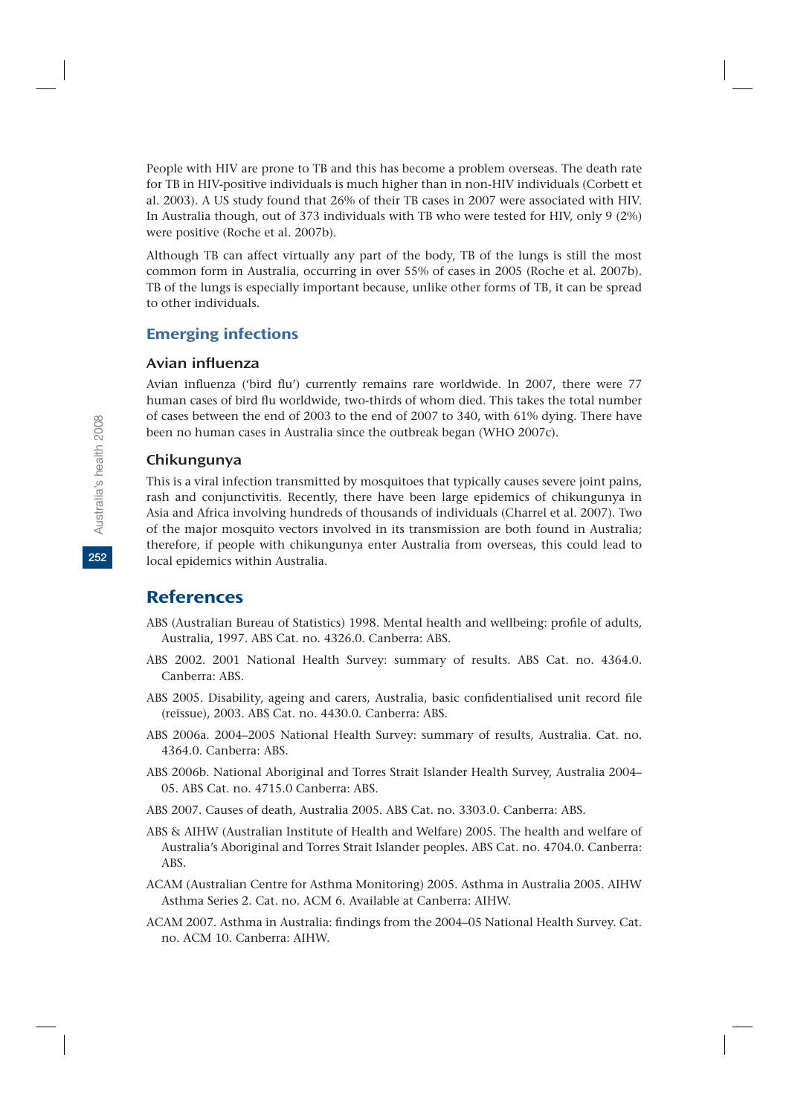People with HIV are prone to TB and this has become a problem overseas. The death rate for TB in HIV-positive individuals is much higher than in non-HIV individuals (Corbett et al. 2003). A US study found that 26% of their TB cases in 2007 were associated with HIV. In Australia though, out of 373 individuals with TB who were tested for HIV, only 9 (2%) were positive (Roche et al. 2007b).

Although TB can affect virtually any part of the body, TB of the lungs is still the most common form in Australia, occurring in over 55% of cases in 2005 (Roche et al. 2007b). TB of the lungs is especially important because, unlike other forms of TB, it can be spread to other individuals.

## Emerging infections

#### Avian influenza

Avian influenza ('bird flu') currently remains rare worldwide. In 2007, there were 77 human cases of bird flu worldwide, two-thirds of whom died. This takes the total number of cases between the end of 2003 to the end of 2007 to 340, with 61% dying. There have been no human cases in Australia since the outbreak began (WHO 2007c).

#### Chikungunya

This is a viral infection transmitted by mosquitoes that typically causes severe joint pains, rash and conjunctivitis. Recently, there have been large epidemics of chikungunya in Asia and Africa involving hundreds of thousands of individuals (Charrel et al. 2007). Two of the major mosquito vectors involved in its transmission are both found in Australia; therefore, if people with chikungunya enter Australia from overseas, this could lead to local epidemics within Australia.

# **References**

- ABS (Australian Bureau of Statistics) 1998. Mental health and wellbeing: profile of adults, Australia, 1997. ABS Cat. no. 4326.0. Canberra: ABS.
- ABS 2002. 2001 National Health Survey: summary of results. ABS Cat. no. 4364.0. Canberra: ABS.
- ABS 2005. Disability, ageing and carers, Australia, basic confidentialised unit record file (reissue), 2003. ABS Cat. no. 4430.0. Canberra: ABS.
- ABS 2006a. 2004–2005 National Health Survey: summary of results, Australia. Cat. no. 4364.0. Canberra: ABS.
- ABS 2006b. National Aboriginal and Torres Strait Islander Health Survey, Australia 2004– 05. ABS Cat. no. 4715.0 Canberra: ABS.
- ABS 2007. Causes of death, Australia 2005. ABS Cat. no. 3303.0. Canberra: ABS.
- ABS & AIHW (Australian Institute of Health and Welfare) 2005. The health and welfare of Australia's Aboriginal and Torres Strait Islander peoples. ABS Cat. no. 4704.0. Canberra: ABS.
- ACAM (Australian Centre for Asthma Monitoring) 2005. Asthma in Australia 2005. AIHW Asthma Series 2. Cat. no. ACM 6. Available at Canberra: AIHW.
- ACAM 2007. Asthma in Australia: findings from the 2004–05 National Health Survey. Cat. no. ACM 10. Canberra: AIHW.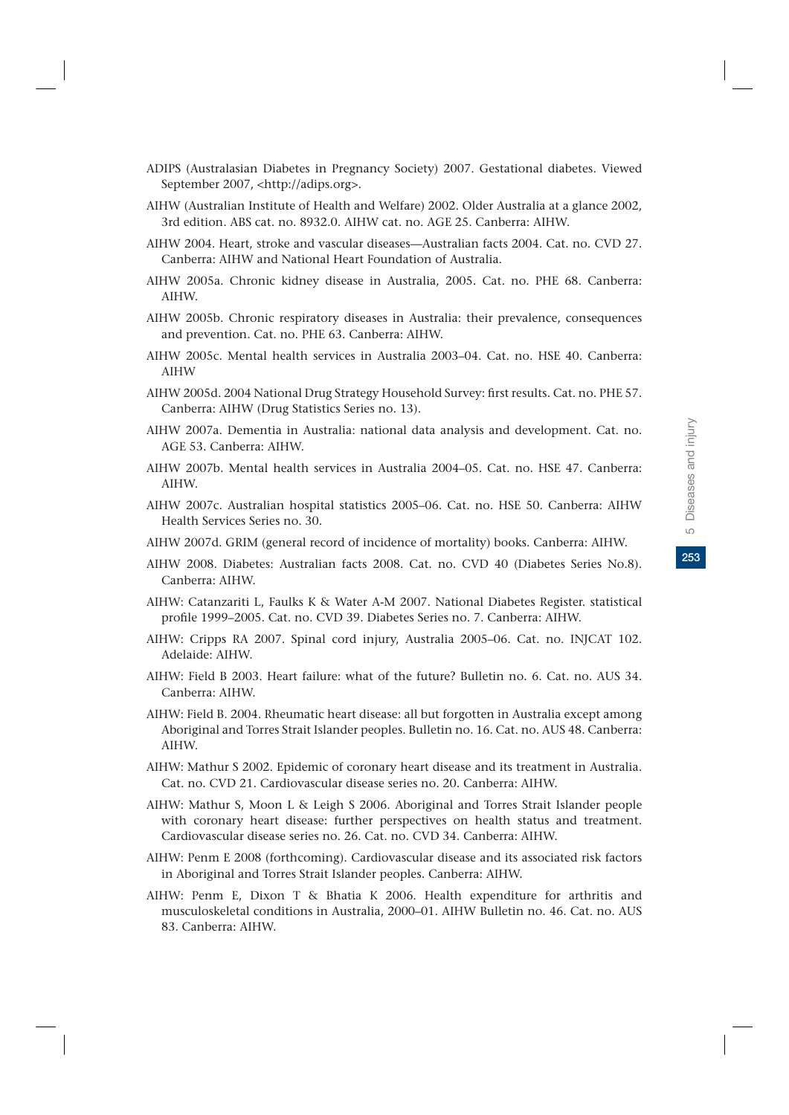- ADIPS (Australasian Diabetes in Pregnancy Society) 2007. Gestational diabetes. Viewed September 2007, <http://adips.org>.
- AIHW (Australian Institute of Health and Welfare) 2002. Older Australia at a glance 2002, 3rd edition. ABS cat. no. 8932.0. AIHW cat. no. AGE 25. Canberra: AIHW.
- AIHW 2004. Heart, stroke and vascular diseases—Australian facts 2004. Cat. no. CVD 27. Canberra: AIHW and National Heart Foundation of Australia.
- AIHW 2005a. Chronic kidney disease in Australia, 2005. Cat. no. PHE 68. Canberra: AIHW.
- AIHW 2005b. Chronic respiratory diseases in Australia: their prevalence, consequences and prevention. Cat. no. PHE 63. Canberra: AIHW.
- AIHW 2005c. Mental health services in Australia 2003–04. Cat. no. HSE 40. Canberra: AIHW
- AIHW 2005d. 2004 National Drug Strategy Household Survey: first results. Cat. no. PHE 57. Canberra: AIHW (Drug Statistics Series no. 13).
- AIHW 2007a. Dementia in Australia: national data analysis and development. Cat. no. AGE 53. Canberra: AIHW.
- AIHW 2007b. Mental health services in Australia 2004–05. Cat. no. HSE 47. Canberra: AIHW.
- AIHW 2007c. Australian hospital statistics 2005–06. Cat. no. HSE 50. Canberra: AIHW Health Services Series no. 30.
- AIHW 2007d. GRIM (general record of incidence of mortality) books. Canberra: AIHW.
- AIHW 2008. Diabetes: Australian facts 2008. Cat. no. CVD 40 (Diabetes Series No.8). Canberra: AIHW.
- AIHW: Catanzariti L, Faulks K & Water A-M 2007. National Diabetes Register. statistical profile 1999–2005. Cat. no. CVD 39. Diabetes Series no. 7. Canberra: AIHW.
- AIHW: Cripps RA 2007. Spinal cord injury, Australia 2005–06. Cat. no. INJCAT 102. Adelaide: AIHW.
- AIHW: Field B 2003. Heart failure: what of the future? Bulletin no. 6. Cat. no. AUS 34. Canberra: AIHW.
- AIHW: Field B. 2004. Rheumatic heart disease: all but forgotten in Australia except among Aboriginal and Torres Strait Islander peoples. Bulletin no. 16. Cat. no. AUS 48. Canberra: AIHW.
- AIHW: Mathur S 2002. Epidemic of coronary heart disease and its treatment in Australia. Cat. no. CVD 21. Cardiovascular disease series no. 20. Canberra: AIHW.
- AIHW: Mathur S, Moon L & Leigh S 2006. Aboriginal and Torres Strait Islander people with coronary heart disease: further perspectives on health status and treatment. Cardiovascular disease series no. 26. Cat. no. CVD 34. Canberra: AIHW.
- AIHW: Penm E 2008 (forthcoming). Cardiovascular disease and its associated risk factors in Aboriginal and Torres Strait Islander peoples. Canberra: AIHW.
- AIHW: Penm E, Dixon T & Bhatia K 2006. Health expenditure for arthritis and musculoskeletal conditions in Australia, 2000–01. AIHW Bulletin no. 46. Cat. no. AUS 83. Canberra: AIHW.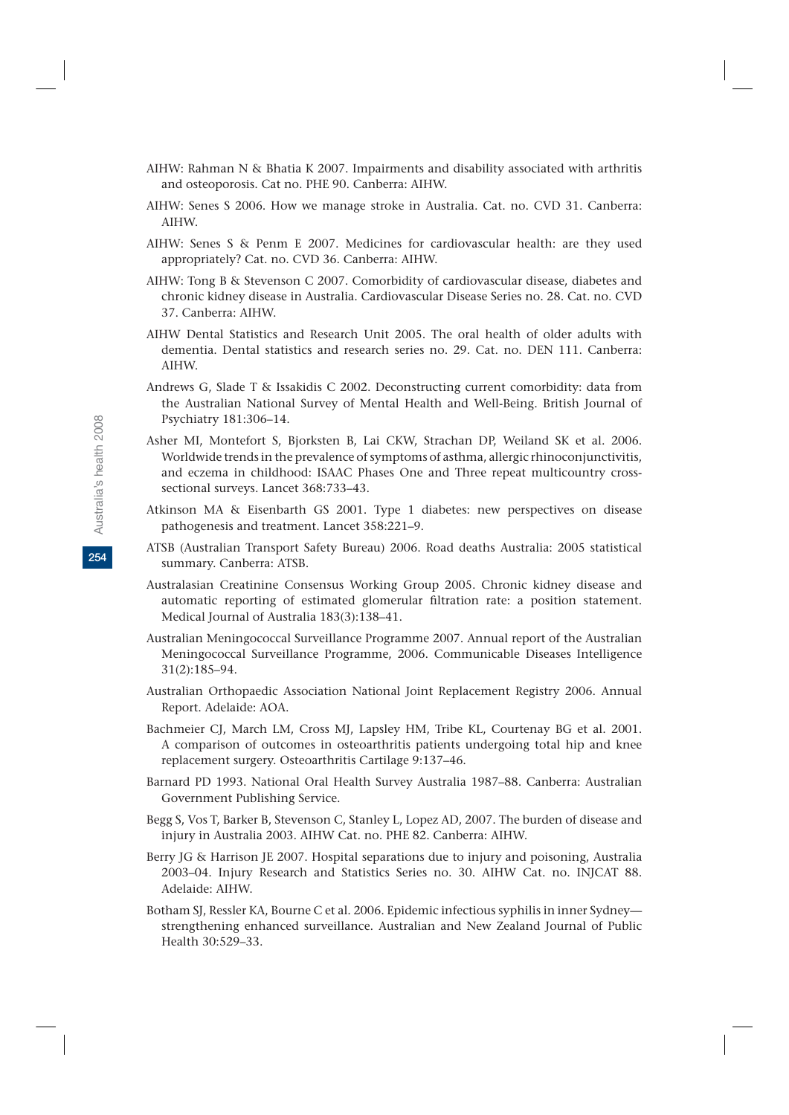- AIHW: Rahman N & Bhatia K 2007. Impairments and disability associated with arthritis and osteoporosis. Cat no. PHE 90. Canberra: AIHW.
- AIHW: Senes S 2006. How we manage stroke in Australia. Cat. no. CVD 31. Canberra: AIHW.
- AIHW: Senes S & Penm E 2007. Medicines for cardiovascular health: are they used appropriately? Cat. no. CVD 36. Canberra: AIHW.
- AIHW: Tong B & Stevenson C 2007. Comorbidity of cardiovascular disease, diabetes and chronic kidney disease in Australia. Cardiovascular Disease Series no. 28. Cat. no. CVD 37. Canberra: AIHW.
- AIHW Dental Statistics and Research Unit 2005. The oral health of older adults with dementia. Dental statistics and research series no. 29. Cat. no. DEN 111. Canberra: AIHW.
- Andrews G, Slade T & Issakidis C 2002. Deconstructing current comorbidity: data from the Australian National Survey of Mental Health and Well-Being. British Journal of Psychiatry 181:306–14.
- Asher MI, Montefort S, Bjorksten B, Lai CKW, Strachan DP, Weiland SK et al. 2006. Worldwide trends in the prevalence of symptoms of asthma, allergic rhinoconjunctivitis, and eczema in childhood: ISAAC Phases One and Three repeat multicountry crosssectional surveys. Lancet 368:733–43.
- Atkinson MA & Eisenbarth GS 2001. Type 1 diabetes: new perspectives on disease pathogenesis and treatment. Lancet 358:221–9.
- ATSB (Australian Transport Safety Bureau) 2006. Road deaths Australia: 2005 statistical summary. Canberra: ATSB.
- Australasian Creatinine Consensus Working Group 2005. Chronic kidney disease and automatic reporting of estimated glomerular filtration rate: a position statement. Medical Journal of Australia 183(3):138–41.
- Australian Meningococcal Surveillance Programme 2007. Annual report of the Australian Meningococcal Surveillance Programme, 2006. Communicable Diseases Intelligence 31(2):185–94.
- Australian Orthopaedic Association National Joint Replacement Registry 2006. Annual Report. Adelaide: AOA.
- Bachmeier CJ, March LM, Cross MJ, Lapsley HM, Tribe KL, Courtenay BG et al. 2001. A comparison of outcomes in osteoarthritis patients undergoing total hip and knee replacement surgery. Osteoarthritis Cartilage 9:137–46.
- Barnard PD 1993. National Oral Health Survey Australia 1987–88. Canberra: Australian Government Publishing Service.
- Begg S, Vos T, Barker B, Stevenson C, Stanley L, Lopez AD, 2007. The burden of disease and injury in Australia 2003. AIHW Cat. no. PHE 82. Canberra: AIHW.
- Berry JG & Harrison JE 2007. Hospital separations due to injury and poisoning, Australia 2003–04. Injury Research and Statistics Series no. 30. AIHW Cat. no. INJCAT 88. Adelaide: AIHW.
- Botham SJ, Ressler KA, Bourne C et al. 2006. Epidemic infectious syphilis in inner Sydney strengthening enhanced surveillance. Australian and New Zealand Journal of Public Health 30:529–33.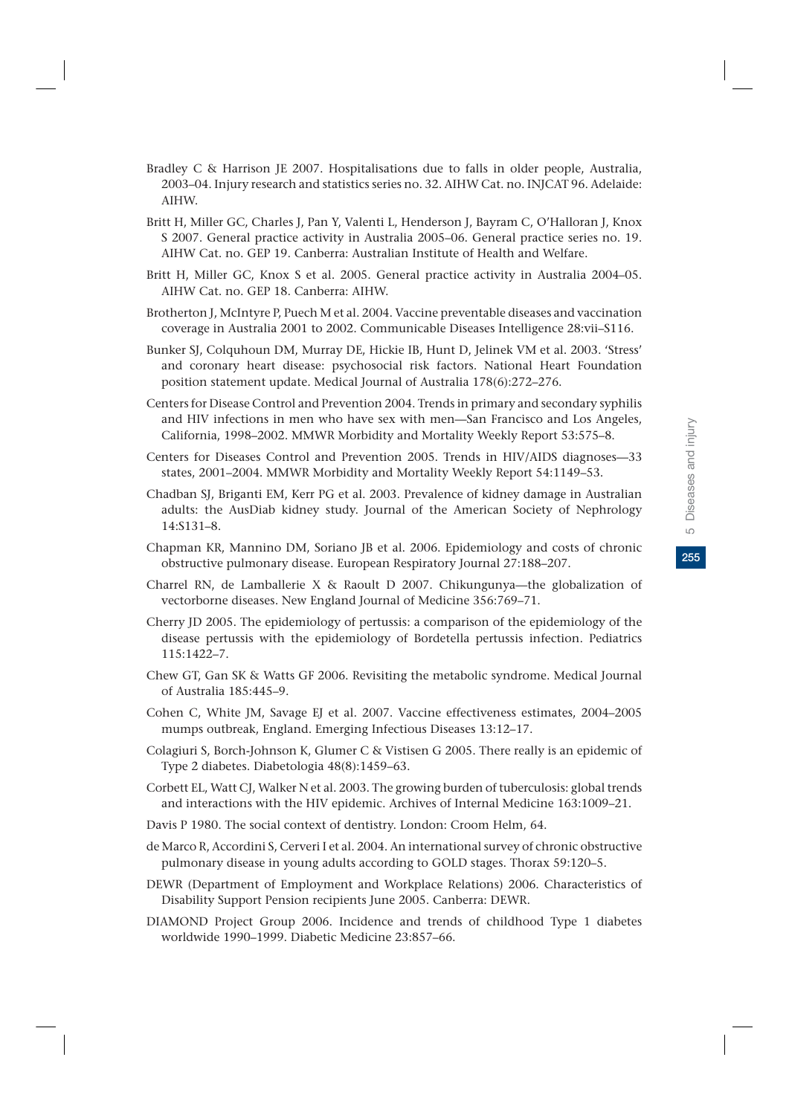- Bradley C & Harrison JE 2007. Hospitalisations due to falls in older people, Australia, 2003–04. Injury research and statistics series no. 32. AIHW Cat. no. INJCAT 96. Adelaide: AIHW.
- Britt H, Miller GC, Charles J, Pan Y, Valenti L, Henderson J, Bayram C, O'Halloran J, Knox S 2007. General practice activity in Australia 2005–06. General practice series no. 19. AIHW Cat. no. GEP 19. Canberra: Australian Institute of Health and Welfare.
- Britt H, Miller GC, Knox S et al. 2005. General practice activity in Australia 2004–05. AIHW Cat. no. GEP 18. Canberra: AIHW.
- Brotherton J, McIntyre P, Puech M et al. 2004. Vaccine preventable diseases and vaccination coverage in Australia 2001 to 2002. Communicable Diseases Intelligence 28:vii–S116.
- Bunker SJ, Colquhoun DM, Murray DE, Hickie IB, Hunt D, Jelinek VM et al. 2003. 'Stress' and coronary heart disease: psychosocial risk factors. National Heart Foundation position statement update. Medical Journal of Australia 178(6):272–276.
- Centers for Disease Control and Prevention 2004. Trends in primary and secondary syphilis and HIV infections in men who have sex with men—San Francisco and Los Angeles, California, 1998–2002. MMWR Morbidity and Mortality Weekly Report 53:575–8.
- Centers for Diseases Control and Prevention 2005. Trends in HIV/AIDS diagnoses—33 states, 2001–2004. MMWR Morbidity and Mortality Weekly Report 54:1149–53.
- Chadban SJ, Briganti EM, Kerr PG et al. 2003. Prevalence of kidney damage in Australian adults: the AusDiab kidney study. Journal of the American Society of Nephrology 14:S131–8.
- Chapman KR, Mannino DM, Soriano JB et al. 2006. Epidemiology and costs of chronic obstructive pulmonary disease. European Respiratory Journal 27:188–207.
- Charrel RN, de Lamballerie X & Raoult D 2007. Chikungunya—the globalization of vectorborne diseases. New England Journal of Medicine 356:769–71.
- Cherry JD 2005. The epidemiology of pertussis: a comparison of the epidemiology of the disease pertussis with the epidemiology of Bordetella pertussis infection. Pediatrics 115:1422–7.
- Chew GT, Gan SK & Watts GF 2006. Revisiting the metabolic syndrome. Medical Journal of Australia 185:445–9.
- Cohen C, White JM, Savage EJ et al. 2007. Vaccine effectiveness estimates, 2004–2005 mumps outbreak, England. Emerging Infectious Diseases 13:12–17.
- Colagiuri S, Borch-Johnson K, Glumer C & Vistisen G 2005. There really is an epidemic of Type 2 diabetes. Diabetologia 48(8):1459–63.
- Corbett EL, Watt CJ, Walker N et al. 2003. The growing burden of tuberculosis: global trends and interactions with the HIV epidemic. Archives of Internal Medicine 163:1009–21.
- Davis P 1980. The social context of dentistry. London: Croom Helm, 64.
- de Marco R, Accordini S, Cerveri I et al. 2004. An international survey of chronic obstructive pulmonary disease in young adults according to GOLD stages. Thorax 59:120–5.
- DEWR (Department of Employment and Workplace Relations) 2006. Characteristics of Disability Support Pension recipients June 2005. Canberra: DEWR.
- DIAMOND Project Group 2006. Incidence and trends of childhood Type 1 diabetes worldwide 1990–1999. Diabetic Medicine 23:857–66.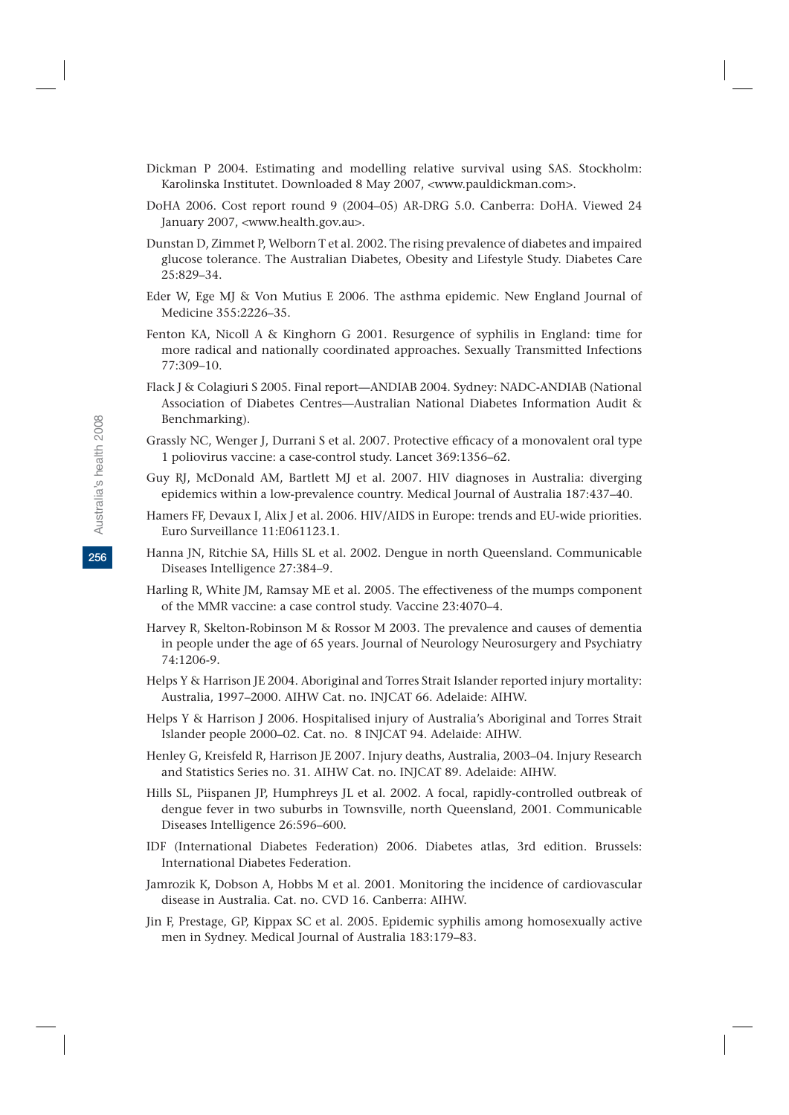- Dickman P 2004. Estimating and modelling relative survival using SAS. Stockholm: Karolinska Institutet. Downloaded 8 May 2007, <www.pauldickman.com>.
- DoHA 2006. Cost report round 9 (2004–05) AR-DRG 5.0. Canberra: DoHA. Viewed 24 January 2007, <www.health.gov.au>.
- Dunstan D, Zimmet P, Welborn T et al. 2002. The rising prevalence of diabetes and impaired glucose tolerance. The Australian Diabetes, Obesity and Lifestyle Study. Diabetes Care 25:829–34.
- Eder W, Ege MJ & Von Mutius E 2006. The asthma epidemic. New England Journal of Medicine 355:2226–35.
- Fenton KA, Nicoll A & Kinghorn G 2001. Resurgence of syphilis in England: time for more radical and nationally coordinated approaches. Sexually Transmitted Infections 77:309–10.
- Flack J & Colagiuri S 2005. Final report—ANDIAB 2004. Sydney: NADC-ANDIAB (National Association of Diabetes Centres—Australian National Diabetes Information Audit & Benchmarking).
- Grassly NC, Wenger J, Durrani S et al. 2007. Protective efficacy of a monovalent oral type 1 poliovirus vaccine: a case-control study. Lancet 369:1356–62.
- Guy RJ, McDonald AM, Bartlett MJ et al. 2007. HIV diagnoses in Australia: diverging epidemics within a low-prevalence country. Medical Journal of Australia 187:437–40.
- Hamers FF, Devaux I, Alix J et al. 2006. HIV/AIDS in Europe: trends and EU-wide priorities. Euro Surveillance 11:E061123.1.
- Hanna JN, Ritchie SA, Hills SL et al. 2002. Dengue in north Queensland. Communicable Diseases Intelligence 27:384–9.
- Harling R, White JM, Ramsay ME et al. 2005. The effectiveness of the mumps component of the MMR vaccine: a case control study. Vaccine 23:4070–4.
- Harvey R, Skelton-Robinson M & Rossor M 2003. The prevalence and causes of dementia in people under the age of 65 years. Journal of Neurology Neurosurgery and Psychiatry 74:1206-9.
- Helps Y & Harrison JE 2004. Aboriginal and Torres Strait Islander reported injury mortality: Australia, 1997–2000. AIHW Cat. no. INJCAT 66. Adelaide: AIHW.
- Helps Y & Harrison J 2006. Hospitalised injury of Australia's Aboriginal and Torres Strait Islander people 2000–02. Cat. no. 8 INJCAT 94. Adelaide: AIHW.
- Henley G, Kreisfeld R, Harrison JE 2007. Injury deaths, Australia, 2003–04. Injury Research and Statistics Series no. 31. AIHW Cat. no. INJCAT 89. Adelaide: AIHW.
- Hills SL, Piispanen JP, Humphreys JL et al. 2002. A focal, rapidly-controlled outbreak of dengue fever in two suburbs in Townsville, north Queensland, 2001. Communicable Diseases Intelligence 26:596–600.
- IDF (International Diabetes Federation) 2006. Diabetes atlas, 3rd edition. Brussels: International Diabetes Federation.
- Jamrozik K, Dobson A, Hobbs M et al. 2001. Monitoring the incidence of cardiovascular disease in Australia. Cat. no. CVD 16. Canberra: AIHW.
- Jin F, Prestage, GP, Kippax SC et al. 2005. Epidemic syphilis among homosexually active men in Sydney. Medical Journal of Australia 183:179–83.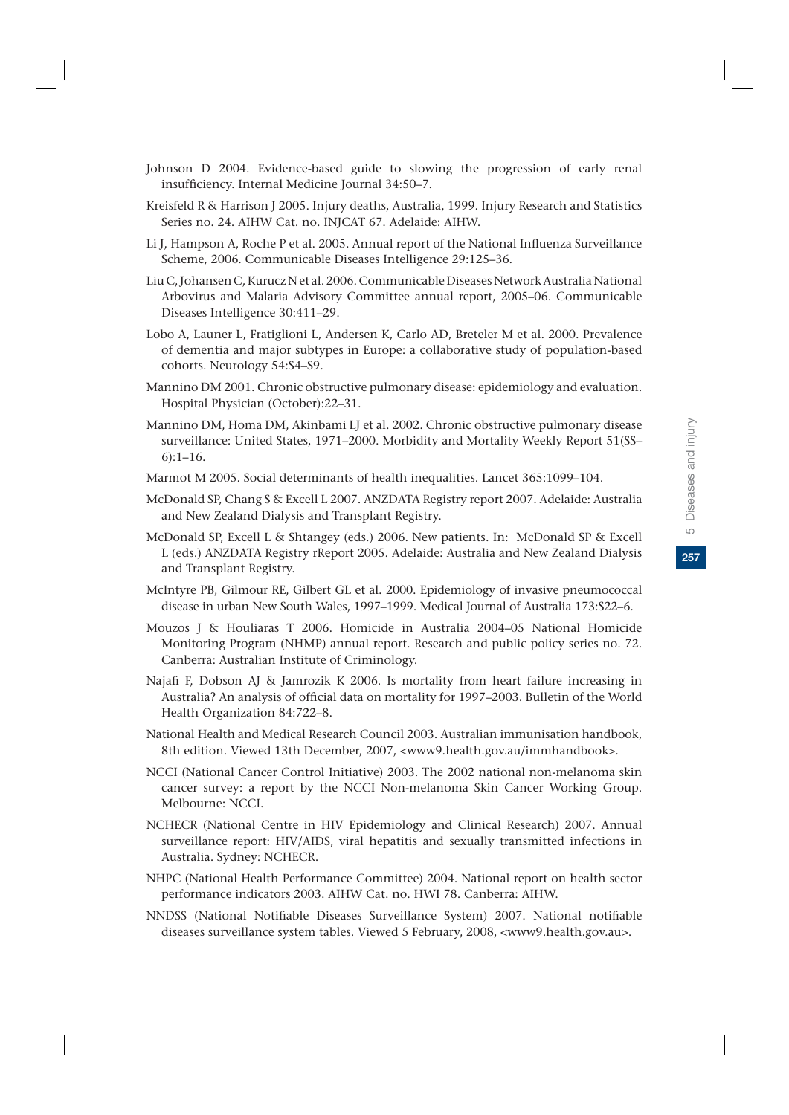- Johnson D 2004. Evidence-based guide to slowing the progression of early renal insufficiency. Internal Medicine Journal 34:50–7.
- Kreisfeld R & Harrison J 2005. Injury deaths, Australia, 1999. Injury Research and Statistics Series no. 24. AIHW Cat. no. INJCAT 67. Adelaide: AIHW.
- Li J, Hampson A, Roche P et al. 2005. Annual report of the National Influenza Surveillance Scheme, 2006. Communicable Diseases Intelligence 29:125–36.
- Liu C, Johansen C, Kurucz N et al. 2006. Communicable Diseases Network Australia National Arbovirus and Malaria Advisory Committee annual report, 2005–06. Communicable Diseases Intelligence 30:411–29.
- Lobo A, Launer L, Fratiglioni L, Andersen K, Carlo AD, Breteler M et al. 2000. Prevalence of dementia and major subtypes in Europe: a collaborative study of population-based cohorts. Neurology 54:S4–S9.
- Mannino DM 2001. Chronic obstructive pulmonary disease: epidemiology and evaluation. Hospital Physician (October):22–31.
- Mannino DM, Homa DM, Akinbami LJ et al. 2002. Chronic obstructive pulmonary disease surveillance: United States, 1971–2000. Morbidity and Mortality Weekly Report 51(SS– 6):1–16.
- Marmot M 2005. Social determinants of health inequalities. Lancet 365:1099–104.
- McDonald SP, Chang S & Excell L 2007. ANZDATA Registry report 2007. Adelaide: Australia and New Zealand Dialysis and Transplant Registry.
- McDonald SP, Excell L & Shtangey (eds.) 2006. New patients. In: McDonald SP & Excell L (eds.) ANZDATA Registry rReport 2005. Adelaide: Australia and New Zealand Dialysis and Transplant Registry.
- McIntyre PB, Gilmour RE, Gilbert GL et al. 2000. Epidemiology of invasive pneumococcal disease in urban New South Wales, 1997–1999. Medical Journal of Australia 173:S22–6.
- Mouzos J & Houliaras T 2006. Homicide in Australia 2004–05 National Homicide Monitoring Program (NHMP) annual report. Research and public policy series no. 72. Canberra: Australian Institute of Criminology.
- Najafi F, Dobson AJ & Jamrozik K 2006. Is mortality from heart failure increasing in Australia? An analysis of official data on mortality for 1997–2003. Bulletin of the World Health Organization 84:722–8.
- National Health and Medical Research Council 2003. Australian immunisation handbook, 8th edition. Viewed 13th December, 2007, <www9.health.gov.au/immhandbook>.
- NCCI (National Cancer Control Initiative) 2003. The 2002 national non-melanoma skin cancer survey: a report by the NCCI Non-melanoma Skin Cancer Working Group. Melbourne: NCCI.
- NCHECR (National Centre in HIV Epidemiology and Clinical Research) 2007. Annual surveillance report: HIV/AIDS, viral hepatitis and sexually transmitted infections in Australia. Sydney: NCHECR.
- NHPC (National Health Performance Committee) 2004. National report on health sector performance indicators 2003. AIHW Cat. no. HWI 78. Canberra: AIHW.
- NNDSS (National Notifiable Diseases Surveillance System) 2007. National notifiable diseases surveillance system tables. Viewed 5 February, 2008, <www9.health.gov.au>.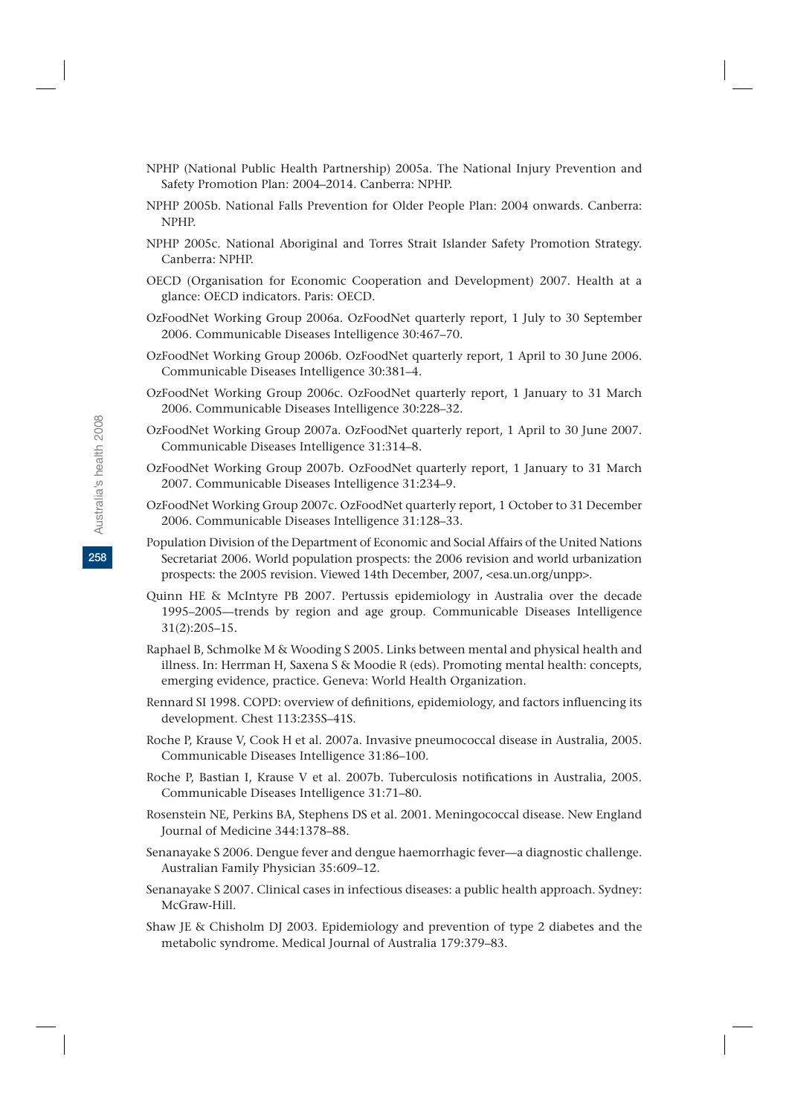- NPHP (National Public Health Partnership) 2005a. The National Injury Prevention and Safety Promotion Plan: 2004–2014. Canberra: NPHP.
- NPHP 2005b. National Falls Prevention for Older People Plan: 2004 onwards. Canberra: NPHP.
- NPHP 2005c. National Aboriginal and Torres Strait Islander Safety Promotion Strategy. Canberra: NPHP.
- OECD (Organisation for Economic Cooperation and Development) 2007. Health at a glance: OECD indicators. Paris: OECD.
- OzFoodNet Working Group 2006a. OzFoodNet quarterly report, 1 July to 30 September 2006. Communicable Diseases Intelligence 30:467–70.
- OzFoodNet Working Group 2006b. OzFoodNet quarterly report, 1 April to 30 June 2006. Communicable Diseases Intelligence 30:381–4.
- OzFoodNet Working Group 2006c. OzFoodNet quarterly report, 1 January to 31 March 2006. Communicable Diseases Intelligence 30:228–32.
- OzFoodNet Working Group 2007a. OzFoodNet quarterly report, 1 April to 30 June 2007. Communicable Diseases Intelligence 31:314–8.
- OzFoodNet Working Group 2007b. OzFoodNet quarterly report, 1 January to 31 March 2007. Communicable Diseases Intelligence 31:234–9.
- OzFoodNet Working Group 2007c. OzFoodNet quarterly report, 1 October to 31 December 2006. Communicable Diseases Intelligence 31:128–33.
- Population Division of the Department of Economic and Social Affairs of the United Nations Secretariat 2006. World population prospects: the 2006 revision and world urbanization prospects: the 2005 revision. Viewed 14th December, 2007, <esa.un.org/unpp>.
- Quinn HE & McIntyre PB 2007. Pertussis epidemiology in Australia over the decade 1995–2005—trends by region and age group. Communicable Diseases Intelligence 31(2):205–15.
- Raphael B, Schmolke M & Wooding S 2005. Links between mental and physical health and illness. In: Herrman H, Saxena S & Moodie R (eds). Promoting mental health: concepts, emerging evidence, practice. Geneva: World Health Organization.
- Rennard SI 1998. COPD: overview of definitions, epidemiology, and factors influencing its development. Chest 113:235S–41S.
- Roche P, Krause V, Cook H et al. 2007a. Invasive pneumococcal disease in Australia, 2005. Communicable Diseases Intelligence 31:86–100.
- Roche P, Bastian I, Krause V et al. 2007b. Tuberculosis notifications in Australia, 2005. Communicable Diseases Intelligence 31:71–80.
- Rosenstein NE, Perkins BA, Stephens DS et al. 2001. Meningococcal disease. New England Journal of Medicine 344:1378–88.
- Senanayake S 2006. Dengue fever and dengue haemorrhagic fever—a diagnostic challenge. Australian Family Physician 35:609–12.
- Senanayake S 2007. Clinical cases in infectious diseases: a public health approach. Sydney: McGraw-Hill.
- Shaw JE & Chisholm DJ 2003. Epidemiology and prevention of type 2 diabetes and the metabolic syndrome. Medical Journal of Australia 179:379–83.